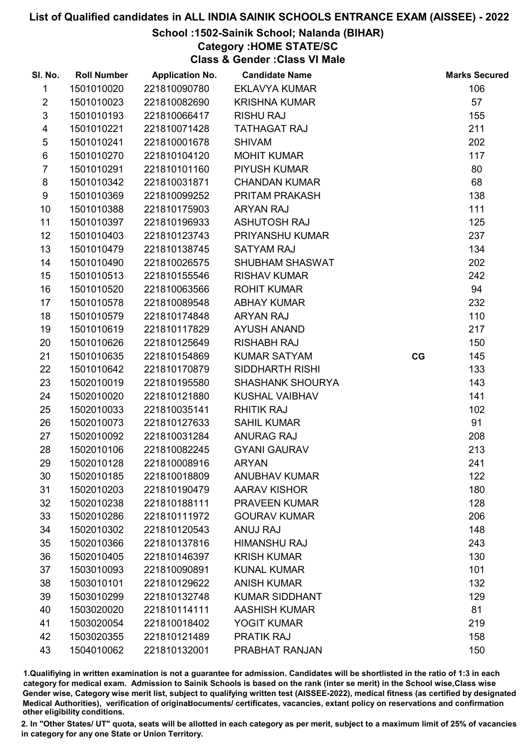## School :1502-Sainik School; Nalanda (BIHAR)

# Category :HOME STATE/SC

Class & Gender :Class VI Male

| SI. No.                 | <b>Roll Number</b> | <b>Application No.</b> | <b>Candidate Name</b>   |    | <b>Marks Secured</b> |
|-------------------------|--------------------|------------------------|-------------------------|----|----------------------|
| 1                       | 1501010020         | 221810090780           | <b>EKLAVYA KUMAR</b>    |    | 106                  |
| $\overline{2}$          | 1501010023         | 221810082690           | <b>KRISHNA KUMAR</b>    |    | 57                   |
| $\mathfrak{S}$          | 1501010193         | 221810066417           | <b>RISHU RAJ</b>        |    | 155                  |
| $\overline{\mathbf{4}}$ | 1501010221         | 221810071428           | <b>TATHAGAT RAJ</b>     |    | 211                  |
| $\sqrt{5}$              | 1501010241         | 221810001678           | <b>SHIVAM</b>           |    | 202                  |
| $\,6$                   | 1501010270         | 221810104120           | <b>MOHIT KUMAR</b>      |    | 117                  |
| $\overline{7}$          | 1501010291         | 221810101160           | <b>PIYUSH KUMAR</b>     |    | 80                   |
| 8                       | 1501010342         | 221810031871           | <b>CHANDAN KUMAR</b>    |    | 68                   |
| 9                       | 1501010369         | 221810099252           | PRITAM PRAKASH          |    | 138                  |
| 10                      | 1501010388         | 221810175903           | <b>ARYAN RAJ</b>        |    | 111                  |
| 11                      | 1501010397         | 221810196933           | <b>ASHUTOSH RAJ</b>     |    | 125                  |
| 12                      | 1501010403         | 221810123743           | PRIYANSHU KUMAR         |    | 237                  |
| 13                      | 1501010479         | 221810138745           | <b>SATYAM RAJ</b>       |    | 134                  |
| 14                      | 1501010490         | 221810026575           | SHUBHAM SHASWAT         |    | 202                  |
| 15                      | 1501010513         | 221810155546           | <b>RISHAV KUMAR</b>     |    | 242                  |
| 16                      | 1501010520         | 221810063566           | <b>ROHIT KUMAR</b>      |    | 94                   |
| 17                      | 1501010578         | 221810089548           | <b>ABHAY KUMAR</b>      |    | 232                  |
| 18                      | 1501010579         | 221810174848           | <b>ARYAN RAJ</b>        |    | 110                  |
| 19                      | 1501010619         | 221810117829           | <b>AYUSH ANAND</b>      |    | 217                  |
| 20                      | 1501010626         | 221810125649           | <b>RISHABH RAJ</b>      |    | 150                  |
| 21                      | 1501010635         | 221810154869           | <b>KUMAR SATYAM</b>     | CG | 145                  |
| 22                      | 1501010642         | 221810170879           | SIDDHARTH RISHI         |    | 133                  |
| 23                      | 1502010019         | 221810195580           | <b>SHASHANK SHOURYA</b> |    | 143                  |
| 24                      | 1502010020         | 221810121880           | <b>KUSHAL VAIBHAV</b>   |    | 141                  |
| 25                      | 1502010033         | 221810035141           | <b>RHITIK RAJ</b>       |    | 102                  |
| 26                      | 1502010073         | 221810127633           | <b>SAHIL KUMAR</b>      |    | 91                   |
| 27                      | 1502010092         | 221810031284           | <b>ANURAG RAJ</b>       |    | 208                  |
| 28                      | 1502010106         | 221810082245           | <b>GYANI GAURAV</b>     |    | 213                  |
| 29                      | 1502010128         | 221810008916           | <b>ARYAN</b>            |    | 241                  |
| 30                      | 1502010185         | 221810018809           | <b>ANUBHAV KUMAR</b>    |    | 122                  |
| 31                      | 1502010203         | 221810190479           | <b>AARAV KISHOR</b>     |    | 180                  |
| 32                      | 1502010238         | 221810188111           | <b>PRAVEEN KUMAR</b>    |    | 128                  |
| 33                      | 1502010286         | 221810111972           | <b>GOURAV KUMAR</b>     |    | 206                  |
| 34                      | 1502010302         | 221810120543           | <b>ANUJ RAJ</b>         |    | 148                  |
| 35                      | 1502010366         | 221810137816           | <b>HIMANSHU RAJ</b>     |    | 243                  |
| 36                      | 1502010405         | 221810146397           | <b>KRISH KUMAR</b>      |    | 130                  |
| 37                      | 1503010093         | 221810090891           | <b>KUNAL KUMAR</b>      |    | 101                  |
| 38                      | 1503010101         | 221810129622           | <b>ANISH KUMAR</b>      |    | 132                  |
| 39                      | 1503010299         | 221810132748           | <b>KUMAR SIDDHANT</b>   |    | 129                  |
| 40                      | 1503020020         | 221810114111           | <b>AASHISH KUMAR</b>    |    | 81                   |
| 41                      | 1503020054         | 221810018402           | <b>YOGIT KUMAR</b>      |    | 219                  |
| 42                      | 1503020355         | 221810121489           | <b>PRATIK RAJ</b>       |    | 158                  |
| 43                      | 1504010062         | 221810132001           | PRABHAT RANJAN          |    | 150                  |

1.Qualifiying in written examination is not a guarantee for admission. Candidates will be shortlisted in the ratio of 1:3 in each category for medical exam. Admission to Sainik Schools is based on the rank (inter se merit) in the School wise,Class wise Gender wise, Category wise merit list, subject to qualifying written test (AISSEE-2022), medical fitness (as certified by designated Medical Authorities), verification of originablocuments/ certificates, vacancies, extant policy on reservations and confirmation other eligibility conditions.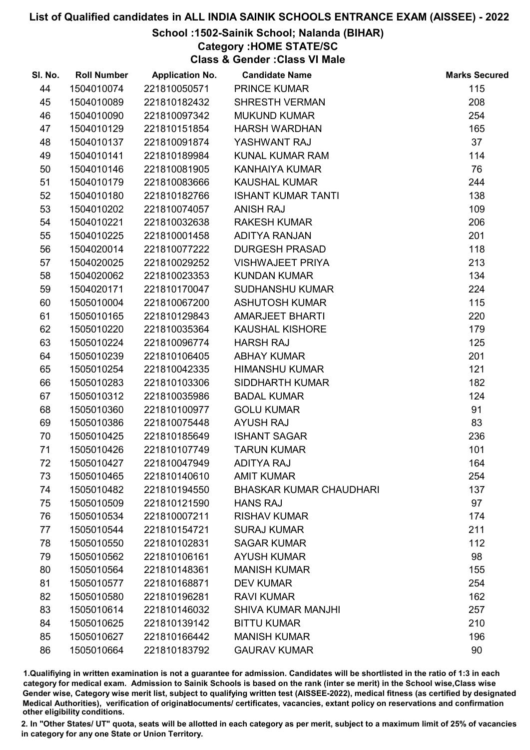## School :1502-Sainik School; Nalanda (BIHAR)

# Category :HOME STATE/SC

Class & Gender :Class VI Male

| SI. No. | <b>Roll Number</b> | <b>Application No.</b> | <b>Candidate Name</b>          | <b>Marks Secured</b> |
|---------|--------------------|------------------------|--------------------------------|----------------------|
| 44      | 1504010074         | 221810050571           | <b>PRINCE KUMAR</b>            | 115                  |
| 45      | 1504010089         | 221810182432           | <b>SHRESTH VERMAN</b>          | 208                  |
| 46      | 1504010090         | 221810097342           | <b>MUKUND KUMAR</b>            | 254                  |
| 47      | 1504010129         | 221810151854           | <b>HARSH WARDHAN</b>           | 165                  |
| 48      | 1504010137         | 221810091874           | YASHWANT RAJ                   | 37                   |
| 49      | 1504010141         | 221810189984           | <b>KUNAL KUMAR RAM</b>         | 114                  |
| 50      | 1504010146         | 221810081905           | <b>KANHAIYA KUMAR</b>          | 76                   |
| 51      | 1504010179         | 221810083666           | <b>KAUSHAL KUMAR</b>           | 244                  |
| 52      | 1504010180         | 221810182766           | <b>ISHANT KUMAR TANTI</b>      | 138                  |
| 53      | 1504010202         | 221810074057           | <b>ANISH RAJ</b>               | 109                  |
| 54      | 1504010221         | 221810032638           | <b>RAKESH KUMAR</b>            | 206                  |
| 55      | 1504010225         | 221810001458           | ADITYA RANJAN                  | 201                  |
| 56      | 1504020014         | 221810077222           | <b>DURGESH PRASAD</b>          | 118                  |
| 57      | 1504020025         | 221810029252           | <b>VISHWAJEET PRIYA</b>        | 213                  |
| 58      | 1504020062         | 221810023353           | <b>KUNDAN KUMAR</b>            | 134                  |
| 59      | 1504020171         | 221810170047           | <b>SUDHANSHU KUMAR</b>         | 224                  |
| 60      | 1505010004         | 221810067200           | <b>ASHUTOSH KUMAR</b>          | 115                  |
| 61      | 1505010165         | 221810129843           | <b>AMARJEET BHARTI</b>         | 220                  |
| 62      | 1505010220         | 221810035364           | KAUSHAL KISHORE                | 179                  |
| 63      | 1505010224         | 221810096774           | <b>HARSH RAJ</b>               | 125                  |
| 64      | 1505010239         | 221810106405           | <b>ABHAY KUMAR</b>             | 201                  |
| 65      | 1505010254         | 221810042335           | <b>HIMANSHU KUMAR</b>          | 121                  |
| 66      | 1505010283         | 221810103306           | <b>SIDDHARTH KUMAR</b>         | 182                  |
| 67      | 1505010312         | 221810035986           | <b>BADAL KUMAR</b>             | 124                  |
| 68      | 1505010360         | 221810100977           | <b>GOLU KUMAR</b>              | 91                   |
| 69      | 1505010386         | 221810075448           | <b>AYUSH RAJ</b>               | 83                   |
| 70      | 1505010425         | 221810185649           | <b>ISHANT SAGAR</b>            | 236                  |
| 71      | 1505010426         | 221810107749           | <b>TARUN KUMAR</b>             | 101                  |
| 72      | 1505010427         | 221810047949           | <b>ADITYA RAJ</b>              | 164                  |
| 73      | 1505010465         | 221810140610           | <b>AMIT KUMAR</b>              | 254                  |
| 74      | 1505010482         | 221810194550           | <b>BHASKAR KUMAR CHAUDHARI</b> | 137                  |
| 75      | 1505010509         | 221810121590           | <b>HANS RAJ</b>                | 97                   |
| 76      | 1505010534         | 221810007211           | <b>RISHAV KUMAR</b>            | 174                  |
| 77      | 1505010544         | 221810154721           | <b>SURAJ KUMAR</b>             | 211                  |
| 78      | 1505010550         | 221810102831           | <b>SAGAR KUMAR</b>             | 112                  |
| 79      | 1505010562         | 221810106161           | <b>AYUSH KUMAR</b>             | 98                   |
| 80      | 1505010564         | 221810148361           | <b>MANISH KUMAR</b>            | 155                  |
| 81      | 1505010577         | 221810168871           | <b>DEV KUMAR</b>               | 254                  |
| 82      | 1505010580         | 221810196281           | <b>RAVI KUMAR</b>              | 162                  |
| 83      | 1505010614         | 221810146032           | <b>SHIVA KUMAR MANJHI</b>      | 257                  |
| 84      | 1505010625         | 221810139142           | <b>BITTU KUMAR</b>             | 210                  |
| 85      | 1505010627         | 221810166442           | <b>MANISH KUMAR</b>            | 196                  |
| 86      | 1505010664         | 221810183792           | <b>GAURAV KUMAR</b>            | 90                   |

1.Qualifiying in written examination is not a guarantee for admission. Candidates will be shortlisted in the ratio of 1:3 in each category for medical exam. Admission to Sainik Schools is based on the rank (inter se merit) in the School wise,Class wise Gender wise, Category wise merit list, subject to qualifying written test (AISSEE-2022), medical fitness (as certified by designated Medical Authorities), verification of originablocuments/ certificates, vacancies, extant policy on reservations and confirmation other eligibility conditions.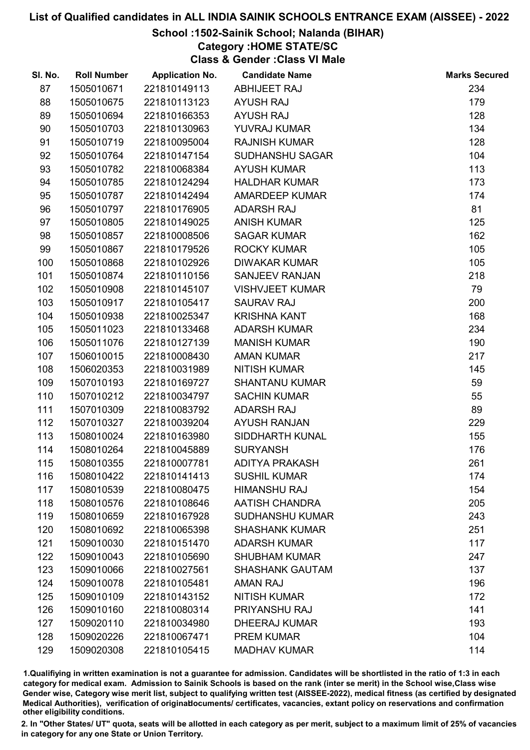## School :1502-Sainik School; Nalanda (BIHAR)

# Category :HOME STATE/SC

Class & Gender :Class VI Male

| SI. No. | <b>Roll Number</b> | <b>Application No.</b> | <b>Candidate Name</b>  | <b>Marks Secured</b> |
|---------|--------------------|------------------------|------------------------|----------------------|
| 87      | 1505010671         | 221810149113           | <b>ABHIJEET RAJ</b>    | 234                  |
| 88      | 1505010675         | 221810113123           | <b>AYUSH RAJ</b>       | 179                  |
| 89      | 1505010694         | 221810166353           | <b>AYUSH RAJ</b>       | 128                  |
| 90      | 1505010703         | 221810130963           | YUVRAJ KUMAR           | 134                  |
| 91      | 1505010719         | 221810095004           | <b>RAJNISH KUMAR</b>   | 128                  |
| 92      | 1505010764         | 221810147154           | <b>SUDHANSHU SAGAR</b> | 104                  |
| 93      | 1505010782         | 221810068384           | <b>AYUSH KUMAR</b>     | 113                  |
| 94      | 1505010785         | 221810124294           | <b>HALDHAR KUMAR</b>   | 173                  |
| 95      | 1505010787         | 221810142494           | AMARDEEP KUMAR         | 174                  |
| 96      | 1505010797         | 221810176905           | <b>ADARSH RAJ</b>      | 81                   |
| 97      | 1505010805         | 221810149025           | <b>ANISH KUMAR</b>     | 125                  |
| 98      | 1505010857         | 221810008506           | <b>SAGAR KUMAR</b>     | 162                  |
| 99      | 1505010867         | 221810179526           | <b>ROCKY KUMAR</b>     | 105                  |
| 100     | 1505010868         | 221810102926           | <b>DIWAKAR KUMAR</b>   | 105                  |
| 101     | 1505010874         | 221810110156           | <b>SANJEEV RANJAN</b>  | 218                  |
| 102     | 1505010908         | 221810145107           | <b>VISHVJEET KUMAR</b> | 79                   |
| 103     | 1505010917         | 221810105417           | <b>SAURAV RAJ</b>      | 200                  |
| 104     | 1505010938         | 221810025347           | <b>KRISHNA KANT</b>    | 168                  |
| 105     | 1505011023         | 221810133468           | <b>ADARSH KUMAR</b>    | 234                  |
| 106     | 1505011076         | 221810127139           | <b>MANISH KUMAR</b>    | 190                  |
| 107     | 1506010015         | 221810008430           | <b>AMAN KUMAR</b>      | 217                  |
| 108     | 1506020353         | 221810031989           | <b>NITISH KUMAR</b>    | 145                  |
| 109     | 1507010193         | 221810169727           | <b>SHANTANU KUMAR</b>  | 59                   |
| 110     | 1507010212         | 221810034797           | <b>SACHIN KUMAR</b>    | 55                   |
| 111     | 1507010309         | 221810083792           | <b>ADARSH RAJ</b>      | 89                   |
| 112     | 1507010327         | 221810039204           | <b>AYUSH RANJAN</b>    | 229                  |
| 113     | 1508010024         | 221810163980           | SIDDHARTH KUNAL        | 155                  |
| 114     | 1508010264         | 221810045889           | <b>SURYANSH</b>        | 176                  |
| 115     | 1508010355         | 221810007781           | <b>ADITYA PRAKASH</b>  | 261                  |
| 116     | 1508010422         | 221810141413           | <b>SUSHIL KUMAR</b>    | 174                  |
| 117     | 1508010539         | 221810080475           | <b>HIMANSHU RAJ</b>    | 154                  |
| 118     | 1508010576         | 221810108646           | <b>AATISH CHANDRA</b>  | 205                  |
| 119     | 1508010659         | 221810167928           | <b>SUDHANSHU KUMAR</b> | 243                  |
| 120     | 1508010692         | 221810065398           | <b>SHASHANK KUMAR</b>  | 251                  |
| 121     | 1509010030         | 221810151470           | <b>ADARSH KUMAR</b>    | 117                  |
| 122     | 1509010043         | 221810105690           | <b>SHUBHAM KUMAR</b>   | 247                  |
| 123     | 1509010066         | 221810027561           | <b>SHASHANK GAUTAM</b> | 137                  |
| 124     | 1509010078         | 221810105481           | <b>AMAN RAJ</b>        | 196                  |
| 125     | 1509010109         | 221810143152           | <b>NITISH KUMAR</b>    | 172                  |
| 126     | 1509010160         | 221810080314           | PRIYANSHU RAJ          | 141                  |
| 127     | 1509020110         | 221810034980           | <b>DHEERAJ KUMAR</b>   | 193                  |
| 128     | 1509020226         | 221810067471           | <b>PREM KUMAR</b>      | 104                  |
| 129     | 1509020308         | 221810105415           | <b>MADHAV KUMAR</b>    | 114                  |

1.Qualifiying in written examination is not a guarantee for admission. Candidates will be shortlisted in the ratio of 1:3 in each category for medical exam. Admission to Sainik Schools is based on the rank (inter se merit) in the School wise,Class wise Gender wise, Category wise merit list, subject to qualifying written test (AISSEE-2022), medical fitness (as certified by designated Medical Authorities), verification of originablocuments/ certificates, vacancies, extant policy on reservations and confirmation other eligibility conditions.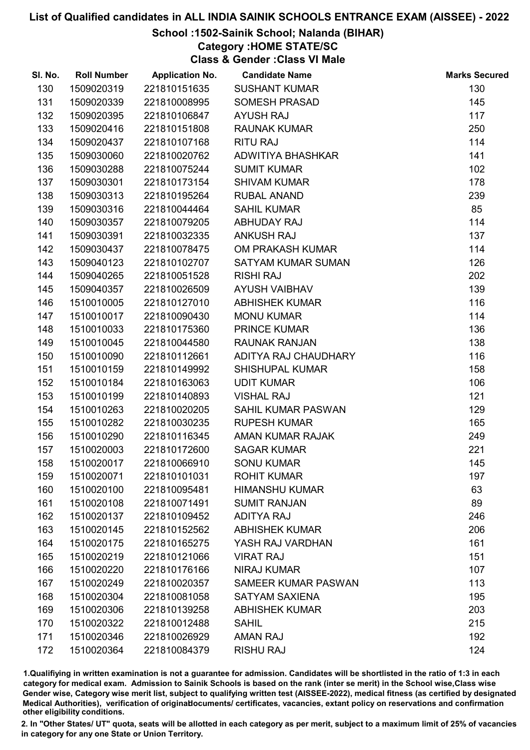## School :1502-Sainik School; Nalanda (BIHAR)

# Category :HOME STATE/SC

Class & Gender :Class VI Male

| SI. No. | <b>Roll Number</b> | <b>Application No.</b> | <b>Candidate Name</b>      | <b>Marks Secured</b> |
|---------|--------------------|------------------------|----------------------------|----------------------|
| 130     | 1509020319         | 221810151635           | <b>SUSHANT KUMAR</b>       | 130                  |
| 131     | 1509020339         | 221810008995           | <b>SOMESH PRASAD</b>       | 145                  |
| 132     | 1509020395         | 221810106847           | <b>AYUSH RAJ</b>           | 117                  |
| 133     | 1509020416         | 221810151808           | <b>RAUNAK KUMAR</b>        | 250                  |
| 134     | 1509020437         | 221810107168           | <b>RITU RAJ</b>            | 114                  |
| 135     | 1509030060         | 221810020762           | ADWITIYA BHASHKAR          | 141                  |
| 136     | 1509030288         | 221810075244           | <b>SUMIT KUMAR</b>         | 102                  |
| 137     | 1509030301         | 221810173154           | <b>SHIVAM KUMAR</b>        | 178                  |
| 138     | 1509030313         | 221810195264           | <b>RUBAL ANAND</b>         | 239                  |
| 139     | 1509030316         | 221810044464           | <b>SAHIL KUMAR</b>         | 85                   |
| 140     | 1509030357         | 221810079205           | ABHUDAY RAJ                | 114                  |
| 141     | 1509030391         | 221810032335           | <b>ANKUSH RAJ</b>          | 137                  |
| 142     | 1509030437         | 221810078475           | OM PRAKASH KUMAR           | 114                  |
| 143     | 1509040123         | 221810102707           | SATYAM KUMAR SUMAN         | 126                  |
| 144     | 1509040265         | 221810051528           | <b>RISHI RAJ</b>           | 202                  |
| 145     | 1509040357         | 221810026509           | <b>AYUSH VAIBHAV</b>       | 139                  |
| 146     | 1510010005         | 221810127010           | <b>ABHISHEK KUMAR</b>      | 116                  |
| 147     | 1510010017         | 221810090430           | <b>MONU KUMAR</b>          | 114                  |
| 148     | 1510010033         | 221810175360           | PRINCE KUMAR               | 136                  |
| 149     | 1510010045         | 221810044580           | <b>RAUNAK RANJAN</b>       | 138                  |
| 150     | 1510010090         | 221810112661           | ADITYA RAJ CHAUDHARY       | 116                  |
| 151     | 1510010159         | 221810149992           | <b>SHISHUPAL KUMAR</b>     | 158                  |
| 152     | 1510010184         | 221810163063           | <b>UDIT KUMAR</b>          | 106                  |
| 153     | 1510010199         | 221810140893           | <b>VISHAL RAJ</b>          | 121                  |
| 154     | 1510010263         | 221810020205           | SAHIL KUMAR PASWAN         | 129                  |
| 155     | 1510010282         | 221810030235           | <b>RUPESH KUMAR</b>        | 165                  |
| 156     | 1510010290         | 221810116345           | AMAN KUMAR RAJAK           | 249                  |
| 157     | 1510020003         | 221810172600           | <b>SAGAR KUMAR</b>         | 221                  |
| 158     | 1510020017         | 221810066910           | <b>SONU KUMAR</b>          | 145                  |
| 159     | 1510020071         | 221810101031           | <b>ROHIT KUMAR</b>         | 197                  |
| 160     | 1510020100         | 221810095481           | <b>HIMANSHU KUMAR</b>      | 63                   |
| 161     | 1510020108         | 221810071491           | <b>SUMIT RANJAN</b>        | 89                   |
| 162     | 1510020137         | 221810109452           | <b>ADITYA RAJ</b>          | 246                  |
| 163     | 1510020145         | 221810152562           | <b>ABHISHEK KUMAR</b>      | 206                  |
| 164     | 1510020175         | 221810165275           | YASH RAJ VARDHAN           | 161                  |
| 165     | 1510020219         | 221810121066           | <b>VIRAT RAJ</b>           | 151                  |
| 166     | 1510020220         | 221810176166           | <b>NIRAJ KUMAR</b>         | 107                  |
| 167     | 1510020249         | 221810020357           | <b>SAMEER KUMAR PASWAN</b> | 113                  |
| 168     | 1510020304         | 221810081058           | <b>SATYAM SAXIENA</b>      | 195                  |
| 169     | 1510020306         | 221810139258           | <b>ABHISHEK KUMAR</b>      | 203                  |
| 170     | 1510020322         | 221810012488           | <b>SAHIL</b>               | 215                  |
| 171     | 1510020346         | 221810026929           | <b>AMAN RAJ</b>            | 192                  |
| 172     | 1510020364         | 221810084379           | <b>RISHU RAJ</b>           | 124                  |

1.Qualifiying in written examination is not a guarantee for admission. Candidates will be shortlisted in the ratio of 1:3 in each category for medical exam. Admission to Sainik Schools is based on the rank (inter se merit) in the School wise,Class wise Gender wise, Category wise merit list, subject to qualifying written test (AISSEE-2022), medical fitness (as certified by designated Medical Authorities), verification of originablocuments/ certificates, vacancies, extant policy on reservations and confirmation other eligibility conditions.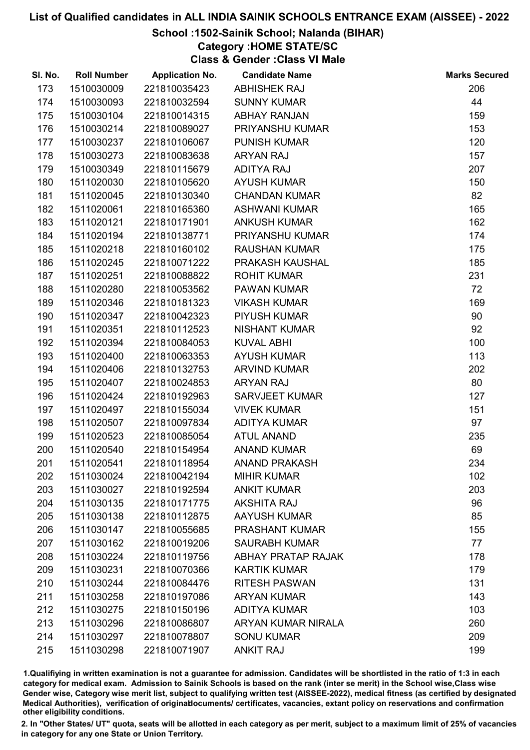## School :1502-Sainik School; Nalanda (BIHAR)

# Category :HOME STATE/SC

Class & Gender :Class VI Male

| SI. No. | <b>Roll Number</b> | <b>Application No.</b> | <b>Candidate Name</b>     | <b>Marks Secured</b> |
|---------|--------------------|------------------------|---------------------------|----------------------|
| 173     | 1510030009         | 221810035423           | <b>ABHISHEK RAJ</b>       | 206                  |
| 174     | 1510030093         | 221810032594           | <b>SUNNY KUMAR</b>        | 44                   |
| 175     | 1510030104         | 221810014315           | <b>ABHAY RANJAN</b>       | 159                  |
| 176     | 1510030214         | 221810089027           | <b>PRIYANSHU KUMAR</b>    | 153                  |
| 177     | 1510030237         | 221810106067           | <b>PUNISH KUMAR</b>       | 120                  |
| 178     | 1510030273         | 221810083638           | <b>ARYAN RAJ</b>          | 157                  |
| 179     | 1510030349         | 221810115679           | <b>ADITYA RAJ</b>         | 207                  |
| 180     | 1511020030         | 221810105620           | <b>AYUSH KUMAR</b>        | 150                  |
| 181     | 1511020045         | 221810130340           | <b>CHANDAN KUMAR</b>      | 82                   |
| 182     | 1511020061         | 221810165360           | <b>ASHWANI KUMAR</b>      | 165                  |
| 183     | 1511020121         | 221810171901           | <b>ANKUSH KUMAR</b>       | 162                  |
| 184     | 1511020194         | 221810138771           | <b>PRIYANSHU KUMAR</b>    | 174                  |
| 185     | 1511020218         | 221810160102           | <b>RAUSHAN KUMAR</b>      | 175                  |
| 186     | 1511020245         | 221810071222           | PRAKASH KAUSHAL           | 185                  |
| 187     | 1511020251         | 221810088822           | <b>ROHIT KUMAR</b>        | 231                  |
| 188     | 1511020280         | 221810053562           | <b>PAWAN KUMAR</b>        | 72                   |
| 189     | 1511020346         | 221810181323           | <b>VIKASH KUMAR</b>       | 169                  |
| 190     | 1511020347         | 221810042323           | PIYUSH KUMAR              | 90                   |
| 191     | 1511020351         | 221810112523           | <b>NISHANT KUMAR</b>      | 92                   |
| 192     | 1511020394         | 221810084053           | <b>KUVAL ABHI</b>         | 100                  |
| 193     | 1511020400         | 221810063353           | <b>AYUSH KUMAR</b>        | 113                  |
| 194     | 1511020406         | 221810132753           | <b>ARVIND KUMAR</b>       | 202                  |
| 195     | 1511020407         | 221810024853           | <b>ARYAN RAJ</b>          | 80                   |
| 196     | 1511020424         | 221810192963           | <b>SARVJEET KUMAR</b>     | 127                  |
| 197     | 1511020497         | 221810155034           | <b>VIVEK KUMAR</b>        | 151                  |
| 198     | 1511020507         | 221810097834           | <b>ADITYA KUMAR</b>       | 97                   |
| 199     | 1511020523         | 221810085054           | <b>ATUL ANAND</b>         | 235                  |
| 200     | 1511020540         | 221810154954           | <b>ANAND KUMAR</b>        | 69                   |
| 201     | 1511020541         | 221810118954           | <b>ANAND PRAKASH</b>      | 234                  |
| 202     | 1511030024         | 221810042194           | <b>MIHIR KUMAR</b>        | 102                  |
| 203     | 1511030027         | 221810192594           | <b>ANKIT KUMAR</b>        | 203                  |
| 204     | 1511030135         | 221810171775           | <b>AKSHITA RAJ</b>        | 96                   |
| 205     | 1511030138         | 221810112875           | <b>AAYUSH KUMAR</b>       | 85                   |
| 206     | 1511030147         | 221810055685           | <b>PRASHANT KUMAR</b>     | 155                  |
| 207     | 1511030162         | 221810019206           | <b>SAURABH KUMAR</b>      | 77                   |
| 208     | 1511030224         | 221810119756           | <b>ABHAY PRATAP RAJAK</b> | 178                  |
| 209     | 1511030231         | 221810070366           | <b>KARTIK KUMAR</b>       | 179                  |
| 210     | 1511030244         | 221810084476           | <b>RITESH PASWAN</b>      | 131                  |
| 211     | 1511030258         | 221810197086           | <b>ARYAN KUMAR</b>        | 143                  |
| 212     | 1511030275         | 221810150196           | <b>ADITYA KUMAR</b>       | 103                  |
| 213     | 1511030296         | 221810086807           | ARYAN KUMAR NIRALA        | 260                  |
| 214     | 1511030297         | 221810078807           | <b>SONU KUMAR</b>         | 209                  |
| 215     | 1511030298         | 221810071907           | <b>ANKIT RAJ</b>          | 199                  |

1.Qualifiying in written examination is not a guarantee for admission. Candidates will be shortlisted in the ratio of 1:3 in each category for medical exam. Admission to Sainik Schools is based on the rank (inter se merit) in the School wise,Class wise Gender wise, Category wise merit list, subject to qualifying written test (AISSEE-2022), medical fitness (as certified by designated Medical Authorities), verification of originablocuments/ certificates, vacancies, extant policy on reservations and confirmation other eligibility conditions.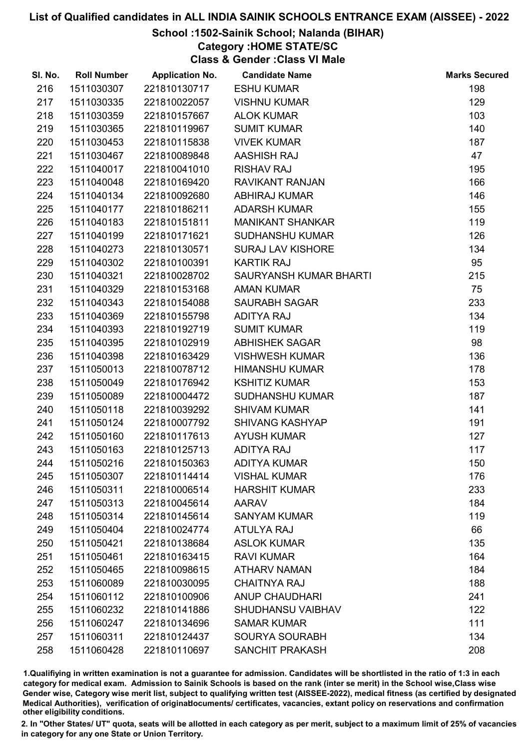## School :1502-Sainik School; Nalanda (BIHAR)

# Category :HOME STATE/SC

Class & Gender :Class VI Male

| SI. No. | <b>Roll Number</b> | <b>Application No.</b> | <b>Candidate Name</b>    | <b>Marks Secured</b> |
|---------|--------------------|------------------------|--------------------------|----------------------|
| 216     | 1511030307         | 221810130717           | <b>ESHU KUMAR</b>        | 198                  |
| 217     | 1511030335         | 221810022057           | <b>VISHNU KUMAR</b>      | 129                  |
| 218     | 1511030359         | 221810157667           | <b>ALOK KUMAR</b>        | 103                  |
| 219     | 1511030365         | 221810119967           | <b>SUMIT KUMAR</b>       | 140                  |
| 220     | 1511030453         | 221810115838           | <b>VIVEK KUMAR</b>       | 187                  |
| 221     | 1511030467         | 221810089848           | <b>AASHISH RAJ</b>       | 47                   |
| 222     | 1511040017         | 221810041010           | <b>RISHAV RAJ</b>        | 195                  |
| 223     | 1511040048         | 221810169420           | RAVIKANT RANJAN          | 166                  |
| 224     | 1511040134         | 221810092680           | <b>ABHIRAJ KUMAR</b>     | 146                  |
| 225     | 1511040177         | 221810186211           | <b>ADARSH KUMAR</b>      | 155                  |
| 226     | 1511040183         | 221810151811           | <b>MANIKANT SHANKAR</b>  | 119                  |
| 227     | 1511040199         | 221810171621           | <b>SUDHANSHU KUMAR</b>   | 126                  |
| 228     | 1511040273         | 221810130571           | <b>SURAJ LAV KISHORE</b> | 134                  |
| 229     | 1511040302         | 221810100391           | <b>KARTIK RAJ</b>        | 95                   |
| 230     | 1511040321         | 221810028702           | SAURYANSH KUMAR BHARTI   | 215                  |
| 231     | 1511040329         | 221810153168           | <b>AMAN KUMAR</b>        | 75                   |
| 232     | 1511040343         | 221810154088           | <b>SAURABH SAGAR</b>     | 233                  |
| 233     | 1511040369         | 221810155798           | <b>ADITYA RAJ</b>        | 134                  |
| 234     | 1511040393         | 221810192719           | <b>SUMIT KUMAR</b>       | 119                  |
| 235     | 1511040395         | 221810102919           | <b>ABHISHEK SAGAR</b>    | 98                   |
| 236     | 1511040398         | 221810163429           | <b>VISHWESH KUMAR</b>    | 136                  |
| 237     | 1511050013         | 221810078712           | <b>HIMANSHU KUMAR</b>    | 178                  |
| 238     | 1511050049         | 221810176942           | <b>KSHITIZ KUMAR</b>     | 153                  |
| 239     | 1511050089         | 221810004472           | <b>SUDHANSHU KUMAR</b>   | 187                  |
| 240     | 1511050118         | 221810039292           | <b>SHIVAM KUMAR</b>      | 141                  |
| 241     | 1511050124         | 221810007792           | <b>SHIVANG KASHYAP</b>   | 191                  |
| 242     | 1511050160         | 221810117613           | <b>AYUSH KUMAR</b>       | 127                  |
| 243     | 1511050163         | 221810125713           | <b>ADITYA RAJ</b>        | 117                  |
| 244     | 1511050216         | 221810150363           | <b>ADITYA KUMAR</b>      | 150                  |
| 245     | 1511050307         | 221810114414           | <b>VISHAL KUMAR</b>      | 176                  |
| 246     | 1511050311         | 221810006514           | <b>HARSHIT KUMAR</b>     | 233                  |
| 247     | 1511050313         | 221810045614           | <b>AARAV</b>             | 184                  |
| 248     | 1511050314         | 221810145614           | <b>SANYAM KUMAR</b>      | 119                  |
| 249     | 1511050404         | 221810024774           | <b>ATULYA RAJ</b>        | 66                   |
| 250     | 1511050421         | 221810138684           | <b>ASLOK KUMAR</b>       | 135                  |
| 251     | 1511050461         | 221810163415           | <b>RAVI KUMAR</b>        | 164                  |
| 252     | 1511050465         | 221810098615           | <b>ATHARV NAMAN</b>      | 184                  |
| 253     | 1511060089         | 221810030095           | <b>CHAITNYA RAJ</b>      | 188                  |
| 254     | 1511060112         | 221810100906           | <b>ANUP CHAUDHARI</b>    | 241                  |
| 255     | 1511060232         | 221810141886           | SHUDHANSU VAIBHAV        | 122                  |
| 256     | 1511060247         | 221810134696           | <b>SAMAR KUMAR</b>       | 111                  |
| 257     | 1511060311         | 221810124437           | <b>SOURYA SOURABH</b>    | 134                  |
| 258     | 1511060428         | 221810110697           | SANCHIT PRAKASH          | 208                  |

1.Qualifiying in written examination is not a guarantee for admission. Candidates will be shortlisted in the ratio of 1:3 in each category for medical exam. Admission to Sainik Schools is based on the rank (inter se merit) in the School wise,Class wise Gender wise, Category wise merit list, subject to qualifying written test (AISSEE-2022), medical fitness (as certified by designated Medical Authorities), verification of originablocuments/ certificates, vacancies, extant policy on reservations and confirmation other eligibility conditions.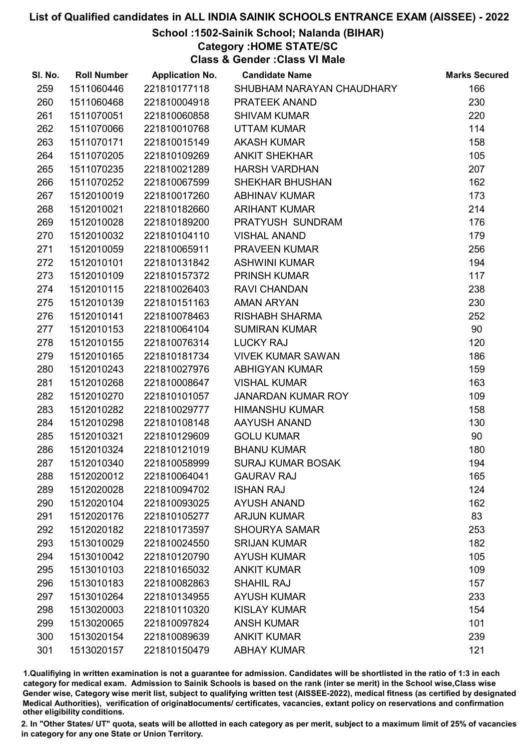## School :1502-Sainik School; Nalanda (BIHAR)

# Category :HOME STATE/SC

Class & Gender :Class VI Male

| SI. No. | <b>Roll Number</b> | <b>Application No.</b> | <b>Candidate Name</b>     | <b>Marks Secured</b> |
|---------|--------------------|------------------------|---------------------------|----------------------|
| 259     | 1511060446         | 221810177118           | SHUBHAM NARAYAN CHAUDHARY | 166                  |
| 260     | 1511060468         | 221810004918           | PRATEEK ANAND             | 230                  |
| 261     | 1511070051         | 221810060858           | <b>SHIVAM KUMAR</b>       | 220                  |
| 262     | 1511070066         | 221810010768           | <b>UTTAM KUMAR</b>        | 114                  |
| 263     | 1511070171         | 221810015149           | <b>AKASH KUMAR</b>        | 158                  |
| 264     | 1511070205         | 221810109269           | <b>ANKIT SHEKHAR</b>      | 105                  |
| 265     | 1511070235         | 221810021289           | <b>HARSH VARDHAN</b>      | 207                  |
| 266     | 1511070252         | 221810067599           | <b>SHEKHAR BHUSHAN</b>    | 162                  |
| 267     | 1512010019         | 221810017260           | <b>ABHINAV KUMAR</b>      | 173                  |
| 268     | 1512010021         | 221810182660           | <b>ARIHANT KUMAR</b>      | 214                  |
| 269     | 1512010028         | 221810189200           | PRATYUSH SUNDRAM          | 176                  |
| 270     | 1512010032         | 221810104110           | <b>VISHAL ANAND</b>       | 179                  |
| 271     | 1512010059         | 221810065911           | <b>PRAVEEN KUMAR</b>      | 256                  |
| 272     | 1512010101         | 221810131842           | <b>ASHWINI KUMAR</b>      | 194                  |
| 273     | 1512010109         | 221810157372           | <b>PRINSH KUMAR</b>       | 117                  |
| 274     | 1512010115         | 221810026403           | <b>RAVI CHANDAN</b>       | 238                  |
| 275     | 1512010139         | 221810151163           | <b>AMAN ARYAN</b>         | 230                  |
| 276     | 1512010141         | 221810078463           | <b>RISHABH SHARMA</b>     | 252                  |
| 277     | 1512010153         | 221810064104           | <b>SUMIRAN KUMAR</b>      | 90                   |
| 278     | 1512010155         | 221810076314           | <b>LUCKY RAJ</b>          | 120                  |
| 279     | 1512010165         | 221810181734           | <b>VIVEK KUMAR SAWAN</b>  | 186                  |
| 280     | 1512010243         | 221810027976           | <b>ABHIGYAN KUMAR</b>     | 159                  |
| 281     | 1512010268         | 221810008647           | <b>VISHAL KUMAR</b>       | 163                  |
| 282     | 1512010270         | 221810101057           | JANARDAN KUMAR ROY        | 109                  |
| 283     | 1512010282         | 221810029777           | <b>HIMANSHU KUMAR</b>     | 158                  |
| 284     | 1512010298         | 221810108148           | AAYUSH ANAND              | 130                  |
| 285     | 1512010321         | 221810129609           | <b>GOLU KUMAR</b>         | 90                   |
| 286     | 1512010324         | 221810121019           | <b>BHANU KUMAR</b>        | 180                  |
| 287     | 1512010340         | 221810058999           | <b>SURAJ KUMAR BOSAK</b>  | 194                  |
| 288     | 1512020012         | 221810064041           | <b>GAURAV RAJ</b>         | 165                  |
| 289     | 1512020028         | 221810094702           | <b>ISHAN RAJ</b>          | 124                  |
| 290     | 1512020104         | 221810093025           | <b>AYUSH ANAND</b>        | 162                  |
| 291     | 1512020176         | 221810105277           | <b>ARJUN KUMAR</b>        | 83                   |
| 292     | 1512020182         | 221810173597           | <b>SHOURYA SAMAR</b>      | 253                  |
| 293     | 1513010029         | 221810024550           | <b>SRIJAN KUMAR</b>       | 182                  |
| 294     | 1513010042         | 221810120790           | <b>AYUSH KUMAR</b>        | 105                  |
| 295     | 1513010103         | 221810165032           | <b>ANKIT KUMAR</b>        | 109                  |
| 296     | 1513010183         | 221810082863           | <b>SHAHIL RAJ</b>         | 157                  |
| 297     | 1513010264         | 221810134955           | <b>AYUSH KUMAR</b>        | 233                  |
| 298     | 1513020003         | 221810110320           | <b>KISLAY KUMAR</b>       | 154                  |
| 299     | 1513020065         | 221810097824           | <b>ANSH KUMAR</b>         | 101                  |
| 300     | 1513020154         | 221810089639           | <b>ANKIT KUMAR</b>        | 239                  |
| 301     | 1513020157         | 221810150479           | <b>ABHAY KUMAR</b>        | 121                  |

1.Qualifiying in written examination is not a guarantee for admission. Candidates will be shortlisted in the ratio of 1:3 in each category for medical exam. Admission to Sainik Schools is based on the rank (inter se merit) in the School wise,Class wise Gender wise, Category wise merit list, subject to qualifying written test (AISSEE-2022), medical fitness (as certified by designated Medical Authorities), verification of originablocuments/ certificates, vacancies, extant policy on reservations and confirmation other eligibility conditions.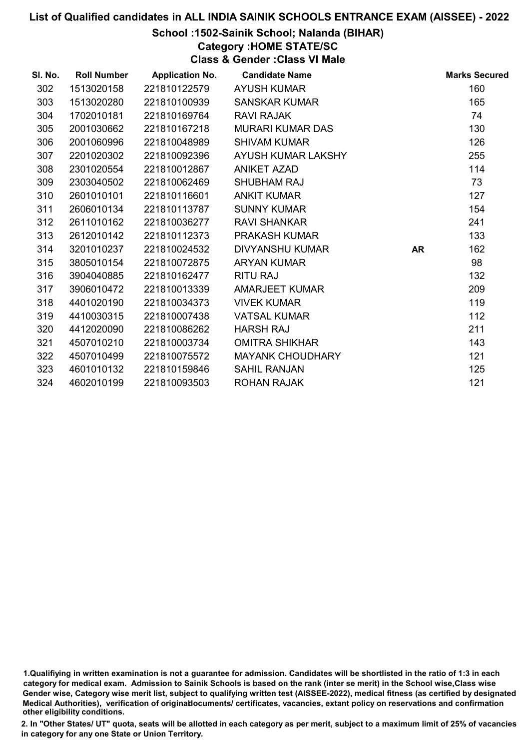## School :1502-Sainik School; Nalanda (BIHAR)

# Category :HOME STATE/SC

Class & Gender :Class VI Male

| SI. No. | <b>Roll Number</b> | <b>Application No.</b> | <b>Candidate Name</b>   |           | <b>Marks Secured</b> |
|---------|--------------------|------------------------|-------------------------|-----------|----------------------|
| 302     | 1513020158         | 221810122579           | <b>AYUSH KUMAR</b>      |           | 160                  |
| 303     | 1513020280         | 221810100939           | <b>SANSKAR KUMAR</b>    |           | 165                  |
| 304     | 1702010181         | 221810169764           | <b>RAVI RAJAK</b>       |           | 74                   |
| 305     | 2001030662         | 221810167218           | <b>MURARI KUMAR DAS</b> |           | 130                  |
| 306     | 2001060996         | 221810048989           | <b>SHIVAM KUMAR</b>     |           | 126                  |
| 307     | 2201020302         | 221810092396           | AYUSH KUMAR LAKSHY      |           | 255                  |
| 308     | 2301020554         | 221810012867           | <b>ANIKET AZAD</b>      |           | 114                  |
| 309     | 2303040502         | 221810062469           | <b>SHUBHAM RAJ</b>      |           | 73                   |
| 310     | 2601010101         | 221810116601           | <b>ANKIT KUMAR</b>      |           | 127                  |
| 311     | 2606010134         | 221810113787           | <b>SUNNY KUMAR</b>      |           | 154                  |
| 312     | 2611010162         | 221810036277           | <b>RAVI SHANKAR</b>     |           | 241                  |
| 313     | 2612010142         | 221810112373           | <b>PRAKASH KUMAR</b>    |           | 133                  |
| 314     | 3201010237         | 221810024532           | DIVYANSHU KUMAR         | <b>AR</b> | 162                  |
| 315     | 3805010154         | 221810072875           | <b>ARYAN KUMAR</b>      |           | 98                   |
| 316     | 3904040885         | 221810162477           | <b>RITU RAJ</b>         |           | 132                  |
| 317     | 3906010472         | 221810013339           | <b>AMARJEET KUMAR</b>   |           | 209                  |
| 318     | 4401020190         | 221810034373           | <b>VIVEK KUMAR</b>      |           | 119                  |
| 319     | 4410030315         | 221810007438           | <b>VATSAL KUMAR</b>     |           | 112                  |
| 320     | 4412020090         | 221810086262           | <b>HARSH RAJ</b>        |           | 211                  |
| 321     | 4507010210         | 221810003734           | <b>OMITRA SHIKHAR</b>   |           | 143                  |
| 322     | 4507010499         | 221810075572           | <b>MAYANK CHOUDHARY</b> |           | 121                  |
| 323     | 4601010132         | 221810159846           | <b>SAHIL RANJAN</b>     |           | 125                  |
| 324     | 4602010199         | 221810093503           | ROHAN RAJAK             |           | 121                  |

1.Qualifiying in written examination is not a guarantee for admission. Candidates will be shortlisted in the ratio of 1:3 in each category for medical exam. Admission to Sainik Schools is based on the rank (inter se merit) in the School wise,Class wise Gender wise, Category wise merit list, subject to qualifying written test (AISSEE-2022), medical fitness (as certified by designated Medical Authorities), verification of originablocuments/ certificates, vacancies, extant policy on reservations and confirmation other eligibility conditions.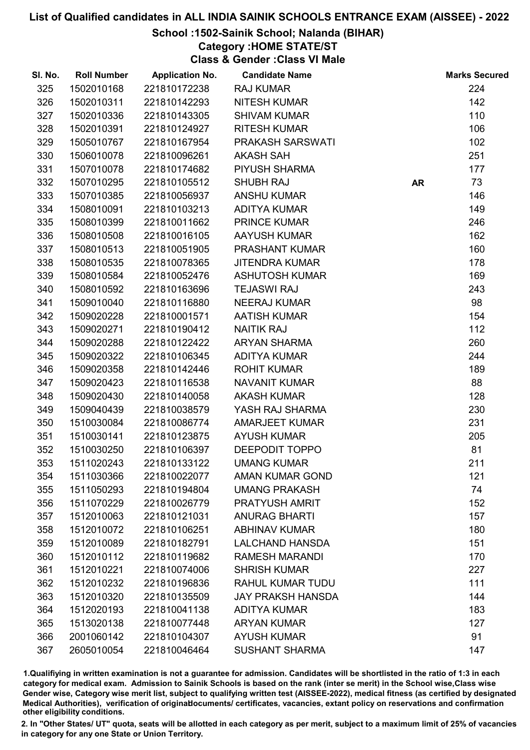### School :1502-Sainik School; Nalanda (BIHAR)

# Category :HOME STATE/ST

Class & Gender :Class VI Male

| SI. No. | <b>Roll Number</b> | <b>Application No.</b> | <b>Candidate Name</b>    |           | <b>Marks Secured</b> |
|---------|--------------------|------------------------|--------------------------|-----------|----------------------|
| 325     | 1502010168         | 221810172238           | <b>RAJ KUMAR</b>         |           | 224                  |
| 326     | 1502010311         | 221810142293           | <b>NITESH KUMAR</b>      |           | 142                  |
| 327     | 1502010336         | 221810143305           | <b>SHIVAM KUMAR</b>      |           | 110                  |
| 328     | 1502010391         | 221810124927           | <b>RITESH KUMAR</b>      |           | 106                  |
| 329     | 1505010767         | 221810167954           | PRAKASH SARSWATI         |           | 102                  |
| 330     | 1506010078         | 221810096261           | <b>AKASH SAH</b>         |           | 251                  |
| 331     | 1507010078         | 221810174682           | PIYUSH SHARMA            |           | 177                  |
| 332     | 1507010295         | 221810105512           | <b>SHUBH RAJ</b>         | <b>AR</b> | 73                   |
| 333     | 1507010385         | 221810056937           | <b>ANSHU KUMAR</b>       |           | 146                  |
| 334     | 1508010091         | 221810103213           | <b>ADITYA KUMAR</b>      |           | 149                  |
| 335     | 1508010399         | 221810011662           | <b>PRINCE KUMAR</b>      |           | 246                  |
| 336     | 1508010508         | 221810016105           | <b>AAYUSH KUMAR</b>      |           | 162                  |
| 337     | 1508010513         | 221810051905           | PRASHANT KUMAR           |           | 160                  |
| 338     | 1508010535         | 221810078365           | <b>JITENDRA KUMAR</b>    |           | 178                  |
| 339     | 1508010584         | 221810052476           | <b>ASHUTOSH KUMAR</b>    |           | 169                  |
| 340     | 1508010592         | 221810163696           | <b>TEJASWI RAJ</b>       |           | 243                  |
| 341     | 1509010040         | 221810116880           | <b>NEERAJ KUMAR</b>      |           | 98                   |
| 342     | 1509020228         | 221810001571           | <b>AATISH KUMAR</b>      |           | 154                  |
| 343     | 1509020271         | 221810190412           | <b>NAITIK RAJ</b>        |           | 112                  |
| 344     | 1509020288         | 221810122422           | <b>ARYAN SHARMA</b>      |           | 260                  |
| 345     | 1509020322         | 221810106345           | <b>ADITYA KUMAR</b>      |           | 244                  |
| 346     | 1509020358         | 221810142446           | <b>ROHIT KUMAR</b>       |           | 189                  |
| 347     | 1509020423         | 221810116538           | <b>NAVANIT KUMAR</b>     |           | 88                   |
| 348     | 1509020430         | 221810140058           | <b>AKASH KUMAR</b>       |           | 128                  |
| 349     | 1509040439         | 221810038579           | YASH RAJ SHARMA          |           | 230                  |
| 350     | 1510030084         | 221810086774           | <b>AMARJEET KUMAR</b>    |           | 231                  |
| 351     | 1510030141         | 221810123875           | <b>AYUSH KUMAR</b>       |           | 205                  |
| 352     | 1510030250         | 221810106397           | DEEPODIT TOPPO           |           | 81                   |
| 353     | 1511020243         | 221810133122           | <b>UMANG KUMAR</b>       |           | 211                  |
| 354     | 1511030366         | 221810022077           | <b>AMAN KUMAR GOND</b>   |           | 121                  |
| 355     | 1511050293         | 221810194804           | <b>UMANG PRAKASH</b>     |           | 74                   |
| 356     | 1511070229         | 221810026779           | <b>PRATYUSH AMRIT</b>    |           | 152                  |
| 357     | 1512010063         | 221810121031           | <b>ANURAG BHARTI</b>     |           | 157                  |
| 358     | 1512010072         | 221810106251           | <b>ABHINAV KUMAR</b>     |           | 180                  |
| 359     | 1512010089         | 221810182791           | <b>LALCHAND HANSDA</b>   |           | 151                  |
| 360     | 1512010112         | 221810119682           | <b>RAMESH MARANDI</b>    |           | 170                  |
| 361     | 1512010221         | 221810074006           | <b>SHRISH KUMAR</b>      |           | 227                  |
| 362     | 1512010232         | 221810196836           | <b>RAHUL KUMAR TUDU</b>  |           | 111                  |
| 363     | 1512010320         | 221810135509           | <b>JAY PRAKSH HANSDA</b> |           | 144                  |
| 364     | 1512020193         | 221810041138           | <b>ADITYA KUMAR</b>      |           | 183                  |
| 365     | 1513020138         | 221810077448           | <b>ARYAN KUMAR</b>       |           | 127                  |
| 366     | 2001060142         | 221810104307           | <b>AYUSH KUMAR</b>       |           | 91                   |
| 367     | 2605010054         | 221810046464           | <b>SUSHANT SHARMA</b>    |           | 147                  |

1.Qualifiying in written examination is not a guarantee for admission. Candidates will be shortlisted in the ratio of 1:3 in each category for medical exam. Admission to Sainik Schools is based on the rank (inter se merit) in the School wise,Class wise Gender wise, Category wise merit list, subject to qualifying written test (AISSEE-2022), medical fitness (as certified by designated Medical Authorities), verification of originablocuments/ certificates, vacancies, extant policy on reservations and confirmation other eligibility conditions.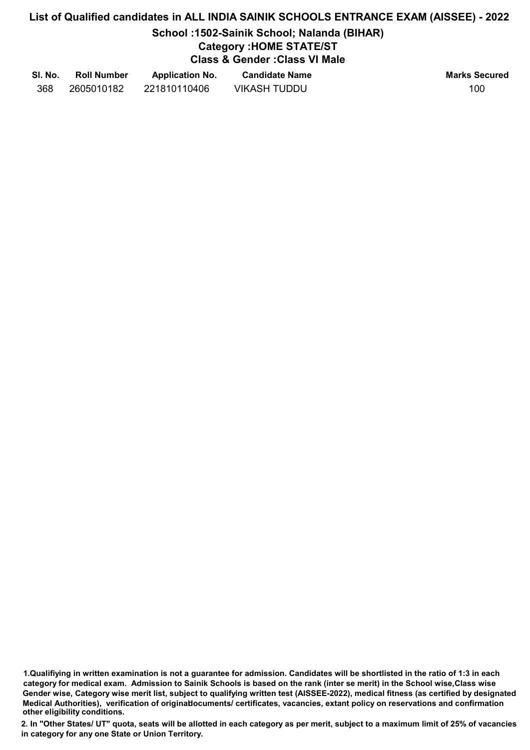## School :1502-Sainik School; Nalanda (BIHAR)

# Category :HOME STATE/ST

Class & Gender :Class VI Male

| SI. No. | <b>Roll Number</b> | <b>Application No.</b> | <b>Candidate Name</b> | <b>Marks Secured</b> |
|---------|--------------------|------------------------|-----------------------|----------------------|
| 368     | 2605010182         | 221810110406           | <b>VIKASH TUDDU</b>   | 100                  |

1.Qualifiying in written examination is not a guarantee for admission. Candidates will be shortlisted in the ratio of 1:3 in each category for medical exam. Admission to Sainik Schools is based on the rank (inter se merit) in the School wise,Class wise Gender wise, Category wise merit list, subject to qualifying written test (AISSEE-2022), medical fitness (as certified by designated Medical Authorities), verification of originablocuments/ certificates, vacancies, extant policy on reservations and confirmation other eligibility conditions.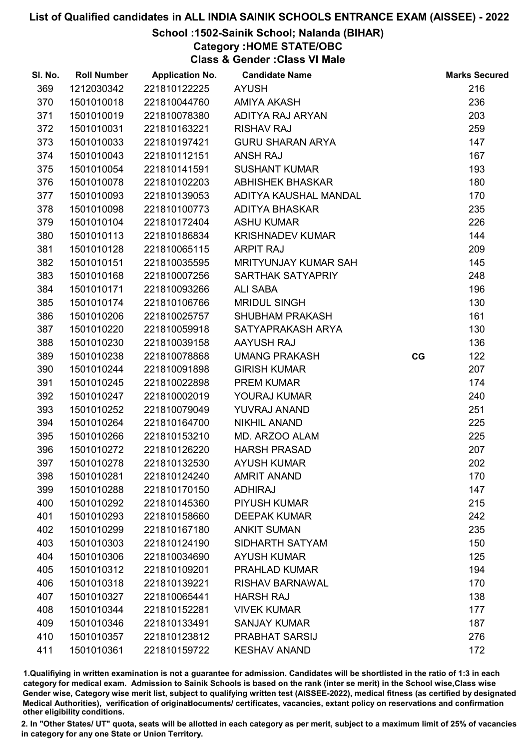## School :1502-Sainik School; Nalanda (BIHAR)

Category :HOME STATE/OBC

Class & Gender :Class VI Male

| SI. No. | <b>Roll Number</b> | <b>Application No.</b> | <b>Candidate Name</b>       |    | <b>Marks Secured</b> |
|---------|--------------------|------------------------|-----------------------------|----|----------------------|
| 369     | 1212030342         | 221810122225           | <b>AYUSH</b>                |    | 216                  |
| 370     | 1501010018         | 221810044760           | <b>AMIYA AKASH</b>          |    | 236                  |
| 371     | 1501010019         | 221810078380           | ADITYA RAJ ARYAN            |    | 203                  |
| 372     | 1501010031         | 221810163221           | <b>RISHAV RAJ</b>           |    | 259                  |
| 373     | 1501010033         | 221810197421           | <b>GURU SHARAN ARYA</b>     |    | 147                  |
| 374     | 1501010043         | 221810112151           | <b>ANSH RAJ</b>             |    | 167                  |
| 375     | 1501010054         | 221810141591           | <b>SUSHANT KUMAR</b>        |    | 193                  |
| 376     | 1501010078         | 221810102203           | <b>ABHISHEK BHASKAR</b>     |    | 180                  |
| 377     | 1501010093         | 221810139053           | ADITYA KAUSHAL MANDAL       |    | 170                  |
| 378     | 1501010098         | 221810100773           | <b>ADITYA BHASKAR</b>       |    | 235                  |
| 379     | 1501010104         | 221810172404           | <b>ASHU KUMAR</b>           |    | 226                  |
| 380     | 1501010113         | 221810186834           | <b>KRISHNADEV KUMAR</b>     |    | 144                  |
| 381     | 1501010128         | 221810065115           | <b>ARPIT RAJ</b>            |    | 209                  |
| 382     | 1501010151         | 221810035595           | <b>MRITYUNJAY KUMAR SAH</b> |    | 145                  |
| 383     | 1501010168         | 221810007256           | SARTHAK SATYAPRIY           |    | 248                  |
| 384     | 1501010171         | 221810093266           | <b>ALI SABA</b>             |    | 196                  |
| 385     | 1501010174         | 221810106766           | <b>MRIDUL SINGH</b>         |    | 130                  |
| 386     | 1501010206         | 221810025757           | <b>SHUBHAM PRAKASH</b>      |    | 161                  |
| 387     | 1501010220         | 221810059918           | SATYAPRAKASH ARYA           |    | 130                  |
| 388     | 1501010230         | 221810039158           | AAYUSH RAJ                  |    | 136                  |
| 389     | 1501010238         | 221810078868           | <b>UMANG PRAKASH</b>        | CG | 122                  |
| 390     | 1501010244         | 221810091898           | <b>GIRISH KUMAR</b>         |    | 207                  |
| 391     | 1501010245         | 221810022898           | <b>PREM KUMAR</b>           |    | 174                  |
| 392     | 1501010247         | 221810002019           | YOURAJ KUMAR                |    | 240                  |
| 393     | 1501010252         | 221810079049           | YUVRAJ ANAND                |    | 251                  |
| 394     | 1501010264         | 221810164700           | <b>NIKHIL ANAND</b>         |    | 225                  |
| 395     | 1501010266         | 221810153210           | MD. ARZOO ALAM              |    | 225                  |
| 396     | 1501010272         | 221810126220           | <b>HARSH PRASAD</b>         |    | 207                  |
| 397     | 1501010278         | 221810132530           | <b>AYUSH KUMAR</b>          |    | 202                  |
| 398     | 1501010281         | 221810124240           | <b>AMRIT ANAND</b>          |    | 170                  |
| 399     | 1501010288         | 221810170150           | <b>ADHIRAJ</b>              |    | 147                  |
| 400     | 1501010292         | 221810145360           | <b>PIYUSH KUMAR</b>         |    | 215                  |
| 401     | 1501010293         | 221810158660           | <b>DEEPAK KUMAR</b>         |    | 242                  |
| 402     | 1501010299         | 221810167180           | <b>ANKIT SUMAN</b>          |    | 235                  |
| 403     | 1501010303         | 221810124190           | SIDHARTH SATYAM             |    | 150                  |
| 404     | 1501010306         | 221810034690           | <b>AYUSH KUMAR</b>          |    | 125                  |
| 405     | 1501010312         | 221810109201           | <b>PRAHLAD KUMAR</b>        |    | 194                  |
| 406     | 1501010318         | 221810139221           | <b>RISHAV BARNAWAL</b>      |    | 170                  |
| 407     | 1501010327         | 221810065441           | <b>HARSH RAJ</b>            |    | 138                  |
| 408     | 1501010344         | 221810152281           | <b>VIVEK KUMAR</b>          |    | 177                  |
| 409     | 1501010346         | 221810133491           | <b>SANJAY KUMAR</b>         |    | 187                  |
| 410     | 1501010357         | 221810123812           | <b>PRABHAT SARSIJ</b>       |    | 276                  |
| 411     | 1501010361         | 221810159722           | <b>KESHAV ANAND</b>         |    | 172                  |

1.Qualifiying in written examination is not a guarantee for admission. Candidates will be shortlisted in the ratio of 1:3 in each category for medical exam. Admission to Sainik Schools is based on the rank (inter se merit) in the School wise,Class wise Gender wise, Category wise merit list, subject to qualifying written test (AISSEE-2022), medical fitness (as certified by designated Medical Authorities), verification of originablocuments/ certificates, vacancies, extant policy on reservations and confirmation other eligibility conditions.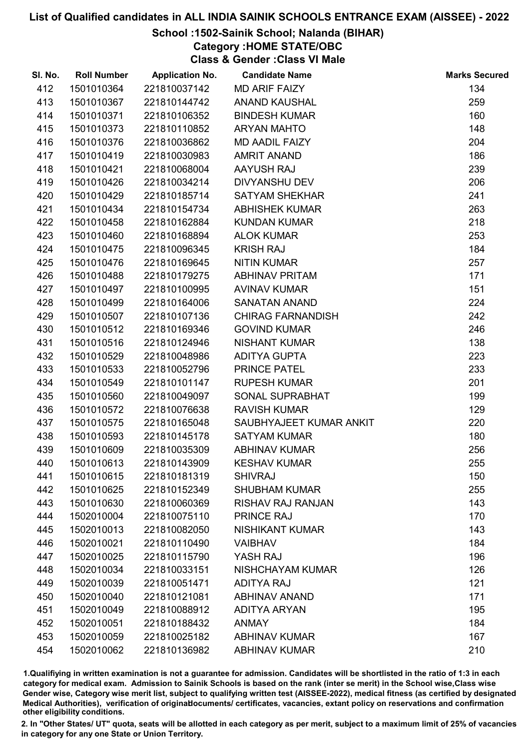## School :1502-Sainik School; Nalanda (BIHAR)

Category :HOME STATE/OBC

Class & Gender :Class VI Male

| SI. No. | <b>Roll Number</b> | <b>Application No.</b> | <b>Candidate Name</b>    | <b>Marks Secured</b> |
|---------|--------------------|------------------------|--------------------------|----------------------|
| 412     | 1501010364         | 221810037142           | <b>MD ARIF FAIZY</b>     | 134                  |
| 413     | 1501010367         | 221810144742           | <b>ANAND KAUSHAL</b>     | 259                  |
| 414     | 1501010371         | 221810106352           | <b>BINDESH KUMAR</b>     | 160                  |
| 415     | 1501010373         | 221810110852           | <b>ARYAN MAHTO</b>       | 148                  |
| 416     | 1501010376         | 221810036862           | <b>MD AADIL FAIZY</b>    | 204                  |
| 417     | 1501010419         | 221810030983           | <b>AMRIT ANAND</b>       | 186                  |
| 418     | 1501010421         | 221810068004           | AAYUSH RAJ               | 239                  |
| 419     | 1501010426         | 221810034214           | <b>DIVYANSHU DEV</b>     | 206                  |
| 420     | 1501010429         | 221810185714           | <b>SATYAM SHEKHAR</b>    | 241                  |
| 421     | 1501010434         | 221810154734           | <b>ABHISHEK KUMAR</b>    | 263                  |
| 422     | 1501010458         | 221810162884           | <b>KUNDAN KUMAR</b>      | 218                  |
| 423     | 1501010460         | 221810168894           | <b>ALOK KUMAR</b>        | 253                  |
| 424     | 1501010475         | 221810096345           | <b>KRISH RAJ</b>         | 184                  |
| 425     | 1501010476         | 221810169645           | <b>NITIN KUMAR</b>       | 257                  |
| 426     | 1501010488         | 221810179275           | <b>ABHINAV PRITAM</b>    | 171                  |
| 427     | 1501010497         | 221810100995           | <b>AVINAV KUMAR</b>      | 151                  |
| 428     | 1501010499         | 221810164006           | <b>SANATAN ANAND</b>     | 224                  |
| 429     | 1501010507         | 221810107136           | <b>CHIRAG FARNANDISH</b> | 242                  |
| 430     | 1501010512         | 221810169346           | <b>GOVIND KUMAR</b>      | 246                  |
| 431     | 1501010516         | 221810124946           | <b>NISHANT KUMAR</b>     | 138                  |
| 432     | 1501010529         | 221810048986           | ADITYA GUPTA             | 223                  |
| 433     | 1501010533         | 221810052796           | PRINCE PATEL             | 233                  |
| 434     | 1501010549         | 221810101147           | <b>RUPESH KUMAR</b>      | 201                  |
| 435     | 1501010560         | 221810049097           | SONAL SUPRABHAT          | 199                  |
| 436     | 1501010572         | 221810076638           | <b>RAVISH KUMAR</b>      | 129                  |
| 437     | 1501010575         | 221810165048           | SAUBHYAJEET KUMAR ANKIT  | 220                  |
| 438     | 1501010593         | 221810145178           | <b>SATYAM KUMAR</b>      | 180                  |
| 439     | 1501010609         | 221810035309           | <b>ABHINAV KUMAR</b>     | 256                  |
| 440     | 1501010613         | 221810143909           | <b>KESHAV KUMAR</b>      | 255                  |
| 441     | 1501010615         | 221810181319           | <b>SHIVRAJ</b>           | 150                  |
| 442     | 1501010625         | 221810152349           | <b>SHUBHAM KUMAR</b>     | 255                  |
| 443     | 1501010630         | 221810060369           | RISHAV RAJ RANJAN        | 143                  |
| 444     | 1502010004         | 221810075110           | <b>PRINCE RAJ</b>        | 170                  |
| 445     | 1502010013         | 221810082050           | <b>NISHIKANT KUMAR</b>   | 143                  |
| 446     | 1502010021         | 221810110490           | <b>VAIBHAV</b>           | 184                  |
| 447     | 1502010025         | 221810115790           | YASH RAJ                 | 196                  |
| 448     | 1502010034         | 221810033151           | NISHCHAYAM KUMAR         | 126                  |
| 449     | 1502010039         | 221810051471           | <b>ADITYA RAJ</b>        | 121                  |
| 450     | 1502010040         | 221810121081           | <b>ABHINAV ANAND</b>     | 171                  |
| 451     | 1502010049         | 221810088912           | <b>ADITYA ARYAN</b>      | 195                  |
| 452     | 1502010051         | 221810188432           | <b>ANMAY</b>             | 184                  |
| 453     | 1502010059         | 221810025182           | <b>ABHINAV KUMAR</b>     | 167                  |
| 454     | 1502010062         | 221810136982           | <b>ABHINAV KUMAR</b>     | 210                  |

1.Qualifiying in written examination is not a guarantee for admission. Candidates will be shortlisted in the ratio of 1:3 in each category for medical exam. Admission to Sainik Schools is based on the rank (inter se merit) in the School wise,Class wise Gender wise, Category wise merit list, subject to qualifying written test (AISSEE-2022), medical fitness (as certified by designated Medical Authorities), verification of originablocuments/ certificates, vacancies, extant policy on reservations and confirmation other eligibility conditions.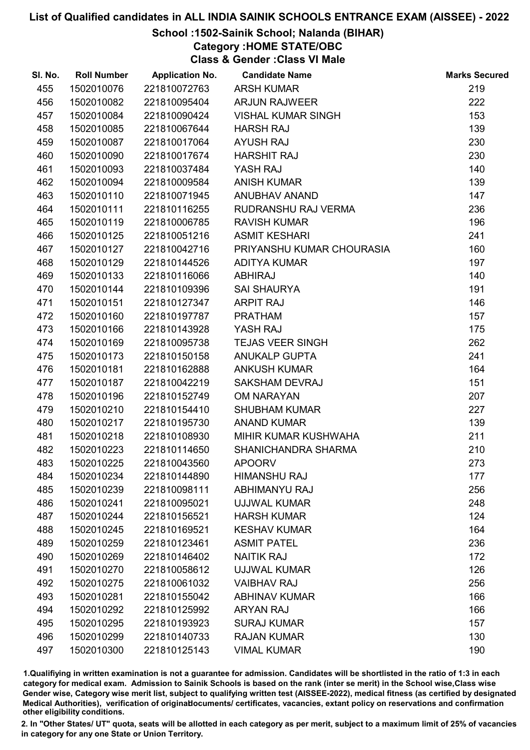## School :1502-Sainik School; Nalanda (BIHAR)

Category :HOME STATE/OBC

Class & Gender :Class VI Male

| SI. No. | <b>Roll Number</b> | <b>Application No.</b> | <b>Candidate Name</b>     | <b>Marks Secured</b> |
|---------|--------------------|------------------------|---------------------------|----------------------|
| 455     | 1502010076         | 221810072763           | <b>ARSH KUMAR</b>         | 219                  |
| 456     | 1502010082         | 221810095404           | <b>ARJUN RAJWEER</b>      | 222                  |
| 457     | 1502010084         | 221810090424           | <b>VISHAL KUMAR SINGH</b> | 153                  |
| 458     | 1502010085         | 221810067644           | <b>HARSH RAJ</b>          | 139                  |
| 459     | 1502010087         | 221810017064           | <b>AYUSH RAJ</b>          | 230                  |
| 460     | 1502010090         | 221810017674           | <b>HARSHIT RAJ</b>        | 230                  |
| 461     | 1502010093         | 221810037484           | YASH RAJ                  | 140                  |
| 462     | 1502010094         | 221810009584           | <b>ANISH KUMAR</b>        | 139                  |
| 463     | 1502010110         | 221810071945           | ANUBHAV ANAND             | 147                  |
| 464     | 1502010111         | 221810116255           | RUDRANSHU RAJ VERMA       | 236                  |
| 465     | 1502010119         | 221810006785           | <b>RAVISH KUMAR</b>       | 196                  |
| 466     | 1502010125         | 221810051216           | <b>ASMIT KESHARI</b>      | 241                  |
| 467     | 1502010127         | 221810042716           | PRIYANSHU KUMAR CHOURASIA | 160                  |
| 468     | 1502010129         | 221810144526           | <b>ADITYA KUMAR</b>       | 197                  |
| 469     | 1502010133         | 221810116066           | <b>ABHIRAJ</b>            | 140                  |
| 470     | 1502010144         | 221810109396           | <b>SAI SHAURYA</b>        | 191                  |
| 471     | 1502010151         | 221810127347           | <b>ARPIT RAJ</b>          | 146                  |
| 472     | 1502010160         | 221810197787           | <b>PRATHAM</b>            | 157                  |
| 473     | 1502010166         | 221810143928           | YASH RAJ                  | 175                  |
| 474     | 1502010169         | 221810095738           | <b>TEJAS VEER SINGH</b>   | 262                  |
| 475     | 1502010173         | 221810150158           | <b>ANUKALP GUPTA</b>      | 241                  |
| 476     | 1502010181         | 221810162888           | <b>ANKUSH KUMAR</b>       | 164                  |
| 477     | 1502010187         | 221810042219           | <b>SAKSHAM DEVRAJ</b>     | 151                  |
| 478     | 1502010196         | 221810152749           | <b>OM NARAYAN</b>         | 207                  |
| 479     | 1502010210         | 221810154410           | <b>SHUBHAM KUMAR</b>      | 227                  |
| 480     | 1502010217         | 221810195730           | <b>ANAND KUMAR</b>        | 139                  |
| 481     | 1502010218         | 221810108930           | MIHIR KUMAR KUSHWAHA      | 211                  |
| 482     | 1502010223         | 221810114650           | SHANICHANDRA SHARMA       | 210                  |
| 483     | 1502010225         | 221810043560           | <b>APOORV</b>             | 273                  |
| 484     | 1502010234         | 221810144890           | <b>HIMANSHU RAJ</b>       | 177                  |
| 485     | 1502010239         | 221810098111           | ABHIMANYU RAJ             | 256                  |
| 486     | 1502010241         | 221810095021           | <b>UJJWAL KUMAR</b>       | 248                  |
| 487     | 1502010244         | 221810156521           | <b>HARSH KUMAR</b>        | 124                  |
| 488     | 1502010245         | 221810169521           | <b>KESHAV KUMAR</b>       | 164                  |
| 489     | 1502010259         | 221810123461           | <b>ASMIT PATEL</b>        | 236                  |
| 490     | 1502010269         | 221810146402           | <b>NAITIK RAJ</b>         | 172                  |
| 491     | 1502010270         | 221810058612           | <b>UJJWAL KUMAR</b>       | 126                  |
| 492     | 1502010275         | 221810061032           | <b>VAIBHAV RAJ</b>        | 256                  |
| 493     | 1502010281         | 221810155042           | <b>ABHINAV KUMAR</b>      | 166                  |
| 494     | 1502010292         | 221810125992           | <b>ARYAN RAJ</b>          | 166                  |
| 495     | 1502010295         | 221810193923           | <b>SURAJ KUMAR</b>        | 157                  |
| 496     | 1502010299         | 221810140733           | <b>RAJAN KUMAR</b>        | 130                  |
| 497     | 1502010300         | 221810125143           | <b>VIMAL KUMAR</b>        | 190                  |

1.Qualifiying in written examination is not a guarantee for admission. Candidates will be shortlisted in the ratio of 1:3 in each category for medical exam. Admission to Sainik Schools is based on the rank (inter se merit) in the School wise,Class wise Gender wise, Category wise merit list, subject to qualifying written test (AISSEE-2022), medical fitness (as certified by designated Medical Authorities), verification of originablocuments/ certificates, vacancies, extant policy on reservations and confirmation other eligibility conditions.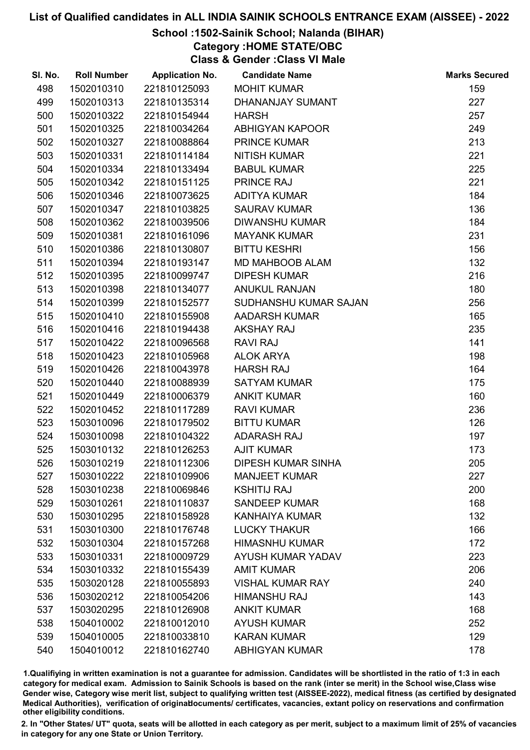## School :1502-Sainik School; Nalanda (BIHAR)

# Category :HOME STATE/OBC

Class & Gender :Class VI Male

| SI. No. | <b>Roll Number</b> | <b>Application No.</b> | <b>Candidate Name</b>     | <b>Marks Secured</b> |
|---------|--------------------|------------------------|---------------------------|----------------------|
| 498     | 1502010310         | 221810125093           | <b>MOHIT KUMAR</b>        | 159                  |
| 499     | 1502010313         | 221810135314           | DHANANJAY SUMANT          | 227                  |
| 500     | 1502010322         | 221810154944           | <b>HARSH</b>              | 257                  |
| 501     | 1502010325         | 221810034264           | ABHIGYAN KAPOOR           | 249                  |
| 502     | 1502010327         | 221810088864           | <b>PRINCE KUMAR</b>       | 213                  |
| 503     | 1502010331         | 221810114184           | <b>NITISH KUMAR</b>       | 221                  |
| 504     | 1502010334         | 221810133494           | <b>BABUL KUMAR</b>        | 225                  |
| 505     | 1502010342         | 221810151125           | PRINCE RAJ                | 221                  |
| 506     | 1502010346         | 221810073625           | ADITYA KUMAR              | 184                  |
| 507     | 1502010347         | 221810103825           | <b>SAURAV KUMAR</b>       | 136                  |
| 508     | 1502010362         | 221810039506           | <b>DIWANSHU KUMAR</b>     | 184                  |
| 509     | 1502010381         | 221810161096           | <b>MAYANK KUMAR</b>       | 231                  |
| 510     | 1502010386         | 221810130807           | <b>BITTU KESHRI</b>       | 156                  |
| 511     | 1502010394         | 221810193147           | MD MAHBOOB ALAM           | 132                  |
| 512     | 1502010395         | 221810099747           | <b>DIPESH KUMAR</b>       | 216                  |
| 513     | 1502010398         | 221810134077           | <b>ANUKUL RANJAN</b>      | 180                  |
| 514     | 1502010399         | 221810152577           | SUDHANSHU KUMAR SAJAN     | 256                  |
| 515     | 1502010410         | 221810155908           | <b>AADARSH KUMAR</b>      | 165                  |
| 516     | 1502010416         | 221810194438           | <b>AKSHAY RAJ</b>         | 235                  |
| 517     | 1502010422         | 221810096568           | <b>RAVI RAJ</b>           | 141                  |
| 518     | 1502010423         | 221810105968           | <b>ALOK ARYA</b>          | 198                  |
| 519     | 1502010426         | 221810043978           | <b>HARSH RAJ</b>          | 164                  |
| 520     | 1502010440         | 221810088939           | <b>SATYAM KUMAR</b>       | 175                  |
| 521     | 1502010449         | 221810006379           | <b>ANKIT KUMAR</b>        | 160                  |
| 522     | 1502010452         | 221810117289           | <b>RAVI KUMAR</b>         | 236                  |
| 523     | 1503010096         | 221810179502           | <b>BITTU KUMAR</b>        | 126                  |
| 524     | 1503010098         | 221810104322           | <b>ADARASH RAJ</b>        | 197                  |
| 525     | 1503010132         | 221810126253           | <b>AJIT KUMAR</b>         | 173                  |
| 526     | 1503010219         | 221810112306           | <b>DIPESH KUMAR SINHA</b> | 205                  |
| 527     | 1503010222         | 221810109906           | <b>MANJEET KUMAR</b>      | 227                  |
| 528     | 1503010238         | 221810069846           | <b>KSHITIJ RAJ</b>        | 200                  |
| 529     | 1503010261         | 221810110837           | <b>SANDEEP KUMAR</b>      | 168                  |
| 530     | 1503010295         | 221810158928           | <b>KANHAIYA KUMAR</b>     | 132                  |
| 531     | 1503010300         | 221810176748           | <b>LUCKY THAKUR</b>       | 166                  |
| 532     | 1503010304         | 221810157268           | <b>HIMASNHU KUMAR</b>     | 172                  |
| 533     | 1503010331         | 221810009729           | <b>AYUSH KUMAR YADAV</b>  | 223                  |
| 534     | 1503010332         | 221810155439           | <b>AMIT KUMAR</b>         | 206                  |
| 535     | 1503020128         | 221810055893           | <b>VISHAL KUMAR RAY</b>   | 240                  |
| 536     | 1503020212         | 221810054206           | <b>HIMANSHU RAJ</b>       | 143                  |
| 537     | 1503020295         | 221810126908           | <b>ANKIT KUMAR</b>        | 168                  |
| 538     | 1504010002         | 221810012010           | <b>AYUSH KUMAR</b>        | 252                  |
| 539     | 1504010005         | 221810033810           | <b>KARAN KUMAR</b>        | 129                  |
| 540     | 1504010012         | 221810162740           | <b>ABHIGYAN KUMAR</b>     | 178                  |

1.Qualifiying in written examination is not a guarantee for admission. Candidates will be shortlisted in the ratio of 1:3 in each category for medical exam. Admission to Sainik Schools is based on the rank (inter se merit) in the School wise,Class wise Gender wise, Category wise merit list, subject to qualifying written test (AISSEE-2022), medical fitness (as certified by designated Medical Authorities), verification of originablocuments/ certificates, vacancies, extant policy on reservations and confirmation other eligibility conditions.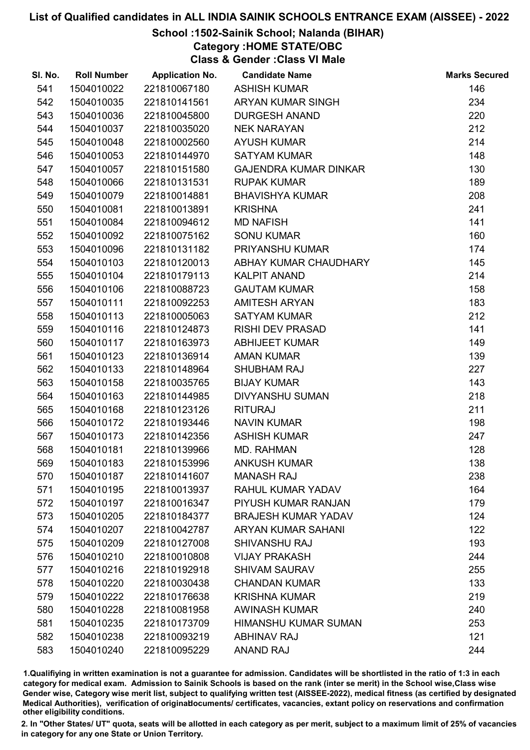# School :1502-Sainik School; Nalanda (BIHAR)

Category :HOME STATE/OBC

Class & Gender :Class VI Male

| SI. No. | <b>Roll Number</b> | <b>Application No.</b> | <b>Candidate Name</b>        | <b>Marks Secured</b> |
|---------|--------------------|------------------------|------------------------------|----------------------|
| 541     | 1504010022         | 221810067180           | <b>ASHISH KUMAR</b>          | 146                  |
| 542     | 1504010035         | 221810141561           | ARYAN KUMAR SINGH            | 234                  |
| 543     | 1504010036         | 221810045800           | <b>DURGESH ANAND</b>         | 220                  |
| 544     | 1504010037         | 221810035020           | <b>NEK NARAYAN</b>           | 212                  |
| 545     | 1504010048         | 221810002560           | <b>AYUSH KUMAR</b>           | 214                  |
| 546     | 1504010053         | 221810144970           | <b>SATYAM KUMAR</b>          | 148                  |
| 547     | 1504010057         | 221810151580           | <b>GAJENDRA KUMAR DINKAR</b> | 130                  |
| 548     | 1504010066         | 221810131531           | <b>RUPAK KUMAR</b>           | 189                  |
| 549     | 1504010079         | 221810014881           | <b>BHAVISHYA KUMAR</b>       | 208                  |
| 550     | 1504010081         | 221810013891           | <b>KRISHNA</b>               | 241                  |
| 551     | 1504010084         | 221810094612           | <b>MD NAFISH</b>             | 141                  |
| 552     | 1504010092         | 221810075162           | <b>SONU KUMAR</b>            | 160                  |
| 553     | 1504010096         | 221810131182           | PRIYANSHU KUMAR              | 174                  |
| 554     | 1504010103         | 221810120013           | ABHAY KUMAR CHAUDHARY        | 145                  |
| 555     | 1504010104         | 221810179113           | <b>KALPIT ANAND</b>          | 214                  |
| 556     | 1504010106         | 221810088723           | <b>GAUTAM KUMAR</b>          | 158                  |
| 557     | 1504010111         | 221810092253           | <b>AMITESH ARYAN</b>         | 183                  |
| 558     | 1504010113         | 221810005063           | <b>SATYAM KUMAR</b>          | 212                  |
| 559     | 1504010116         | 221810124873           | <b>RISHI DEV PRASAD</b>      | 141                  |
| 560     | 1504010117         | 221810163973           | <b>ABHIJEET KUMAR</b>        | 149                  |
| 561     | 1504010123         | 221810136914           | <b>AMAN KUMAR</b>            | 139                  |
| 562     | 1504010133         | 221810148964           | <b>SHUBHAM RAJ</b>           | 227                  |
| 563     | 1504010158         | 221810035765           | <b>BIJAY KUMAR</b>           | 143                  |
| 564     | 1504010163         | 221810144985           | <b>DIVYANSHU SUMAN</b>       | 218                  |
| 565     | 1504010168         | 221810123126           | <b>RITURAJ</b>               | 211                  |
| 566     | 1504010172         | 221810193446           | <b>NAVIN KUMAR</b>           | 198                  |
| 567     | 1504010173         | 221810142356           | <b>ASHISH KUMAR</b>          | 247                  |
| 568     | 1504010181         | 221810139966           | MD. RAHMAN                   | 128                  |
| 569     | 1504010183         | 221810153996           | <b>ANKUSH KUMAR</b>          | 138                  |
| 570     | 1504010187         | 221810141607           | <b>MANASH RAJ</b>            | 238                  |
| 571     | 1504010195         | 221810013937           | <b>RAHUL KUMAR YADAV</b>     | 164                  |
| 572     | 1504010197         | 221810016347           | PIYUSH KUMAR RANJAN          | 179                  |
| 573     | 1504010205         | 221810184377           | <b>BRAJESH KUMAR YADAV</b>   | 124                  |
| 574     | 1504010207         | 221810042787           | <b>ARYAN KUMAR SAHANI</b>    | 122                  |
| 575     | 1504010209         | 221810127008           | <b>SHIVANSHU RAJ</b>         | 193                  |
| 576     | 1504010210         | 221810010808           | <b>VIJAY PRAKASH</b>         | 244                  |
| 577     | 1504010216         | 221810192918           | <b>SHIVAM SAURAV</b>         | 255                  |
| 578     | 1504010220         | 221810030438           | <b>CHANDAN KUMAR</b>         | 133                  |
| 579     | 1504010222         | 221810176638           | <b>KRISHNA KUMAR</b>         | 219                  |
| 580     | 1504010228         | 221810081958           | <b>AWINASH KUMAR</b>         | 240                  |
| 581     | 1504010235         | 221810173709           | <b>HIMANSHU KUMAR SUMAN</b>  | 253                  |
| 582     | 1504010238         | 221810093219           | <b>ABHINAV RAJ</b>           | 121                  |
| 583     | 1504010240         | 221810095229           | <b>ANAND RAJ</b>             | 244                  |

1.Qualifiying in written examination is not a guarantee for admission. Candidates will be shortlisted in the ratio of 1:3 in each category for medical exam. Admission to Sainik Schools is based on the rank (inter se merit) in the School wise,Class wise Gender wise, Category wise merit list, subject to qualifying written test (AISSEE-2022), medical fitness (as certified by designated Medical Authorities), verification of originablocuments/ certificates, vacancies, extant policy on reservations and confirmation other eligibility conditions.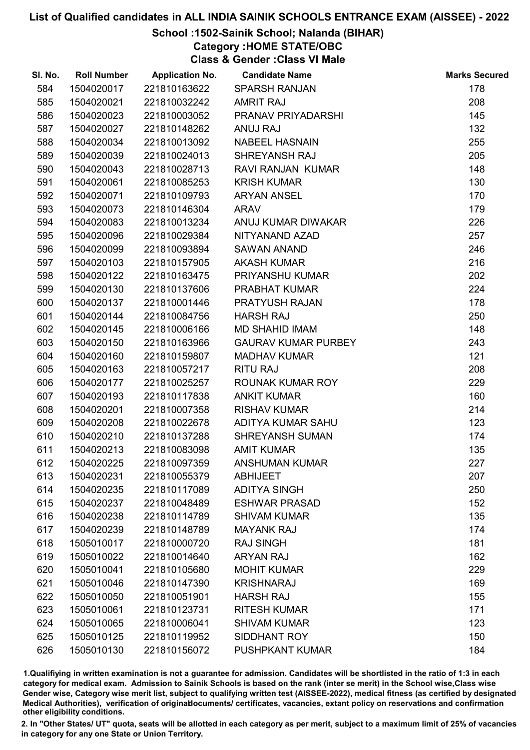# School :1502-Sainik School; Nalanda (BIHAR)

Category :HOME STATE/OBC

Class & Gender :Class VI Male

| SI. No. | <b>Roll Number</b> | <b>Application No.</b> | <b>Candidate Name</b>      | <b>Marks Secured</b> |
|---------|--------------------|------------------------|----------------------------|----------------------|
| 584     | 1504020017         | 221810163622           | <b>SPARSH RANJAN</b>       | 178                  |
| 585     | 1504020021         | 221810032242           | <b>AMRIT RAJ</b>           | 208                  |
| 586     | 1504020023         | 221810003052           | PRANAV PRIYADARSHI         | 145                  |
| 587     | 1504020027         | 221810148262           | ANUJ RAJ                   | 132                  |
| 588     | 1504020034         | 221810013092           | <b>NABEEL HASNAIN</b>      | 255                  |
| 589     | 1504020039         | 221810024013           | SHREYANSH RAJ              | 205                  |
| 590     | 1504020043         | 221810028713           | <b>RAVI RANJAN KUMAR</b>   | 148                  |
| 591     | 1504020061         | 221810085253           | <b>KRISH KUMAR</b>         | 130                  |
| 592     | 1504020071         | 221810109793           | <b>ARYAN ANSEL</b>         | 170                  |
| 593     | 1504020073         | 221810146304           | <b>ARAV</b>                | 179                  |
| 594     | 1504020083         | 221810013234           | ANUJ KUMAR DIWAKAR         | 226                  |
| 595     | 1504020096         | 221810029384           | NITYANAND AZAD             | 257                  |
| 596     | 1504020099         | 221810093894           | <b>SAWAN ANAND</b>         | 246                  |
| 597     | 1504020103         | 221810157905           | <b>AKASH KUMAR</b>         | 216                  |
| 598     | 1504020122         | 221810163475           | PRIYANSHU KUMAR            | 202                  |
| 599     | 1504020130         | 221810137606           | PRABHAT KUMAR              | 224                  |
| 600     | 1504020137         | 221810001446           | PRATYUSH RAJAN             | 178                  |
| 601     | 1504020144         | 221810084756           | <b>HARSH RAJ</b>           | 250                  |
| 602     | 1504020145         | 221810006166           | <b>MD SHAHID IMAM</b>      | 148                  |
| 603     | 1504020150         | 221810163966           | <b>GAURAV KUMAR PURBEY</b> | 243                  |
| 604     | 1504020160         | 221810159807           | <b>MADHAV KUMAR</b>        | 121                  |
| 605     | 1504020163         | 221810057217           | <b>RITU RAJ</b>            | 208                  |
| 606     | 1504020177         | 221810025257           | ROUNAK KUMAR ROY           | 229                  |
| 607     | 1504020193         | 221810117838           | <b>ANKIT KUMAR</b>         | 160                  |
| 608     | 1504020201         | 221810007358           | <b>RISHAV KUMAR</b>        | 214                  |
| 609     | 1504020208         | 221810022678           | ADITYA KUMAR SAHU          | 123                  |
| 610     | 1504020210         | 221810137288           | SHREYANSH SUMAN            | 174                  |
| 611     | 1504020213         | 221810083098           | <b>AMIT KUMAR</b>          | 135                  |
| 612     | 1504020225         | 221810097359           | <b>ANSHUMAN KUMAR</b>      | 227                  |
| 613     | 1504020231         | 221810055379           | <b>ABHIJEET</b>            | 207                  |
| 614     | 1504020235         | 221810117089           | <b>ADITYA SINGH</b>        | 250                  |
| 615     | 1504020237         | 221810048489           | <b>ESHWAR PRASAD</b>       | 152                  |
| 616     | 1504020238         | 221810114789           | <b>SHIVAM KUMAR</b>        | 135                  |
| 617     | 1504020239         | 221810148789           | <b>MAYANK RAJ</b>          | 174                  |
| 618     | 1505010017         | 221810000720           | <b>RAJ SINGH</b>           | 181                  |
| 619     | 1505010022         | 221810014640           | <b>ARYAN RAJ</b>           | 162                  |
| 620     | 1505010041         | 221810105680           | <b>MOHIT KUMAR</b>         | 229                  |
| 621     | 1505010046         | 221810147390           | <b>KRISHNARAJ</b>          | 169                  |
| 622     | 1505010050         | 221810051901           | <b>HARSH RAJ</b>           | 155                  |
| 623     | 1505010061         | 221810123731           | <b>RITESH KUMAR</b>        | 171                  |
| 624     | 1505010065         | 221810006041           | <b>SHIVAM KUMAR</b>        | 123                  |
| 625     | 1505010125         | 221810119952           | SIDDHANT ROY               | 150                  |
| 626     | 1505010130         | 221810156072           | <b>PUSHPKANT KUMAR</b>     | 184                  |

1.Qualifiying in written examination is not a guarantee for admission. Candidates will be shortlisted in the ratio of 1:3 in each category for medical exam. Admission to Sainik Schools is based on the rank (inter se merit) in the School wise,Class wise Gender wise, Category wise merit list, subject to qualifying written test (AISSEE-2022), medical fitness (as certified by designated Medical Authorities), verification of originablocuments/ certificates, vacancies, extant policy on reservations and confirmation other eligibility conditions.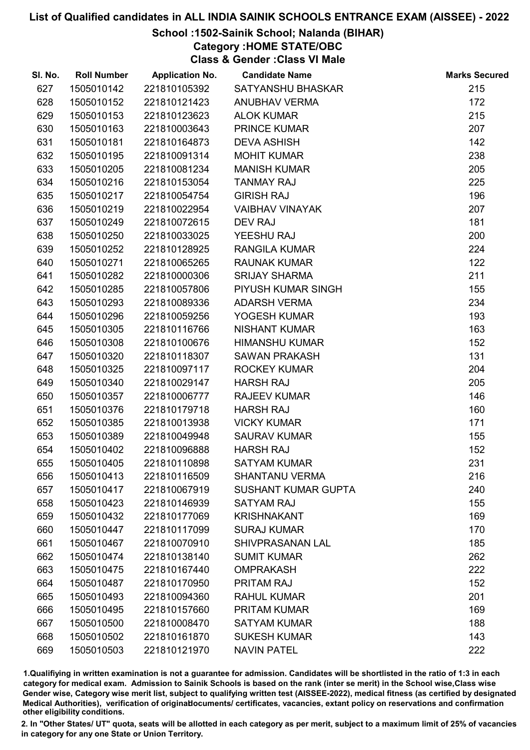## School :1502-Sainik School; Nalanda (BIHAR)

Category :HOME STATE/OBC

Class & Gender :Class VI Male

| SI. No. | <b>Roll Number</b> | <b>Application No.</b> | <b>Candidate Name</b>      | <b>Marks Secured</b> |
|---------|--------------------|------------------------|----------------------------|----------------------|
| 627     | 1505010142         | 221810105392           | SATYANSHU BHASKAR          | 215                  |
| 628     | 1505010152         | 221810121423           | <b>ANUBHAV VERMA</b>       | 172                  |
| 629     | 1505010153         | 221810123623           | <b>ALOK KUMAR</b>          | 215                  |
| 630     | 1505010163         | 221810003643           | <b>PRINCE KUMAR</b>        | 207                  |
| 631     | 1505010181         | 221810164873           | <b>DEVA ASHISH</b>         | 142                  |
| 632     | 1505010195         | 221810091314           | <b>MOHIT KUMAR</b>         | 238                  |
| 633     | 1505010205         | 221810081234           | <b>MANISH KUMAR</b>        | 205                  |
| 634     | 1505010216         | 221810153054           | <b>TANMAY RAJ</b>          | 225                  |
| 635     | 1505010217         | 221810054754           | <b>GIRISH RAJ</b>          | 196                  |
| 636     | 1505010219         | 221810022954           | <b>VAIBHAV VINAYAK</b>     | 207                  |
| 637     | 1505010249         | 221810072615           | <b>DEV RAJ</b>             | 181                  |
| 638     | 1505010250         | 221810033025           | YEESHU RAJ                 | 200                  |
| 639     | 1505010252         | 221810128925           | <b>RANGILA KUMAR</b>       | 224                  |
| 640     | 1505010271         | 221810065265           | <b>RAUNAK KUMAR</b>        | 122                  |
| 641     | 1505010282         | 221810000306           | <b>SRIJAY SHARMA</b>       | 211                  |
| 642     | 1505010285         | 221810057806           | PIYUSH KUMAR SINGH         | 155                  |
| 643     | 1505010293         | 221810089336           | <b>ADARSH VERMA</b>        | 234                  |
| 644     | 1505010296         | 221810059256           | YOGESH KUMAR               | 193                  |
| 645     | 1505010305         | 221810116766           | <b>NISHANT KUMAR</b>       | 163                  |
| 646     | 1505010308         | 221810100676           | <b>HIMANSHU KUMAR</b>      | 152                  |
| 647     | 1505010320         | 221810118307           | <b>SAWAN PRAKASH</b>       | 131                  |
| 648     | 1505010325         | 221810097117           | <b>ROCKEY KUMAR</b>        | 204                  |
| 649     | 1505010340         | 221810029147           | <b>HARSH RAJ</b>           | 205                  |
| 650     | 1505010357         | 221810006777           | <b>RAJEEV KUMAR</b>        | 146                  |
| 651     | 1505010376         | 221810179718           | <b>HARSH RAJ</b>           | 160                  |
| 652     | 1505010385         | 221810013938           | <b>VICKY KUMAR</b>         | 171                  |
| 653     | 1505010389         | 221810049948           | <b>SAURAV KUMAR</b>        | 155                  |
| 654     | 1505010402         | 221810096888           | <b>HARSH RAJ</b>           | 152                  |
| 655     | 1505010405         | 221810110898           | <b>SATYAM KUMAR</b>        | 231                  |
| 656     | 1505010413         | 221810116509           | <b>SHANTANU VERMA</b>      | 216                  |
| 657     | 1505010417         | 221810067919           | <b>SUSHANT KUMAR GUPTA</b> | 240                  |
| 658     | 1505010423         | 221810146939           | <b>SATYAM RAJ</b>          | 155                  |
| 659     | 1505010432         | 221810177069           | <b>KRISHNAKANT</b>         | 169                  |
| 660     | 1505010447         | 221810117099           | <b>SURAJ KUMAR</b>         | 170                  |
| 661     | 1505010467         | 221810070910           | <b>SHIVPRASANAN LAL</b>    | 185                  |
| 662     | 1505010474         | 221810138140           | <b>SUMIT KUMAR</b>         | 262                  |
| 663     | 1505010475         | 221810167440           | <b>OMPRAKASH</b>           | 222                  |
| 664     | 1505010487         | 221810170950           | <b>PRITAM RAJ</b>          | 152                  |
| 665     | 1505010493         | 221810094360           | <b>RAHUL KUMAR</b>         | 201                  |
| 666     | 1505010495         | 221810157660           | <b>PRITAM KUMAR</b>        | 169                  |
| 667     | 1505010500         | 221810008470           | <b>SATYAM KUMAR</b>        | 188                  |
| 668     | 1505010502         | 221810161870           | <b>SUKESH KUMAR</b>        | 143                  |
| 669     | 1505010503         | 221810121970           | <b>NAVIN PATEL</b>         | 222                  |

1.Qualifiying in written examination is not a guarantee for admission. Candidates will be shortlisted in the ratio of 1:3 in each category for medical exam. Admission to Sainik Schools is based on the rank (inter se merit) in the School wise,Class wise Gender wise, Category wise merit list, subject to qualifying written test (AISSEE-2022), medical fitness (as certified by designated Medical Authorities), verification of originablocuments/ certificates, vacancies, extant policy on reservations and confirmation other eligibility conditions.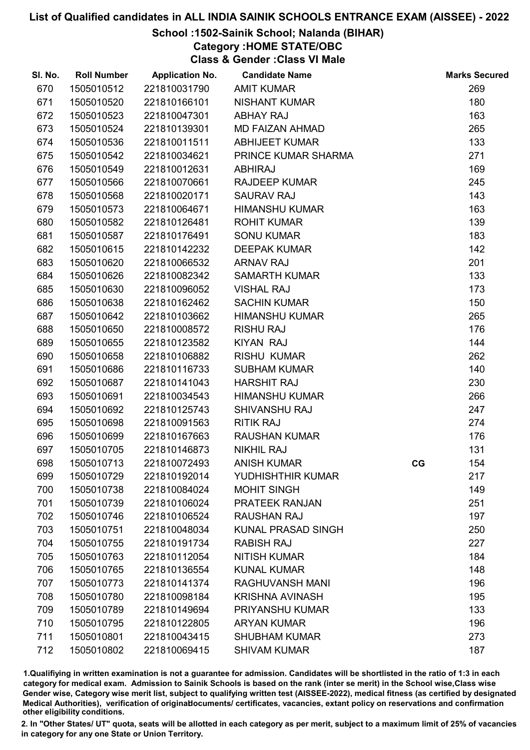## School :1502-Sainik School; Nalanda (BIHAR)

Category :HOME STATE/OBC

Class & Gender :Class VI Male

| SI. No. | <b>Roll Number</b> | <b>Application No.</b> | <b>Candidate Name</b>     |    | <b>Marks Secured</b> |
|---------|--------------------|------------------------|---------------------------|----|----------------------|
| 670     | 1505010512         | 221810031790           | <b>AMIT KUMAR</b>         |    | 269                  |
| 671     | 1505010520         | 221810166101           | <b>NISHANT KUMAR</b>      |    | 180                  |
| 672     | 1505010523         | 221810047301           | <b>ABHAY RAJ</b>          |    | 163                  |
| 673     | 1505010524         | 221810139301           | <b>MD FAIZAN AHMAD</b>    |    | 265                  |
| 674     | 1505010536         | 221810011511           | <b>ABHIJEET KUMAR</b>     |    | 133                  |
| 675     | 1505010542         | 221810034621           | PRINCE KUMAR SHARMA       |    | 271                  |
| 676     | 1505010549         | 221810012631           | <b>ABHIRAJ</b>            |    | 169                  |
| 677     | 1505010566         | 221810070661           | <b>RAJDEEP KUMAR</b>      |    | 245                  |
| 678     | 1505010568         | 221810020171           | <b>SAURAV RAJ</b>         |    | 143                  |
| 679     | 1505010573         | 221810064671           | <b>HIMANSHU KUMAR</b>     |    | 163                  |
| 680     | 1505010582         | 221810126481           | <b>ROHIT KUMAR</b>        |    | 139                  |
| 681     | 1505010587         | 221810176491           | <b>SONU KUMAR</b>         |    | 183                  |
| 682     | 1505010615         | 221810142232           | <b>DEEPAK KUMAR</b>       |    | 142                  |
| 683     | 1505010620         | 221810066532           | <b>ARNAV RAJ</b>          |    | 201                  |
| 684     | 1505010626         | 221810082342           | <b>SAMARTH KUMAR</b>      |    | 133                  |
| 685     | 1505010630         | 221810096052           | <b>VISHAL RAJ</b>         |    | 173                  |
| 686     | 1505010638         | 221810162462           | <b>SACHIN KUMAR</b>       |    | 150                  |
| 687     | 1505010642         | 221810103662           | <b>HIMANSHU KUMAR</b>     |    | 265                  |
| 688     | 1505010650         | 221810008572           | <b>RISHU RAJ</b>          |    | 176                  |
| 689     | 1505010655         | 221810123582           | <b>KIYAN RAJ</b>          |    | 144                  |
| 690     | 1505010658         | 221810106882           | <b>RISHU KUMAR</b>        |    | 262                  |
| 691     | 1505010686         | 221810116733           | <b>SUBHAM KUMAR</b>       |    | 140                  |
| 692     | 1505010687         | 221810141043           | <b>HARSHIT RAJ</b>        |    | 230                  |
| 693     | 1505010691         | 221810034543           | <b>HIMANSHU KUMAR</b>     |    | 266                  |
| 694     | 1505010692         | 221810125743           | SHIVANSHU RAJ             |    | 247                  |
| 695     | 1505010698         | 221810091563           | <b>RITIK RAJ</b>          |    | 274                  |
| 696     | 1505010699         | 221810167663           | <b>RAUSHAN KUMAR</b>      |    | 176                  |
| 697     | 1505010705         | 221810146873           | <b>NIKHIL RAJ</b>         |    | 131                  |
| 698     | 1505010713         | 221810072493           | <b>ANISH KUMAR</b>        | CG | 154                  |
| 699     | 1505010729         | 221810192014           | YUDHISHTHIR KUMAR         |    | 217                  |
| 700     | 1505010738         | 221810084024           | <b>MOHIT SINGH</b>        |    | 149                  |
| 701     | 1505010739         | 221810106024           | PRATEEK RANJAN            |    | 251                  |
| 702     | 1505010746         | 221810106524           | <b>RAUSHAN RAJ</b>        |    | 197                  |
| 703     | 1505010751         | 221810048034           | <b>KUNAL PRASAD SINGH</b> |    | 250                  |
| 704     | 1505010755         | 221810191734           | <b>RABISH RAJ</b>         |    | 227                  |
| 705     | 1505010763         | 221810112054           | <b>NITISH KUMAR</b>       |    | 184                  |
| 706     | 1505010765         | 221810136554           | <b>KUNAL KUMAR</b>        |    | 148                  |
| 707     | 1505010773         | 221810141374           | <b>RAGHUVANSH MANI</b>    |    | 196                  |
| 708     | 1505010780         | 221810098184           | <b>KRISHNA AVINASH</b>    |    | 195                  |
| 709     | 1505010789         | 221810149694           | PRIYANSHU KUMAR           |    | 133                  |
| 710     | 1505010795         | 221810122805           | <b>ARYAN KUMAR</b>        |    | 196                  |
| 711     | 1505010801         | 221810043415           | <b>SHUBHAM KUMAR</b>      |    | 273                  |
| 712     | 1505010802         | 221810069415           | <b>SHIVAM KUMAR</b>       |    | 187                  |

1.Qualifiying in written examination is not a guarantee for admission. Candidates will be shortlisted in the ratio of 1:3 in each category for medical exam. Admission to Sainik Schools is based on the rank (inter se merit) in the School wise,Class wise Gender wise, Category wise merit list, subject to qualifying written test (AISSEE-2022), medical fitness (as certified by designated Medical Authorities), verification of originablocuments/ certificates, vacancies, extant policy on reservations and confirmation other eligibility conditions.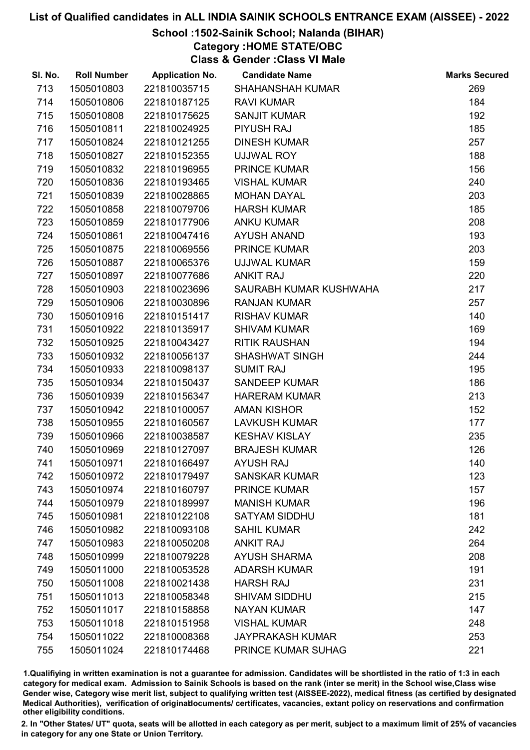# School :1502-Sainik School; Nalanda (BIHAR)

Category :HOME STATE/OBC

Class & Gender :Class VI Male

| SI. No. | <b>Roll Number</b> | <b>Application No.</b> | <b>Candidate Name</b>   | <b>Marks Secured</b> |
|---------|--------------------|------------------------|-------------------------|----------------------|
| 713     | 1505010803         | 221810035715           | <b>SHAHANSHAH KUMAR</b> | 269                  |
| 714     | 1505010806         | 221810187125           | <b>RAVI KUMAR</b>       | 184                  |
| 715     | 1505010808         | 221810175625           | <b>SANJIT KUMAR</b>     | 192                  |
| 716     | 1505010811         | 221810024925           | <b>PIYUSH RAJ</b>       | 185                  |
| 717     | 1505010824         | 221810121255           | <b>DINESH KUMAR</b>     | 257                  |
| 718     | 1505010827         | 221810152355           | <b>UJJWAL ROY</b>       | 188                  |
| 719     | 1505010832         | 221810196955           | <b>PRINCE KUMAR</b>     | 156                  |
| 720     | 1505010836         | 221810193465           | <b>VISHAL KUMAR</b>     | 240                  |
| 721     | 1505010839         | 221810028865           | <b>MOHAN DAYAL</b>      | 203                  |
| 722     | 1505010858         | 221810079706           | <b>HARSH KUMAR</b>      | 185                  |
| 723     | 1505010859         | 221810177906           | <b>ANKU KUMAR</b>       | 208                  |
| 724     | 1505010861         | 221810047416           | <b>AYUSH ANAND</b>      | 193                  |
| 725     | 1505010875         | 221810069556           | <b>PRINCE KUMAR</b>     | 203                  |
| 726     | 1505010887         | 221810065376           | <b>UJJWAL KUMAR</b>     | 159                  |
| 727     | 1505010897         | 221810077686           | <b>ANKIT RAJ</b>        | 220                  |
| 728     | 1505010903         | 221810023696           | SAURABH KUMAR KUSHWAHA  | 217                  |
| 729     | 1505010906         | 221810030896           | <b>RANJAN KUMAR</b>     | 257                  |
| 730     | 1505010916         | 221810151417           | <b>RISHAV KUMAR</b>     | 140                  |
| 731     | 1505010922         | 221810135917           | <b>SHIVAM KUMAR</b>     | 169                  |
| 732     | 1505010925         | 221810043427           | <b>RITIK RAUSHAN</b>    | 194                  |
| 733     | 1505010932         | 221810056137           | <b>SHASHWAT SINGH</b>   | 244                  |
| 734     | 1505010933         | 221810098137           | <b>SUMIT RAJ</b>        | 195                  |
| 735     | 1505010934         | 221810150437           | <b>SANDEEP KUMAR</b>    | 186                  |
| 736     | 1505010939         | 221810156347           | <b>HARERAM KUMAR</b>    | 213                  |
| 737     | 1505010942         | 221810100057           | <b>AMAN KISHOR</b>      | 152                  |
| 738     | 1505010955         | 221810160567           | <b>LAVKUSH KUMAR</b>    | 177                  |
| 739     | 1505010966         | 221810038587           | <b>KESHAV KISLAY</b>    | 235                  |
| 740     | 1505010969         | 221810127097           | <b>BRAJESH KUMAR</b>    | 126                  |
| 741     | 1505010971         | 221810166497           | <b>AYUSH RAJ</b>        | 140                  |
| 742     | 1505010972         | 221810179497           | <b>SANSKAR KUMAR</b>    | 123                  |
| 743     | 1505010974         | 221810160797           | <b>PRINCE KUMAR</b>     | 157                  |
| 744     | 1505010979         | 221810189997           | <b>MANISH KUMAR</b>     | 196                  |
| 745     | 1505010981         | 221810122108           | <b>SATYAM SIDDHU</b>    | 181                  |
| 746     | 1505010982         | 221810093108           | <b>SAHIL KUMAR</b>      | 242                  |
| 747     | 1505010983         | 221810050208           | <b>ANKIT RAJ</b>        | 264                  |
| 748     | 1505010999         | 221810079228           | <b>AYUSH SHARMA</b>     | 208                  |
| 749     | 1505011000         | 221810053528           | <b>ADARSH KUMAR</b>     | 191                  |
| 750     | 1505011008         | 221810021438           | <b>HARSH RAJ</b>        | 231                  |
| 751     | 1505011013         | 221810058348           | <b>SHIVAM SIDDHU</b>    | 215                  |
| 752     | 1505011017         | 221810158858           | <b>NAYAN KUMAR</b>      | 147                  |
| 753     | 1505011018         | 221810151958           | <b>VISHAL KUMAR</b>     | 248                  |
| 754     | 1505011022         | 221810008368           | <b>JAYPRAKASH KUMAR</b> | 253                  |
| 755     | 1505011024         | 221810174468           | PRINCE KUMAR SUHAG      | 221                  |

1.Qualifiying in written examination is not a guarantee for admission. Candidates will be shortlisted in the ratio of 1:3 in each category for medical exam. Admission to Sainik Schools is based on the rank (inter se merit) in the School wise,Class wise Gender wise, Category wise merit list, subject to qualifying written test (AISSEE-2022), medical fitness (as certified by designated Medical Authorities), verification of originablocuments/ certificates, vacancies, extant policy on reservations and confirmation other eligibility conditions.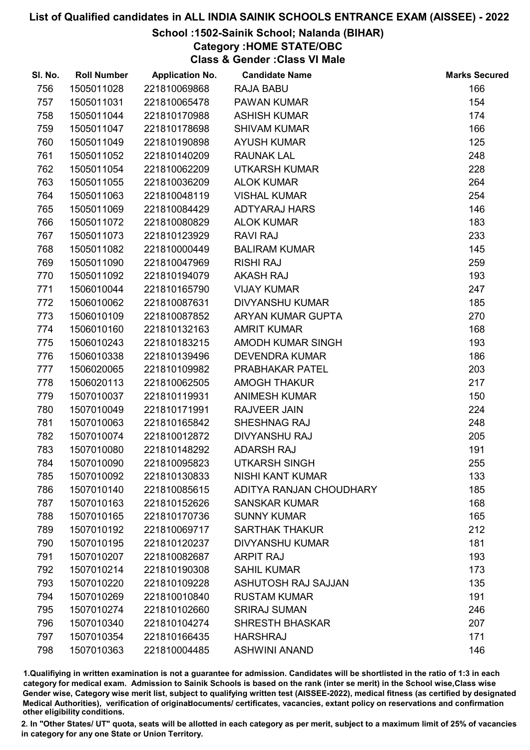# School :1502-Sainik School; Nalanda (BIHAR)

Category :HOME STATE/OBC

Class & Gender :Class VI Male

| SI. No. | <b>Roll Number</b> | <b>Application No.</b> | <b>Candidate Name</b>      | <b>Marks Secured</b> |
|---------|--------------------|------------------------|----------------------------|----------------------|
| 756     | 1505011028         | 221810069868           | <b>RAJA BABU</b>           | 166                  |
| 757     | 1505011031         | 221810065478           | <b>PAWAN KUMAR</b>         | 154                  |
| 758     | 1505011044         | 221810170988           | <b>ASHISH KUMAR</b>        | 174                  |
| 759     | 1505011047         | 221810178698           | <b>SHIVAM KUMAR</b>        | 166                  |
| 760     | 1505011049         | 221810190898           | <b>AYUSH KUMAR</b>         | 125                  |
| 761     | 1505011052         | 221810140209           | <b>RAUNAK LAL</b>          | 248                  |
| 762     | 1505011054         | 221810062209           | <b>UTKARSH KUMAR</b>       | 228                  |
| 763     | 1505011055         | 221810036209           | <b>ALOK KUMAR</b>          | 264                  |
| 764     | 1505011063         | 221810048119           | <b>VISHAL KUMAR</b>        | 254                  |
| 765     | 1505011069         | 221810084429           | ADTYARAJ HARS              | 146                  |
| 766     | 1505011072         | 221810080829           | <b>ALOK KUMAR</b>          | 183                  |
| 767     | 1505011073         | 221810123929           | <b>RAVI RAJ</b>            | 233                  |
| 768     | 1505011082         | 221810000449           | <b>BALIRAM KUMAR</b>       | 145                  |
| 769     | 1505011090         | 221810047969           | <b>RISHI RAJ</b>           | 259                  |
| 770     | 1505011092         | 221810194079           | <b>AKASH RAJ</b>           | 193                  |
| 771     | 1506010044         | 221810165790           | <b>VIJAY KUMAR</b>         | 247                  |
| 772     | 1506010062         | 221810087631           | <b>DIVYANSHU KUMAR</b>     | 185                  |
| 773     | 1506010109         | 221810087852           | ARYAN KUMAR GUPTA          | 270                  |
| 774     | 1506010160         | 221810132163           | <b>AMRIT KUMAR</b>         | 168                  |
| 775     | 1506010243         | 221810183215           | AMODH KUMAR SINGH          | 193                  |
| 776     | 1506010338         | 221810139496           | <b>DEVENDRA KUMAR</b>      | 186                  |
| 777     | 1506020065         | 221810109982           | PRABHAKAR PATEL            | 203                  |
| 778     | 1506020113         | 221810062505           | <b>AMOGH THAKUR</b>        | 217                  |
| 779     | 1507010037         | 221810119931           | <b>ANIMESH KUMAR</b>       | 150                  |
| 780     | 1507010049         | 221810171991           | <b>RAJVEER JAIN</b>        | 224                  |
| 781     | 1507010063         | 221810165842           | SHESHNAG RAJ               | 248                  |
| 782     | 1507010074         | 221810012872           | <b>DIVYANSHU RAJ</b>       | 205                  |
| 783     | 1507010080         | 221810148292           | <b>ADARSH RAJ</b>          | 191                  |
| 784     | 1507010090         | 221810095823           | <b>UTKARSH SINGH</b>       | 255                  |
| 785     | 1507010092         | 221810130833           | <b>NISHI KANT KUMAR</b>    | 133                  |
| 786     | 1507010140         | 221810085615           | ADITYA RANJAN CHOUDHARY    | 185                  |
| 787     | 1507010163         | 221810152626           | <b>SANSKAR KUMAR</b>       | 168                  |
| 788     | 1507010165         | 221810170736           | <b>SUNNY KUMAR</b>         | 165                  |
| 789     | 1507010192         | 221810069717           | <b>SARTHAK THAKUR</b>      | 212                  |
| 790     | 1507010195         | 221810120237           | <b>DIVYANSHU KUMAR</b>     | 181                  |
| 791     | 1507010207         | 221810082687           | <b>ARPIT RAJ</b>           | 193                  |
| 792     | 1507010214         | 221810190308           | <b>SAHIL KUMAR</b>         | 173                  |
| 793     | 1507010220         | 221810109228           | <b>ASHUTOSH RAJ SAJJAN</b> | 135                  |
| 794     | 1507010269         | 221810010840           | <b>RUSTAM KUMAR</b>        | 191                  |
| 795     | 1507010274         | 221810102660           | <b>SRIRAJ SUMAN</b>        | 246                  |
| 796     | 1507010340         | 221810104274           | <b>SHRESTH BHASKAR</b>     | 207                  |
| 797     | 1507010354         | 221810166435           | <b>HARSHRAJ</b>            | 171                  |
| 798     | 1507010363         | 221810004485           | <b>ASHWINI ANAND</b>       | 146                  |

1.Qualifiying in written examination is not a guarantee for admission. Candidates will be shortlisted in the ratio of 1:3 in each category for medical exam. Admission to Sainik Schools is based on the rank (inter se merit) in the School wise,Class wise Gender wise, Category wise merit list, subject to qualifying written test (AISSEE-2022), medical fitness (as certified by designated Medical Authorities), verification of originablocuments/ certificates, vacancies, extant policy on reservations and confirmation other eligibility conditions.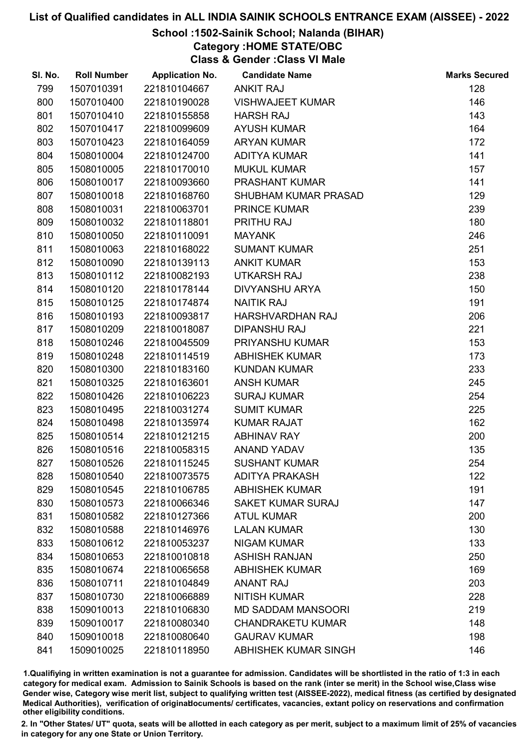## School :1502-Sainik School; Nalanda (BIHAR)

Category :HOME STATE/OBC

Class & Gender :Class VI Male

| SI. No. | <b>Roll Number</b> | <b>Application No.</b> | <b>Candidate Name</b>     | <b>Marks Secured</b> |
|---------|--------------------|------------------------|---------------------------|----------------------|
| 799     | 1507010391         | 221810104667           | <b>ANKIT RAJ</b>          | 128                  |
| 800     | 1507010400         | 221810190028           | <b>VISHWAJEET KUMAR</b>   | 146                  |
| 801     | 1507010410         | 221810155858           | <b>HARSH RAJ</b>          | 143                  |
| 802     | 1507010417         | 221810099609           | <b>AYUSH KUMAR</b>        | 164                  |
| 803     | 1507010423         | 221810164059           | <b>ARYAN KUMAR</b>        | 172                  |
| 804     | 1508010004         | 221810124700           | <b>ADITYA KUMAR</b>       | 141                  |
| 805     | 1508010005         | 221810170010           | <b>MUKUL KUMAR</b>        | 157                  |
| 806     | 1508010017         | 221810093660           | <b>PRASHANT KUMAR</b>     | 141                  |
| 807     | 1508010018         | 221810168760           | SHUBHAM KUMAR PRASAD      | 129                  |
| 808     | 1508010031         | 221810063701           | <b>PRINCE KUMAR</b>       | 239                  |
| 809     | 1508010032         | 221810118801           | PRITHU RAJ                | 180                  |
| 810     | 1508010050         | 221810110091           | <b>MAYANK</b>             | 246                  |
| 811     | 1508010063         | 221810168022           | <b>SUMANT KUMAR</b>       | 251                  |
| 812     | 1508010090         | 221810139113           | <b>ANKIT KUMAR</b>        | 153                  |
| 813     | 1508010112         | 221810082193           | <b>UTKARSH RAJ</b>        | 238                  |
| 814     | 1508010120         | 221810178144           | <b>DIVYANSHU ARYA</b>     | 150                  |
| 815     | 1508010125         | 221810174874           | <b>NAITIK RAJ</b>         | 191                  |
| 816     | 1508010193         | 221810093817           | HARSHVARDHAN RAJ          | 206                  |
| 817     | 1508010209         | 221810018087           | <b>DIPANSHU RAJ</b>       | 221                  |
| 818     | 1508010246         | 221810045509           | PRIYANSHU KUMAR           | 153                  |
| 819     | 1508010248         | 221810114519           | <b>ABHISHEK KUMAR</b>     | 173                  |
| 820     | 1508010300         | 221810183160           | <b>KUNDAN KUMAR</b>       | 233                  |
| 821     | 1508010325         | 221810163601           | <b>ANSH KUMAR</b>         | 245                  |
| 822     | 1508010426         | 221810106223           | <b>SURAJ KUMAR</b>        | 254                  |
| 823     | 1508010495         | 221810031274           | <b>SUMIT KUMAR</b>        | 225                  |
| 824     | 1508010498         | 221810135974           | <b>KUMAR RAJAT</b>        | 162                  |
| 825     | 1508010514         | 221810121215           | <b>ABHINAV RAY</b>        | 200                  |
| 826     | 1508010516         | 221810058315           | <b>ANAND YADAV</b>        | 135                  |
| 827     | 1508010526         | 221810115245           | <b>SUSHANT KUMAR</b>      | 254                  |
| 828     | 1508010540         | 221810073575           | <b>ADITYA PRAKASH</b>     | 122                  |
| 829     | 1508010545         | 221810106785           | <b>ABHISHEK KUMAR</b>     | 191                  |
| 830     | 1508010573         | 221810066346           | <b>SAKET KUMAR SURAJ</b>  | 147                  |
| 831     | 1508010582         | 221810127366           | <b>ATUL KUMAR</b>         | 200                  |
| 832     | 1508010588         | 221810146976           | <b>LALAN KUMAR</b>        | 130                  |
| 833     | 1508010612         | 221810053237           | <b>NIGAM KUMAR</b>        | 133                  |
| 834     | 1508010653         | 221810010818           | <b>ASHISH RANJAN</b>      | 250                  |
| 835     | 1508010674         | 221810065658           | <b>ABHISHEK KUMAR</b>     | 169                  |
| 836     | 1508010711         | 221810104849           | <b>ANANT RAJ</b>          | 203                  |
| 837     | 1508010730         | 221810066889           | <b>NITISH KUMAR</b>       | 228                  |
| 838     | 1509010013         | 221810106830           | <b>MD SADDAM MANSOORI</b> | 219                  |
| 839     | 1509010017         | 221810080340           | <b>CHANDRAKETU KUMAR</b>  | 148                  |
| 840     | 1509010018         | 221810080640           | <b>GAURAV KUMAR</b>       | 198                  |
| 841     | 1509010025         | 221810118950           | ABHISHEK KUMAR SINGH      | 146                  |

1.Qualifiying in written examination is not a guarantee for admission. Candidates will be shortlisted in the ratio of 1:3 in each category for medical exam. Admission to Sainik Schools is based on the rank (inter se merit) in the School wise,Class wise Gender wise, Category wise merit list, subject to qualifying written test (AISSEE-2022), medical fitness (as certified by designated Medical Authorities), verification of originablocuments/ certificates, vacancies, extant policy on reservations and confirmation other eligibility conditions.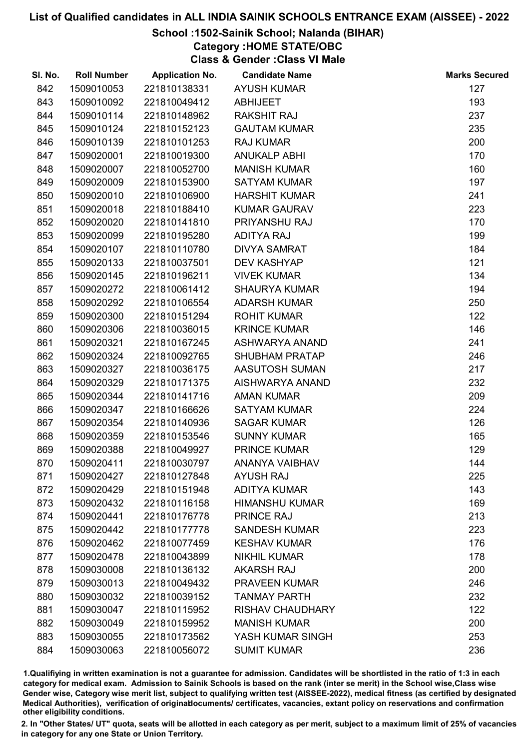# School :1502-Sainik School; Nalanda (BIHAR)

Category :HOME STATE/OBC

Class & Gender :Class VI Male

| SI. No. | <b>Roll Number</b> | <b>Application No.</b> | <b>Candidate Name</b>   | <b>Marks Secured</b> |
|---------|--------------------|------------------------|-------------------------|----------------------|
| 842     | 1509010053         | 221810138331           | <b>AYUSH KUMAR</b>      | 127                  |
| 843     | 1509010092         | 221810049412           | <b>ABHIJEET</b>         | 193                  |
| 844     | 1509010114         | 221810148962           | <b>RAKSHIT RAJ</b>      | 237                  |
| 845     | 1509010124         | 221810152123           | <b>GAUTAM KUMAR</b>     | 235                  |
| 846     | 1509010139         | 221810101253           | <b>RAJ KUMAR</b>        | 200                  |
| 847     | 1509020001         | 221810019300           | <b>ANUKALP ABHI</b>     | 170                  |
| 848     | 1509020007         | 221810052700           | <b>MANISH KUMAR</b>     | 160                  |
| 849     | 1509020009         | 221810153900           | <b>SATYAM KUMAR</b>     | 197                  |
| 850     | 1509020010         | 221810106900           | <b>HARSHIT KUMAR</b>    | 241                  |
| 851     | 1509020018         | 221810188410           | <b>KUMAR GAURAV</b>     | 223                  |
| 852     | 1509020020         | 221810141810           | PRIYANSHU RAJ           | 170                  |
| 853     | 1509020099         | 221810195280           | <b>ADITYA RAJ</b>       | 199                  |
| 854     | 1509020107         | 221810110780           | <b>DIVYA SAMRAT</b>     | 184                  |
| 855     | 1509020133         | 221810037501           | <b>DEV KASHYAP</b>      | 121                  |
| 856     | 1509020145         | 221810196211           | <b>VIVEK KUMAR</b>      | 134                  |
| 857     | 1509020272         | 221810061412           | <b>SHAURYA KUMAR</b>    | 194                  |
| 858     | 1509020292         | 221810106554           | <b>ADARSH KUMAR</b>     | 250                  |
| 859     | 1509020300         | 221810151294           | <b>ROHIT KUMAR</b>      | 122                  |
| 860     | 1509020306         | 221810036015           | <b>KRINCE KUMAR</b>     | 146                  |
| 861     | 1509020321         | 221810167245           | ASHWARYA ANAND          | 241                  |
| 862     | 1509020324         | 221810092765           | SHUBHAM PRATAP          | 246                  |
| 863     | 1509020327         | 221810036175           | AASUTOSH SUMAN          | 217                  |
| 864     | 1509020329         | 221810171375           | AISHWARYA ANAND         | 232                  |
| 865     | 1509020344         | 221810141716           | <b>AMAN KUMAR</b>       | 209                  |
| 866     | 1509020347         | 221810166626           | <b>SATYAM KUMAR</b>     | 224                  |
| 867     | 1509020354         | 221810140936           | <b>SAGAR KUMAR</b>      | 126                  |
| 868     | 1509020359         | 221810153546           | <b>SUNNY KUMAR</b>      | 165                  |
| 869     | 1509020388         | 221810049927           | <b>PRINCE KUMAR</b>     | 129                  |
| 870     | 1509020411         | 221810030797           | <b>ANANYA VAIBHAV</b>   | 144                  |
| 871     | 1509020427         | 221810127848           | <b>AYUSH RAJ</b>        | 225                  |
| 872     | 1509020429         | 221810151948           | <b>ADITYA KUMAR</b>     | 143                  |
| 873     | 1509020432         | 221810116158           | <b>HIMANSHU KUMAR</b>   | 169                  |
| 874     | 1509020441         | 221810176778           | <b>PRINCE RAJ</b>       | 213                  |
| 875     | 1509020442         | 221810177778           | <b>SANDESH KUMAR</b>    | 223                  |
| 876     | 1509020462         | 221810077459           | <b>KESHAV KUMAR</b>     | 176                  |
| 877     | 1509020478         | 221810043899           | <b>NIKHIL KUMAR</b>     | 178                  |
| 878     | 1509030008         | 221810136132           | <b>AKARSH RAJ</b>       | 200                  |
| 879     | 1509030013         | 221810049432           | <b>PRAVEEN KUMAR</b>    | 246                  |
| 880     | 1509030032         | 221810039152           | <b>TANMAY PARTH</b>     | 232                  |
| 881     | 1509030047         | 221810115952           | <b>RISHAV CHAUDHARY</b> | 122                  |
| 882     | 1509030049         | 221810159952           | <b>MANISH KUMAR</b>     | 200                  |
| 883     | 1509030055         | 221810173562           | YASH KUMAR SINGH        | 253                  |
| 884     | 1509030063         | 221810056072           | <b>SUMIT KUMAR</b>      | 236                  |

1.Qualifiying in written examination is not a guarantee for admission. Candidates will be shortlisted in the ratio of 1:3 in each category for medical exam. Admission to Sainik Schools is based on the rank (inter se merit) in the School wise,Class wise Gender wise, Category wise merit list, subject to qualifying written test (AISSEE-2022), medical fitness (as certified by designated Medical Authorities), verification of originablocuments/ certificates, vacancies, extant policy on reservations and confirmation other eligibility conditions.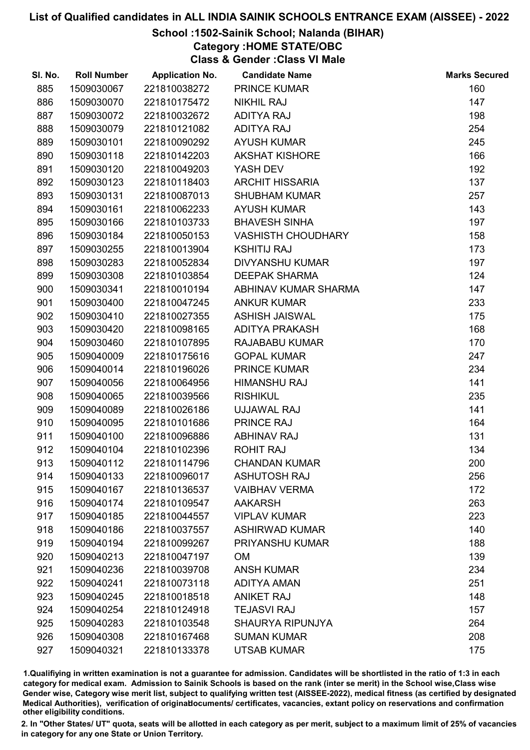## School :1502-Sainik School; Nalanda (BIHAR)

Category :HOME STATE/OBC

Class & Gender :Class VI Male

| SI. No. | <b>Roll Number</b> | <b>Application No.</b> | <b>Candidate Name</b>     | <b>Marks Secured</b> |
|---------|--------------------|------------------------|---------------------------|----------------------|
| 885     | 1509030067         | 221810038272           | <b>PRINCE KUMAR</b>       | 160                  |
| 886     | 1509030070         | 221810175472           | <b>NIKHIL RAJ</b>         | 147                  |
| 887     | 1509030072         | 221810032672           | <b>ADITYA RAJ</b>         | 198                  |
| 888     | 1509030079         | 221810121082           | <b>ADITYA RAJ</b>         | 254                  |
| 889     | 1509030101         | 221810090292           | <b>AYUSH KUMAR</b>        | 245                  |
| 890     | 1509030118         | 221810142203           | <b>AKSHAT KISHORE</b>     | 166                  |
| 891     | 1509030120         | 221810049203           | YASH DEV                  | 192                  |
| 892     | 1509030123         | 221810118403           | <b>ARCHIT HISSARIA</b>    | 137                  |
| 893     | 1509030131         | 221810087013           | <b>SHUBHAM KUMAR</b>      | 257                  |
| 894     | 1509030161         | 221810062233           | <b>AYUSH KUMAR</b>        | 143                  |
| 895     | 1509030166         | 221810103733           | <b>BHAVESH SINHA</b>      | 197                  |
| 896     | 1509030184         | 221810050153           | <b>VASHISTH CHOUDHARY</b> | 158                  |
| 897     | 1509030255         | 221810013904           | <b>KSHITIJ RAJ</b>        | 173                  |
| 898     | 1509030283         | 221810052834           | <b>DIVYANSHU KUMAR</b>    | 197                  |
| 899     | 1509030308         | 221810103854           | <b>DEEPAK SHARMA</b>      | 124                  |
| 900     | 1509030341         | 221810010194           | ABHINAV KUMAR SHARMA      | 147                  |
| 901     | 1509030400         | 221810047245           | <b>ANKUR KUMAR</b>        | 233                  |
| 902     | 1509030410         | 221810027355           | <b>ASHISH JAISWAL</b>     | 175                  |
| 903     | 1509030420         | 221810098165           | <b>ADITYA PRAKASH</b>     | 168                  |
| 904     | 1509030460         | 221810107895           | RAJABABU KUMAR            | 170                  |
| 905     | 1509040009         | 221810175616           | <b>GOPAL KUMAR</b>        | 247                  |
| 906     | 1509040014         | 221810196026           | <b>PRINCE KUMAR</b>       | 234                  |
| 907     | 1509040056         | 221810064956           | <b>HIMANSHU RAJ</b>       | 141                  |
| 908     | 1509040065         | 221810039566           | <b>RISHIKUL</b>           | 235                  |
| 909     | 1509040089         | 221810026186           | UJJAWAL RAJ               | 141                  |
| 910     | 1509040095         | 221810101686           | PRINCE RAJ                | 164                  |
| 911     | 1509040100         | 221810096886           | <b>ABHINAV RAJ</b>        | 131                  |
| 912     | 1509040104         | 221810102396           | <b>ROHIT RAJ</b>          | 134                  |
| 913     | 1509040112         | 221810114796           | <b>CHANDAN KUMAR</b>      | 200                  |
| 914     | 1509040133         | 221810096017           | <b>ASHUTOSH RAJ</b>       | 256                  |
| 915     | 1509040167         | 221810136537           | <b>VAIBHAV VERMA</b>      | 172                  |
| 916     | 1509040174         | 221810109547           | <b>AAKARSH</b>            | 263                  |
| 917     | 1509040185         | 221810044557           | <b>VIPLAV KUMAR</b>       | 223                  |
| 918     | 1509040186         | 221810037557           | <b>ASHIRWAD KUMAR</b>     | 140                  |
| 919     | 1509040194         | 221810099267           | PRIYANSHU KUMAR           | 188                  |
| 920     | 1509040213         | 221810047197           | <b>OM</b>                 | 139                  |
| 921     | 1509040236         | 221810039708           | <b>ANSH KUMAR</b>         | 234                  |
| 922     | 1509040241         | 221810073118           | <b>ADITYA AMAN</b>        | 251                  |
| 923     | 1509040245         | 221810018518           | <b>ANIKET RAJ</b>         | 148                  |
| 924     | 1509040254         | 221810124918           | <b>TEJASVI RAJ</b>        | 157                  |
| 925     | 1509040283         | 221810103548           | <b>SHAURYA RIPUNJYA</b>   | 264                  |
| 926     | 1509040308         | 221810167468           | <b>SUMAN KUMAR</b>        | 208                  |
| 927     | 1509040321         | 221810133378           | <b>UTSAB KUMAR</b>        | 175                  |

1.Qualifiying in written examination is not a guarantee for admission. Candidates will be shortlisted in the ratio of 1:3 in each category for medical exam. Admission to Sainik Schools is based on the rank (inter se merit) in the School wise,Class wise Gender wise, Category wise merit list, subject to qualifying written test (AISSEE-2022), medical fitness (as certified by designated Medical Authorities), verification of originablocuments/ certificates, vacancies, extant policy on reservations and confirmation other eligibility conditions.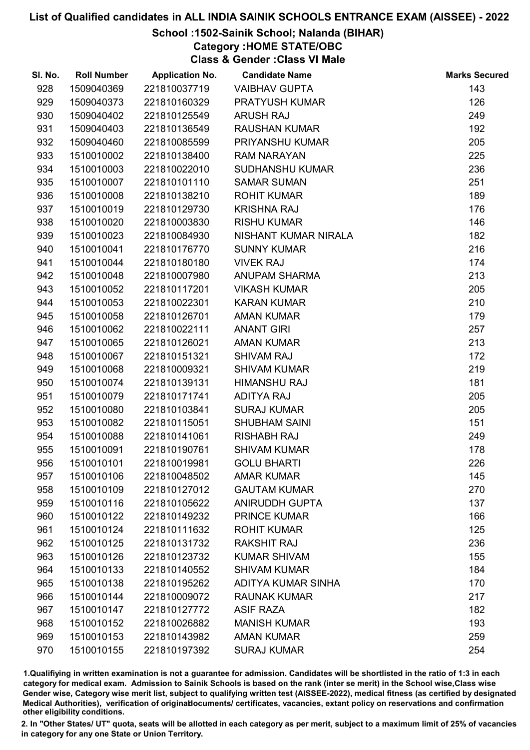# School :1502-Sainik School; Nalanda (BIHAR)

Category :HOME STATE/OBC

Class & Gender :Class VI Male

| SI. No. | <b>Roll Number</b> | <b>Application No.</b> | <b>Candidate Name</b>  | <b>Marks Secured</b> |
|---------|--------------------|------------------------|------------------------|----------------------|
| 928     | 1509040369         | 221810037719           | <b>VAIBHAV GUPTA</b>   | 143                  |
| 929     | 1509040373         | 221810160329           | PRATYUSH KUMAR         | 126                  |
| 930     | 1509040402         | 221810125549           | <b>ARUSH RAJ</b>       | 249                  |
| 931     | 1509040403         | 221810136549           | <b>RAUSHAN KUMAR</b>   | 192                  |
| 932     | 1509040460         | 221810085599           | PRIYANSHU KUMAR        | 205                  |
| 933     | 1510010002         | 221810138400           | <b>RAM NARAYAN</b>     | 225                  |
| 934     | 1510010003         | 221810022010           | <b>SUDHANSHU KUMAR</b> | 236                  |
| 935     | 1510010007         | 221810101110           | <b>SAMAR SUMAN</b>     | 251                  |
| 936     | 1510010008         | 221810138210           | <b>ROHIT KUMAR</b>     | 189                  |
| 937     | 1510010019         | 221810129730           | <b>KRISHNA RAJ</b>     | 176                  |
| 938     | 1510010020         | 221810003830           | <b>RISHU KUMAR</b>     | 146                  |
| 939     | 1510010023         | 221810084930           | NISHANT KUMAR NIRALA   | 182                  |
| 940     | 1510010041         | 221810176770           | <b>SUNNY KUMAR</b>     | 216                  |
| 941     | 1510010044         | 221810180180           | <b>VIVEK RAJ</b>       | 174                  |
| 942     | 1510010048         | 221810007980           | <b>ANUPAM SHARMA</b>   | 213                  |
| 943     | 1510010052         | 221810117201           | <b>VIKASH KUMAR</b>    | 205                  |
| 944     | 1510010053         | 221810022301           | <b>KARAN KUMAR</b>     | 210                  |
| 945     | 1510010058         | 221810126701           | <b>AMAN KUMAR</b>      | 179                  |
| 946     | 1510010062         | 221810022111           | <b>ANANT GIRI</b>      | 257                  |
| 947     | 1510010065         | 221810126021           | <b>AMAN KUMAR</b>      | 213                  |
| 948     | 1510010067         | 221810151321           | <b>SHIVAM RAJ</b>      | 172                  |
| 949     | 1510010068         | 221810009321           | <b>SHIVAM KUMAR</b>    | 219                  |
| 950     | 1510010074         | 221810139131           | <b>HIMANSHU RAJ</b>    | 181                  |
| 951     | 1510010079         | 221810171741           | <b>ADITYA RAJ</b>      | 205                  |
| 952     | 1510010080         | 221810103841           | <b>SURAJ KUMAR</b>     | 205                  |
| 953     | 1510010082         | 221810115051           | <b>SHUBHAM SAINI</b>   | 151                  |
| 954     | 1510010088         | 221810141061           | <b>RISHABH RAJ</b>     | 249                  |
| 955     | 1510010091         | 221810190761           | <b>SHIVAM KUMAR</b>    | 178                  |
| 956     | 1510010101         | 221810019981           | <b>GOLU BHARTI</b>     | 226                  |
| 957     | 1510010106         | 221810048502           | <b>AMAR KUMAR</b>      | 145                  |
| 958     | 1510010109         | 221810127012           | <b>GAUTAM KUMAR</b>    | 270                  |
| 959     | 1510010116         | 221810105622           | <b>ANIRUDDH GUPTA</b>  | 137                  |
| 960     | 1510010122         | 221810149232           | <b>PRINCE KUMAR</b>    | 166                  |
| 961     | 1510010124         | 221810111632           | <b>ROHIT KUMAR</b>     | 125                  |
| 962     | 1510010125         | 221810131732           | <b>RAKSHIT RAJ</b>     | 236                  |
| 963     | 1510010126         | 221810123732           | <b>KUMAR SHIVAM</b>    | 155                  |
| 964     | 1510010133         | 221810140552           | <b>SHIVAM KUMAR</b>    | 184                  |
| 965     | 1510010138         | 221810195262           | ADITYA KUMAR SINHA     | 170                  |
| 966     | 1510010144         | 221810009072           | <b>RAUNAK KUMAR</b>    | 217                  |
| 967     | 1510010147         | 221810127772           | <b>ASIF RAZA</b>       | 182                  |
| 968     | 1510010152         | 221810026882           | <b>MANISH KUMAR</b>    | 193                  |
| 969     | 1510010153         | 221810143982           | <b>AMAN KUMAR</b>      | 259                  |
| 970     | 1510010155         | 221810197392           | <b>SURAJ KUMAR</b>     | 254                  |

1.Qualifiying in written examination is not a guarantee for admission. Candidates will be shortlisted in the ratio of 1:3 in each category for medical exam. Admission to Sainik Schools is based on the rank (inter se merit) in the School wise,Class wise Gender wise, Category wise merit list, subject to qualifying written test (AISSEE-2022), medical fitness (as certified by designated Medical Authorities), verification of originablocuments/ certificates, vacancies, extant policy on reservations and confirmation other eligibility conditions.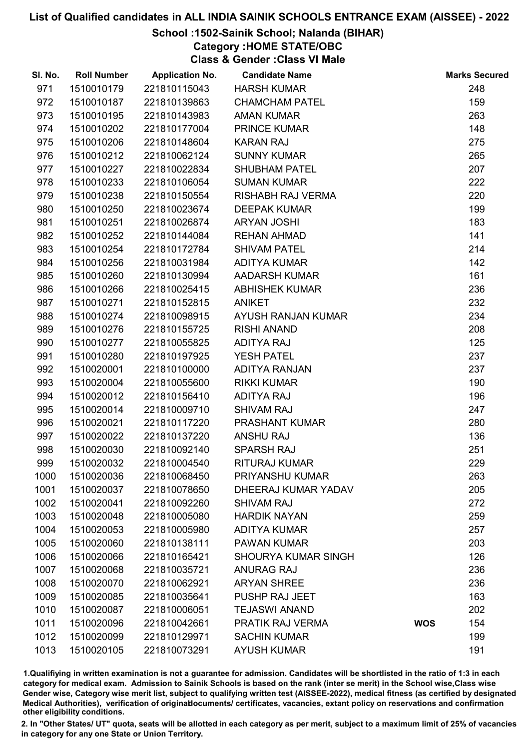## School :1502-Sainik School; Nalanda (BIHAR)

Category :HOME STATE/OBC

Class & Gender :Class VI Male

| SI. No. | <b>Roll Number</b> | <b>Application No.</b> | <b>Candidate Name</b>      |            | <b>Marks Secured</b> |
|---------|--------------------|------------------------|----------------------------|------------|----------------------|
| 971     | 1510010179         | 221810115043           | <b>HARSH KUMAR</b>         |            | 248                  |
| 972     | 1510010187         | 221810139863           | <b>CHAMCHAM PATEL</b>      |            | 159                  |
| 973     | 1510010195         | 221810143983           | <b>AMAN KUMAR</b>          |            | 263                  |
| 974     | 1510010202         | 221810177004           | <b>PRINCE KUMAR</b>        |            | 148                  |
| 975     | 1510010206         | 221810148604           | <b>KARAN RAJ</b>           |            | 275                  |
| 976     | 1510010212         | 221810062124           | <b>SUNNY KUMAR</b>         |            | 265                  |
| 977     | 1510010227         | 221810022834           | <b>SHUBHAM PATEL</b>       |            | 207                  |
| 978     | 1510010233         | 221810106054           | <b>SUMAN KUMAR</b>         |            | 222                  |
| 979     | 1510010238         | 221810150554           | RISHABH RAJ VERMA          |            | 220                  |
| 980     | 1510010250         | 221810023674           | <b>DEEPAK KUMAR</b>        |            | 199                  |
| 981     | 1510010251         | 221810026874           | <b>ARYAN JOSHI</b>         |            | 183                  |
| 982     | 1510010252         | 221810144084           | <b>REHAN AHMAD</b>         |            | 141                  |
| 983     | 1510010254         | 221810172784           | <b>SHIVAM PATEL</b>        |            | 214                  |
| 984     | 1510010256         | 221810031984           | <b>ADITYA KUMAR</b>        |            | 142                  |
| 985     | 1510010260         | 221810130994           | <b>AADARSH KUMAR</b>       |            | 161                  |
| 986     | 1510010266         | 221810025415           | <b>ABHISHEK KUMAR</b>      |            | 236                  |
| 987     | 1510010271         | 221810152815           | <b>ANIKET</b>              |            | 232                  |
| 988     | 1510010274         | 221810098915           | AYUSH RANJAN KUMAR         |            | 234                  |
| 989     | 1510010276         | 221810155725           | <b>RISHI ANAND</b>         |            | 208                  |
| 990     | 1510010277         | 221810055825           | <b>ADITYA RAJ</b>          |            | 125                  |
| 991     | 1510010280         | 221810197925           | <b>YESH PATEL</b>          |            | 237                  |
| 992     | 1510020001         | 221810100000           | ADITYA RANJAN              |            | 237                  |
| 993     | 1510020004         | 221810055600           | <b>RIKKI KUMAR</b>         |            | 190                  |
| 994     | 1510020012         | 221810156410           | <b>ADITYA RAJ</b>          |            | 196                  |
| 995     | 1510020014         | 221810009710           | <b>SHIVAM RAJ</b>          |            | 247                  |
| 996     | 1510020021         | 221810117220           | PRASHANT KUMAR             |            | 280                  |
| 997     | 1510020022         | 221810137220           | <b>ANSHU RAJ</b>           |            | 136                  |
| 998     | 1510020030         | 221810092140           | <b>SPARSH RAJ</b>          |            | 251                  |
| 999     | 1510020032         | 221810004540           | <b>RITURAJ KUMAR</b>       |            | 229                  |
| 1000    | 1510020036         | 221810068450           | PRIYANSHU KUMAR            |            | 263                  |
| 1001    | 1510020037         | 221810078650           | DHEERAJ KUMAR YADAV        |            | 205                  |
| 1002    | 1510020041         | 221810092260           | <b>SHIVAM RAJ</b>          |            | 272                  |
| 1003    | 1510020048         | 221810005080           | <b>HARDIK NAYAN</b>        |            | 259                  |
| 1004    | 1510020053         | 221810005980           | <b>ADITYA KUMAR</b>        |            | 257                  |
| 1005    | 1510020060         | 221810138111           | <b>PAWAN KUMAR</b>         |            | 203                  |
| 1006    | 1510020066         | 221810165421           | <b>SHOURYA KUMAR SINGH</b> |            | 126                  |
| 1007    | 1510020068         | 221810035721           | <b>ANURAG RAJ</b>          |            | 236                  |
| 1008    | 1510020070         | 221810062921           | <b>ARYAN SHREE</b>         |            | 236                  |
| 1009    | 1510020085         | 221810035641           | PUSHP RAJ JEET             |            | 163                  |
| 1010    | 1510020087         | 221810006051           | <b>TEJASWI ANAND</b>       |            | 202                  |
| 1011    | 1510020096         | 221810042661           | PRATIK RAJ VERMA           | <b>WOS</b> | 154                  |
| 1012    | 1510020099         | 221810129971           | <b>SACHIN KUMAR</b>        |            | 199                  |
| 1013    | 1510020105         | 221810073291           | <b>AYUSH KUMAR</b>         |            | 191                  |

1.Qualifiying in written examination is not a guarantee for admission. Candidates will be shortlisted in the ratio of 1:3 in each category for medical exam. Admission to Sainik Schools is based on the rank (inter se merit) in the School wise,Class wise Gender wise, Category wise merit list, subject to qualifying written test (AISSEE-2022), medical fitness (as certified by designated Medical Authorities), verification of originablocuments/ certificates, vacancies, extant policy on reservations and confirmation other eligibility conditions.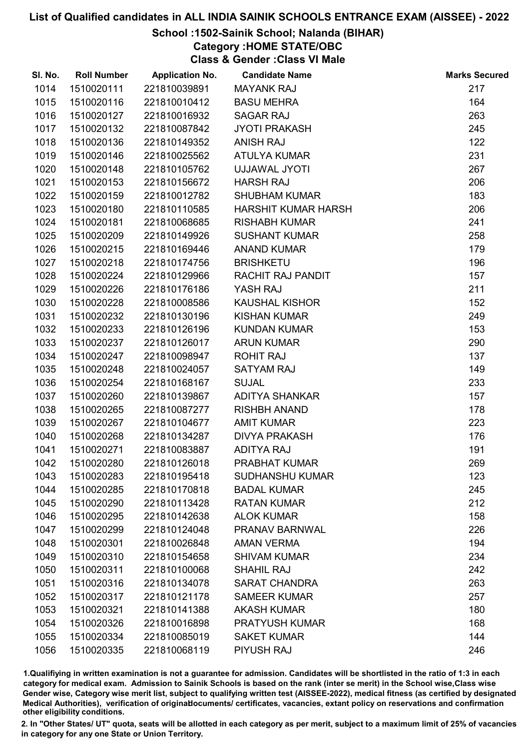# School :1502-Sainik School; Nalanda (BIHAR)

Category :HOME STATE/OBC

Class & Gender :Class VI Male

| SI. No. | <b>Roll Number</b> | <b>Application No.</b> | <b>Candidate Name</b>      | <b>Marks Secured</b> |
|---------|--------------------|------------------------|----------------------------|----------------------|
| 1014    | 1510020111         | 221810039891           | <b>MAYANK RAJ</b>          | 217                  |
| 1015    | 1510020116         | 221810010412           | <b>BASU MEHRA</b>          | 164                  |
| 1016    | 1510020127         | 221810016932           | <b>SAGAR RAJ</b>           | 263                  |
| 1017    | 1510020132         | 221810087842           | <b>JYOTI PRAKASH</b>       | 245                  |
| 1018    | 1510020136         | 221810149352           | <b>ANISH RAJ</b>           | 122                  |
| 1019    | 1510020146         | 221810025562           | <b>ATULYA KUMAR</b>        | 231                  |
| 1020    | 1510020148         | 221810105762           | UJJAWAL JYOTI              | 267                  |
| 1021    | 1510020153         | 221810156672           | <b>HARSH RAJ</b>           | 206                  |
| 1022    | 1510020159         | 221810012782           | <b>SHUBHAM KUMAR</b>       | 183                  |
| 1023    | 1510020180         | 221810110585           | <b>HARSHIT KUMAR HARSH</b> | 206                  |
| 1024    | 1510020181         | 221810068685           | <b>RISHABH KUMAR</b>       | 241                  |
| 1025    | 1510020209         | 221810149926           | <b>SUSHANT KUMAR</b>       | 258                  |
| 1026    | 1510020215         | 221810169446           | <b>ANAND KUMAR</b>         | 179                  |
| 1027    | 1510020218         | 221810174756           | <b>BRISHKETU</b>           | 196                  |
| 1028    | 1510020224         | 221810129966           | RACHIT RAJ PANDIT          | 157                  |
| 1029    | 1510020226         | 221810176186           | YASH RAJ                   | 211                  |
| 1030    | 1510020228         | 221810008586           | <b>KAUSHAL KISHOR</b>      | 152                  |
| 1031    | 1510020232         | 221810130196           | <b>KISHAN KUMAR</b>        | 249                  |
| 1032    | 1510020233         | 221810126196           | <b>KUNDAN KUMAR</b>        | 153                  |
| 1033    | 1510020237         | 221810126017           | <b>ARUN KUMAR</b>          | 290                  |
| 1034    | 1510020247         | 221810098947           | <b>ROHIT RAJ</b>           | 137                  |
| 1035    | 1510020248         | 221810024057           | <b>SATYAM RAJ</b>          | 149                  |
| 1036    | 1510020254         | 221810168167           | <b>SUJAL</b>               | 233                  |
| 1037    | 1510020260         | 221810139867           | <b>ADITYA SHANKAR</b>      | 157                  |
| 1038    | 1510020265         | 221810087277           | <b>RISHBH ANAND</b>        | 178                  |
| 1039    | 1510020267         | 221810104677           | <b>AMIT KUMAR</b>          | 223                  |
| 1040    | 1510020268         | 221810134287           | <b>DIVYA PRAKASH</b>       | 176                  |
| 1041    | 1510020271         | 221810083887           | <b>ADITYA RAJ</b>          | 191                  |
| 1042    | 1510020280         | 221810126018           | <b>PRABHAT KUMAR</b>       | 269                  |
| 1043    | 1510020283         | 221810195418           | <b>SUDHANSHU KUMAR</b>     | 123                  |
| 1044    | 1510020285         | 221810170818           | <b>BADAL KUMAR</b>         | 245                  |
| 1045    | 1510020290         | 221810113428           | <b>RATAN KUMAR</b>         | 212                  |
| 1046    | 1510020295         | 221810142638           | <b>ALOK KUMAR</b>          | 158                  |
| 1047    | 1510020299         | 221810124048           | PRANAV BARNWAL             | 226                  |
| 1048    | 1510020301         | 221810026848           | <b>AMAN VERMA</b>          | 194                  |
| 1049    | 1510020310         | 221810154658           | <b>SHIVAM KUMAR</b>        | 234                  |
| 1050    | 1510020311         | 221810100068           | <b>SHAHIL RAJ</b>          | 242                  |
| 1051    | 1510020316         | 221810134078           | <b>SARAT CHANDRA</b>       | 263                  |
| 1052    | 1510020317         | 221810121178           | <b>SAMEER KUMAR</b>        | 257                  |
| 1053    | 1510020321         | 221810141388           | <b>AKASH KUMAR</b>         | 180                  |
| 1054    | 1510020326         | 221810016898           | <b>PRATYUSH KUMAR</b>      | 168                  |
| 1055    | 1510020334         | 221810085019           | <b>SAKET KUMAR</b>         | 144                  |
| 1056    | 1510020335         | 221810068119           | PIYUSH RAJ                 | 246                  |

1.Qualifiying in written examination is not a guarantee for admission. Candidates will be shortlisted in the ratio of 1:3 in each category for medical exam. Admission to Sainik Schools is based on the rank (inter se merit) in the School wise,Class wise Gender wise, Category wise merit list, subject to qualifying written test (AISSEE-2022), medical fitness (as certified by designated Medical Authorities), verification of originablocuments/ certificates, vacancies, extant policy on reservations and confirmation other eligibility conditions.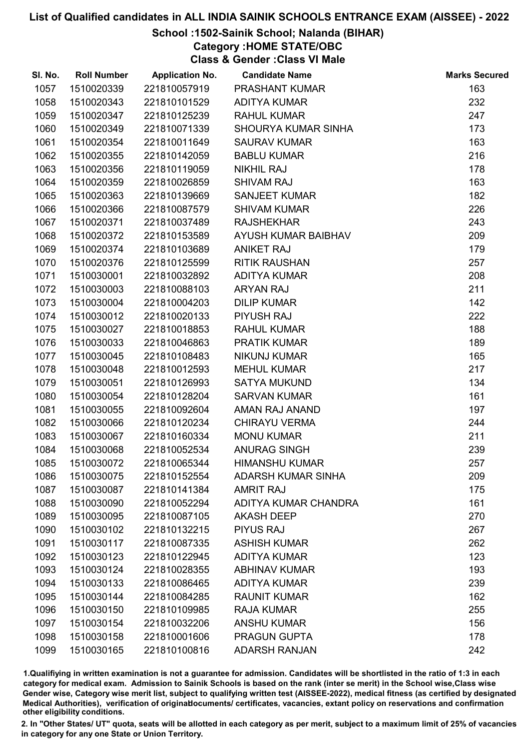# School :1502-Sainik School; Nalanda (BIHAR)

Category :HOME STATE/OBC

Class & Gender :Class VI Male

| SI. No. | <b>Roll Number</b> | <b>Application No.</b> | <b>Candidate Name</b>      | <b>Marks Secured</b> |
|---------|--------------------|------------------------|----------------------------|----------------------|
| 1057    | 1510020339         | 221810057919           | <b>PRASHANT KUMAR</b>      | 163                  |
| 1058    | 1510020343         | 221810101529           | <b>ADITYA KUMAR</b>        | 232                  |
| 1059    | 1510020347         | 221810125239           | <b>RAHUL KUMAR</b>         | 247                  |
| 1060    | 1510020349         | 221810071339           | <b>SHOURYA KUMAR SINHA</b> | 173                  |
| 1061    | 1510020354         | 221810011649           | <b>SAURAV KUMAR</b>        | 163                  |
| 1062    | 1510020355         | 221810142059           | <b>BABLU KUMAR</b>         | 216                  |
| 1063    | 1510020356         | 221810119059           | <b>NIKHIL RAJ</b>          | 178                  |
| 1064    | 1510020359         | 221810026859           | <b>SHIVAM RAJ</b>          | 163                  |
| 1065    | 1510020363         | 221810139669           | <b>SANJEET KUMAR</b>       | 182                  |
| 1066    | 1510020366         | 221810087579           | <b>SHIVAM KUMAR</b>        | 226                  |
| 1067    | 1510020371         | 221810037489           | <b>RAJSHEKHAR</b>          | 243                  |
| 1068    | 1510020372         | 221810153589           | AYUSH KUMAR BAIBHAV        | 209                  |
| 1069    | 1510020374         | 221810103689           | <b>ANIKET RAJ</b>          | 179                  |
| 1070    | 1510020376         | 221810125599           | <b>RITIK RAUSHAN</b>       | 257                  |
| 1071    | 1510030001         | 221810032892           | <b>ADITYA KUMAR</b>        | 208                  |
| 1072    | 1510030003         | 221810088103           | <b>ARYAN RAJ</b>           | 211                  |
| 1073    | 1510030004         | 221810004203           | <b>DILIP KUMAR</b>         | 142                  |
| 1074    | 1510030012         | 221810020133           | PIYUSH RAJ                 | 222                  |
| 1075    | 1510030027         | 221810018853           | <b>RAHUL KUMAR</b>         | 188                  |
| 1076    | 1510030033         | 221810046863           | <b>PRATIK KUMAR</b>        | 189                  |
| 1077    | 1510030045         | 221810108483           | <b>NIKUNJ KUMAR</b>        | 165                  |
| 1078    | 1510030048         | 221810012593           | <b>MEHUL KUMAR</b>         | 217                  |
| 1079    | 1510030051         | 221810126993           | <b>SATYA MUKUND</b>        | 134                  |
| 1080    | 1510030054         | 221810128204           | <b>SARVAN KUMAR</b>        | 161                  |
| 1081    | 1510030055         | 221810092604           | AMAN RAJ ANAND             | 197                  |
| 1082    | 1510030066         | 221810120234           | <b>CHIRAYU VERMA</b>       | 244                  |
| 1083    | 1510030067         | 221810160334           | <b>MONU KUMAR</b>          | 211                  |
| 1084    | 1510030068         | 221810052534           | <b>ANURAG SINGH</b>        | 239                  |
| 1085    | 1510030072         | 221810065344           | <b>HIMANSHU KUMAR</b>      | 257                  |
| 1086    | 1510030075         | 221810152554           | <b>ADARSH KUMAR SINHA</b>  | 209                  |
| 1087    | 1510030087         | 221810141384           | <b>AMRIT RAJ</b>           | 175                  |
| 1088    | 1510030090         | 221810052294           | ADITYA KUMAR CHANDRA       | 161                  |
| 1089    | 1510030095         | 221810087105           | <b>AKASH DEEP</b>          | 270                  |
| 1090    | 1510030102         | 221810132215           | <b>PIYUS RAJ</b>           | 267                  |
| 1091    | 1510030117         | 221810087335           | <b>ASHISH KUMAR</b>        | 262                  |
| 1092    | 1510030123         | 221810122945           | <b>ADITYA KUMAR</b>        | 123                  |
| 1093    | 1510030124         | 221810028355           | <b>ABHINAV KUMAR</b>       | 193                  |
| 1094    | 1510030133         | 221810086465           | <b>ADITYA KUMAR</b>        | 239                  |
| 1095    | 1510030144         | 221810084285           | <b>RAUNIT KUMAR</b>        | 162                  |
| 1096    | 1510030150         | 221810109985           | <b>RAJA KUMAR</b>          | 255                  |
| 1097    | 1510030154         | 221810032206           | <b>ANSHU KUMAR</b>         | 156                  |
| 1098    | 1510030158         | 221810001606           | <b>PRAGUN GUPTA</b>        | 178                  |
| 1099    | 1510030165         | 221810100816           | <b>ADARSH RANJAN</b>       | 242                  |

1.Qualifiying in written examination is not a guarantee for admission. Candidates will be shortlisted in the ratio of 1:3 in each category for medical exam. Admission to Sainik Schools is based on the rank (inter se merit) in the School wise,Class wise Gender wise, Category wise merit list, subject to qualifying written test (AISSEE-2022), medical fitness (as certified by designated Medical Authorities), verification of originablocuments/ certificates, vacancies, extant policy on reservations and confirmation other eligibility conditions.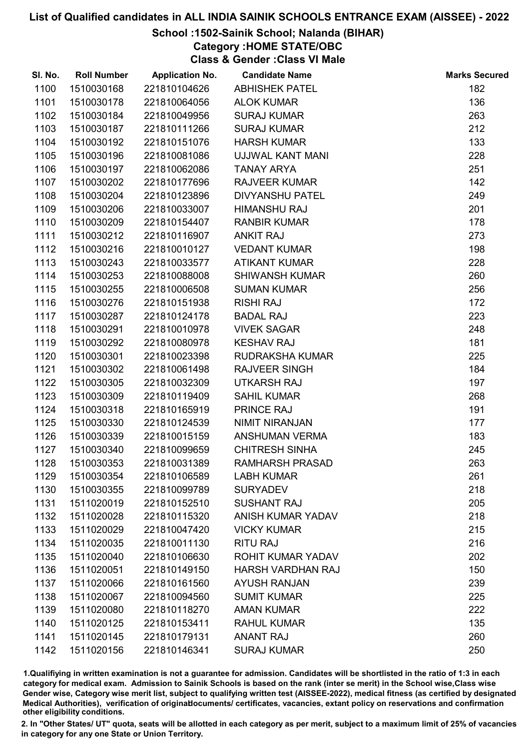# School :1502-Sainik School; Nalanda (BIHAR)

Category :HOME STATE/OBC

Class & Gender :Class VI Male

| SI. No. | <b>Roll Number</b> | <b>Application No.</b> | <b>Candidate Name</b>    | <b>Marks Secured</b> |
|---------|--------------------|------------------------|--------------------------|----------------------|
| 1100    | 1510030168         | 221810104626           | <b>ABHISHEK PATEL</b>    | 182                  |
| 1101    | 1510030178         | 221810064056           | <b>ALOK KUMAR</b>        | 136                  |
| 1102    | 1510030184         | 221810049956           | <b>SURAJ KUMAR</b>       | 263                  |
| 1103    | 1510030187         | 221810111266           | <b>SURAJ KUMAR</b>       | 212                  |
| 1104    | 1510030192         | 221810151076           | <b>HARSH KUMAR</b>       | 133                  |
| 1105    | 1510030196         | 221810081086           | UJJWAL KANT MANI         | 228                  |
| 1106    | 1510030197         | 221810062086           | <b>TANAY ARYA</b>        | 251                  |
| 1107    | 1510030202         | 221810177696           | <b>RAJVEER KUMAR</b>     | 142                  |
| 1108    | 1510030204         | 221810123896           | <b>DIVYANSHU PATEL</b>   | 249                  |
| 1109    | 1510030206         | 221810033007           | <b>HIMANSHU RAJ</b>      | 201                  |
| 1110    | 1510030209         | 221810154407           | <b>RANBIR KUMAR</b>      | 178                  |
| 1111    | 1510030212         | 221810116907           | <b>ANKIT RAJ</b>         | 273                  |
| 1112    | 1510030216         | 221810010127           | <b>VEDANT KUMAR</b>      | 198                  |
| 1113    | 1510030243         | 221810033577           | <b>ATIKANT KUMAR</b>     | 228                  |
| 1114    | 1510030253         | 221810088008           | <b>SHIWANSH KUMAR</b>    | 260                  |
| 1115    | 1510030255         | 221810006508           | <b>SUMAN KUMAR</b>       | 256                  |
| 1116    | 1510030276         | 221810151938           | <b>RISHI RAJ</b>         | 172                  |
| 1117    | 1510030287         | 221810124178           | <b>BADAL RAJ</b>         | 223                  |
| 1118    | 1510030291         | 221810010978           | <b>VIVEK SAGAR</b>       | 248                  |
| 1119    | 1510030292         | 221810080978           | <b>KESHAV RAJ</b>        | 181                  |
| 1120    | 1510030301         | 221810023398           | <b>RUDRAKSHA KUMAR</b>   | 225                  |
| 1121    | 1510030302         | 221810061498           | <b>RAJVEER SINGH</b>     | 184                  |
| 1122    | 1510030305         | 221810032309           | <b>UTKARSH RAJ</b>       | 197                  |
| 1123    | 1510030309         | 221810119409           | <b>SAHIL KUMAR</b>       | 268                  |
| 1124    | 1510030318         | 221810165919           | PRINCE RAJ               | 191                  |
| 1125    | 1510030330         | 221810124539           | NIMIT NIRANJAN           | 177                  |
| 1126    | 1510030339         | 221810015159           | ANSHUMAN VERMA           | 183                  |
| 1127    | 1510030340         | 221810099659           | <b>CHITRESH SINHA</b>    | 245                  |
| 1128    | 1510030353         | 221810031389           | <b>RAMHARSH PRASAD</b>   | 263                  |
| 1129    | 1510030354         | 221810106589           | <b>LABH KUMAR</b>        | 261                  |
| 1130    | 1510030355         | 221810099789           | <b>SURYADEV</b>          | 218                  |
| 1131    | 1511020019         | 221810152510           | <b>SUSHANT RAJ</b>       | 205                  |
| 1132    | 1511020028         | 221810115320           | <b>ANISH KUMAR YADAV</b> | 218                  |
| 1133    | 1511020029         | 221810047420           | <b>VICKY KUMAR</b>       | 215                  |
| 1134    | 1511020035         | 221810011130           | <b>RITU RAJ</b>          | 216                  |
| 1135    | 1511020040         | 221810106630           | ROHIT KUMAR YADAV        | 202                  |
| 1136    | 1511020051         | 221810149150           | <b>HARSH VARDHAN RAJ</b> | 150                  |
| 1137    | 1511020066         | 221810161560           | <b>AYUSH RANJAN</b>      | 239                  |
| 1138    | 1511020067         | 221810094560           | <b>SUMIT KUMAR</b>       | 225                  |
| 1139    | 1511020080         | 221810118270           | <b>AMAN KUMAR</b>        | 222                  |
| 1140    | 1511020125         | 221810153411           | <b>RAHUL KUMAR</b>       | 135                  |
| 1141    | 1511020145         | 221810179131           | <b>ANANT RAJ</b>         | 260                  |
| 1142    | 1511020156         | 221810146341           | <b>SURAJ KUMAR</b>       | 250                  |

1.Qualifiying in written examination is not a guarantee for admission. Candidates will be shortlisted in the ratio of 1:3 in each category for medical exam. Admission to Sainik Schools is based on the rank (inter se merit) in the School wise,Class wise Gender wise, Category wise merit list, subject to qualifying written test (AISSEE-2022), medical fitness (as certified by designated Medical Authorities), verification of originablocuments/ certificates, vacancies, extant policy on reservations and confirmation other eligibility conditions.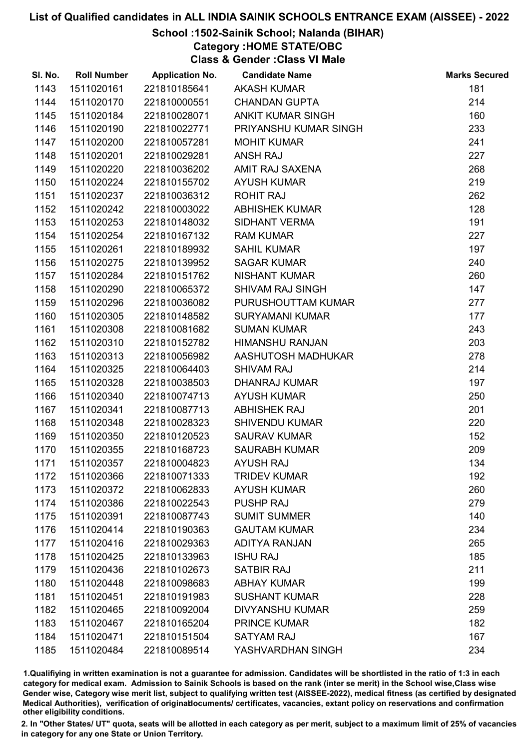# School :1502-Sainik School; Nalanda (BIHAR)

Category :HOME STATE/OBC

Class & Gender :Class VI Male

| SI. No. | <b>Roll Number</b> | <b>Application No.</b> | <b>Candidate Name</b>    | <b>Marks Secured</b> |
|---------|--------------------|------------------------|--------------------------|----------------------|
| 1143    | 1511020161         | 221810185641           | <b>AKASH KUMAR</b>       | 181                  |
| 1144    | 1511020170         | 221810000551           | <b>CHANDAN GUPTA</b>     | 214                  |
| 1145    | 1511020184         | 221810028071           | <b>ANKIT KUMAR SINGH</b> | 160                  |
| 1146    | 1511020190         | 221810022771           | PRIYANSHU KUMAR SINGH    | 233                  |
| 1147    | 1511020200         | 221810057281           | <b>MOHIT KUMAR</b>       | 241                  |
| 1148    | 1511020201         | 221810029281           | <b>ANSH RAJ</b>          | 227                  |
| 1149    | 1511020220         | 221810036202           | AMIT RAJ SAXENA          | 268                  |
| 1150    | 1511020224         | 221810155702           | <b>AYUSH KUMAR</b>       | 219                  |
| 1151    | 1511020237         | 221810036312           | <b>ROHIT RAJ</b>         | 262                  |
| 1152    | 1511020242         | 221810003022           | <b>ABHISHEK KUMAR</b>    | 128                  |
| 1153    | 1511020253         | 221810148032           | SIDHANT VERMA            | 191                  |
| 1154    | 1511020254         | 221810167132           | <b>RAM KUMAR</b>         | 227                  |
| 1155    | 1511020261         | 221810189932           | <b>SAHIL KUMAR</b>       | 197                  |
| 1156    | 1511020275         | 221810139952           | <b>SAGAR KUMAR</b>       | 240                  |
| 1157    | 1511020284         | 221810151762           | <b>NISHANT KUMAR</b>     | 260                  |
| 1158    | 1511020290         | 221810065372           | <b>SHIVAM RAJ SINGH</b>  | 147                  |
| 1159    | 1511020296         | 221810036082           | PURUSHOUTTAM KUMAR       | 277                  |
| 1160    | 1511020305         | 221810148582           | <b>SURYAMANI KUMAR</b>   | 177                  |
| 1161    | 1511020308         | 221810081682           | <b>SUMAN KUMAR</b>       | 243                  |
| 1162    | 1511020310         | 221810152782           | <b>HIMANSHU RANJAN</b>   | 203                  |
| 1163    | 1511020313         | 221810056982           | AASHUTOSH MADHUKAR       | 278                  |
| 1164    | 1511020325         | 221810064403           | <b>SHIVAM RAJ</b>        | 214                  |
| 1165    | 1511020328         | 221810038503           | <b>DHANRAJ KUMAR</b>     | 197                  |
| 1166    | 1511020340         | 221810074713           | <b>AYUSH KUMAR</b>       | 250                  |
| 1167    | 1511020341         | 221810087713           | <b>ABHISHEK RAJ</b>      | 201                  |
| 1168    | 1511020348         | 221810028323           | <b>SHIVENDU KUMAR</b>    | 220                  |
| 1169    | 1511020350         | 221810120523           | <b>SAURAV KUMAR</b>      | 152                  |
| 1170    | 1511020355         | 221810168723           | <b>SAURABH KUMAR</b>     | 209                  |
| 1171    | 1511020357         | 221810004823           | <b>AYUSH RAJ</b>         | 134                  |
| 1172    | 1511020366         | 221810071333           | <b>TRIDEV KUMAR</b>      | 192                  |
| 1173    | 1511020372         | 221810062833           | <b>AYUSH KUMAR</b>       | 260                  |
| 1174    | 1511020386         | 221810022543           | <b>PUSHP RAJ</b>         | 279                  |
| 1175    | 1511020391         | 221810087743           | <b>SUMIT SUMMER</b>      | 140                  |
| 1176    | 1511020414         | 221810190363           | <b>GAUTAM KUMAR</b>      | 234                  |
| 1177    | 1511020416         | 221810029363           | <b>ADITYA RANJAN</b>     | 265                  |
| 1178    | 1511020425         | 221810133963           | <b>ISHU RAJ</b>          | 185                  |
| 1179    | 1511020436         | 221810102673           | <b>SATBIR RAJ</b>        | 211                  |
| 1180    | 1511020448         | 221810098683           | <b>ABHAY KUMAR</b>       | 199                  |
| 1181    | 1511020451         | 221810191983           | <b>SUSHANT KUMAR</b>     | 228                  |
| 1182    | 1511020465         | 221810092004           | <b>DIVYANSHU KUMAR</b>   | 259                  |
| 1183    | 1511020467         | 221810165204           | <b>PRINCE KUMAR</b>      | 182                  |
| 1184    | 1511020471         | 221810151504           | <b>SATYAM RAJ</b>        | 167                  |
| 1185    | 1511020484         | 221810089514           | YASHVARDHAN SINGH        | 234                  |

1.Qualifiying in written examination is not a guarantee for admission. Candidates will be shortlisted in the ratio of 1:3 in each category for medical exam. Admission to Sainik Schools is based on the rank (inter se merit) in the School wise,Class wise Gender wise, Category wise merit list, subject to qualifying written test (AISSEE-2022), medical fitness (as certified by designated Medical Authorities), verification of originablocuments/ certificates, vacancies, extant policy on reservations and confirmation other eligibility conditions.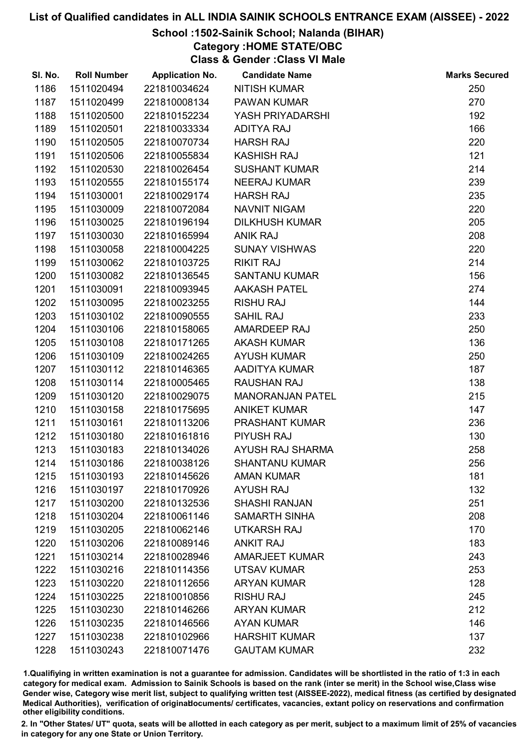## School :1502-Sainik School; Nalanda (BIHAR)

Category :HOME STATE/OBC

Class & Gender :Class VI Male

| SI. No. | <b>Roll Number</b> | <b>Application No.</b> | <b>Candidate Name</b>   | <b>Marks Secured</b> |
|---------|--------------------|------------------------|-------------------------|----------------------|
| 1186    | 1511020494         | 221810034624           | <b>NITISH KUMAR</b>     | 250                  |
| 1187    | 1511020499         | 221810008134           | <b>PAWAN KUMAR</b>      | 270                  |
| 1188    | 1511020500         | 221810152234           | YASH PRIYADARSHI        | 192                  |
| 1189    | 1511020501         | 221810033334           | <b>ADITYA RAJ</b>       | 166                  |
| 1190    | 1511020505         | 221810070734           | <b>HARSH RAJ</b>        | 220                  |
| 1191    | 1511020506         | 221810055834           | <b>KASHISH RAJ</b>      | 121                  |
| 1192    | 1511020530         | 221810026454           | <b>SUSHANT KUMAR</b>    | 214                  |
| 1193    | 1511020555         | 221810155174           | <b>NEERAJ KUMAR</b>     | 239                  |
| 1194    | 1511030001         | 221810029174           | <b>HARSH RAJ</b>        | 235                  |
| 1195    | 1511030009         | 221810072084           | <b>NAVNIT NIGAM</b>     | 220                  |
| 1196    | 1511030025         | 221810196194           | <b>DILKHUSH KUMAR</b>   | 205                  |
| 1197    | 1511030030         | 221810165994           | <b>ANIK RAJ</b>         | 208                  |
| 1198    | 1511030058         | 221810004225           | <b>SUNAY VISHWAS</b>    | 220                  |
| 1199    | 1511030062         | 221810103725           | <b>RIKIT RAJ</b>        | 214                  |
| 1200    | 1511030082         | 221810136545           | <b>SANTANU KUMAR</b>    | 156                  |
| 1201    | 1511030091         | 221810093945           | <b>AAKASH PATEL</b>     | 274                  |
| 1202    | 1511030095         | 221810023255           | <b>RISHU RAJ</b>        | 144                  |
| 1203    | 1511030102         | 221810090555           | <b>SAHIL RAJ</b>        | 233                  |
| 1204    | 1511030106         | 221810158065           | AMARDEEP RAJ            | 250                  |
| 1205    | 1511030108         | 221810171265           | <b>AKASH KUMAR</b>      | 136                  |
| 1206    | 1511030109         | 221810024265           | <b>AYUSH KUMAR</b>      | 250                  |
| 1207    | 1511030112         | 221810146365           | AADITYA KUMAR           | 187                  |
| 1208    | 1511030114         | 221810005465           | <b>RAUSHAN RAJ</b>      | 138                  |
| 1209    | 1511030120         | 221810029075           | <b>MANORANJAN PATEL</b> | 215                  |
| 1210    | 1511030158         | 221810175695           | <b>ANIKET KUMAR</b>     | 147                  |
| 1211    | 1511030161         | 221810113206           | PRASHANT KUMAR          | 236                  |
| 1212    | 1511030180         | 221810161816           | <b>PIYUSH RAJ</b>       | 130                  |
| 1213    | 1511030183         | 221810134026           | AYUSH RAJ SHARMA        | 258                  |
| 1214    | 1511030186         | 221810038126           | <b>SHANTANU KUMAR</b>   | 256                  |
| 1215    | 1511030193         | 221810145626           | <b>AMAN KUMAR</b>       | 181                  |
| 1216    | 1511030197         | 221810170926           | <b>AYUSH RAJ</b>        | 132                  |
| 1217    | 1511030200         | 221810132536           | <b>SHASHI RANJAN</b>    | 251                  |
| 1218    | 1511030204         | 221810061146           | <b>SAMARTH SINHA</b>    | 208                  |
| 1219    | 1511030205         | 221810062146           | <b>UTKARSH RAJ</b>      | 170                  |
| 1220    | 1511030206         | 221810089146           | <b>ANKIT RAJ</b>        | 183                  |
| 1221    | 1511030214         | 221810028946           | <b>AMARJEET KUMAR</b>   | 243                  |
| 1222    | 1511030216         | 221810114356           | <b>UTSAV KUMAR</b>      | 253                  |
| 1223    | 1511030220         | 221810112656           | <b>ARYAN KUMAR</b>      | 128                  |
| 1224    | 1511030225         | 221810010856           | <b>RISHU RAJ</b>        | 245                  |
| 1225    | 1511030230         | 221810146266           | <b>ARYAN KUMAR</b>      | 212                  |
| 1226    | 1511030235         | 221810146566           | <b>AYAN KUMAR</b>       | 146                  |
| 1227    | 1511030238         | 221810102966           | <b>HARSHIT KUMAR</b>    | 137                  |
| 1228    | 1511030243         | 221810071476           | <b>GAUTAM KUMAR</b>     | 232                  |

1.Qualifiying in written examination is not a guarantee for admission. Candidates will be shortlisted in the ratio of 1:3 in each category for medical exam. Admission to Sainik Schools is based on the rank (inter se merit) in the School wise,Class wise Gender wise, Category wise merit list, subject to qualifying written test (AISSEE-2022), medical fitness (as certified by designated Medical Authorities), verification of originablocuments/ certificates, vacancies, extant policy on reservations and confirmation other eligibility conditions.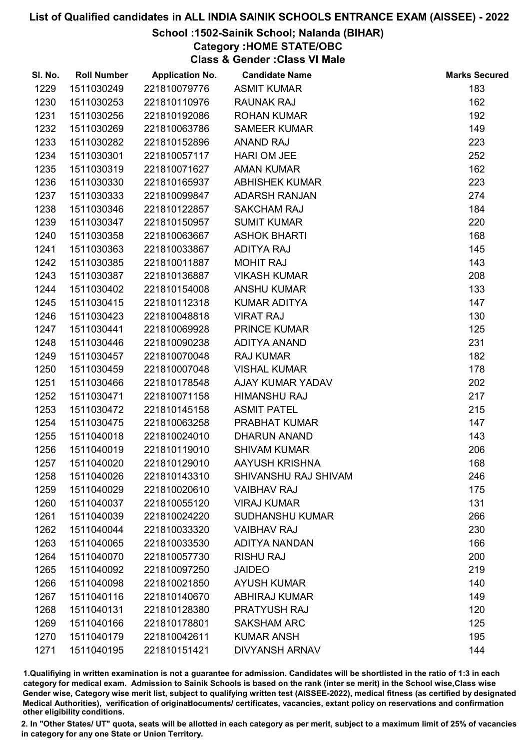# School :1502-Sainik School; Nalanda (BIHAR)

Category :HOME STATE/OBC

Class & Gender :Class VI Male

| SI. No. | <b>Roll Number</b> | <b>Application No.</b> | <b>Candidate Name</b>  | <b>Marks Secured</b> |
|---------|--------------------|------------------------|------------------------|----------------------|
| 1229    | 1511030249         | 221810079776           | <b>ASMIT KUMAR</b>     | 183                  |
| 1230    | 1511030253         | 221810110976           | <b>RAUNAK RAJ</b>      | 162                  |
| 1231    | 1511030256         | 221810192086           | <b>ROHAN KUMAR</b>     | 192                  |
| 1232    | 1511030269         | 221810063786           | <b>SAMEER KUMAR</b>    | 149                  |
| 1233    | 1511030282         | 221810152896           | <b>ANAND RAJ</b>       | 223                  |
| 1234    | 1511030301         | 221810057117           | <b>HARI OM JEE</b>     | 252                  |
| 1235    | 1511030319         | 221810071627           | <b>AMAN KUMAR</b>      | 162                  |
| 1236    | 1511030330         | 221810165937           | <b>ABHISHEK KUMAR</b>  | 223                  |
| 1237    | 1511030333         | 221810099847           | <b>ADARSH RANJAN</b>   | 274                  |
| 1238    | 1511030346         | 221810122857           | <b>SAKCHAM RAJ</b>     | 184                  |
| 1239    | 1511030347         | 221810150957           | <b>SUMIT KUMAR</b>     | 220                  |
| 1240    | 1511030358         | 221810063667           | <b>ASHOK BHARTI</b>    | 168                  |
| 1241    | 1511030363         | 221810033867           | <b>ADITYA RAJ</b>      | 145                  |
| 1242    | 1511030385         | 221810011887           | <b>MOHIT RAJ</b>       | 143                  |
| 1243    | 1511030387         | 221810136887           | <b>VIKASH KUMAR</b>    | 208                  |
| 1244    | 1511030402         | 221810154008           | <b>ANSHU KUMAR</b>     | 133                  |
| 1245    | 1511030415         | 221810112318           | <b>KUMAR ADITYA</b>    | 147                  |
| 1246    | 1511030423         | 221810048818           | <b>VIRAT RAJ</b>       | 130                  |
| 1247    | 1511030441         | 221810069928           | <b>PRINCE KUMAR</b>    | 125                  |
| 1248    | 1511030446         | 221810090238           | <b>ADITYA ANAND</b>    | 231                  |
| 1249    | 1511030457         | 221810070048           | <b>RAJ KUMAR</b>       | 182                  |
| 1250    | 1511030459         | 221810007048           | <b>VISHAL KUMAR</b>    | 178                  |
| 1251    | 1511030466         | 221810178548           | AJAY KUMAR YADAV       | 202                  |
| 1252    | 1511030471         | 221810071158           | <b>HIMANSHU RAJ</b>    | 217                  |
| 1253    | 1511030472         | 221810145158           | <b>ASMIT PATEL</b>     | 215                  |
| 1254    | 1511030475         | 221810063258           | PRABHAT KUMAR          | 147                  |
| 1255    | 1511040018         | 221810024010           | <b>DHARUN ANAND</b>    | 143                  |
| 1256    | 1511040019         | 221810119010           | <b>SHIVAM KUMAR</b>    | 206                  |
| 1257    | 1511040020         | 221810129010           | AAYUSH KRISHNA         | 168                  |
| 1258    | 1511040026         | 221810143310           | SHIVANSHU RAJ SHIVAM   | 246                  |
| 1259    | 1511040029         | 221810020610           | <b>VAIBHAV RAJ</b>     | 175                  |
| 1260    | 1511040037         | 221810055120           | <b>VIRAJ KUMAR</b>     | 131                  |
| 1261    | 1511040039         | 221810024220           | <b>SUDHANSHU KUMAR</b> | 266                  |
| 1262    | 1511040044         | 221810033320           | <b>VAIBHAV RAJ</b>     | 230                  |
| 1263    | 1511040065         | 221810033530           | <b>ADITYA NANDAN</b>   | 166                  |
| 1264    | 1511040070         | 221810057730           | <b>RISHU RAJ</b>       | 200                  |
| 1265    | 1511040092         | 221810097250           | <b>JAIDEO</b>          | 219                  |
| 1266    | 1511040098         | 221810021850           | <b>AYUSH KUMAR</b>     | 140                  |
| 1267    | 1511040116         | 221810140670           | <b>ABHIRAJ KUMAR</b>   | 149                  |
| 1268    | 1511040131         | 221810128380           | PRATYUSH RAJ           | 120                  |
| 1269    | 1511040166         | 221810178801           | <b>SAKSHAM ARC</b>     | 125                  |
| 1270    | 1511040179         | 221810042611           | <b>KUMAR ANSH</b>      | 195                  |
| 1271    | 1511040195         | 221810151421           | <b>DIVYANSH ARNAV</b>  | 144                  |

1.Qualifiying in written examination is not a guarantee for admission. Candidates will be shortlisted in the ratio of 1:3 in each category for medical exam. Admission to Sainik Schools is based on the rank (inter se merit) in the School wise,Class wise Gender wise, Category wise merit list, subject to qualifying written test (AISSEE-2022), medical fitness (as certified by designated Medical Authorities), verification of originablocuments/ certificates, vacancies, extant policy on reservations and confirmation other eligibility conditions.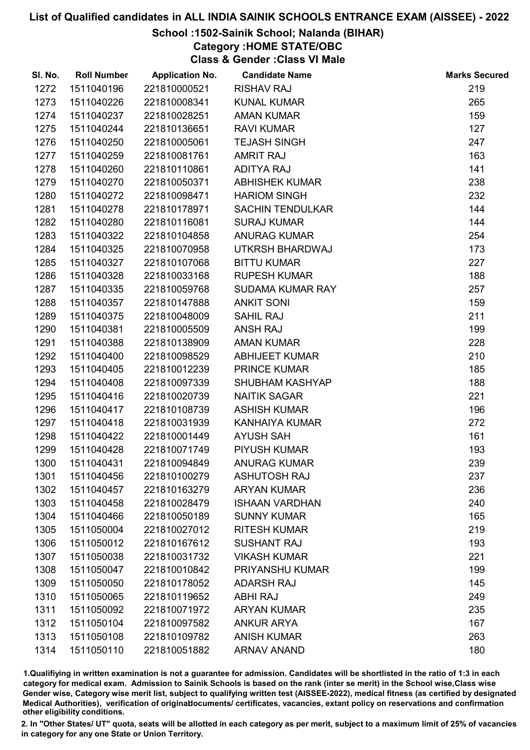## School :1502-Sainik School; Nalanda (BIHAR)

Category :HOME STATE/OBC

Class & Gender :Class VI Male

| SI. No. | <b>Roll Number</b> | <b>Application No.</b> | <b>Candidate Name</b>   | <b>Marks Secured</b> |
|---------|--------------------|------------------------|-------------------------|----------------------|
| 1272    | 1511040196         | 221810000521           | <b>RISHAV RAJ</b>       | 219                  |
| 1273    | 1511040226         | 221810008341           | <b>KUNAL KUMAR</b>      | 265                  |
| 1274    | 1511040237         | 221810028251           | <b>AMAN KUMAR</b>       | 159                  |
| 1275    | 1511040244         | 221810136651           | <b>RAVI KUMAR</b>       | 127                  |
| 1276    | 1511040250         | 221810005061           | <b>TEJASH SINGH</b>     | 247                  |
| 1277    | 1511040259         | 221810081761           | <b>AMRIT RAJ</b>        | 163                  |
| 1278    | 1511040260         | 221810110861           | <b>ADITYA RAJ</b>       | 141                  |
| 1279    | 1511040270         | 221810050371           | <b>ABHISHEK KUMAR</b>   | 238                  |
| 1280    | 1511040272         | 221810098471           | <b>HARIOM SINGH</b>     | 232                  |
| 1281    | 1511040278         | 221810178971           | <b>SACHIN TENDULKAR</b> | 144                  |
| 1282    | 1511040280         | 221810116081           | <b>SURAJ KUMAR</b>      | 144                  |
| 1283    | 1511040322         | 221810104858           | <b>ANURAG KUMAR</b>     | 254                  |
| 1284    | 1511040325         | 221810070958           | UTKRSH BHARDWAJ         | 173                  |
| 1285    | 1511040327         | 221810107068           | <b>BITTU KUMAR</b>      | 227                  |
| 1286    | 1511040328         | 221810033168           | <b>RUPESH KUMAR</b>     | 188                  |
| 1287    | 1511040335         | 221810059768           | SUDAMA KUMAR RAY        | 257                  |
| 1288    | 1511040357         | 221810147888           | <b>ANKIT SONI</b>       | 159                  |
| 1289    | 1511040375         | 221810048009           | <b>SAHIL RAJ</b>        | 211                  |
| 1290    | 1511040381         | 221810005509           | <b>ANSH RAJ</b>         | 199                  |
| 1291    | 1511040388         | 221810138909           | <b>AMAN KUMAR</b>       | 228                  |
| 1292    | 1511040400         | 221810098529           | <b>ABHIJEET KUMAR</b>   | 210                  |
| 1293    | 1511040405         | 221810012239           | <b>PRINCE KUMAR</b>     | 185                  |
| 1294    | 1511040408         | 221810097339           | <b>SHUBHAM KASHYAP</b>  | 188                  |
| 1295    | 1511040416         | 221810020739           | <b>NAITIK SAGAR</b>     | 221                  |
| 1296    | 1511040417         | 221810108739           | <b>ASHISH KUMAR</b>     | 196                  |
| 1297    | 1511040418         | 221810031939           | KANHAIYA KUMAR          | 272                  |
| 1298    | 1511040422         | 221810001449           | <b>AYUSH SAH</b>        | 161                  |
| 1299    | 1511040428         | 221810071749           | PIYUSH KUMAR            | 193                  |
| 1300    | 1511040431         | 221810094849           | <b>ANURAG KUMAR</b>     | 239                  |
| 1301    | 1511040456         | 221810100279           | <b>ASHUTOSH RAJ</b>     | 237                  |
| 1302    | 1511040457         | 221810163279           | <b>ARYAN KUMAR</b>      | 236                  |
| 1303    | 1511040458         | 221810028479           | <b>ISHAAN VARDHAN</b>   | 240                  |
| 1304    | 1511040466         | 221810050189           | <b>SUNNY KUMAR</b>      | 165                  |
| 1305    | 1511050004         | 221810027012           | <b>RITESH KUMAR</b>     | 219                  |
| 1306    | 1511050012         | 221810167612           | <b>SUSHANT RAJ</b>      | 193                  |
| 1307    | 1511050038         | 221810031732           | <b>VIKASH KUMAR</b>     | 221                  |
| 1308    | 1511050047         | 221810010842           | PRIYANSHU KUMAR         | 199                  |
| 1309    | 1511050050         | 221810178052           | <b>ADARSH RAJ</b>       | 145                  |
| 1310    | 1511050065         | 221810119652           | <b>ABHI RAJ</b>         | 249                  |
| 1311    | 1511050092         | 221810071972           | <b>ARYAN KUMAR</b>      | 235                  |
| 1312    | 1511050104         | 221810097582           | <b>ANKUR ARYA</b>       | 167                  |
| 1313    | 1511050108         | 221810109782           | <b>ANISH KUMAR</b>      | 263                  |
| 1314    | 1511050110         | 221810051882           | <b>ARNAV ANAND</b>      | 180                  |

1.Qualifiying in written examination is not a guarantee for admission. Candidates will be shortlisted in the ratio of 1:3 in each category for medical exam. Admission to Sainik Schools is based on the rank (inter se merit) in the School wise,Class wise Gender wise, Category wise merit list, subject to qualifying written test (AISSEE-2022), medical fitness (as certified by designated Medical Authorities), verification of originablocuments/ certificates, vacancies, extant policy on reservations and confirmation other eligibility conditions.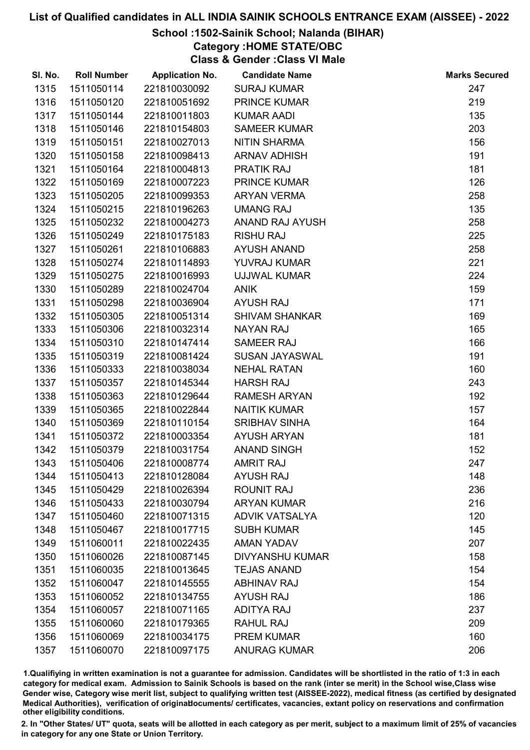# School :1502-Sainik School; Nalanda (BIHAR)

Category :HOME STATE/OBC

Class & Gender :Class VI Male

| SI. No. | <b>Roll Number</b> | <b>Application No.</b> | <b>Candidate Name</b>  | <b>Marks Secured</b> |
|---------|--------------------|------------------------|------------------------|----------------------|
| 1315    | 1511050114         | 221810030092           | <b>SURAJ KUMAR</b>     | 247                  |
| 1316    | 1511050120         | 221810051692           | <b>PRINCE KUMAR</b>    | 219                  |
| 1317    | 1511050144         | 221810011803           | <b>KUMAR AADI</b>      | 135                  |
| 1318    | 1511050146         | 221810154803           | <b>SAMEER KUMAR</b>    | 203                  |
| 1319    | 1511050151         | 221810027013           | <b>NITIN SHARMA</b>    | 156                  |
| 1320    | 1511050158         | 221810098413           | <b>ARNAV ADHISH</b>    | 191                  |
| 1321    | 1511050164         | 221810004813           | <b>PRATIK RAJ</b>      | 181                  |
| 1322    | 1511050169         | 221810007223           | <b>PRINCE KUMAR</b>    | 126                  |
| 1323    | 1511050205         | 221810099353           | <b>ARYAN VERMA</b>     | 258                  |
| 1324    | 1511050215         | 221810196263           | <b>UMANG RAJ</b>       | 135                  |
| 1325    | 1511050232         | 221810004273           | ANAND RAJ AYUSH        | 258                  |
| 1326    | 1511050249         | 221810175183           | <b>RISHU RAJ</b>       | 225                  |
| 1327    | 1511050261         | 221810106883           | <b>AYUSH ANAND</b>     | 258                  |
| 1328    | 1511050274         | 221810114893           | YUVRAJ KUMAR           | 221                  |
| 1329    | 1511050275         | 221810016993           | UJJWAL KUMAR           | 224                  |
| 1330    | 1511050289         | 221810024704           | <b>ANIK</b>            | 159                  |
| 1331    | 1511050298         | 221810036904           | <b>AYUSH RAJ</b>       | 171                  |
| 1332    | 1511050305         | 221810051314           | <b>SHIVAM SHANKAR</b>  | 169                  |
| 1333    | 1511050306         | 221810032314           | <b>NAYAN RAJ</b>       | 165                  |
| 1334    | 1511050310         | 221810147414           | <b>SAMEER RAJ</b>      | 166                  |
| 1335    | 1511050319         | 221810081424           | <b>SUSAN JAYASWAL</b>  | 191                  |
| 1336    | 1511050333         | 221810038034           | <b>NEHAL RATAN</b>     | 160                  |
| 1337    | 1511050357         | 221810145344           | <b>HARSH RAJ</b>       | 243                  |
| 1338    | 1511050363         | 221810129644           | <b>RAMESH ARYAN</b>    | 192                  |
| 1339    | 1511050365         | 221810022844           | <b>NAITIK KUMAR</b>    | 157                  |
| 1340    | 1511050369         | 221810110154           | <b>SRIBHAV SINHA</b>   | 164                  |
| 1341    | 1511050372         | 221810003354           | <b>AYUSH ARYAN</b>     | 181                  |
| 1342    | 1511050379         | 221810031754           | <b>ANAND SINGH</b>     | 152                  |
| 1343    | 1511050406         | 221810008774           | <b>AMRIT RAJ</b>       | 247                  |
| 1344    | 1511050413         | 221810128084           | <b>AYUSH RAJ</b>       | 148                  |
| 1345    | 1511050429         | 221810026394           | <b>ROUNIT RAJ</b>      | 236                  |
| 1346    | 1511050433         | 221810030794           | <b>ARYAN KUMAR</b>     | 216                  |
| 1347    | 1511050460         | 221810071315           | <b>ADVIK VATSALYA</b>  | 120                  |
| 1348    | 1511050467         | 221810017715           | <b>SUBH KUMAR</b>      | 145                  |
| 1349    | 1511060011         | 221810022435           | <b>AMAN YADAV</b>      | 207                  |
| 1350    | 1511060026         | 221810087145           | <b>DIVYANSHU KUMAR</b> | 158                  |
| 1351    | 1511060035         | 221810013645           | <b>TEJAS ANAND</b>     | 154                  |
| 1352    | 1511060047         | 221810145555           | <b>ABHINAV RAJ</b>     | 154                  |
| 1353    | 1511060052         | 221810134755           | <b>AYUSH RAJ</b>       | 186                  |
| 1354    | 1511060057         | 221810071165           | <b>ADITYA RAJ</b>      | 237                  |
| 1355    | 1511060060         | 221810179365           | <b>RAHUL RAJ</b>       | 209                  |
| 1356    | 1511060069         | 221810034175           | <b>PREM KUMAR</b>      | 160                  |
| 1357    | 1511060070         | 221810097175           | <b>ANURAG KUMAR</b>    | 206                  |

1.Qualifiying in written examination is not a guarantee for admission. Candidates will be shortlisted in the ratio of 1:3 in each category for medical exam. Admission to Sainik Schools is based on the rank (inter se merit) in the School wise,Class wise Gender wise, Category wise merit list, subject to qualifying written test (AISSEE-2022), medical fitness (as certified by designated Medical Authorities), verification of originablocuments/ certificates, vacancies, extant policy on reservations and confirmation other eligibility conditions.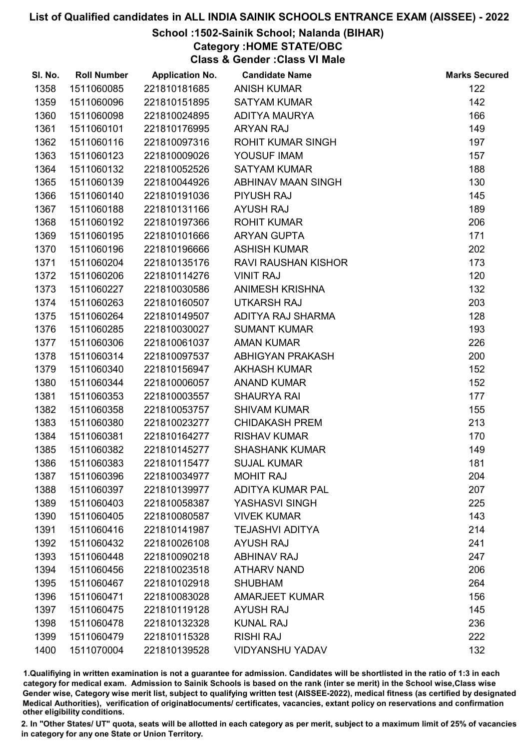#### School :1502-Sainik School; Nalanda (BIHAR)

Category :HOME STATE/OBC

Class & Gender :Class VI Male

| SI. No. | <b>Roll Number</b> | <b>Application No.</b> | <b>Candidate Name</b>      | <b>Marks Secured</b> |
|---------|--------------------|------------------------|----------------------------|----------------------|
| 1358    | 1511060085         | 221810181685           | <b>ANISH KUMAR</b>         | 122                  |
| 1359    | 1511060096         | 221810151895           | <b>SATYAM KUMAR</b>        | 142                  |
| 1360    | 1511060098         | 221810024895           | <b>ADITYA MAURYA</b>       | 166                  |
| 1361    | 1511060101         | 221810176995           | <b>ARYAN RAJ</b>           | 149                  |
| 1362    | 1511060116         | 221810097316           | <b>ROHIT KUMAR SINGH</b>   | 197                  |
| 1363    | 1511060123         | 221810009026           | YOUSUF IMAM                | 157                  |
| 1364    | 1511060132         | 221810052526           | <b>SATYAM KUMAR</b>        | 188                  |
| 1365    | 1511060139         | 221810044926           | ABHINAV MAAN SINGH         | 130                  |
| 1366    | 1511060140         | 221810191036           | <b>PIYUSH RAJ</b>          | 145                  |
| 1367    | 1511060188         | 221810131166           | <b>AYUSH RAJ</b>           | 189                  |
| 1368    | 1511060192         | 221810197366           | <b>ROHIT KUMAR</b>         | 206                  |
| 1369    | 1511060195         | 221810101666           | <b>ARYAN GUPTA</b>         | 171                  |
| 1370    | 1511060196         | 221810196666           | <b>ASHISH KUMAR</b>        | 202                  |
| 1371    | 1511060204         | 221810135176           | <b>RAVI RAUSHAN KISHOR</b> | 173                  |
| 1372    | 1511060206         | 221810114276           | <b>VINIT RAJ</b>           | 120                  |
| 1373    | 1511060227         | 221810030586           | <b>ANIMESH KRISHNA</b>     | 132                  |
| 1374    | 1511060263         | 221810160507           | <b>UTKARSH RAJ</b>         | 203                  |
| 1375    | 1511060264         | 221810149507           | ADITYA RAJ SHARMA          | 128                  |
| 1376    | 1511060285         | 221810030027           | <b>SUMANT KUMAR</b>        | 193                  |
| 1377    | 1511060306         | 221810061037           | <b>AMAN KUMAR</b>          | 226                  |
| 1378    | 1511060314         | 221810097537           | ABHIGYAN PRAKASH           | 200                  |
| 1379    | 1511060340         | 221810156947           | <b>AKHASH KUMAR</b>        | 152                  |
| 1380    | 1511060344         | 221810006057           | <b>ANAND KUMAR</b>         | 152                  |
| 1381    | 1511060353         | 221810003557           | <b>SHAURYA RAI</b>         | 177                  |
| 1382    | 1511060358         | 221810053757           | <b>SHIVAM KUMAR</b>        | 155                  |
| 1383    | 1511060380         | 221810023277           | <b>CHIDAKASH PREM</b>      | 213                  |
| 1384    | 1511060381         | 221810164277           | <b>RISHAV KUMAR</b>        | 170                  |
| 1385    | 1511060382         | 221810145277           | <b>SHASHANK KUMAR</b>      | 149                  |
| 1386    | 1511060383         | 221810115477           | <b>SUJAL KUMAR</b>         | 181                  |
| 1387    | 1511060396         | 221810034977           | <b>MOHIT RAJ</b>           | 204                  |
| 1388    | 1511060397         | 221810139977           | ADITYA KUMAR PAL           | 207                  |
| 1389    | 1511060403         | 221810058387           | YASHASVI SINGH             | 225                  |
| 1390    | 1511060405         | 221810080587           | <b>VIVEK KUMAR</b>         | 143                  |
| 1391    | 1511060416         | 221810141987           | <b>TEJASHVI ADITYA</b>     | 214                  |
| 1392    | 1511060432         | 221810026108           | <b>AYUSH RAJ</b>           | 241                  |
| 1393    | 1511060448         | 221810090218           | <b>ABHINAV RAJ</b>         | 247                  |
| 1394    | 1511060456         | 221810023518           | <b>ATHARV NAND</b>         | 206                  |
| 1395    | 1511060467         | 221810102918           | <b>SHUBHAM</b>             | 264                  |
| 1396    | 1511060471         | 221810083028           | <b>AMARJEET KUMAR</b>      | 156                  |
| 1397    | 1511060475         | 221810119128           | <b>AYUSH RAJ</b>           | 145                  |
| 1398    | 1511060478         | 221810132328           | <b>KUNAL RAJ</b>           | 236                  |
| 1399    | 1511060479         | 221810115328           | <b>RISHI RAJ</b>           | 222                  |
| 1400    | 1511070004         | 221810139528           | <b>VIDYANSHU YADAV</b>     | 132                  |

1.Qualifiying in written examination is not a guarantee for admission. Candidates will be shortlisted in the ratio of 1:3 in each category for medical exam. Admission to Sainik Schools is based on the rank (inter se merit) in the School wise,Class wise Gender wise, Category wise merit list, subject to qualifying written test (AISSEE-2022), medical fitness (as certified by designated Medical Authorities), verification of originablocuments/ certificates, vacancies, extant policy on reservations and confirmation other eligibility conditions.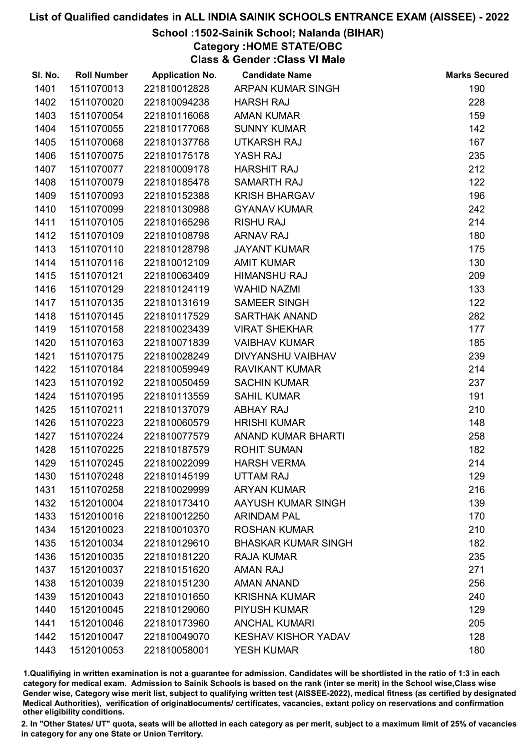## School :1502-Sainik School; Nalanda (BIHAR)

Category :HOME STATE/OBC

Class & Gender :Class VI Male

| SI. No. | <b>Roll Number</b> | <b>Application No.</b> | <b>Candidate Name</b>      | <b>Marks Secured</b> |
|---------|--------------------|------------------------|----------------------------|----------------------|
| 1401    | 1511070013         | 221810012828           | ARPAN KUMAR SINGH          | 190                  |
| 1402    | 1511070020         | 221810094238           | <b>HARSH RAJ</b>           | 228                  |
| 1403    | 1511070054         | 221810116068           | <b>AMAN KUMAR</b>          | 159                  |
| 1404    | 1511070055         | 221810177068           | <b>SUNNY KUMAR</b>         | 142                  |
| 1405    | 1511070068         | 221810137768           | UTKARSH RAJ                | 167                  |
| 1406    | 1511070075         | 221810175178           | YASH RAJ                   | 235                  |
| 1407    | 1511070077         | 221810009178           | <b>HARSHIT RAJ</b>         | 212                  |
| 1408    | 1511070079         | 221810185478           | <b>SAMARTH RAJ</b>         | 122                  |
| 1409    | 1511070093         | 221810152388           | <b>KRISH BHARGAV</b>       | 196                  |
| 1410    | 1511070099         | 221810130988           | <b>GYANAV KUMAR</b>        | 242                  |
| 1411    | 1511070105         | 221810165298           | <b>RISHU RAJ</b>           | 214                  |
| 1412    | 1511070109         | 221810108798           | <b>ARNAV RAJ</b>           | 180                  |
| 1413    | 1511070110         | 221810128798           | <b>JAYANT KUMAR</b>        | 175                  |
| 1414    | 1511070116         | 221810012109           | <b>AMIT KUMAR</b>          | 130                  |
| 1415    | 1511070121         | 221810063409           | <b>HIMANSHU RAJ</b>        | 209                  |
| 1416    | 1511070129         | 221810124119           | <b>WAHID NAZMI</b>         | 133                  |
| 1417    | 1511070135         | 221810131619           | <b>SAMEER SINGH</b>        | 122                  |
| 1418    | 1511070145         | 221810117529           | <b>SARTHAK ANAND</b>       | 282                  |
| 1419    | 1511070158         | 221810023439           | <b>VIRAT SHEKHAR</b>       | 177                  |
| 1420    | 1511070163         | 221810071839           | <b>VAIBHAV KUMAR</b>       | 185                  |
| 1421    | 1511070175         | 221810028249           | DIVYANSHU VAIBHAV          | 239                  |
| 1422    | 1511070184         | 221810059949           | <b>RAVIKANT KUMAR</b>      | 214                  |
| 1423    | 1511070192         | 221810050459           | <b>SACHIN KUMAR</b>        | 237                  |
| 1424    | 1511070195         | 221810113559           | <b>SAHIL KUMAR</b>         | 191                  |
| 1425    | 1511070211         | 221810137079           | <b>ABHAY RAJ</b>           | 210                  |
| 1426    | 1511070223         | 221810060579           | <b>HRISHI KUMAR</b>        | 148                  |
| 1427    | 1511070224         | 221810077579           | <b>ANAND KUMAR BHARTI</b>  | 258                  |
| 1428    | 1511070225         | 221810187579           | <b>ROHIT SUMAN</b>         | 182                  |
| 1429    | 1511070245         | 221810022099           | <b>HARSH VERMA</b>         | 214                  |
| 1430    | 1511070248         | 221810145199           | <b>UTTAM RAJ</b>           | 129                  |
| 1431    | 1511070258         | 221810029999           | <b>ARYAN KUMAR</b>         | 216                  |
| 1432    | 1512010004         | 221810173410           | AAYUSH KUMAR SINGH         | 139                  |
| 1433    | 1512010016         | 221810012250           | <b>ARINDAM PAL</b>         | 170                  |
| 1434    | 1512010023         | 221810010370           | <b>ROSHAN KUMAR</b>        | 210                  |
| 1435    | 1512010034         | 221810129610           | <b>BHASKAR KUMAR SINGH</b> | 182                  |
| 1436    | 1512010035         | 221810181220           | <b>RAJA KUMAR</b>          | 235                  |
| 1437    | 1512010037         | 221810151620           | <b>AMAN RAJ</b>            | 271                  |
| 1438    | 1512010039         | 221810151230           | <b>AMAN ANAND</b>          | 256                  |
| 1439    | 1512010043         | 221810101650           | <b>KRISHNA KUMAR</b>       | 240                  |
| 1440    | 1512010045         | 221810129060           | <b>PIYUSH KUMAR</b>        | 129                  |
| 1441    | 1512010046         | 221810173960           | <b>ANCHAL KUMARI</b>       | 205                  |
| 1442    | 1512010047         | 221810049070           | <b>KESHAV KISHOR YADAV</b> | 128                  |
| 1443    | 1512010053         | 221810058001           | <b>YESH KUMAR</b>          | 180                  |

1.Qualifiying in written examination is not a guarantee for admission. Candidates will be shortlisted in the ratio of 1:3 in each category for medical exam. Admission to Sainik Schools is based on the rank (inter se merit) in the School wise,Class wise Gender wise, Category wise merit list, subject to qualifying written test (AISSEE-2022), medical fitness (as certified by designated Medical Authorities), verification of originablocuments/ certificates, vacancies, extant policy on reservations and confirmation other eligibility conditions.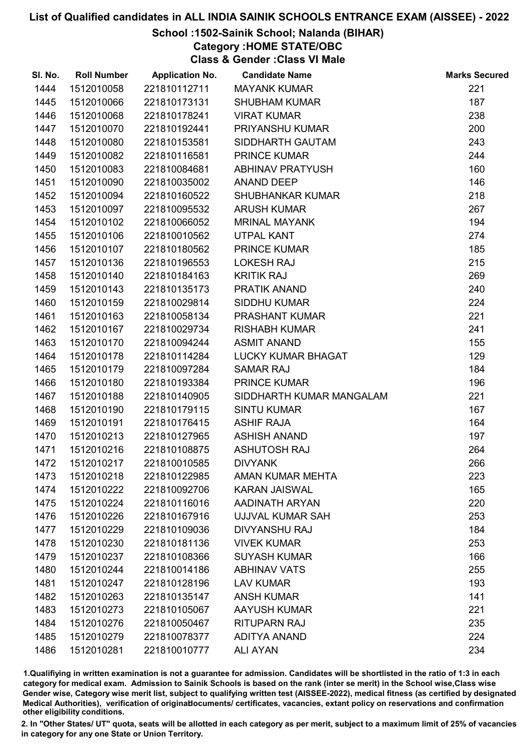# School :1502-Sainik School; Nalanda (BIHAR)

Category :HOME STATE/OBC

Class & Gender :Class VI Male

| SI. No. | <b>Roll Number</b> | <b>Application No.</b> | <b>Candidate Name</b>     | <b>Marks Secured</b> |
|---------|--------------------|------------------------|---------------------------|----------------------|
| 1444    | 1512010058         | 221810112711           | <b>MAYANK KUMAR</b>       | 221                  |
| 1445    | 1512010066         | 221810173131           | <b>SHUBHAM KUMAR</b>      | 187                  |
| 1446    | 1512010068         | 221810178241           | <b>VIRAT KUMAR</b>        | 238                  |
| 1447    | 1512010070         | 221810192441           | <b>PRIYANSHU KUMAR</b>    | 200                  |
| 1448    | 1512010080         | 221810153581           | SIDDHARTH GAUTAM          | 243                  |
| 1449    | 1512010082         | 221810116581           | <b>PRINCE KUMAR</b>       | 244                  |
| 1450    | 1512010083         | 221810084681           | <b>ABHINAV PRATYUSH</b>   | 160                  |
| 1451    | 1512010090         | 221810035002           | <b>ANAND DEEP</b>         | 146                  |
| 1452    | 1512010094         | 221810160522           | <b>SHUBHANKAR KUMAR</b>   | 218                  |
| 1453    | 1512010097         | 221810095532           | <b>ARUSH KUMAR</b>        | 267                  |
| 1454    | 1512010102         | 221810066052           | <b>MRINAL MAYANK</b>      | 194                  |
| 1455    | 1512010106         | 221810010562           | <b>UTPAL KANT</b>         | 274                  |
| 1456    | 1512010107         | 221810180562           | <b>PRINCE KUMAR</b>       | 185                  |
| 1457    | 1512010136         | 221810196553           | <b>LOKESH RAJ</b>         | 215                  |
| 1458    | 1512010140         | 221810184163           | <b>KRITIK RAJ</b>         | 269                  |
| 1459    | 1512010143         | 221810135173           | PRATIK ANAND              | 240                  |
| 1460    | 1512010159         | 221810029814           | <b>SIDDHU KUMAR</b>       | 224                  |
| 1461    | 1512010163         | 221810058134           | <b>PRASHANT KUMAR</b>     | 221                  |
| 1462    | 1512010167         | 221810029734           | <b>RISHABH KUMAR</b>      | 241                  |
| 1463    | 1512010170         | 221810094244           | <b>ASMIT ANAND</b>        | 155                  |
| 1464    | 1512010178         | 221810114284           | <b>LUCKY KUMAR BHAGAT</b> | 129                  |
| 1465    | 1512010179         | 221810097284           | <b>SAMAR RAJ</b>          | 184                  |
| 1466    | 1512010180         | 221810193384           | <b>PRINCE KUMAR</b>       | 196                  |
| 1467    | 1512010188         | 221810140905           | SIDDHARTH KUMAR MANGALAM  | 221                  |
| 1468    | 1512010190         | 221810179115           | <b>SINTU KUMAR</b>        | 167                  |
| 1469    | 1512010191         | 221810176415           | <b>ASHIF RAJA</b>         | 164                  |
| 1470    | 1512010213         | 221810127965           | <b>ASHISH ANAND</b>       | 197                  |
| 1471    | 1512010216         | 221810108875           | <b>ASHUTOSH RAJ</b>       | 264                  |
| 1472    | 1512010217         | 221810010585           | <b>DIVYANK</b>            | 266                  |
| 1473    | 1512010218         | 221810122985           | AMAN KUMAR MEHTA          | 223                  |
| 1474    | 1512010222         | 221810092706           | <b>KARAN JAISWAL</b>      | 165                  |
| 1475    | 1512010224         | 221810116016           | AADINATH ARYAN            | 220                  |
| 1476    | 1512010226         | 221810167916           | UJJVAL KUMAR SAH          | 253                  |
| 1477    | 1512010229         | 221810109036           | <b>DIVYANSHU RAJ</b>      | 184                  |
| 1478    | 1512010230         | 221810181136           | <b>VIVEK KUMAR</b>        | 253                  |
| 1479    | 1512010237         | 221810108366           | <b>SUYASH KUMAR</b>       | 166                  |
| 1480    | 1512010244         | 221810014186           | <b>ABHINAV VATS</b>       | 255                  |
| 1481    | 1512010247         | 221810128196           | <b>LAV KUMAR</b>          | 193                  |
| 1482    | 1512010263         | 221810135147           | <b>ANSH KUMAR</b>         | 141                  |
| 1483    | 1512010273         | 221810105067           | <b>AAYUSH KUMAR</b>       | 221                  |
| 1484    | 1512010276         | 221810050467           | <b>RITUPARN RAJ</b>       | 235                  |
| 1485    | 1512010279         | 221810078377           | <b>ADITYA ANAND</b>       | 224                  |
| 1486    | 1512010281         | 221810010777           | <b>ALI AYAN</b>           | 234                  |

1.Qualifiying in written examination is not a guarantee for admission. Candidates will be shortlisted in the ratio of 1:3 in each category for medical exam. Admission to Sainik Schools is based on the rank (inter se merit) in the School wise,Class wise Gender wise, Category wise merit list, subject to qualifying written test (AISSEE-2022), medical fitness (as certified by designated Medical Authorities), verification of originablocuments/ certificates, vacancies, extant policy on reservations and confirmation other eligibility conditions.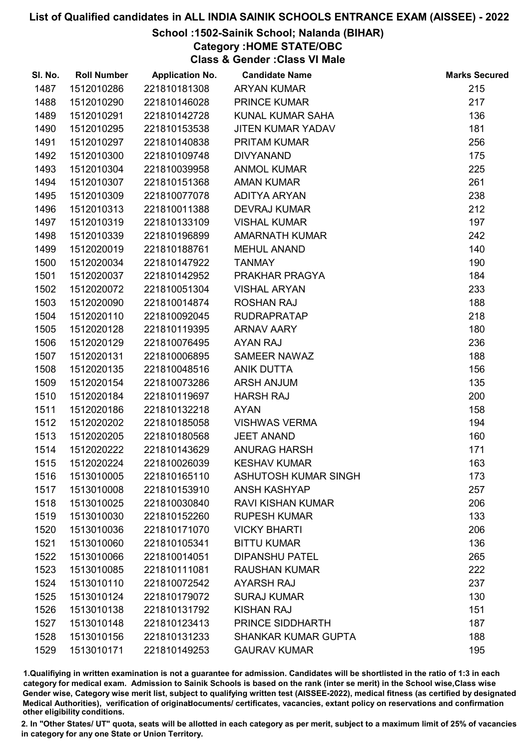## School :1502-Sainik School; Nalanda (BIHAR)

Category :HOME STATE/OBC

Class & Gender :Class VI Male

| SI. No. | <b>Roll Number</b> | <b>Application No.</b> | <b>Candidate Name</b>       | <b>Marks Secured</b> |
|---------|--------------------|------------------------|-----------------------------|----------------------|
| 1487    | 1512010286         | 221810181308           | <b>ARYAN KUMAR</b>          | 215                  |
| 1488    | 1512010290         | 221810146028           | <b>PRINCE KUMAR</b>         | 217                  |
| 1489    | 1512010291         | 221810142728           | KUNAL KUMAR SAHA            | 136                  |
| 1490    | 1512010295         | 221810153538           | <b>JITEN KUMAR YADAV</b>    | 181                  |
| 1491    | 1512010297         | 221810140838           | <b>PRITAM KUMAR</b>         | 256                  |
| 1492    | 1512010300         | 221810109748           | <b>DIVYANAND</b>            | 175                  |
| 1493    | 1512010304         | 221810039958           | <b>ANMOL KUMAR</b>          | 225                  |
| 1494    | 1512010307         | 221810151368           | <b>AMAN KUMAR</b>           | 261                  |
| 1495    | 1512010309         | 221810077078           | <b>ADITYA ARYAN</b>         | 238                  |
| 1496    | 1512010313         | 221810011388           | <b>DEVRAJ KUMAR</b>         | 212                  |
| 1497    | 1512010319         | 221810133109           | <b>VISHAL KUMAR</b>         | 197                  |
| 1498    | 1512010339         | 221810196899           | <b>AMARNATH KUMAR</b>       | 242                  |
| 1499    | 1512020019         | 221810188761           | <b>MEHUL ANAND</b>          | 140                  |
| 1500    | 1512020034         | 221810147922           | <b>TANMAY</b>               | 190                  |
| 1501    | 1512020037         | 221810142952           | PRAKHAR PRAGYA              | 184                  |
| 1502    | 1512020072         | 221810051304           | <b>VISHAL ARYAN</b>         | 233                  |
| 1503    | 1512020090         | 221810014874           | <b>ROSHAN RAJ</b>           | 188                  |
| 1504    | 1512020110         | 221810092045           | <b>RUDRAPRATAP</b>          | 218                  |
| 1505    | 1512020128         | 221810119395           | <b>ARNAV AARY</b>           | 180                  |
| 1506    | 1512020129         | 221810076495           | <b>AYAN RAJ</b>             | 236                  |
| 1507    | 1512020131         | 221810006895           | <b>SAMEER NAWAZ</b>         | 188                  |
| 1508    | 1512020135         | 221810048516           | <b>ANIK DUTTA</b>           | 156                  |
| 1509    | 1512020154         | 221810073286           | <b>ARSH ANJUM</b>           | 135                  |
| 1510    | 1512020184         | 221810119697           | <b>HARSH RAJ</b>            | 200                  |
| 1511    | 1512020186         | 221810132218           | <b>AYAN</b>                 | 158                  |
| 1512    | 1512020202         | 221810185058           | <b>VISHWAS VERMA</b>        | 194                  |
| 1513    | 1512020205         | 221810180568           | <b>JEET ANAND</b>           | 160                  |
| 1514    | 1512020222         | 221810143629           | <b>ANURAG HARSH</b>         | 171                  |
| 1515    | 1512020224         | 221810026039           | <b>KESHAV KUMAR</b>         | 163                  |
| 1516    | 1513010005         | 221810165110           | <b>ASHUTOSH KUMAR SINGH</b> | 173                  |
| 1517    | 1513010008         | 221810153910           | <b>ANSH KASHYAP</b>         | 257                  |
| 1518    | 1513010025         | 221810030840           | <b>RAVI KISHAN KUMAR</b>    | 206                  |
| 1519    | 1513010030         | 221810152260           | <b>RUPESH KUMAR</b>         | 133                  |
| 1520    | 1513010036         | 221810171070           | <b>VICKY BHARTI</b>         | 206                  |
| 1521    | 1513010060         | 221810105341           | <b>BITTU KUMAR</b>          | 136                  |
| 1522    | 1513010066         | 221810014051           | <b>DIPANSHU PATEL</b>       | 265                  |
| 1523    | 1513010085         | 221810111081           | <b>RAUSHAN KUMAR</b>        | 222                  |
| 1524    | 1513010110         | 221810072542           | <b>AYARSH RAJ</b>           | 237                  |
| 1525    | 1513010124         | 221810179072           | <b>SURAJ KUMAR</b>          | 130                  |
| 1526    | 1513010138         | 221810131792           | <b>KISHAN RAJ</b>           | 151                  |
| 1527    | 1513010148         | 221810123413           | PRINCE SIDDHARTH            | 187                  |
| 1528    | 1513010156         | 221810131233           | <b>SHANKAR KUMAR GUPTA</b>  | 188                  |
| 1529    | 1513010171         | 221810149253           | <b>GAURAV KUMAR</b>         | 195                  |

1.Qualifiying in written examination is not a guarantee for admission. Candidates will be shortlisted in the ratio of 1:3 in each category for medical exam. Admission to Sainik Schools is based on the rank (inter se merit) in the School wise,Class wise Gender wise, Category wise merit list, subject to qualifying written test (AISSEE-2022), medical fitness (as certified by designated Medical Authorities), verification of originablocuments/ certificates, vacancies, extant policy on reservations and confirmation other eligibility conditions.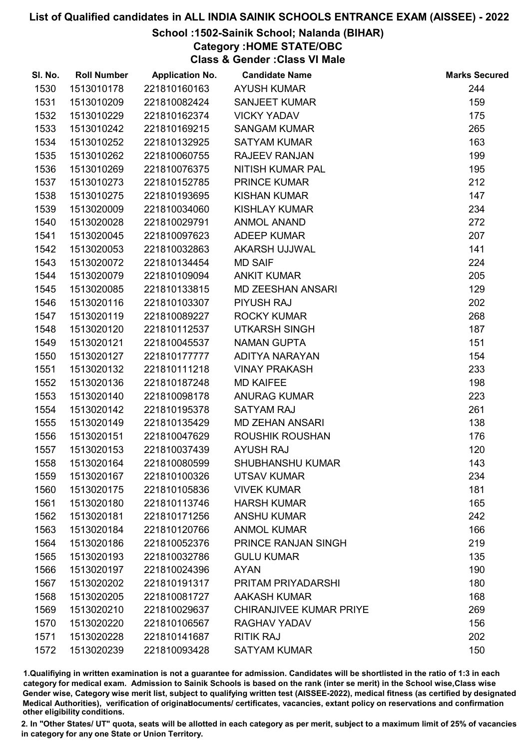### School :1502-Sainik School; Nalanda (BIHAR)

Category :HOME STATE/OBC

Class & Gender :Class VI Male

| SI. No. | <b>Roll Number</b> | <b>Application No.</b> | <b>Candidate Name</b>          | <b>Marks Secured</b> |
|---------|--------------------|------------------------|--------------------------------|----------------------|
| 1530    | 1513010178         | 221810160163           | <b>AYUSH KUMAR</b>             | 244                  |
| 1531    | 1513010209         | 221810082424           | <b>SANJEET KUMAR</b>           | 159                  |
| 1532    | 1513010229         | 221810162374           | <b>VICKY YADAV</b>             | 175                  |
| 1533    | 1513010242         | 221810169215           | <b>SANGAM KUMAR</b>            | 265                  |
| 1534    | 1513010252         | 221810132925           | <b>SATYAM KUMAR</b>            | 163                  |
| 1535    | 1513010262         | 221810060755           | <b>RAJEEV RANJAN</b>           | 199                  |
| 1536    | 1513010269         | 221810076375           | NITISH KUMAR PAL               | 195                  |
| 1537    | 1513010273         | 221810152785           | <b>PRINCE KUMAR</b>            | 212                  |
| 1538    | 1513010275         | 221810193695           | <b>KISHAN KUMAR</b>            | 147                  |
| 1539    | 1513020009         | 221810034060           | <b>KISHLAY KUMAR</b>           | 234                  |
| 1540    | 1513020028         | 221810029791           | <b>ANMOL ANAND</b>             | 272                  |
| 1541    | 1513020045         | 221810097623           | <b>ADEEP KUMAR</b>             | 207                  |
| 1542    | 1513020053         | 221810032863           | AKARSH UJJWAL                  | 141                  |
| 1543    | 1513020072         | 221810134454           | <b>MD SAIF</b>                 | 224                  |
| 1544    | 1513020079         | 221810109094           | <b>ANKIT KUMAR</b>             | 205                  |
| 1545    | 1513020085         | 221810133815           | <b>MD ZEESHAN ANSARI</b>       | 129                  |
| 1546    | 1513020116         | 221810103307           | <b>PIYUSH RAJ</b>              | 202                  |
| 1547    | 1513020119         | 221810089227           | <b>ROCKY KUMAR</b>             | 268                  |
| 1548    | 1513020120         | 221810112537           | <b>UTKARSH SINGH</b>           | 187                  |
| 1549    | 1513020121         | 221810045537           | <b>NAMAN GUPTA</b>             | 151                  |
| 1550    | 1513020127         | 221810177777           | ADITYA NARAYAN                 | 154                  |
| 1551    | 1513020132         | 221810111218           | <b>VINAY PRAKASH</b>           | 233                  |
| 1552    | 1513020136         | 221810187248           | <b>MD KAIFEE</b>               | 198                  |
| 1553    | 1513020140         | 221810098178           | <b>ANURAG KUMAR</b>            | 223                  |
| 1554    | 1513020142         | 221810195378           | <b>SATYAM RAJ</b>              | 261                  |
| 1555    | 1513020149         | 221810135429           | <b>MD ZEHAN ANSARI</b>         | 138                  |
| 1556    | 1513020151         | 221810047629           | <b>ROUSHIK ROUSHAN</b>         | 176                  |
| 1557    | 1513020153         | 221810037439           | <b>AYUSH RAJ</b>               | 120                  |
| 1558    | 1513020164         | 221810080599           | <b>SHUBHANSHU KUMAR</b>        | 143                  |
| 1559    | 1513020167         | 221810100326           | <b>UTSAV KUMAR</b>             | 234                  |
| 1560    | 1513020175         | 221810105836           | <b>VIVEK KUMAR</b>             | 181                  |
| 1561    | 1513020180         | 221810113746           | <b>HARSH KUMAR</b>             | 165                  |
| 1562    | 1513020181         | 221810171256           | <b>ANSHU KUMAR</b>             | 242                  |
| 1563    | 1513020184         | 221810120766           | <b>ANMOL KUMAR</b>             | 166                  |
| 1564    | 1513020186         | 221810052376           | <b>PRINCE RANJAN SINGH</b>     | 219                  |
| 1565    | 1513020193         | 221810032786           | <b>GULU KUMAR</b>              | 135                  |
| 1566    | 1513020197         | 221810024396           | <b>AYAN</b>                    | 190                  |
| 1567    | 1513020202         | 221810191317           | PRITAM PRIYADARSHI             | 180                  |
| 1568    | 1513020205         | 221810081727           | <b>AAKASH KUMAR</b>            | 168                  |
| 1569    | 1513020210         | 221810029637           | <b>CHIRANJIVEE KUMAR PRIYE</b> | 269                  |
| 1570    | 1513020220         | 221810106567           | RAGHAV YADAV                   | 156                  |
| 1571    | 1513020228         | 221810141687           | <b>RITIK RAJ</b>               | 202                  |
| 1572    | 1513020239         | 221810093428           | <b>SATYAM KUMAR</b>            | 150                  |

1.Qualifiying in written examination is not a guarantee for admission. Candidates will be shortlisted in the ratio of 1:3 in each category for medical exam. Admission to Sainik Schools is based on the rank (inter se merit) in the School wise,Class wise Gender wise, Category wise merit list, subject to qualifying written test (AISSEE-2022), medical fitness (as certified by designated Medical Authorities), verification of originablocuments/ certificates, vacancies, extant policy on reservations and confirmation other eligibility conditions.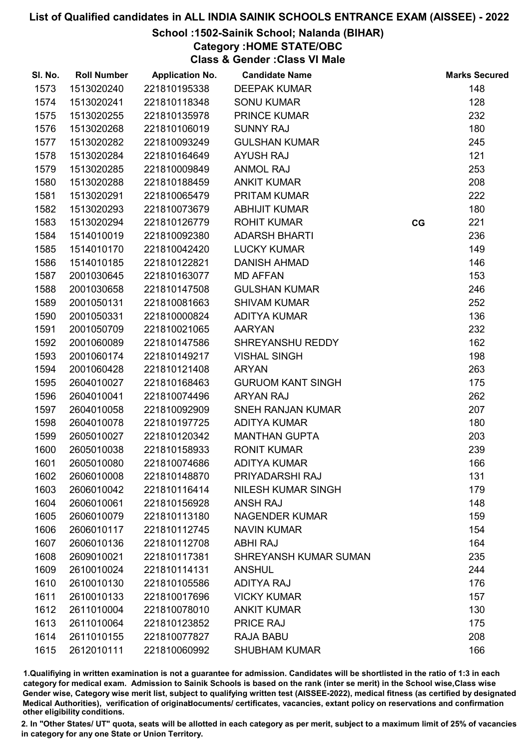## School :1502-Sainik School; Nalanda (BIHAR)

Category :HOME STATE/OBC

Class & Gender :Class VI Male

| SI. No. | <b>Roll Number</b> | <b>Application No.</b> | <b>Candidate Name</b>        |    | <b>Marks Secured</b> |
|---------|--------------------|------------------------|------------------------------|----|----------------------|
| 1573    | 1513020240         | 221810195338           | <b>DEEPAK KUMAR</b>          |    | 148                  |
| 1574    | 1513020241         | 221810118348           | <b>SONU KUMAR</b>            |    | 128                  |
| 1575    | 1513020255         | 221810135978           | <b>PRINCE KUMAR</b>          |    | 232                  |
| 1576    | 1513020268         | 221810106019           | <b>SUNNY RAJ</b>             |    | 180                  |
| 1577    | 1513020282         | 221810093249           | <b>GULSHAN KUMAR</b>         |    | 245                  |
| 1578    | 1513020284         | 221810164649           | <b>AYUSH RAJ</b>             |    | 121                  |
| 1579    | 1513020285         | 221810009849           | <b>ANMOL RAJ</b>             |    | 253                  |
| 1580    | 1513020288         | 221810188459           | <b>ANKIT KUMAR</b>           |    | 208                  |
| 1581    | 1513020291         | 221810065479           | <b>PRITAM KUMAR</b>          |    | 222                  |
| 1582    | 1513020293         | 221810073679           | <b>ABHIJIT KUMAR</b>         |    | 180                  |
| 1583    | 1513020294         | 221810126779           | <b>ROHIT KUMAR</b>           | CG | 221                  |
| 1584    | 1514010019         | 221810092380           | <b>ADARSH BHARTI</b>         |    | 236                  |
| 1585    | 1514010170         | 221810042420           | <b>LUCKY KUMAR</b>           |    | 149                  |
| 1586    | 1514010185         | 221810122821           | <b>DANISH AHMAD</b>          |    | 146                  |
| 1587    | 2001030645         | 221810163077           | <b>MD AFFAN</b>              |    | 153                  |
| 1588    | 2001030658         | 221810147508           | <b>GULSHAN KUMAR</b>         |    | 246                  |
| 1589    | 2001050131         | 221810081663           | <b>SHIVAM KUMAR</b>          |    | 252                  |
| 1590    | 2001050331         | 221810000824           | <b>ADITYA KUMAR</b>          |    | 136                  |
| 1591    | 2001050709         | 221810021065           | <b>AARYAN</b>                |    | 232                  |
| 1592    | 2001060089         | 221810147586           | SHREYANSHU REDDY             |    | 162                  |
| 1593    | 2001060174         | 221810149217           | <b>VISHAL SINGH</b>          |    | 198                  |
| 1594    | 2001060428         | 221810121408           | <b>ARYAN</b>                 |    | 263                  |
| 1595    | 2604010027         | 221810168463           | <b>GURUOM KANT SINGH</b>     |    | 175                  |
| 1596    | 2604010041         | 221810074496           | <b>ARYAN RAJ</b>             |    | 262                  |
| 1597    | 2604010058         | 221810092909           | <b>SNEH RANJAN KUMAR</b>     |    | 207                  |
| 1598    | 2604010078         | 221810197725           | <b>ADITYA KUMAR</b>          |    | 180                  |
| 1599    | 2605010027         | 221810120342           | <b>MANTHAN GUPTA</b>         |    | 203                  |
| 1600    | 2605010038         | 221810158933           | <b>RONIT KUMAR</b>           |    | 239                  |
| 1601    | 2605010080         | 221810074686           | <b>ADITYA KUMAR</b>          |    | 166                  |
| 1602    | 2606010008         | 221810148870           | PRIYADARSHI RAJ              |    | 131                  |
| 1603    | 2606010042         | 221810116414           | <b>NILESH KUMAR SINGH</b>    |    | 179                  |
| 1604    | 2606010061         | 221810156928           | <b>ANSH RAJ</b>              |    | 148                  |
| 1605    | 2606010079         | 221810113180           | <b>NAGENDER KUMAR</b>        |    | 159                  |
| 1606    | 2606010117         | 221810112745           | <b>NAVIN KUMAR</b>           |    | 154                  |
| 1607    | 2606010136         | 221810112708           | <b>ABHI RAJ</b>              |    | 164                  |
| 1608    | 2609010021         | 221810117381           | <b>SHREYANSH KUMAR SUMAN</b> |    | 235                  |
| 1609    | 2610010024         | 221810114131           | <b>ANSHUL</b>                |    | 244                  |
| 1610    | 2610010130         | 221810105586           | <b>ADITYA RAJ</b>            |    | 176                  |
| 1611    | 2610010133         | 221810017696           | <b>VICKY KUMAR</b>           |    | 157                  |
| 1612    | 2611010004         | 221810078010           | <b>ANKIT KUMAR</b>           |    | 130                  |
| 1613    | 2611010064         | 221810123852           | PRICE RAJ                    |    | 175                  |
| 1614    | 2611010155         | 221810077827           | <b>RAJA BABU</b>             |    | 208                  |
| 1615    | 2612010111         | 221810060992           | <b>SHUBHAM KUMAR</b>         |    | 166                  |

1.Qualifiying in written examination is not a guarantee for admission. Candidates will be shortlisted in the ratio of 1:3 in each category for medical exam. Admission to Sainik Schools is based on the rank (inter se merit) in the School wise,Class wise Gender wise, Category wise merit list, subject to qualifying written test (AISSEE-2022), medical fitness (as certified by designated Medical Authorities), verification of originablocuments/ certificates, vacancies, extant policy on reservations and confirmation other eligibility conditions.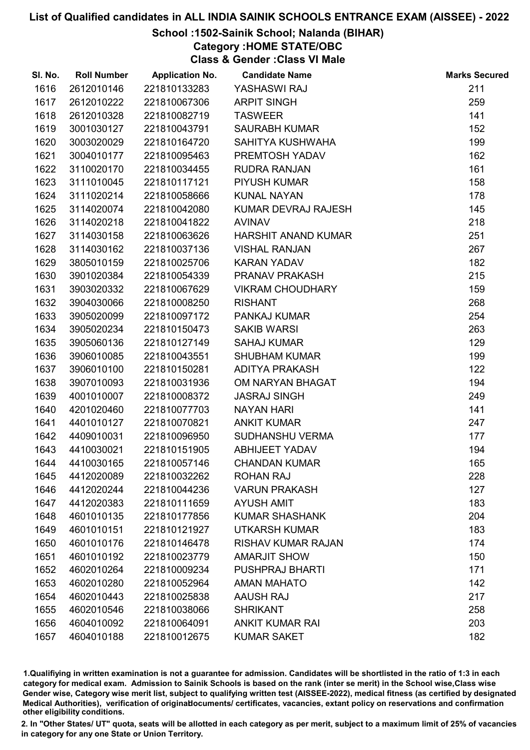## School :1502-Sainik School; Nalanda (BIHAR)

Category :HOME STATE/OBC

Class & Gender :Class VI Male

| SI. No. | <b>Roll Number</b> | <b>Application No.</b> | <b>Candidate Name</b>      | <b>Marks Secured</b> |
|---------|--------------------|------------------------|----------------------------|----------------------|
| 1616    | 2612010146         | 221810133283           | YASHASWI RAJ               | 211                  |
| 1617    | 2612010222         | 221810067306           | <b>ARPIT SINGH</b>         | 259                  |
| 1618    | 2612010328         | 221810082719           | <b>TASWEER</b>             | 141                  |
| 1619    | 3001030127         | 221810043791           | <b>SAURABH KUMAR</b>       | 152                  |
| 1620    | 3003020029         | 221810164720           | SAHITYA KUSHWAHA           | 199                  |
| 1621    | 3004010177         | 221810095463           | PREMTOSH YADAV             | 162                  |
| 1622    | 3110020170         | 221810034455           | <b>RUDRA RANJAN</b>        | 161                  |
| 1623    | 3111010045         | 221810117121           | <b>PIYUSH KUMAR</b>        | 158                  |
| 1624    | 3111020214         | 221810058666           | <b>KUNAL NAYAN</b>         | 178                  |
| 1625    | 3114020074         | 221810042080           | KUMAR DEVRAJ RAJESH        | 145                  |
| 1626    | 3114020218         | 221810041822           | <b>AVINAV</b>              | 218                  |
| 1627    | 3114030158         | 221810063626           | <b>HARSHIT ANAND KUMAR</b> | 251                  |
| 1628    | 3114030162         | 221810037136           | <b>VISHAL RANJAN</b>       | 267                  |
| 1629    | 3805010159         | 221810025706           | <b>KARAN YADAV</b>         | 182                  |
| 1630    | 3901020384         | 221810054339           | PRANAV PRAKASH             | 215                  |
| 1631    | 3903020332         | 221810067629           | <b>VIKRAM CHOUDHARY</b>    | 159                  |
| 1632    | 3904030066         | 221810008250           | <b>RISHANT</b>             | 268                  |
| 1633    | 3905020099         | 221810097172           | <b>PANKAJ KUMAR</b>        | 254                  |
| 1634    | 3905020234         | 221810150473           | <b>SAKIB WARSI</b>         | 263                  |
| 1635    | 3905060136         | 221810127149           | <b>SAHAJ KUMAR</b>         | 129                  |
| 1636    | 3906010085         | 221810043551           | <b>SHUBHAM KUMAR</b>       | 199                  |
| 1637    | 3906010100         | 221810150281           | <b>ADITYA PRAKASH</b>      | 122                  |
| 1638    | 3907010093         | 221810031936           | OM NARYAN BHAGAT           | 194                  |
| 1639    | 4001010007         | 221810008372           | <b>JASRAJ SINGH</b>        | 249                  |
| 1640    | 4201020460         | 221810077703           | <b>NAYAN HARI</b>          | 141                  |
| 1641    | 4401010127         | 221810070821           | <b>ANKIT KUMAR</b>         | 247                  |
| 1642    | 4409010031         | 221810096950           | SUDHANSHU VERMA            | 177                  |
| 1643    | 4410030021         | 221810151905           | <b>ABHIJEET YADAV</b>      | 194                  |
| 1644    | 4410030165         | 221810057146           | <b>CHANDAN KUMAR</b>       | 165                  |
| 1645    | 4412020089         | 221810032262           | <b>ROHAN RAJ</b>           | 228                  |
| 1646    | 4412020244         | 221810044236           | <b>VARUN PRAKASH</b>       | 127                  |
| 1647    | 4412020383         | 221810111659           | <b>AYUSH AMIT</b>          | 183                  |
| 1648    | 4601010135         | 221810177856           | <b>KUMAR SHASHANK</b>      | 204                  |
| 1649    | 4601010151         | 221810121927           | <b>UTKARSH KUMAR</b>       | 183                  |
| 1650    | 4601010176         | 221810146478           | <b>RISHAV KUMAR RAJAN</b>  | 174                  |
| 1651    | 4601010192         | 221810023779           | <b>AMARJIT SHOW</b>        | 150                  |
| 1652    | 4602010264         | 221810009234           | <b>PUSHPRAJ BHARTI</b>     | 171                  |
| 1653    | 4602010280         | 221810052964           | <b>AMAN MAHATO</b>         | 142                  |
| 1654    | 4602010443         | 221810025838           | <b>AAUSH RAJ</b>           | 217                  |
| 1655    | 4602010546         | 221810038066           | <b>SHRIKANT</b>            | 258                  |
| 1656    | 4604010092         | 221810064091           | <b>ANKIT KUMAR RAI</b>     | 203                  |
| 1657    | 4604010188         | 221810012675           | <b>KUMAR SAKET</b>         | 182                  |

1.Qualifiying in written examination is not a guarantee for admission. Candidates will be shortlisted in the ratio of 1:3 in each category for medical exam. Admission to Sainik Schools is based on the rank (inter se merit) in the School wise,Class wise Gender wise, Category wise merit list, subject to qualifying written test (AISSEE-2022), medical fitness (as certified by designated Medical Authorities), verification of originablocuments/ certificates, vacancies, extant policy on reservations and confirmation other eligibility conditions.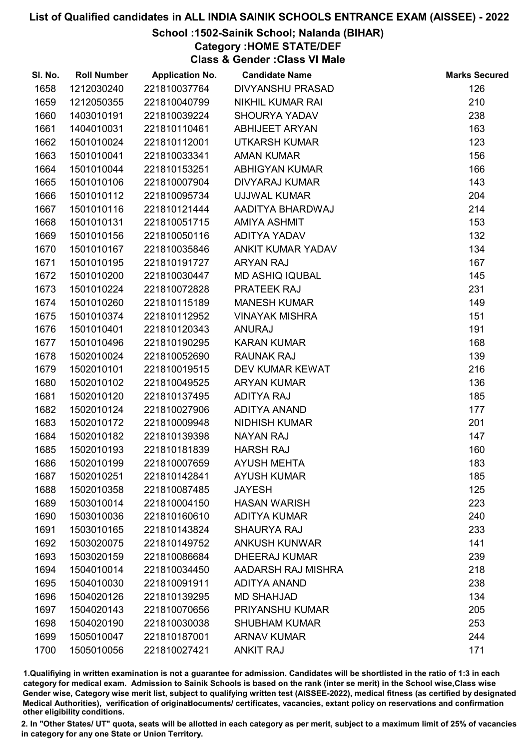### School :1502-Sainik School; Nalanda (BIHAR)

Category :HOME STATE/DEF

Class & Gender :Class VI Male

| SI. No. | <b>Roll Number</b> | <b>Application No.</b> | <b>Candidate Name</b>   | <b>Marks Secured</b> |
|---------|--------------------|------------------------|-------------------------|----------------------|
| 1658    | 1212030240         | 221810037764           | <b>DIVYANSHU PRASAD</b> | 126                  |
| 1659    | 1212050355         | 221810040799           | <b>NIKHIL KUMAR RAI</b> | 210                  |
| 1660    | 1403010191         | 221810039224           | <b>SHOURYA YADAV</b>    | 238                  |
| 1661    | 1404010031         | 221810110461           | <b>ABHIJEET ARYAN</b>   | 163                  |
| 1662    | 1501010024         | 221810112001           | <b>UTKARSH KUMAR</b>    | 123                  |
| 1663    | 1501010041         | 221810033341           | <b>AMAN KUMAR</b>       | 156                  |
| 1664    | 1501010044         | 221810153251           | <b>ABHIGYAN KUMAR</b>   | 166                  |
| 1665    | 1501010106         | 221810007904           | <b>DIVYARAJ KUMAR</b>   | 143                  |
| 1666    | 1501010112         | 221810095734           | <b>UJJWAL KUMAR</b>     | 204                  |
| 1667    | 1501010116         | 221810121444           | AADITYA BHARDWAJ        | 214                  |
| 1668    | 1501010131         | 221810051715           | AMIYA ASHMIT            | 153                  |
| 1669    | 1501010156         | 221810050116           | <b>ADITYA YADAV</b>     | 132                  |
| 1670    | 1501010167         | 221810035846           | ANKIT KUMAR YADAV       | 134                  |
| 1671    | 1501010195         | 221810191727           | <b>ARYAN RAJ</b>        | 167                  |
| 1672    | 1501010200         | 221810030447           | <b>MD ASHIQ IQUBAL</b>  | 145                  |
| 1673    | 1501010224         | 221810072828           | PRATEEK RAJ             | 231                  |
| 1674    | 1501010260         | 221810115189           | <b>MANESH KUMAR</b>     | 149                  |
| 1675    | 1501010374         | 221810112952           | <b>VINAYAK MISHRA</b>   | 151                  |
| 1676    | 1501010401         | 221810120343           | <b>ANURAJ</b>           | 191                  |
| 1677    | 1501010496         | 221810190295           | <b>KARAN KUMAR</b>      | 168                  |
| 1678    | 1502010024         | 221810052690           | <b>RAUNAK RAJ</b>       | 139                  |
| 1679    | 1502010101         | 221810019515           | DEV KUMAR KEWAT         | 216                  |
| 1680    | 1502010102         | 221810049525           | <b>ARYAN KUMAR</b>      | 136                  |
| 1681    | 1502010120         | 221810137495           | <b>ADITYA RAJ</b>       | 185                  |
| 1682    | 1502010124         | 221810027906           | <b>ADITYA ANAND</b>     | 177                  |
| 1683    | 1502010172         | 221810009948           | <b>NIDHISH KUMAR</b>    | 201                  |
| 1684    | 1502010182         | 221810139398           | <b>NAYAN RAJ</b>        | 147                  |
| 1685    | 1502010193         | 221810181839           | <b>HARSH RAJ</b>        | 160                  |
| 1686    | 1502010199         | 221810007659           | <b>AYUSH MEHTA</b>      | 183                  |
| 1687    | 1502010251         | 221810142841           | <b>AYUSH KUMAR</b>      | 185                  |
| 1688    | 1502010358         | 221810087485           | <b>JAYESH</b>           | 125                  |
| 1689    | 1503010014         | 221810004150           | <b>HASAN WARISH</b>     | 223                  |
| 1690    | 1503010036         | 221810160610           | <b>ADITYA KUMAR</b>     | 240                  |
| 1691    | 1503010165         | 221810143824           | <b>SHAURYA RAJ</b>      | 233                  |
| 1692    | 1503020075         | 221810149752           | <b>ANKUSH KUNWAR</b>    | 141                  |
| 1693    | 1503020159         | 221810086684           | <b>DHEERAJ KUMAR</b>    | 239                  |
| 1694    | 1504010014         | 221810034450           | AADARSH RAJ MISHRA      | 218                  |
| 1695    | 1504010030         | 221810091911           | <b>ADITYA ANAND</b>     | 238                  |
| 1696    | 1504020126         | 221810139295           | <b>MD SHAHJAD</b>       | 134                  |
| 1697    | 1504020143         | 221810070656           | PRIYANSHU KUMAR         | 205                  |
| 1698    | 1504020190         | 221810030038           | <b>SHUBHAM KUMAR</b>    | 253                  |
| 1699    | 1505010047         | 221810187001           | <b>ARNAV KUMAR</b>      | 244                  |
| 1700    | 1505010056         | 221810027421           | <b>ANKIT RAJ</b>        | 171                  |

1.Qualifiying in written examination is not a guarantee for admission. Candidates will be shortlisted in the ratio of 1:3 in each category for medical exam. Admission to Sainik Schools is based on the rank (inter se merit) in the School wise,Class wise Gender wise, Category wise merit list, subject to qualifying written test (AISSEE-2022), medical fitness (as certified by designated Medical Authorities), verification of originablocuments/ certificates, vacancies, extant policy on reservations and confirmation other eligibility conditions.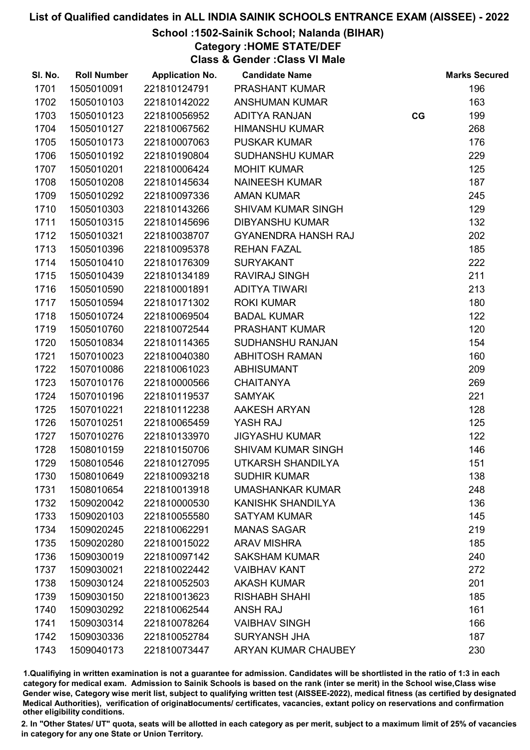## School :1502-Sainik School; Nalanda (BIHAR)

Category :HOME STATE/DEF

Class & Gender :Class VI Male

| SI. No. | <b>Roll Number</b> | <b>Application No.</b> | <b>Candidate Name</b>      |    | <b>Marks Secured</b> |
|---------|--------------------|------------------------|----------------------------|----|----------------------|
| 1701    | 1505010091         | 221810124791           | <b>PRASHANT KUMAR</b>      |    | 196                  |
| 1702    | 1505010103         | 221810142022           | <b>ANSHUMAN KUMAR</b>      |    | 163                  |
| 1703    | 1505010123         | 221810056952           | <b>ADITYA RANJAN</b>       | CG | 199                  |
| 1704    | 1505010127         | 221810067562           | <b>HIMANSHU KUMAR</b>      |    | 268                  |
| 1705    | 1505010173         | 221810007063           | <b>PUSKAR KUMAR</b>        |    | 176                  |
| 1706    | 1505010192         | 221810190804           | <b>SUDHANSHU KUMAR</b>     |    | 229                  |
| 1707    | 1505010201         | 221810006424           | <b>MOHIT KUMAR</b>         |    | 125                  |
| 1708    | 1505010208         | 221810145634           | <b>NAINEESH KUMAR</b>      |    | 187                  |
| 1709    | 1505010292         | 221810097336           | <b>AMAN KUMAR</b>          |    | 245                  |
| 1710    | 1505010303         | 221810143266           | <b>SHIVAM KUMAR SINGH</b>  |    | 129                  |
| 1711    | 1505010315         | 221810145696           | <b>DIBYANSHU KUMAR</b>     |    | 132                  |
| 1712    | 1505010321         | 221810038707           | <b>GYANENDRA HANSH RAJ</b> |    | 202                  |
| 1713    | 1505010396         | 221810095378           | <b>REHAN FAZAL</b>         |    | 185                  |
| 1714    | 1505010410         | 221810176309           | <b>SURYAKANT</b>           |    | 222                  |
| 1715    | 1505010439         | 221810134189           | <b>RAVIRAJ SINGH</b>       |    | 211                  |
| 1716    | 1505010590         | 221810001891           | <b>ADITYA TIWARI</b>       |    | 213                  |
| 1717    | 1505010594         | 221810171302           | <b>ROKI KUMAR</b>          |    | 180                  |
| 1718    | 1505010724         | 221810069504           | <b>BADAL KUMAR</b>         |    | 122                  |
| 1719    | 1505010760         | 221810072544           | PRASHANT KUMAR             |    | 120                  |
| 1720    | 1505010834         | 221810114365           | SUDHANSHU RANJAN           |    | 154                  |
| 1721    | 1507010023         | 221810040380           | <b>ABHITOSH RAMAN</b>      |    | 160                  |
| 1722    | 1507010086         | 221810061023           | <b>ABHISUMANT</b>          |    | 209                  |
| 1723    | 1507010176         | 221810000566           | <b>CHAITANYA</b>           |    | 269                  |
| 1724    | 1507010196         | 221810119537           | <b>SAMYAK</b>              |    | 221                  |
| 1725    | 1507010221         | 221810112238           | AAKESH ARYAN               |    | 128                  |
| 1726    | 1507010251         | 221810065459           | YASH RAJ                   |    | 125                  |
| 1727    | 1507010276         | 221810133970           | <b>JIGYASHU KUMAR</b>      |    | 122                  |
| 1728    | 1508010159         | 221810150706           | <b>SHIVAM KUMAR SINGH</b>  |    | 146                  |
| 1729    | 1508010546         | 221810127095           | UTKARSH SHANDILYA          |    | 151                  |
| 1730    | 1508010649         | 221810093218           | <b>SUDHIR KUMAR</b>        |    | 138                  |
| 1731    | 1508010654         | 221810013918           | <b>UMASHANKAR KUMAR</b>    |    | 248                  |
| 1732    | 1509020042         | 221810000530           | KANISHK SHANDILYA          |    | 136                  |
| 1733    | 1509020103         | 221810055580           | <b>SATYAM KUMAR</b>        |    | 145                  |
| 1734    | 1509020245         | 221810062291           | <b>MANAS SAGAR</b>         |    | 219                  |
| 1735    | 1509020280         | 221810015022           | <b>ARAV MISHRA</b>         |    | 185                  |
| 1736    | 1509030019         | 221810097142           | <b>SAKSHAM KUMAR</b>       |    | 240                  |
| 1737    | 1509030021         | 221810022442           | <b>VAIBHAV KANT</b>        |    | 272                  |
| 1738    | 1509030124         | 221810052503           | <b>AKASH KUMAR</b>         |    | 201                  |
| 1739    | 1509030150         | 221810013623           | <b>RISHABH SHAHI</b>       |    | 185                  |
| 1740    | 1509030292         | 221810062544           | <b>ANSH RAJ</b>            |    | 161                  |
| 1741    | 1509030314         | 221810078264           | <b>VAIBHAV SINGH</b>       |    | 166                  |
| 1742    | 1509030336         | 221810052784           | <b>SURYANSH JHA</b>        |    | 187                  |
| 1743    | 1509040173         | 221810073447           | ARYAN KUMAR CHAUBEY        |    | 230                  |

1.Qualifiying in written examination is not a guarantee for admission. Candidates will be shortlisted in the ratio of 1:3 in each category for medical exam. Admission to Sainik Schools is based on the rank (inter se merit) in the School wise,Class wise Gender wise, Category wise merit list, subject to qualifying written test (AISSEE-2022), medical fitness (as certified by designated Medical Authorities), verification of originablocuments/ certificates, vacancies, extant policy on reservations and confirmation other eligibility conditions.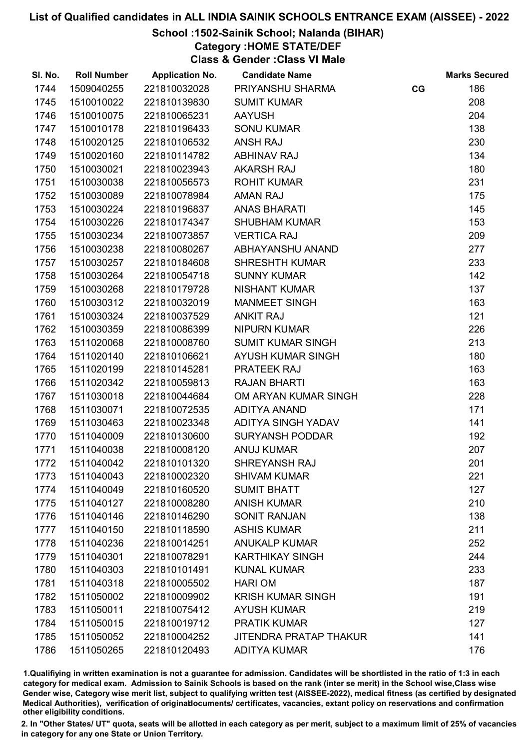## School :1502-Sainik School; Nalanda (BIHAR)

Category :HOME STATE/DEF

Class & Gender :Class VI Male

| SI. No. | <b>Roll Number</b> | <b>Application No.</b> | <b>Candidate Name</b>         |    | <b>Marks Secured</b> |
|---------|--------------------|------------------------|-------------------------------|----|----------------------|
| 1744    | 1509040255         | 221810032028           | PRIYANSHU SHARMA              | CG | 186                  |
| 1745    | 1510010022         | 221810139830           | <b>SUMIT KUMAR</b>            |    | 208                  |
| 1746    | 1510010075         | 221810065231           | <b>AAYUSH</b>                 |    | 204                  |
| 1747    | 1510010178         | 221810196433           | <b>SONU KUMAR</b>             |    | 138                  |
| 1748    | 1510020125         | 221810106532           | <b>ANSH RAJ</b>               |    | 230                  |
| 1749    | 1510020160         | 221810114782           | <b>ABHINAV RAJ</b>            |    | 134                  |
| 1750    | 1510030021         | 221810023943           | <b>AKARSH RAJ</b>             |    | 180                  |
| 1751    | 1510030038         | 221810056573           | <b>ROHIT KUMAR</b>            |    | 231                  |
| 1752    | 1510030089         | 221810078984           | <b>AMAN RAJ</b>               |    | 175                  |
| 1753    | 1510030224         | 221810196837           | <b>ANAS BHARATI</b>           |    | 145                  |
| 1754    | 1510030226         | 221810174347           | <b>SHUBHAM KUMAR</b>          |    | 153                  |
| 1755    | 1510030234         | 221810073857           | <b>VERTICA RAJ</b>            |    | 209                  |
| 1756    | 1510030238         | 221810080267           | ABHAYANSHU ANAND              |    | 277                  |
| 1757    | 1510030257         | 221810184608           | <b>SHRESHTH KUMAR</b>         |    | 233                  |
| 1758    | 1510030264         | 221810054718           | <b>SUNNY KUMAR</b>            |    | 142                  |
| 1759    | 1510030268         | 221810179728           | <b>NISHANT KUMAR</b>          |    | 137                  |
| 1760    | 1510030312         | 221810032019           | <b>MANMEET SINGH</b>          |    | 163                  |
| 1761    | 1510030324         | 221810037529           | <b>ANKIT RAJ</b>              |    | 121                  |
| 1762    | 1510030359         | 221810086399           | <b>NIPURN KUMAR</b>           |    | 226                  |
| 1763    | 1511020068         | 221810008760           | <b>SUMIT KUMAR SINGH</b>      |    | 213                  |
| 1764    | 1511020140         | 221810106621           | AYUSH KUMAR SINGH             |    | 180                  |
| 1765    | 1511020199         | 221810145281           | PRATEEK RAJ                   |    | 163                  |
| 1766    | 1511020342         | 221810059813           | <b>RAJAN BHARTI</b>           |    | 163                  |
| 1767    | 1511030018         | 221810044684           | OM ARYAN KUMAR SINGH          |    | 228                  |
| 1768    | 1511030071         | 221810072535           | <b>ADITYA ANAND</b>           |    | 171                  |
| 1769    | 1511030463         | 221810023348           | ADITYA SINGH YADAV            |    | 141                  |
| 1770    | 1511040009         | 221810130600           | <b>SURYANSH PODDAR</b>        |    | 192                  |
| 1771    | 1511040038         | 221810008120           | <b>ANUJ KUMAR</b>             |    | 207                  |
| 1772    | 1511040042         | 221810101320           | SHREYANSH RAJ                 |    | 201                  |
| 1773    | 1511040043         | 221810002320           | <b>SHIVAM KUMAR</b>           |    | 221                  |
| 1774    | 1511040049         | 221810160520           | <b>SUMIT BHATT</b>            |    | 127                  |
| 1775    | 1511040127         | 221810008280           | <b>ANISH KUMAR</b>            |    | 210                  |
| 1776    | 1511040146         | 221810146290           | <b>SONIT RANJAN</b>           |    | 138                  |
| 1777    | 1511040150         | 221810118590           | <b>ASHIS KUMAR</b>            |    | 211                  |
| 1778    | 1511040236         | 221810014251           | <b>ANUKALP KUMAR</b>          |    | 252                  |
| 1779    | 1511040301         | 221810078291           | <b>KARTHIKAY SINGH</b>        |    | 244                  |
| 1780    | 1511040303         | 221810101491           | <b>KUNAL KUMAR</b>            |    | 233                  |
| 1781    | 1511040318         | 221810005502           | <b>HARI OM</b>                |    | 187                  |
| 1782    | 1511050002         | 221810009902           | <b>KRISH KUMAR SINGH</b>      |    | 191                  |
| 1783    | 1511050011         | 221810075412           | <b>AYUSH KUMAR</b>            |    | 219                  |
| 1784    | 1511050015         | 221810019712           | <b>PRATIK KUMAR</b>           |    | 127                  |
| 1785    | 1511050052         | 221810004252           | <b>JITENDRA PRATAP THAKUR</b> |    | 141                  |
| 1786    | 1511050265         | 221810120493           | <b>ADITYA KUMAR</b>           |    | 176                  |

1.Qualifiying in written examination is not a guarantee for admission. Candidates will be shortlisted in the ratio of 1:3 in each category for medical exam. Admission to Sainik Schools is based on the rank (inter se merit) in the School wise,Class wise Gender wise, Category wise merit list, subject to qualifying written test (AISSEE-2022), medical fitness (as certified by designated Medical Authorities), verification of originablocuments/ certificates, vacancies, extant policy on reservations and confirmation other eligibility conditions.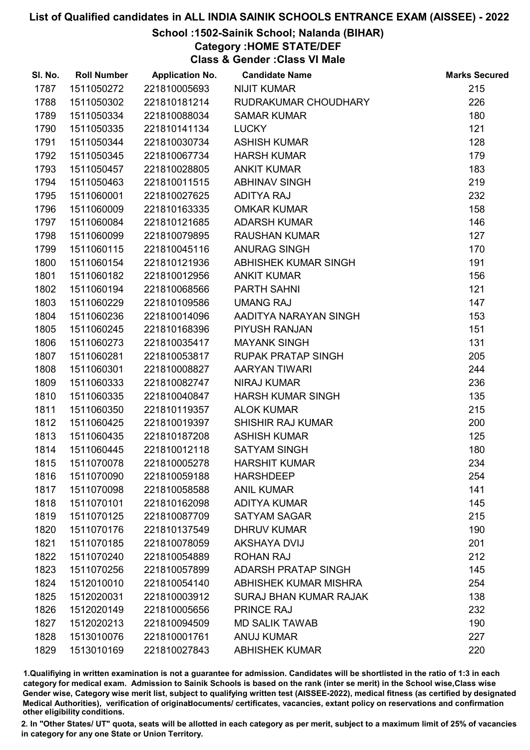## School :1502-Sainik School; Nalanda (BIHAR)

Category :HOME STATE/DEF

Class & Gender :Class VI Male

| SI. No. | <b>Roll Number</b> | <b>Application No.</b> | <b>Candidate Name</b>         | <b>Marks Secured</b> |
|---------|--------------------|------------------------|-------------------------------|----------------------|
| 1787    | 1511050272         | 221810005693           | <b>NIJIT KUMAR</b>            | 215                  |
| 1788    | 1511050302         | 221810181214           | RUDRAKUMAR CHOUDHARY          | 226                  |
| 1789    | 1511050334         | 221810088034           | <b>SAMAR KUMAR</b>            | 180                  |
| 1790    | 1511050335         | 221810141134           | <b>LUCKY</b>                  | 121                  |
| 1791    | 1511050344         | 221810030734           | <b>ASHISH KUMAR</b>           | 128                  |
| 1792    | 1511050345         | 221810067734           | <b>HARSH KUMAR</b>            | 179                  |
| 1793    | 1511050457         | 221810028805           | <b>ANKIT KUMAR</b>            | 183                  |
| 1794    | 1511050463         | 221810011515           | <b>ABHINAV SINGH</b>          | 219                  |
| 1795    | 1511060001         | 221810027625           | <b>ADITYA RAJ</b>             | 232                  |
| 1796    | 1511060009         | 221810163335           | <b>OMKAR KUMAR</b>            | 158                  |
| 1797    | 1511060084         | 221810121685           | <b>ADARSH KUMAR</b>           | 146                  |
| 1798    | 1511060099         | 221810079895           | <b>RAUSHAN KUMAR</b>          | 127                  |
| 1799    | 1511060115         | 221810045116           | ANURAG SINGH                  | 170                  |
| 1800    | 1511060154         | 221810121936           | ABHISHEK KUMAR SINGH          | 191                  |
| 1801    | 1511060182         | 221810012956           | <b>ANKIT KUMAR</b>            | 156                  |
| 1802    | 1511060194         | 221810068566           | <b>PARTH SAHNI</b>            | 121                  |
| 1803    | 1511060229         | 221810109586           | <b>UMANG RAJ</b>              | 147                  |
| 1804    | 1511060236         | 221810014096           | AADITYA NARAYAN SINGH         | 153                  |
| 1805    | 1511060245         | 221810168396           | PIYUSH RANJAN                 | 151                  |
| 1806    | 1511060273         | 221810035417           | <b>MAYANK SINGH</b>           | 131                  |
| 1807    | 1511060281         | 221810053817           | <b>RUPAK PRATAP SINGH</b>     | 205                  |
| 1808    | 1511060301         | 221810008827           | <b>AARYAN TIWARI</b>          | 244                  |
| 1809    | 1511060333         | 221810082747           | <b>NIRAJ KUMAR</b>            | 236                  |
| 1810    | 1511060335         | 221810040847           | <b>HARSH KUMAR SINGH</b>      | 135                  |
| 1811    | 1511060350         | 221810119357           | <b>ALOK KUMAR</b>             | 215                  |
| 1812    | 1511060425         | 221810019397           | SHISHIR RAJ KUMAR             | 200                  |
| 1813    | 1511060435         | 221810187208           | <b>ASHISH KUMAR</b>           | 125                  |
| 1814    | 1511060445         | 221810012118           | <b>SATYAM SINGH</b>           | 180                  |
| 1815    | 1511070078         | 221810005278           | <b>HARSHIT KUMAR</b>          | 234                  |
| 1816    | 1511070090         | 221810059188           | <b>HARSHDEEP</b>              | 254                  |
| 1817    | 1511070098         | 221810058588           | <b>ANIL KUMAR</b>             | 141                  |
| 1818    | 1511070101         | 221810162098           | <b>ADITYA KUMAR</b>           | 145                  |
| 1819    | 1511070125         | 221810087709           | <b>SATYAM SAGAR</b>           | 215                  |
| 1820    | 1511070176         | 221810137549           | <b>DHRUV KUMAR</b>            | 190                  |
| 1821    | 1511070185         | 221810078059           | <b>AKSHAYA DVIJ</b>           | 201                  |
| 1822    | 1511070240         | 221810054889           | <b>ROHAN RAJ</b>              | 212                  |
| 1823    | 1511070256         | 221810057899           | <b>ADARSH PRATAP SINGH</b>    | 145                  |
| 1824    | 1512010010         | 221810054140           | ABHISHEK KUMAR MISHRA         | 254                  |
| 1825    | 1512020031         | 221810003912           | <b>SURAJ BHAN KUMAR RAJAK</b> | 138                  |
| 1826    | 1512020149         | 221810005656           | <b>PRINCE RAJ</b>             | 232                  |
| 1827    | 1512020213         | 221810094509           | <b>MD SALIK TAWAB</b>         | 190                  |
| 1828    | 1513010076         | 221810001761           | <b>ANUJ KUMAR</b>             | 227                  |
| 1829    | 1513010169         | 221810027843           | <b>ABHISHEK KUMAR</b>         | 220                  |

1.Qualifiying in written examination is not a guarantee for admission. Candidates will be shortlisted in the ratio of 1:3 in each category for medical exam. Admission to Sainik Schools is based on the rank (inter se merit) in the School wise,Class wise Gender wise, Category wise merit list, subject to qualifying written test (AISSEE-2022), medical fitness (as certified by designated Medical Authorities), verification of originablocuments/ certificates, vacancies, extant policy on reservations and confirmation other eligibility conditions.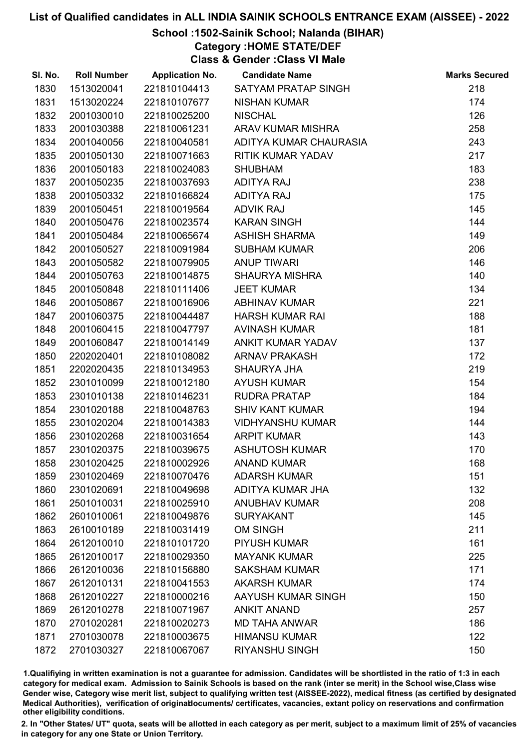## School :1502-Sainik School; Nalanda (BIHAR)

Category :HOME STATE/DEF

Class & Gender :Class VI Male

| SI. No. | <b>Roll Number</b> | <b>Application No.</b> | <b>Candidate Name</b>    | <b>Marks Secured</b> |
|---------|--------------------|------------------------|--------------------------|----------------------|
| 1830    | 1513020041         | 221810104413           | SATYAM PRATAP SINGH      | 218                  |
| 1831    | 1513020224         | 221810107677           | <b>NISHAN KUMAR</b>      | 174                  |
| 1832    | 2001030010         | 221810025200           | <b>NISCHAL</b>           | 126                  |
| 1833    | 2001030388         | 221810061231           | <b>ARAV KUMAR MISHRA</b> | 258                  |
| 1834    | 2001040056         | 221810040581           | ADITYA KUMAR CHAURASIA   | 243                  |
| 1835    | 2001050130         | 221810071663           | <b>RITIK KUMAR YADAV</b> | 217                  |
| 1836    | 2001050183         | 221810024083           | <b>SHUBHAM</b>           | 183                  |
| 1837    | 2001050235         | 221810037693           | <b>ADITYA RAJ</b>        | 238                  |
| 1838    | 2001050332         | 221810166824           | <b>ADITYA RAJ</b>        | 175                  |
| 1839    | 2001050451         | 221810019564           | <b>ADVIK RAJ</b>         | 145                  |
| 1840    | 2001050476         | 221810023574           | <b>KARAN SINGH</b>       | 144                  |
| 1841    | 2001050484         | 221810065674           | <b>ASHISH SHARMA</b>     | 149                  |
| 1842    | 2001050527         | 221810091984           | <b>SUBHAM KUMAR</b>      | 206                  |
| 1843    | 2001050582         | 221810079905           | <b>ANUP TIWARI</b>       | 146                  |
| 1844    | 2001050763         | 221810014875           | <b>SHAURYA MISHRA</b>    | 140                  |
| 1845    | 2001050848         | 221810111406           | <b>JEET KUMAR</b>        | 134                  |
| 1846    | 2001050867         | 221810016906           | <b>ABHINAV KUMAR</b>     | 221                  |
| 1847    | 2001060375         | 221810044487           | <b>HARSH KUMAR RAI</b>   | 188                  |
| 1848    | 2001060415         | 221810047797           | <b>AVINASH KUMAR</b>     | 181                  |
| 1849    | 2001060847         | 221810014149           | ANKIT KUMAR YADAV        | 137                  |
| 1850    | 2202020401         | 221810108082           | <b>ARNAV PRAKASH</b>     | 172                  |
| 1851    | 2202020435         | 221810134953           | <b>SHAURYA JHA</b>       | 219                  |
| 1852    | 2301010099         | 221810012180           | <b>AYUSH KUMAR</b>       | 154                  |
| 1853    | 2301010138         | 221810146231           | <b>RUDRA PRATAP</b>      | 184                  |
| 1854    | 2301020188         | 221810048763           | <b>SHIV KANT KUMAR</b>   | 194                  |
| 1855    | 2301020204         | 221810014383           | <b>VIDHYANSHU KUMAR</b>  | 144                  |
| 1856    | 2301020268         | 221810031654           | <b>ARPIT KUMAR</b>       | 143                  |
| 1857    | 2301020375         | 221810039675           | <b>ASHUTOSH KUMAR</b>    | 170                  |
| 1858    | 2301020425         | 221810002926           | <b>ANAND KUMAR</b>       | 168                  |
| 1859    | 2301020469         | 221810070476           | <b>ADARSH KUMAR</b>      | 151                  |
| 1860    | 2301020691         | 221810049698           | <b>ADITYA KUMAR JHA</b>  | 132                  |
| 1861    | 2501010031         | 221810025910           | <b>ANUBHAV KUMAR</b>     | 208                  |
| 1862    | 2601010061         | 221810049876           | <b>SURYAKANT</b>         | 145                  |
| 1863    | 2610010189         | 221810031419           | <b>OM SINGH</b>          | 211                  |
| 1864    | 2612010010         | 221810101720           | <b>PIYUSH KUMAR</b>      | 161                  |
| 1865    | 2612010017         | 221810029350           | <b>MAYANK KUMAR</b>      | 225                  |
| 1866    | 2612010036         | 221810156880           | <b>SAKSHAM KUMAR</b>     | 171                  |
| 1867    | 2612010131         | 221810041553           | <b>AKARSH KUMAR</b>      | 174                  |
| 1868    | 2612010227         | 221810000216           | AAYUSH KUMAR SINGH       | 150                  |
| 1869    | 2612010278         | 221810071967           | <b>ANKIT ANAND</b>       | 257                  |
| 1870    | 2701020281         | 221810020273           | <b>MD TAHA ANWAR</b>     | 186                  |
| 1871    | 2701030078         | 221810003675           | <b>HIMANSU KUMAR</b>     | 122                  |
| 1872    | 2701030327         | 221810067067           | <b>RIYANSHU SINGH</b>    | 150                  |

1.Qualifiying in written examination is not a guarantee for admission. Candidates will be shortlisted in the ratio of 1:3 in each category for medical exam. Admission to Sainik Schools is based on the rank (inter se merit) in the School wise,Class wise Gender wise, Category wise merit list, subject to qualifying written test (AISSEE-2022), medical fitness (as certified by designated Medical Authorities), verification of originablocuments/ certificates, vacancies, extant policy on reservations and confirmation other eligibility conditions.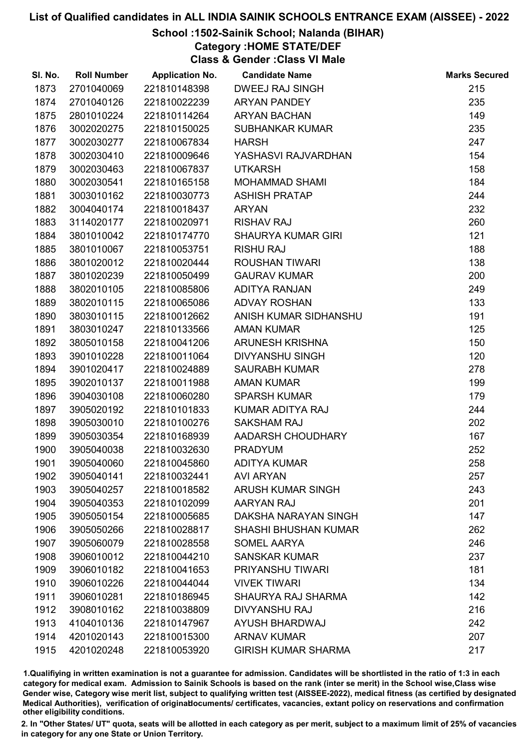### School :1502-Sainik School; Nalanda (BIHAR)

Category :HOME STATE/DEF

Class & Gender :Class VI Male

| SI. No. | <b>Roll Number</b> | <b>Application No.</b> | <b>Candidate Name</b>       | <b>Marks Secured</b> |
|---------|--------------------|------------------------|-----------------------------|----------------------|
| 1873    | 2701040069         | 221810148398           | <b>DWEEJ RAJ SINGH</b>      | 215                  |
| 1874    | 2701040126         | 221810022239           | <b>ARYAN PANDEY</b>         | 235                  |
| 1875    | 2801010224         | 221810114264           | <b>ARYAN BACHAN</b>         | 149                  |
| 1876    | 3002020275         | 221810150025           | <b>SUBHANKAR KUMAR</b>      | 235                  |
| 1877    | 3002030277         | 221810067834           | <b>HARSH</b>                | 247                  |
| 1878    | 3002030410         | 221810009646           | YASHASVI RAJVARDHAN         | 154                  |
| 1879    | 3002030463         | 221810067837           | <b>UTKARSH</b>              | 158                  |
| 1880    | 3002030541         | 221810165158           | <b>MOHAMMAD SHAMI</b>       | 184                  |
| 1881    | 3003010162         | 221810030773           | <b>ASHISH PRATAP</b>        | 244                  |
| 1882    | 3004040174         | 221810018437           | <b>ARYAN</b>                | 232                  |
| 1883    | 3114020177         | 221810020971           | <b>RISHAV RAJ</b>           | 260                  |
| 1884    | 3801010042         | 221810174770           | <b>SHAURYA KUMAR GIRI</b>   | 121                  |
| 1885    | 3801010067         | 221810053751           | <b>RISHU RAJ</b>            | 188                  |
| 1886    | 3801020012         | 221810020444           | <b>ROUSHAN TIWARI</b>       | 138                  |
| 1887    | 3801020239         | 221810050499           | <b>GAURAV KUMAR</b>         | 200                  |
| 1888    | 3802010105         | 221810085806           | <b>ADITYA RANJAN</b>        | 249                  |
| 1889    | 3802010115         | 221810065086           | <b>ADVAY ROSHAN</b>         | 133                  |
| 1890    | 3803010115         | 221810012662           | ANISH KUMAR SIDHANSHU       | 191                  |
| 1891    | 3803010247         | 221810133566           | <b>AMAN KUMAR</b>           | 125                  |
| 1892    | 3805010158         | 221810041206           | ARUNESH KRISHNA             | 150                  |
| 1893    | 3901010228         | 221810011064           | <b>DIVYANSHU SINGH</b>      | 120                  |
| 1894    | 3901020417         | 221810024889           | <b>SAURABH KUMAR</b>        | 278                  |
| 1895    | 3902010137         | 221810011988           | <b>AMAN KUMAR</b>           | 199                  |
| 1896    | 3904030108         | 221810060280           | <b>SPARSH KUMAR</b>         | 179                  |
| 1897    | 3905020192         | 221810101833           | KUMAR ADITYA RAJ            | 244                  |
| 1898    | 3905030010         | 221810100276           | <b>SAKSHAM RAJ</b>          | 202                  |
| 1899    | 3905030354         | 221810168939           | AADARSH CHOUDHARY           | 167                  |
| 1900    | 3905040038         | 221810032630           | <b>PRADYUM</b>              | 252                  |
| 1901    | 3905040060         | 221810045860           | <b>ADITYA KUMAR</b>         | 258                  |
| 1902    | 3905040141         | 221810032441           | <b>AVI ARYAN</b>            | 257                  |
| 1903    | 3905040257         | 221810018582           | <b>ARUSH KUMAR SINGH</b>    | 243                  |
| 1904    | 3905040353         | 221810102099           | AARYAN RAJ                  | 201                  |
| 1905    | 3905050154         | 221810005685           | DAKSHA NARAYAN SINGH        | 147                  |
| 1906    | 3905050266         | 221810028817           | <b>SHASHI BHUSHAN KUMAR</b> | 262                  |
| 1907    | 3905060079         | 221810028558           | <b>SOMEL AARYA</b>          | 246                  |
| 1908    | 3906010012         | 221810044210           | <b>SANSKAR KUMAR</b>        | 237                  |
| 1909    | 3906010182         | 221810041653           | PRIYANSHU TIWARI            | 181                  |
| 1910    | 3906010226         | 221810044044           | <b>VIVEK TIWARI</b>         | 134                  |
| 1911    | 3906010281         | 221810186945           | <b>SHAURYA RAJ SHARMA</b>   | 142                  |
| 1912    | 3908010162         | 221810038809           | <b>DIVYANSHU RAJ</b>        | 216                  |
| 1913    | 4104010136         | 221810147967           | AYUSH BHARDWAJ              | 242                  |
| 1914    | 4201020143         | 221810015300           | <b>ARNAV KUMAR</b>          | 207                  |
| 1915    | 4201020248         | 221810053920           | <b>GIRISH KUMAR SHARMA</b>  | 217                  |

1.Qualifiying in written examination is not a guarantee for admission. Candidates will be shortlisted in the ratio of 1:3 in each category for medical exam. Admission to Sainik Schools is based on the rank (inter se merit) in the School wise,Class wise Gender wise, Category wise merit list, subject to qualifying written test (AISSEE-2022), medical fitness (as certified by designated Medical Authorities), verification of originablocuments/ certificates, vacancies, extant policy on reservations and confirmation other eligibility conditions.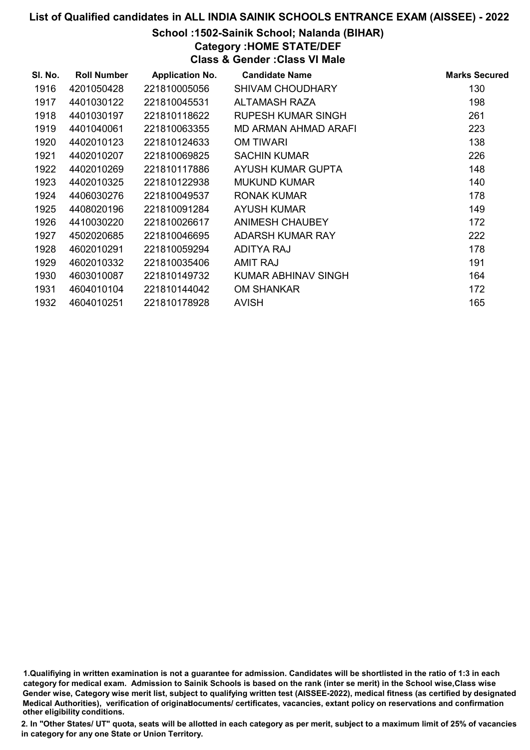## School :1502-Sainik School; Nalanda (BIHAR)

Category :HOME STATE/DEF

Class & Gender :Class VI Male

| SI. No. | <b>Roll Number</b> | <b>Application No.</b> | <b>Candidate Name</b>   | <b>Marks Secured</b> |
|---------|--------------------|------------------------|-------------------------|----------------------|
| 1916    | 4201050428         | 221810005056           | <b>SHIVAM CHOUDHARY</b> | 130                  |
| 1917    | 4401030122         | 221810045531           | ALTAMASH RAZA           | 198                  |
| 1918    | 4401030197         | 221810118622           | RUPESH KUMAR SINGH      | 261                  |
| 1919    | 4401040061         | 221810063355           | MD ARMAN AHMAD ARAFI    | 223                  |
| 1920    | 4402010123         | 221810124633           | OM TIWARI               | 138                  |
| 1921    | 4402010207         | 221810069825           | <b>SACHIN KUMAR</b>     | 226                  |
| 1922    | 4402010269         | 221810117886           | AYUSH KUMAR GUPTA       | 148                  |
| 1923    | 4402010325         | 221810122938           | <b>MUKUND KUMAR</b>     | 140                  |
| 1924    | 4406030276         | 221810049537           | <b>RONAK KUMAR</b>      | 178                  |
| 1925    | 4408020196         | 221810091284           | <b>AYUSH KUMAR</b>      | 149                  |
| 1926    | 4410030220         | 221810026617           | ANIMESH CHAUBEY         | 172                  |
| 1927    | 4502020685         | 221810046695           | ADARSH KUMAR RAY        | 222                  |
| 1928    | 4602010291         | 221810059294           | ADITYA RAJ              | 178                  |
| 1929    | 4602010332         | 221810035406           | AMIT RAJ                | 191                  |
| 1930    | 4603010087         | 221810149732           | KUMAR ABHINAV SINGH     | 164                  |
| 1931    | 4604010104         | 221810144042           | <b>OM SHANKAR</b>       | 172                  |
| 1932    | 4604010251         | 221810178928           | <b>AVISH</b>            | 165                  |

<sup>1.</sup>Qualifiying in written examination is not a guarantee for admission. Candidates will be shortlisted in the ratio of 1:3 in each category for medical exam. Admission to Sainik Schools is based on the rank (inter se merit) in the School wise,Class wise Gender wise, Category wise merit list, subject to qualifying written test (AISSEE-2022), medical fitness (as certified by designated Medical Authorities), verification of originablocuments/ certificates, vacancies, extant policy on reservations and confirmation other eligibility conditions.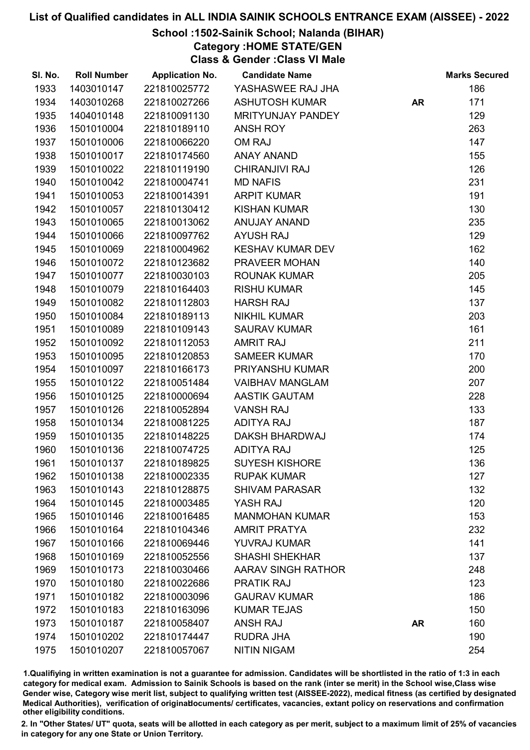## School :1502-Sainik School; Nalanda (BIHAR)

Category :HOME STATE/GEN

Class & Gender :Class VI Male

| SI. No. | <b>Roll Number</b> | <b>Application No.</b> | <b>Candidate Name</b>    |           | <b>Marks Secured</b> |
|---------|--------------------|------------------------|--------------------------|-----------|----------------------|
| 1933    | 1403010147         | 221810025772           | YASHASWEE RAJ JHA        |           | 186                  |
| 1934    | 1403010268         | 221810027266           | <b>ASHUTOSH KUMAR</b>    | <b>AR</b> | 171                  |
| 1935    | 1404010148         | 221810091130           | <b>MRITYUNJAY PANDEY</b> |           | 129                  |
| 1936    | 1501010004         | 221810189110           | <b>ANSH ROY</b>          |           | 263                  |
| 1937    | 1501010006         | 221810066220           | <b>OM RAJ</b>            |           | 147                  |
| 1938    | 1501010017         | 221810174560           | <b>ANAY ANAND</b>        |           | 155                  |
| 1939    | 1501010022         | 221810119190           | <b>CHIRANJIVI RAJ</b>    |           | 126                  |
| 1940    | 1501010042         | 221810004741           | <b>MD NAFIS</b>          |           | 231                  |
| 1941    | 1501010053         | 221810014391           | <b>ARPIT KUMAR</b>       |           | 191                  |
| 1942    | 1501010057         | 221810130412           | <b>KISHAN KUMAR</b>      |           | 130                  |
| 1943    | 1501010065         | 221810013062           | <b>ANUJAY ANAND</b>      |           | 235                  |
| 1944    | 1501010066         | 221810097762           | <b>AYUSH RAJ</b>         |           | 129                  |
| 1945    | 1501010069         | 221810004962           | KESHAV KUMAR DEV         |           | 162                  |
| 1946    | 1501010072         | 221810123682           | PRAVEER MOHAN            |           | 140                  |
| 1947    | 1501010077         | 221810030103           | <b>ROUNAK KUMAR</b>      |           | 205                  |
| 1948    | 1501010079         | 221810164403           | <b>RISHU KUMAR</b>       |           | 145                  |
| 1949    | 1501010082         | 221810112803           | <b>HARSH RAJ</b>         |           | 137                  |
| 1950    | 1501010084         | 221810189113           | <b>NIKHIL KUMAR</b>      |           | 203                  |
| 1951    | 1501010089         | 221810109143           | <b>SAURAV KUMAR</b>      |           | 161                  |
| 1952    | 1501010092         | 221810112053           | <b>AMRIT RAJ</b>         |           | 211                  |
| 1953    | 1501010095         | 221810120853           | <b>SAMEER KUMAR</b>      |           | 170                  |
| 1954    | 1501010097         | 221810166173           | PRIYANSHU KUMAR          |           | 200                  |
| 1955    | 1501010122         | 221810051484           | <b>VAIBHAV MANGLAM</b>   |           | 207                  |
| 1956    | 1501010125         | 221810000694           | <b>AASTIK GAUTAM</b>     |           | 228                  |
| 1957    | 1501010126         | 221810052894           | <b>VANSH RAJ</b>         |           | 133                  |
| 1958    | 1501010134         | 221810081225           | <b>ADITYA RAJ</b>        |           | 187                  |
| 1959    | 1501010135         | 221810148225           | <b>DAKSH BHARDWAJ</b>    |           | 174                  |
| 1960    | 1501010136         | 221810074725           | <b>ADITYA RAJ</b>        |           | 125                  |
| 1961    | 1501010137         | 221810189825           | <b>SUYESH KISHORE</b>    |           | 136                  |
| 1962    | 1501010138         | 221810002335           | <b>RUPAK KUMAR</b>       |           | 127                  |
| 1963    | 1501010143         | 221810128875           | <b>SHIVAM PARASAR</b>    |           | 132                  |
| 1964    | 1501010145         | 221810003485           | YASH RAJ                 |           | 120                  |
| 1965    | 1501010146         | 221810016485           | <b>MANMOHAN KUMAR</b>    |           | 153                  |
| 1966    | 1501010164         | 221810104346           | <b>AMRIT PRATYA</b>      |           | 232                  |
| 1967    | 1501010166         | 221810069446           | YUVRAJ KUMAR             |           | 141                  |
| 1968    | 1501010169         | 221810052556           | <b>SHASHI SHEKHAR</b>    |           | 137                  |
| 1969    | 1501010173         | 221810030466           | AARAV SINGH RATHOR       |           | 248                  |
| 1970    | 1501010180         | 221810022686           | <b>PRATIK RAJ</b>        |           | 123                  |
| 1971    | 1501010182         | 221810003096           | <b>GAURAV KUMAR</b>      |           | 186                  |
| 1972    | 1501010183         | 221810163096           | <b>KUMAR TEJAS</b>       |           | 150                  |
| 1973    | 1501010187         | 221810058407           | <b>ANSH RAJ</b>          | <b>AR</b> | 160                  |
| 1974    | 1501010202         | 221810174447           | <b>RUDRA JHA</b>         |           | 190                  |
| 1975    | 1501010207         | 221810057067           | <b>NITIN NIGAM</b>       |           | 254                  |

1.Qualifiying in written examination is not a guarantee for admission. Candidates will be shortlisted in the ratio of 1:3 in each category for medical exam. Admission to Sainik Schools is based on the rank (inter se merit) in the School wise,Class wise Gender wise, Category wise merit list, subject to qualifying written test (AISSEE-2022), medical fitness (as certified by designated Medical Authorities), verification of originablocuments/ certificates, vacancies, extant policy on reservations and confirmation other eligibility conditions.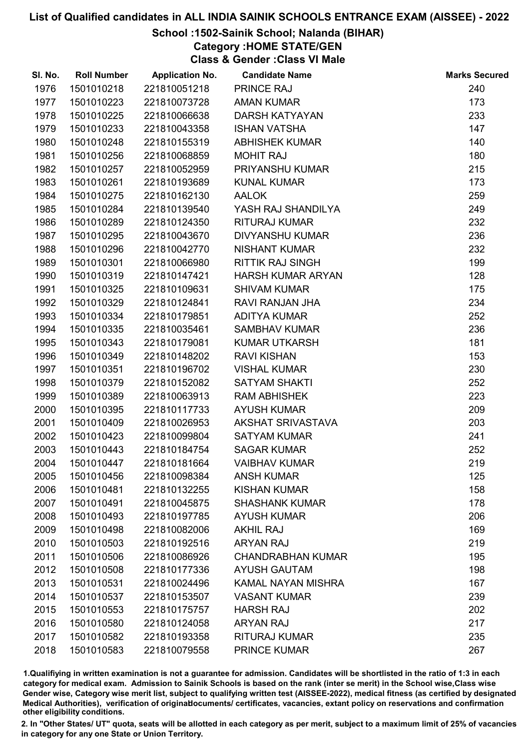## School :1502-Sainik School; Nalanda (BIHAR)

Category :HOME STATE/GEN

Class & Gender :Class VI Male

| SI. No. | <b>Roll Number</b> | <b>Application No.</b> | <b>Candidate Name</b>    | <b>Marks Secured</b> |
|---------|--------------------|------------------------|--------------------------|----------------------|
| 1976    | 1501010218         | 221810051218           | <b>PRINCE RAJ</b>        | 240                  |
| 1977    | 1501010223         | 221810073728           | <b>AMAN KUMAR</b>        | 173                  |
| 1978    | 1501010225         | 221810066638           | <b>DARSH KATYAYAN</b>    | 233                  |
| 1979    | 1501010233         | 221810043358           | <b>ISHAN VATSHA</b>      | 147                  |
| 1980    | 1501010248         | 221810155319           | <b>ABHISHEK KUMAR</b>    | 140                  |
| 1981    | 1501010256         | 221810068859           | <b>MOHIT RAJ</b>         | 180                  |
| 1982    | 1501010257         | 221810052959           | PRIYANSHU KUMAR          | 215                  |
| 1983    | 1501010261         | 221810193689           | <b>KUNAL KUMAR</b>       | 173                  |
| 1984    | 1501010275         | 221810162130           | <b>AALOK</b>             | 259                  |
| 1985    | 1501010284         | 221810139540           | YASH RAJ SHANDILYA       | 249                  |
| 1986    | 1501010289         | 221810124350           | <b>RITURAJ KUMAR</b>     | 232                  |
| 1987    | 1501010295         | 221810043670           | <b>DIVYANSHU KUMAR</b>   | 236                  |
| 1988    | 1501010296         | 221810042770           | <b>NISHANT KUMAR</b>     | 232                  |
| 1989    | 1501010301         | 221810066980           | <b>RITTIK RAJ SINGH</b>  | 199                  |
| 1990    | 1501010319         | 221810147421           | <b>HARSH KUMAR ARYAN</b> | 128                  |
| 1991    | 1501010325         | 221810109631           | <b>SHIVAM KUMAR</b>      | 175                  |
| 1992    | 1501010329         | 221810124841           | RAVI RANJAN JHA          | 234                  |
| 1993    | 1501010334         | 221810179851           | <b>ADITYA KUMAR</b>      | 252                  |
| 1994    | 1501010335         | 221810035461           | <b>SAMBHAV KUMAR</b>     | 236                  |
| 1995    | 1501010343         | 221810179081           | <b>KUMAR UTKARSH</b>     | 181                  |
| 1996    | 1501010349         | 221810148202           | <b>RAVI KISHAN</b>       | 153                  |
| 1997    | 1501010351         | 221810196702           | <b>VISHAL KUMAR</b>      | 230                  |
| 1998    | 1501010379         | 221810152082           | <b>SATYAM SHAKTI</b>     | 252                  |
| 1999    | 1501010389         | 221810063913           | <b>RAM ABHISHEK</b>      | 223                  |
| 2000    | 1501010395         | 221810117733           | <b>AYUSH KUMAR</b>       | 209                  |
| 2001    | 1501010409         | 221810026953           | AKSHAT SRIVASTAVA        | 203                  |
| 2002    | 1501010423         | 221810099804           | <b>SATYAM KUMAR</b>      | 241                  |
| 2003    | 1501010443         | 221810184754           | <b>SAGAR KUMAR</b>       | 252                  |
| 2004    | 1501010447         | 221810181664           | <b>VAIBHAV KUMAR</b>     | 219                  |
| 2005    | 1501010456         | 221810098384           | <b>ANSH KUMAR</b>        | 125                  |
| 2006    | 1501010481         | 221810132255           | <b>KISHAN KUMAR</b>      | 158                  |
| 2007    | 1501010491         | 221810045875           | <b>SHASHANK KUMAR</b>    | 178                  |
| 2008    | 1501010493         | 221810197785           | <b>AYUSH KUMAR</b>       | 206                  |
| 2009    | 1501010498         | 221810082006           | <b>AKHIL RAJ</b>         | 169                  |
| 2010    | 1501010503         | 221810192516           | <b>ARYAN RAJ</b>         | 219                  |
| 2011    | 1501010506         | 221810086926           | <b>CHANDRABHAN KUMAR</b> | 195                  |
| 2012    | 1501010508         | 221810177336           | <b>AYUSH GAUTAM</b>      | 198                  |
| 2013    | 1501010531         | 221810024496           | KAMAL NAYAN MISHRA       | 167                  |
| 2014    | 1501010537         | 221810153507           | <b>VASANT KUMAR</b>      | 239                  |
| 2015    | 1501010553         | 221810175757           | <b>HARSH RAJ</b>         | 202                  |
| 2016    | 1501010580         | 221810124058           | <b>ARYAN RAJ</b>         | 217                  |
| 2017    | 1501010582         | 221810193358           | RITURAJ KUMAR            | 235                  |
| 2018    | 1501010583         | 221810079558           | <b>PRINCE KUMAR</b>      | 267                  |

1.Qualifiying in written examination is not a guarantee for admission. Candidates will be shortlisted in the ratio of 1:3 in each category for medical exam. Admission to Sainik Schools is based on the rank (inter se merit) in the School wise,Class wise Gender wise, Category wise merit list, subject to qualifying written test (AISSEE-2022), medical fitness (as certified by designated Medical Authorities), verification of originablocuments/ certificates, vacancies, extant policy on reservations and confirmation other eligibility conditions.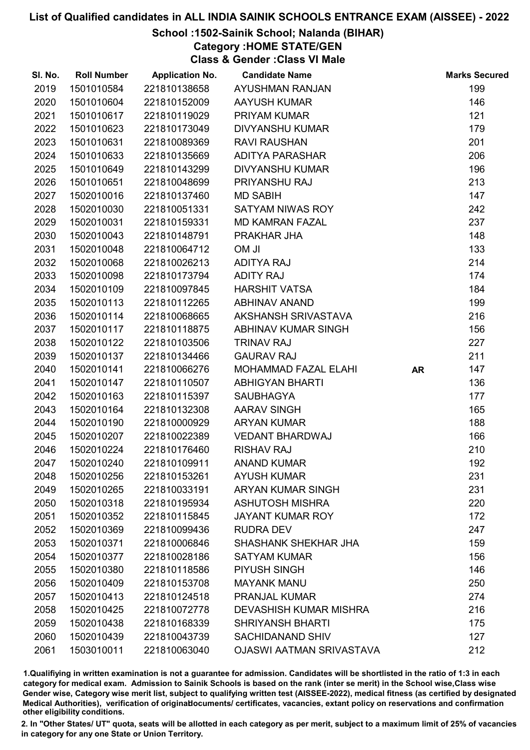## School :1502-Sainik School; Nalanda (BIHAR)

Category :HOME STATE/GEN

Class & Gender :Class VI Male

| SI. No. | <b>Roll Number</b> | <b>Application No.</b> | <b>Candidate Name</b>           |           | <b>Marks Secured</b> |
|---------|--------------------|------------------------|---------------------------------|-----------|----------------------|
| 2019    | 1501010584         | 221810138658           | <b>AYUSHMAN RANJAN</b>          |           | 199                  |
| 2020    | 1501010604         | 221810152009           | <b>AAYUSH KUMAR</b>             |           | 146                  |
| 2021    | 1501010617         | 221810119029           | PRIYAM KUMAR                    |           | 121                  |
| 2022    | 1501010623         | 221810173049           | <b>DIVYANSHU KUMAR</b>          |           | 179                  |
| 2023    | 1501010631         | 221810089369           | <b>RAVI RAUSHAN</b>             |           | 201                  |
| 2024    | 1501010633         | 221810135669           | <b>ADITYA PARASHAR</b>          |           | 206                  |
| 2025    | 1501010649         | 221810143299           | <b>DIVYANSHU KUMAR</b>          |           | 196                  |
| 2026    | 1501010651         | 221810048699           | PRIYANSHU RAJ                   |           | 213                  |
| 2027    | 1502010016         | 221810137460           | <b>MD SABIH</b>                 |           | 147                  |
| 2028    | 1502010030         | 221810051331           | SATYAM NIWAS ROY                |           | 242                  |
| 2029    | 1502010031         | 221810159331           | <b>MD KAMRAN FAZAL</b>          |           | 237                  |
| 2030    | 1502010043         | 221810148791           | PRAKHAR JHA                     |           | 148                  |
| 2031    | 1502010048         | 221810064712           | <b>UMO</b>                      |           | 133                  |
| 2032    | 1502010068         | 221810026213           | <b>ADITYA RAJ</b>               |           | 214                  |
| 2033    | 1502010098         | 221810173794           | <b>ADITY RAJ</b>                |           | 174                  |
| 2034    | 1502010109         | 221810097845           | <b>HARSHIT VATSA</b>            |           | 184                  |
| 2035    | 1502010113         | 221810112265           | <b>ABHINAV ANAND</b>            |           | 199                  |
| 2036    | 1502010114         | 221810068665           | AKSHANSH SRIVASTAVA             |           | 216                  |
| 2037    | 1502010117         | 221810118875           | ABHINAV KUMAR SINGH             |           | 156                  |
| 2038    | 1502010122         | 221810103506           | <b>TRINAV RAJ</b>               |           | 227                  |
| 2039    | 1502010137         | 221810134466           | <b>GAURAV RAJ</b>               |           | 211                  |
| 2040    | 1502010141         | 221810066276           | MOHAMMAD FAZAL ELAHI            | <b>AR</b> | 147                  |
| 2041    | 1502010147         | 221810110507           | <b>ABHIGYAN BHARTI</b>          |           | 136                  |
| 2042    | 1502010163         | 221810115397           | <b>SAUBHAGYA</b>                |           | 177                  |
| 2043    | 1502010164         | 221810132308           | <b>AARAV SINGH</b>              |           | 165                  |
| 2044    | 1502010190         | 221810000929           | <b>ARYAN KUMAR</b>              |           | 188                  |
| 2045    | 1502010207         | 221810022389           | <b>VEDANT BHARDWAJ</b>          |           | 166                  |
| 2046    | 1502010224         | 221810176460           | <b>RISHAV RAJ</b>               |           | 210                  |
| 2047    | 1502010240         | 221810109911           | <b>ANAND KUMAR</b>              |           | 192                  |
| 2048    | 1502010256         | 221810153261           | <b>AYUSH KUMAR</b>              |           | 231                  |
| 2049    | 1502010265         | 221810033191           | <b>ARYAN KUMAR SINGH</b>        |           | 231                  |
| 2050    | 1502010318         | 221810195934           | <b>ASHUTOSH MISHRA</b>          |           | 220                  |
| 2051    | 1502010352         | 221810115845           | <b>JAYANT KUMAR ROY</b>         |           | 172                  |
| 2052    | 1502010369         | 221810099436           | <b>RUDRA DEV</b>                |           | 247                  |
| 2053    | 1502010371         | 221810006846           | SHASHANK SHEKHAR JHA            |           | 159                  |
| 2054    | 1502010377         | 221810028186           | <b>SATYAM KUMAR</b>             |           | 156                  |
| 2055    | 1502010380         | 221810118586           | PIYUSH SINGH                    |           | 146                  |
| 2056    | 1502010409         | 221810153708           | <b>MAYANK MANU</b>              |           | 250                  |
| 2057    | 1502010413         | 221810124518           | <b>PRANJAL KUMAR</b>            |           | 274                  |
| 2058    | 1502010425         | 221810072778           | <b>DEVASHISH KUMAR MISHRA</b>   |           | 216                  |
| 2059    | 1502010438         | 221810168339           | <b>SHRIYANSH BHARTI</b>         |           | 175                  |
| 2060    | 1502010439         | 221810043739           | <b>SACHIDANAND SHIV</b>         |           | 127                  |
| 2061    | 1503010011         | 221810063040           | <b>OJASWI AATMAN SRIVASTAVA</b> |           | 212                  |

1.Qualifiying in written examination is not a guarantee for admission. Candidates will be shortlisted in the ratio of 1:3 in each category for medical exam. Admission to Sainik Schools is based on the rank (inter se merit) in the School wise,Class wise Gender wise, Category wise merit list, subject to qualifying written test (AISSEE-2022), medical fitness (as certified by designated Medical Authorities), verification of originablocuments/ certificates, vacancies, extant policy on reservations and confirmation other eligibility conditions.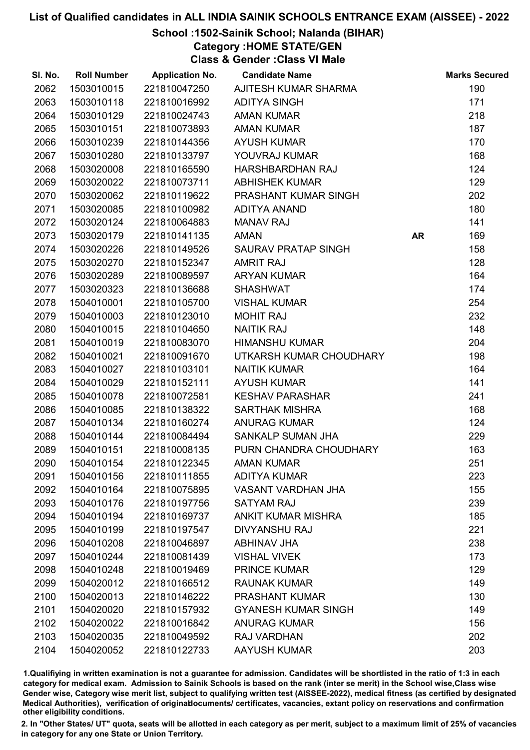## School :1502-Sainik School; Nalanda (BIHAR)

Category :HOME STATE/GEN

Class & Gender :Class VI Male

| SI. No. | <b>Roll Number</b> | <b>Application No.</b> | <b>Candidate Name</b>      |           | <b>Marks Secured</b> |
|---------|--------------------|------------------------|----------------------------|-----------|----------------------|
| 2062    | 1503010015         | 221810047250           | AJITESH KUMAR SHARMA       |           | 190                  |
| 2063    | 1503010118         | 221810016992           | <b>ADITYA SINGH</b>        |           | 171                  |
| 2064    | 1503010129         | 221810024743           | <b>AMAN KUMAR</b>          |           | 218                  |
| 2065    | 1503010151         | 221810073893           | <b>AMAN KUMAR</b>          |           | 187                  |
| 2066    | 1503010239         | 221810144356           | <b>AYUSH KUMAR</b>         |           | 170                  |
| 2067    | 1503010280         | 221810133797           | YOUVRAJ KUMAR              |           | 168                  |
| 2068    | 1503020008         | 221810165590           | HARSHBARDHAN RAJ           |           | 124                  |
| 2069    | 1503020022         | 221810073711           | <b>ABHISHEK KUMAR</b>      |           | 129                  |
| 2070    | 1503020062         | 221810119622           | PRASHANT KUMAR SINGH       |           | 202                  |
| 2071    | 1503020085         | 221810100982           | <b>ADITYA ANAND</b>        |           | 180                  |
| 2072    | 1503020124         | 221810064883           | <b>MANAV RAJ</b>           |           | 141                  |
| 2073    | 1503020179         | 221810141135           | <b>AMAN</b>                | <b>AR</b> | 169                  |
| 2074    | 1503020226         | 221810149526           | <b>SAURAV PRATAP SINGH</b> |           | 158                  |
| 2075    | 1503020270         | 221810152347           | <b>AMRIT RAJ</b>           |           | 128                  |
| 2076    | 1503020289         | 221810089597           | <b>ARYAN KUMAR</b>         |           | 164                  |
| 2077    | 1503020323         | 221810136688           | <b>SHASHWAT</b>            |           | 174                  |
| 2078    | 1504010001         | 221810105700           | <b>VISHAL KUMAR</b>        |           | 254                  |
| 2079    | 1504010003         | 221810123010           | <b>MOHIT RAJ</b>           |           | 232                  |
| 2080    | 1504010015         | 221810104650           | <b>NAITIK RAJ</b>          |           | 148                  |
| 2081    | 1504010019         | 221810083070           | <b>HIMANSHU KUMAR</b>      |           | 204                  |
| 2082    | 1504010021         | 221810091670           | UTKARSH KUMAR CHOUDHARY    |           | 198                  |
| 2083    | 1504010027         | 221810103101           | <b>NAITIK KUMAR</b>        |           | 164                  |
| 2084    | 1504010029         | 221810152111           | <b>AYUSH KUMAR</b>         |           | 141                  |
| 2085    | 1504010078         | 221810072581           | <b>KESHAV PARASHAR</b>     |           | 241                  |
| 2086    | 1504010085         | 221810138322           | <b>SARTHAK MISHRA</b>      |           | 168                  |
| 2087    | 1504010134         | 221810160274           | <b>ANURAG KUMAR</b>        |           | 124                  |
| 2088    | 1504010144         | 221810084494           | <b>SANKALP SUMAN JHA</b>   |           | 229                  |
| 2089    | 1504010151         | 221810008135           | PURN CHANDRA CHOUDHARY     |           | 163                  |
| 2090    | 1504010154         | 221810122345           | <b>AMAN KUMAR</b>          |           | 251                  |
| 2091    | 1504010156         | 221810111855           | <b>ADITYA KUMAR</b>        |           | 223                  |
| 2092    | 1504010164         | 221810075895           | <b>VASANT VARDHAN JHA</b>  |           | 155                  |
| 2093    | 1504010176         | 221810197756           | <b>SATYAM RAJ</b>          |           | 239                  |
| 2094    | 1504010194         | 221810169737           | <b>ANKIT KUMAR MISHRA</b>  |           | 185                  |
| 2095    | 1504010199         | 221810197547           | <b>DIVYANSHU RAJ</b>       |           | 221                  |
| 2096    | 1504010208         | 221810046897           | <b>ABHINAV JHA</b>         |           | 238                  |
| 2097    | 1504010244         | 221810081439           | <b>VISHAL VIVEK</b>        |           | 173                  |
| 2098    | 1504010248         | 221810019469           | <b>PRINCE KUMAR</b>        |           | 129                  |
| 2099    | 1504020012         | 221810166512           | <b>RAUNAK KUMAR</b>        |           | 149                  |
| 2100    | 1504020013         | 221810146222           | <b>PRASHANT KUMAR</b>      |           | 130                  |
| 2101    | 1504020020         | 221810157932           | <b>GYANESH KUMAR SINGH</b> |           | 149                  |
| 2102    | 1504020022         | 221810016842           | <b>ANURAG KUMAR</b>        |           | 156                  |
| 2103    | 1504020035         | 221810049592           | RAJ VARDHAN                |           | 202                  |
| 2104    | 1504020052         | 221810122733           | <b>AAYUSH KUMAR</b>        |           | 203                  |

1.Qualifiying in written examination is not a guarantee for admission. Candidates will be shortlisted in the ratio of 1:3 in each category for medical exam. Admission to Sainik Schools is based on the rank (inter se merit) in the School wise,Class wise Gender wise, Category wise merit list, subject to qualifying written test (AISSEE-2022), medical fitness (as certified by designated Medical Authorities), verification of originablocuments/ certificates, vacancies, extant policy on reservations and confirmation other eligibility conditions.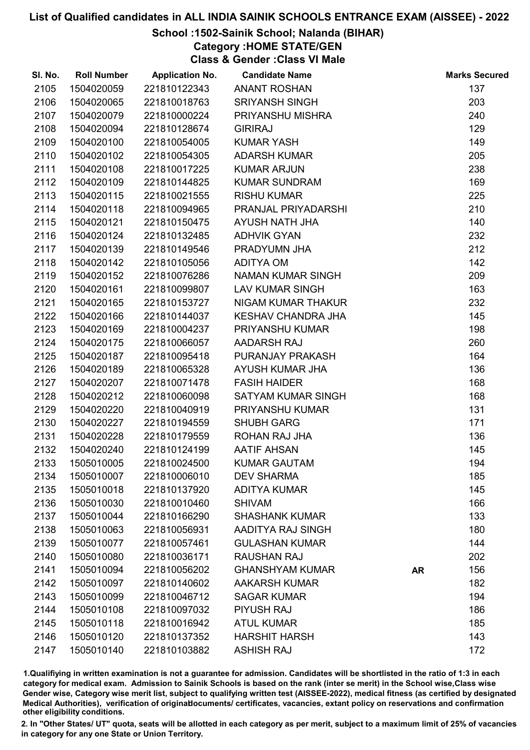## School :1502-Sainik School; Nalanda (BIHAR)

Category :HOME STATE/GEN

Class & Gender :Class VI Male

| SI. No. | <b>Roll Number</b> | <b>Application No.</b> | <b>Candidate Name</b>     |           | <b>Marks Secured</b> |
|---------|--------------------|------------------------|---------------------------|-----------|----------------------|
| 2105    | 1504020059         | 221810122343           | <b>ANANT ROSHAN</b>       |           | 137                  |
| 2106    | 1504020065         | 221810018763           | <b>SRIYANSH SINGH</b>     |           | 203                  |
| 2107    | 1504020079         | 221810000224           | PRIYANSHU MISHRA          |           | 240                  |
| 2108    | 1504020094         | 221810128674           | <b>GIRIRAJ</b>            |           | 129                  |
| 2109    | 1504020100         | 221810054005           | <b>KUMAR YASH</b>         |           | 149                  |
| 2110    | 1504020102         | 221810054305           | <b>ADARSH KUMAR</b>       |           | 205                  |
| 2111    | 1504020108         | 221810017225           | <b>KUMAR ARJUN</b>        |           | 238                  |
| 2112    | 1504020109         | 221810144825           | <b>KUMAR SUNDRAM</b>      |           | 169                  |
| 2113    | 1504020115         | 221810021555           | <b>RISHU KUMAR</b>        |           | 225                  |
| 2114    | 1504020118         | 221810094965           | PRANJAL PRIYADARSHI       |           | 210                  |
| 2115    | 1504020121         | 221810150475           | AYUSH NATH JHA            |           | 140                  |
| 2116    | 1504020124         | 221810132485           | <b>ADHVIK GYAN</b>        |           | 232                  |
| 2117    | 1504020139         | 221810149546           | PRADYUMN JHA              |           | 212                  |
| 2118    | 1504020142         | 221810105056           | <b>ADITYA OM</b>          |           | 142                  |
| 2119    | 1504020152         | 221810076286           | NAMAN KUMAR SINGH         |           | 209                  |
| 2120    | 1504020161         | 221810099807           | <b>LAV KUMAR SINGH</b>    |           | 163                  |
| 2121    | 1504020165         | 221810153727           | NIGAM KUMAR THAKUR        |           | 232                  |
| 2122    | 1504020166         | 221810144037           | <b>KESHAV CHANDRA JHA</b> |           | 145                  |
| 2123    | 1504020169         | 221810004237           | PRIYANSHU KUMAR           |           | 198                  |
| 2124    | 1504020175         | 221810066057           | AADARSH RAJ               |           | 260                  |
| 2125    | 1504020187         | 221810095418           | PURANJAY PRAKASH          |           | 164                  |
| 2126    | 1504020189         | 221810065328           | AYUSH KUMAR JHA           |           | 136                  |
| 2127    | 1504020207         | 221810071478           | <b>FASIH HAIDER</b>       |           | 168                  |
| 2128    | 1504020212         | 221810060098           | SATYAM KUMAR SINGH        |           | 168                  |
| 2129    | 1504020220         | 221810040919           | PRIYANSHU KUMAR           |           | 131                  |
| 2130    | 1504020227         | 221810194559           | <b>SHUBH GARG</b>         |           | 171                  |
| 2131    | 1504020228         | 221810179559           | ROHAN RAJ JHA             |           | 136                  |
| 2132    | 1504020240         | 221810124199           | <b>AATIF AHSAN</b>        |           | 145                  |
| 2133    | 1505010005         | 221810024500           | <b>KUMAR GAUTAM</b>       |           | 194                  |
| 2134    | 1505010007         | 221810006010           | <b>DEV SHARMA</b>         |           | 185                  |
| 2135    | 1505010018         | 221810137920           | <b>ADITYA KUMAR</b>       |           | 145                  |
| 2136    | 1505010030         | 221810010460           | <b>SHIVAM</b>             |           | 166                  |
| 2137    | 1505010044         | 221810166290           | <b>SHASHANK KUMAR</b>     |           | 133                  |
| 2138    | 1505010063         | 221810056931           | AADITYA RAJ SINGH         |           | 180                  |
| 2139    | 1505010077         | 221810057461           | <b>GULASHAN KUMAR</b>     |           | 144                  |
| 2140    | 1505010080         | 221810036171           | <b>RAUSHAN RAJ</b>        |           | 202                  |
| 2141    | 1505010094         | 221810056202           | <b>GHANSHYAM KUMAR</b>    | <b>AR</b> | 156                  |
| 2142    | 1505010097         | 221810140602           | <b>AAKARSH KUMAR</b>      |           | 182                  |
| 2143    | 1505010099         | 221810046712           | <b>SAGAR KUMAR</b>        |           | 194                  |
| 2144    | 1505010108         | 221810097032           | <b>PIYUSH RAJ</b>         |           | 186                  |
| 2145    | 1505010118         | 221810016942           | <b>ATUL KUMAR</b>         |           | 185                  |
| 2146    | 1505010120         | 221810137352           | <b>HARSHIT HARSH</b>      |           | 143                  |
| 2147    | 1505010140         | 221810103882           | <b>ASHISH RAJ</b>         |           | 172                  |

1.Qualifiying in written examination is not a guarantee for admission. Candidates will be shortlisted in the ratio of 1:3 in each category for medical exam. Admission to Sainik Schools is based on the rank (inter se merit) in the School wise,Class wise Gender wise, Category wise merit list, subject to qualifying written test (AISSEE-2022), medical fitness (as certified by designated Medical Authorities), verification of originablocuments/ certificates, vacancies, extant policy on reservations and confirmation other eligibility conditions.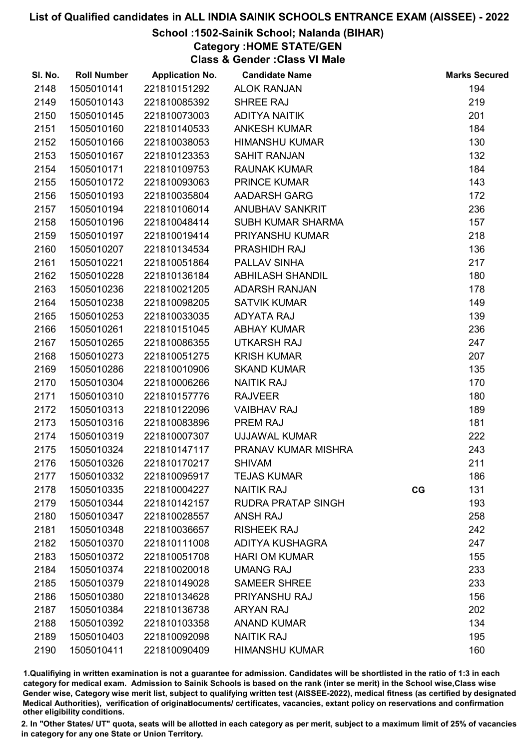## School :1502-Sainik School; Nalanda (BIHAR)

Category :HOME STATE/GEN

Class & Gender :Class VI Male

| SI. No. | <b>Roll Number</b> | <b>Application No.</b> | <b>Candidate Name</b>     |    | <b>Marks Secured</b> |
|---------|--------------------|------------------------|---------------------------|----|----------------------|
| 2148    | 1505010141         | 221810151292           | <b>ALOK RANJAN</b>        |    | 194                  |
| 2149    | 1505010143         | 221810085392           | SHREE RAJ                 |    | 219                  |
| 2150    | 1505010145         | 221810073003           | <b>ADITYA NAITIK</b>      |    | 201                  |
| 2151    | 1505010160         | 221810140533           | <b>ANKESH KUMAR</b>       |    | 184                  |
| 2152    | 1505010166         | 221810038053           | <b>HIMANSHU KUMAR</b>     |    | 130                  |
| 2153    | 1505010167         | 221810123353           | <b>SAHIT RANJAN</b>       |    | 132                  |
| 2154    | 1505010171         | 221810109753           | <b>RAUNAK KUMAR</b>       |    | 184                  |
| 2155    | 1505010172         | 221810093063           | <b>PRINCE KUMAR</b>       |    | 143                  |
| 2156    | 1505010193         | 221810035804           | AADARSH GARG              |    | 172                  |
| 2157    | 1505010194         | 221810106014           | <b>ANUBHAV SANKRIT</b>    |    | 236                  |
| 2158    | 1505010196         | 221810048414           | SUBH KUMAR SHARMA         |    | 157                  |
| 2159    | 1505010197         | 221810019414           | PRIYANSHU KUMAR           |    | 218                  |
| 2160    | 1505010207         | 221810134534           | <b>PRASHIDH RAJ</b>       |    | 136                  |
| 2161    | 1505010221         | 221810051864           | PALLAV SINHA              |    | 217                  |
| 2162    | 1505010228         | 221810136184           | <b>ABHILASH SHANDIL</b>   |    | 180                  |
| 2163    | 1505010236         | 221810021205           | <b>ADARSH RANJAN</b>      |    | 178                  |
| 2164    | 1505010238         | 221810098205           | <b>SATVIK KUMAR</b>       |    | 149                  |
| 2165    | 1505010253         | 221810033035           | <b>ADYATA RAJ</b>         |    | 139                  |
| 2166    | 1505010261         | 221810151045           | <b>ABHAY KUMAR</b>        |    | 236                  |
| 2167    | 1505010265         | 221810086355           | <b>UTKARSH RAJ</b>        |    | 247                  |
| 2168    | 1505010273         | 221810051275           | <b>KRISH KUMAR</b>        |    | 207                  |
| 2169    | 1505010286         | 221810010906           | <b>SKAND KUMAR</b>        |    | 135                  |
| 2170    | 1505010304         | 221810006266           | <b>NAITIK RAJ</b>         |    | 170                  |
| 2171    | 1505010310         | 221810157776           | <b>RAJVEER</b>            |    | 180                  |
| 2172    | 1505010313         | 221810122096           | <b>VAIBHAV RAJ</b>        |    | 189                  |
| 2173    | 1505010316         | 221810083896           | PREM RAJ                  |    | 181                  |
| 2174    | 1505010319         | 221810007307           | <b>UJJAWAL KUMAR</b>      |    | 222                  |
| 2175    | 1505010324         | 221810147117           | PRANAV KUMAR MISHRA       |    | 243                  |
| 2176    | 1505010326         | 221810170217           | <b>SHIVAM</b>             |    | 211                  |
| 2177    | 1505010332         | 221810095917           | <b>TEJAS KUMAR</b>        |    | 186                  |
| 2178    | 1505010335         | 221810004227           | <b>NAITIK RAJ</b>         | CG | 131                  |
| 2179    | 1505010344         | 221810142157           | <b>RUDRA PRATAP SINGH</b> |    | 193                  |
| 2180    | 1505010347         | 221810028557           | <b>ANSH RAJ</b>           |    | 258                  |
| 2181    | 1505010348         | 221810036657           | <b>RISHEEK RAJ</b>        |    | 242                  |
| 2182    | 1505010370         | 221810111008           | <b>ADITYA KUSHAGRA</b>    |    | 247                  |
| 2183    | 1505010372         | 221810051708           | <b>HARI OM KUMAR</b>      |    | 155                  |
| 2184    | 1505010374         | 221810020018           | <b>UMANG RAJ</b>          |    | 233                  |
| 2185    | 1505010379         | 221810149028           | <b>SAMEER SHREE</b>       |    | 233                  |
| 2186    | 1505010380         | 221810134628           | PRIYANSHU RAJ             |    | 156                  |
| 2187    | 1505010384         | 221810136738           | <b>ARYAN RAJ</b>          |    | 202                  |
| 2188    | 1505010392         | 221810103358           | <b>ANAND KUMAR</b>        |    | 134                  |
| 2189    | 1505010403         | 221810092098           | <b>NAITIK RAJ</b>         |    | 195                  |
| 2190    | 1505010411         | 221810090409           | <b>HIMANSHU KUMAR</b>     |    | 160                  |

1.Qualifiying in written examination is not a guarantee for admission. Candidates will be shortlisted in the ratio of 1:3 in each category for medical exam. Admission to Sainik Schools is based on the rank (inter se merit) in the School wise,Class wise Gender wise, Category wise merit list, subject to qualifying written test (AISSEE-2022), medical fitness (as certified by designated Medical Authorities), verification of originablocuments/ certificates, vacancies, extant policy on reservations and confirmation other eligibility conditions.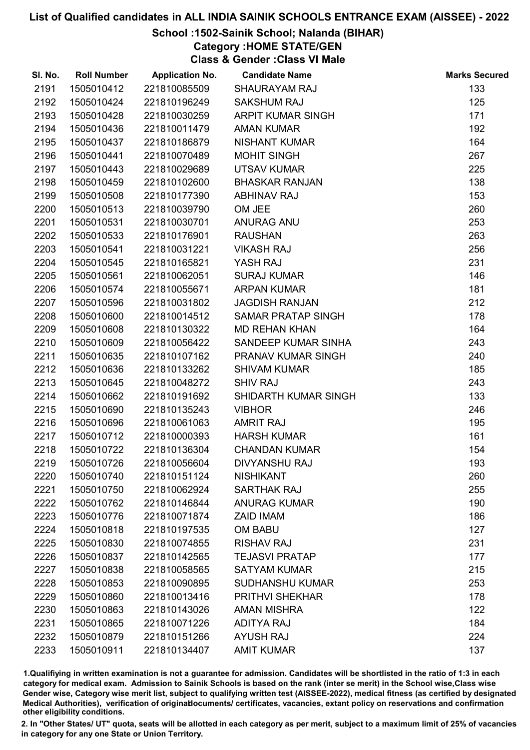## School :1502-Sainik School; Nalanda (BIHAR)

Category :HOME STATE/GEN

Class & Gender :Class VI Male

| SI. No. | <b>Roll Number</b> | <b>Application No.</b> | <b>Candidate Name</b>     | <b>Marks Secured</b> |
|---------|--------------------|------------------------|---------------------------|----------------------|
| 2191    | 1505010412         | 221810085509           | <b>SHAURAYAM RAJ</b>      | 133                  |
| 2192    | 1505010424         | 221810196249           | <b>SAKSHUM RAJ</b>        | 125                  |
| 2193    | 1505010428         | 221810030259           | <b>ARPIT KUMAR SINGH</b>  | 171                  |
| 2194    | 1505010436         | 221810011479           | <b>AMAN KUMAR</b>         | 192                  |
| 2195    | 1505010437         | 221810186879           | <b>NISHANT KUMAR</b>      | 164                  |
| 2196    | 1505010441         | 221810070489           | <b>MOHIT SINGH</b>        | 267                  |
| 2197    | 1505010443         | 221810029689           | <b>UTSAV KUMAR</b>        | 225                  |
| 2198    | 1505010459         | 221810102600           | <b>BHASKAR RANJAN</b>     | 138                  |
| 2199    | 1505010508         | 221810177390           | <b>ABHINAV RAJ</b>        | 153                  |
| 2200    | 1505010513         | 221810039790           | OM JEE                    | 260                  |
| 2201    | 1505010531         | 221810030701           | ANURAG ANU                | 253                  |
| 2202    | 1505010533         | 221810176901           | <b>RAUSHAN</b>            | 263                  |
| 2203    | 1505010541         | 221810031221           | <b>VIKASH RAJ</b>         | 256                  |
| 2204    | 1505010545         | 221810165821           | YASH RAJ                  | 231                  |
| 2205    | 1505010561         | 221810062051           | <b>SURAJ KUMAR</b>        | 146                  |
| 2206    | 1505010574         | 221810055671           | <b>ARPAN KUMAR</b>        | 181                  |
| 2207    | 1505010596         | 221810031802           | <b>JAGDISH RANJAN</b>     | 212                  |
| 2208    | 1505010600         | 221810014512           | <b>SAMAR PRATAP SINGH</b> | 178                  |
| 2209    | 1505010608         | 221810130322           | <b>MD REHAN KHAN</b>      | 164                  |
| 2210    | 1505010609         | 221810056422           | SANDEEP KUMAR SINHA       | 243                  |
| 2211    | 1505010635         | 221810107162           | PRANAV KUMAR SINGH        | 240                  |
| 2212    | 1505010636         | 221810133262           | <b>SHIVAM KUMAR</b>       | 185                  |
| 2213    | 1505010645         | 221810048272           | <b>SHIV RAJ</b>           | 243                  |
| 2214    | 1505010662         | 221810191692           | SHIDARTH KUMAR SINGH      | 133                  |
| 2215    | 1505010690         | 221810135243           | <b>VIBHOR</b>             | 246                  |
| 2216    | 1505010696         | 221810061063           | <b>AMRIT RAJ</b>          | 195                  |
| 2217    | 1505010712         | 221810000393           | <b>HARSH KUMAR</b>        | 161                  |
| 2218    | 1505010722         | 221810136304           | <b>CHANDAN KUMAR</b>      | 154                  |
| 2219    | 1505010726         | 221810056604           | <b>DIVYANSHU RAJ</b>      | 193                  |
| 2220    | 1505010740         | 221810151124           | <b>NISHIKANT</b>          | 260                  |
| 2221    | 1505010750         | 221810062924           | <b>SARTHAK RAJ</b>        | 255                  |
| 2222    | 1505010762         | 221810146844           | <b>ANURAG KUMAR</b>       | 190                  |
| 2223    | 1505010776         | 221810071874           | <b>ZAID IMAM</b>          | 186                  |
| 2224    | 1505010818         | 221810197535           | <b>OM BABU</b>            | 127                  |
| 2225    | 1505010830         | 221810074855           | <b>RISHAV RAJ</b>         | 231                  |
| 2226    | 1505010837         | 221810142565           | <b>TEJASVI PRATAP</b>     | 177                  |
| 2227    | 1505010838         | 221810058565           | <b>SATYAM KUMAR</b>       | 215                  |
| 2228    | 1505010853         | 221810090895           | <b>SUDHANSHU KUMAR</b>    | 253                  |
| 2229    | 1505010860         | 221810013416           | <b>PRITHVI SHEKHAR</b>    | 178                  |
| 2230    | 1505010863         | 221810143026           | <b>AMAN MISHRA</b>        | 122                  |
| 2231    | 1505010865         | 221810071226           | <b>ADITYA RAJ</b>         | 184                  |
| 2232    | 1505010879         | 221810151266           | <b>AYUSH RAJ</b>          | 224                  |
| 2233    | 1505010911         | 221810134407           | <b>AMIT KUMAR</b>         | 137                  |

1.Qualifiying in written examination is not a guarantee for admission. Candidates will be shortlisted in the ratio of 1:3 in each category for medical exam. Admission to Sainik Schools is based on the rank (inter se merit) in the School wise,Class wise Gender wise, Category wise merit list, subject to qualifying written test (AISSEE-2022), medical fitness (as certified by designated Medical Authorities), verification of originablocuments/ certificates, vacancies, extant policy on reservations and confirmation other eligibility conditions.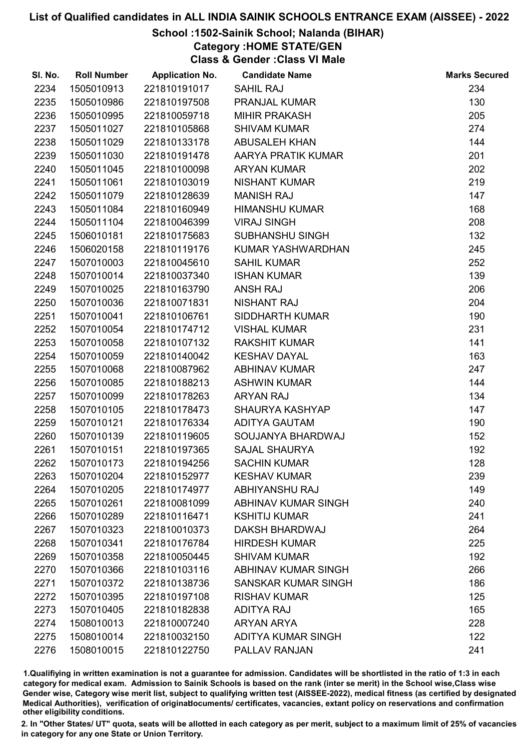#### School :1502-Sainik School; Nalanda (BIHAR)

Category :HOME STATE/GEN

Class & Gender :Class VI Male

| SI. No. | <b>Roll Number</b> | <b>Application No.</b> | <b>Candidate Name</b>      | <b>Marks Secured</b> |
|---------|--------------------|------------------------|----------------------------|----------------------|
| 2234    | 1505010913         | 221810191017           | <b>SAHIL RAJ</b>           | 234                  |
| 2235    | 1505010986         | 221810197508           | PRANJAL KUMAR              | 130                  |
| 2236    | 1505010995         | 221810059718           | <b>MIHIR PRAKASH</b>       | 205                  |
| 2237    | 1505011027         | 221810105868           | <b>SHIVAM KUMAR</b>        | 274                  |
| 2238    | 1505011029         | 221810133178           | <b>ABUSALEH KHAN</b>       | 144                  |
| 2239    | 1505011030         | 221810191478           | AARYA PRATIK KUMAR         | 201                  |
| 2240    | 1505011045         | 221810100098           | <b>ARYAN KUMAR</b>         | 202                  |
| 2241    | 1505011061         | 221810103019           | <b>NISHANT KUMAR</b>       | 219                  |
| 2242    | 1505011079         | 221810128639           | <b>MANISH RAJ</b>          | 147                  |
| 2243    | 1505011084         | 221810160949           | <b>HIMANSHU KUMAR</b>      | 168                  |
| 2244    | 1505011104         | 221810046399           | <b>VIRAJ SINGH</b>         | 208                  |
| 2245    | 1506010181         | 221810175683           | <b>SUBHANSHU SINGH</b>     | 132                  |
| 2246    | 1506020158         | 221810119176           | KUMAR YASHWARDHAN          | 245                  |
| 2247    | 1507010003         | 221810045610           | <b>SAHIL KUMAR</b>         | 252                  |
| 2248    | 1507010014         | 221810037340           | <b>ISHAN KUMAR</b>         | 139                  |
| 2249    | 1507010025         | 221810163790           | <b>ANSH RAJ</b>            | 206                  |
| 2250    | 1507010036         | 221810071831           | <b>NISHANT RAJ</b>         | 204                  |
| 2251    | 1507010041         | 221810106761           | <b>SIDDHARTH KUMAR</b>     | 190                  |
| 2252    | 1507010054         | 221810174712           | <b>VISHAL KUMAR</b>        | 231                  |
| 2253    | 1507010058         | 221810107132           | <b>RAKSHIT KUMAR</b>       | 141                  |
| 2254    | 1507010059         | 221810140042           | <b>KESHAV DAYAL</b>        | 163                  |
| 2255    | 1507010068         | 221810087962           | <b>ABHINAV KUMAR</b>       | 247                  |
| 2256    | 1507010085         | 221810188213           | <b>ASHWIN KUMAR</b>        | 144                  |
| 2257    | 1507010099         | 221810178263           | <b>ARYAN RAJ</b>           | 134                  |
| 2258    | 1507010105         | 221810178473           | <b>SHAURYA KASHYAP</b>     | 147                  |
| 2259    | 1507010121         | 221810176334           | <b>ADITYA GAUTAM</b>       | 190                  |
| 2260    | 1507010139         | 221810119605           | SOUJANYA BHARDWAJ          | 152                  |
| 2261    | 1507010151         | 221810197365           | <b>SAJAL SHAURYA</b>       | 192                  |
| 2262    | 1507010173         | 221810194256           | <b>SACHIN KUMAR</b>        | 128                  |
| 2263    | 1507010204         | 221810152977           | <b>KESHAV KUMAR</b>        | 239                  |
| 2264    | 1507010205         | 221810174977           | ABHIYANSHU RAJ             | 149                  |
| 2265    | 1507010261         | 221810081099           | <b>ABHINAV KUMAR SINGH</b> | 240                  |
| 2266    | 1507010289         | 221810116471           | <b>KSHITIJ KUMAR</b>       | 241                  |
| 2267    | 1507010323         | 221810010373           | DAKSH BHARDWAJ             | 264                  |
| 2268    | 1507010341         | 221810176784           | <b>HIRDESH KUMAR</b>       | 225                  |
| 2269    | 1507010358         | 221810050445           | <b>SHIVAM KUMAR</b>        | 192                  |
| 2270    | 1507010366         | 221810103116           | ABHINAV KUMAR SINGH        | 266                  |
| 2271    | 1507010372         | 221810138736           | SANSKAR KUMAR SINGH        | 186                  |
| 2272    | 1507010395         | 221810197108           | <b>RISHAV KUMAR</b>        | 125                  |
| 2273    | 1507010405         | 221810182838           | <b>ADITYA RAJ</b>          | 165                  |
| 2274    | 1508010013         | 221810007240           | <b>ARYAN ARYA</b>          | 228                  |
| 2275    | 1508010014         | 221810032150           | <b>ADITYA KUMAR SINGH</b>  | 122                  |
| 2276    | 1508010015         | 221810122750           | PALLAV RANJAN              | 241                  |

1.Qualifiying in written examination is not a guarantee for admission. Candidates will be shortlisted in the ratio of 1:3 in each category for medical exam. Admission to Sainik Schools is based on the rank (inter se merit) in the School wise,Class wise Gender wise, Category wise merit list, subject to qualifying written test (AISSEE-2022), medical fitness (as certified by designated Medical Authorities), verification of originablocuments/ certificates, vacancies, extant policy on reservations and confirmation other eligibility conditions.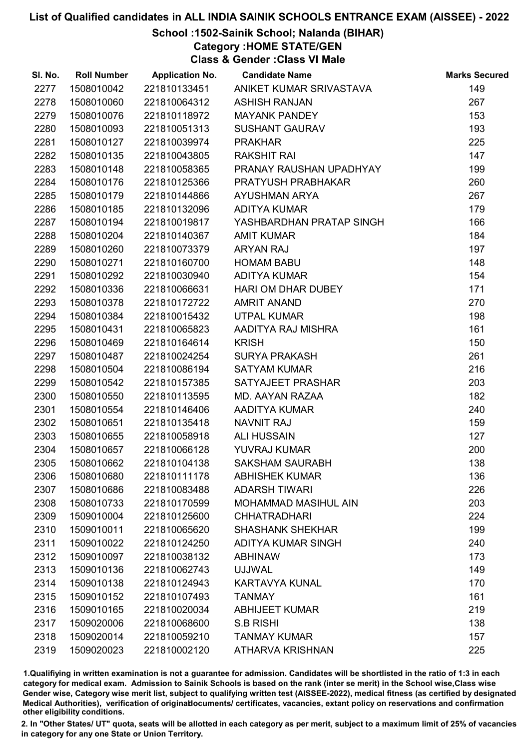## School :1502-Sainik School; Nalanda (BIHAR)

Category :HOME STATE/GEN

Class & Gender :Class VI Male

| SI. No. | <b>Roll Number</b> | <b>Application No.</b> | <b>Candidate Name</b>       | <b>Marks Secured</b> |
|---------|--------------------|------------------------|-----------------------------|----------------------|
| 2277    | 1508010042         | 221810133451           | ANIKET KUMAR SRIVASTAVA     | 149                  |
| 2278    | 1508010060         | 221810064312           | <b>ASHISH RANJAN</b>        | 267                  |
| 2279    | 1508010076         | 221810118972           | <b>MAYANK PANDEY</b>        | 153                  |
| 2280    | 1508010093         | 221810051313           | <b>SUSHANT GAURAV</b>       | 193                  |
| 2281    | 1508010127         | 221810039974           | <b>PRAKHAR</b>              | 225                  |
| 2282    | 1508010135         | 221810043805           | <b>RAKSHIT RAI</b>          | 147                  |
| 2283    | 1508010148         | 221810058365           | PRANAY RAUSHAN UPADHYAY     | 199                  |
| 2284    | 1508010176         | 221810125366           | PRATYUSH PRABHAKAR          | 260                  |
| 2285    | 1508010179         | 221810144866           | <b>AYUSHMAN ARYA</b>        | 267                  |
| 2286    | 1508010185         | 221810132096           | <b>ADITYA KUMAR</b>         | 179                  |
| 2287    | 1508010194         | 221810019817           | YASHBARDHAN PRATAP SINGH    | 166                  |
| 2288    | 1508010204         | 221810140367           | <b>AMIT KUMAR</b>           | 184                  |
| 2289    | 1508010260         | 221810073379           | <b>ARYAN RAJ</b>            | 197                  |
| 2290    | 1508010271         | 221810160700           | <b>HOMAM BABU</b>           | 148                  |
| 2291    | 1508010292         | 221810030940           | <b>ADITYA KUMAR</b>         | 154                  |
| 2292    | 1508010336         | 221810066631           | HARI OM DHAR DUBEY          | 171                  |
| 2293    | 1508010378         | 221810172722           | <b>AMRIT ANAND</b>          | 270                  |
| 2294    | 1508010384         | 221810015432           | <b>UTPAL KUMAR</b>          | 198                  |
| 2295    | 1508010431         | 221810065823           | AADITYA RAJ MISHRA          | 161                  |
| 2296    | 1508010469         | 221810164614           | <b>KRISH</b>                | 150                  |
| 2297    | 1508010487         | 221810024254           | <b>SURYA PRAKASH</b>        | 261                  |
| 2298    | 1508010504         | 221810086194           | <b>SATYAM KUMAR</b>         | 216                  |
| 2299    | 1508010542         | 221810157385           | SATYAJEET PRASHAR           | 203                  |
| 2300    | 1508010550         | 221810113595           | MD. AAYAN RAZAA             | 182                  |
| 2301    | 1508010554         | 221810146406           | AADITYA KUMAR               | 240                  |
| 2302    | 1508010651         | 221810135418           | <b>NAVNIT RAJ</b>           | 159                  |
| 2303    | 1508010655         | 221810058918           | <b>ALI HUSSAIN</b>          | 127                  |
| 2304    | 1508010657         | 221810066128           | <b>YUVRAJ KUMAR</b>         | 200                  |
| 2305    | 1508010662         | 221810104138           | <b>SAKSHAM SAURABH</b>      | 138                  |
| 2306    | 1508010680         | 221810111178           | <b>ABHISHEK KUMAR</b>       | 136                  |
| 2307    | 1508010686         | 221810083488           | <b>ADARSH TIWARI</b>        | 226                  |
| 2308    | 1508010733         | 221810170599           | <b>MOHAMMAD MASIHUL AIN</b> | 203                  |
| 2309    | 1509010004         | 221810125600           | <b>CHHATRADHARI</b>         | 224                  |
| 2310    | 1509010011         | 221810065620           | <b>SHASHANK SHEKHAR</b>     | 199                  |
| 2311    | 1509010022         | 221810124250           | <b>ADITYA KUMAR SINGH</b>   | 240                  |
| 2312    | 1509010097         | 221810038132           | <b>ABHINAW</b>              | 173                  |
| 2313    | 1509010136         | 221810062743           | <b>UJJWAL</b>               | 149                  |
| 2314    | 1509010138         | 221810124943           | <b>KARTAVYA KUNAL</b>       | 170                  |
| 2315    | 1509010152         | 221810107493           | <b>TANMAY</b>               | 161                  |
| 2316    | 1509010165         | 221810020034           | <b>ABHIJEET KUMAR</b>       | 219                  |
| 2317    | 1509020006         | 221810068600           | <b>S.B RISHI</b>            | 138                  |
| 2318    | 1509020014         | 221810059210           | <b>TANMAY KUMAR</b>         | 157                  |
| 2319    | 1509020023         | 221810002120           | <b>ATHARVA KRISHNAN</b>     | 225                  |

1.Qualifiying in written examination is not a guarantee for admission. Candidates will be shortlisted in the ratio of 1:3 in each category for medical exam. Admission to Sainik Schools is based on the rank (inter se merit) in the School wise,Class wise Gender wise, Category wise merit list, subject to qualifying written test (AISSEE-2022), medical fitness (as certified by designated Medical Authorities), verification of originablocuments/ certificates, vacancies, extant policy on reservations and confirmation other eligibility conditions.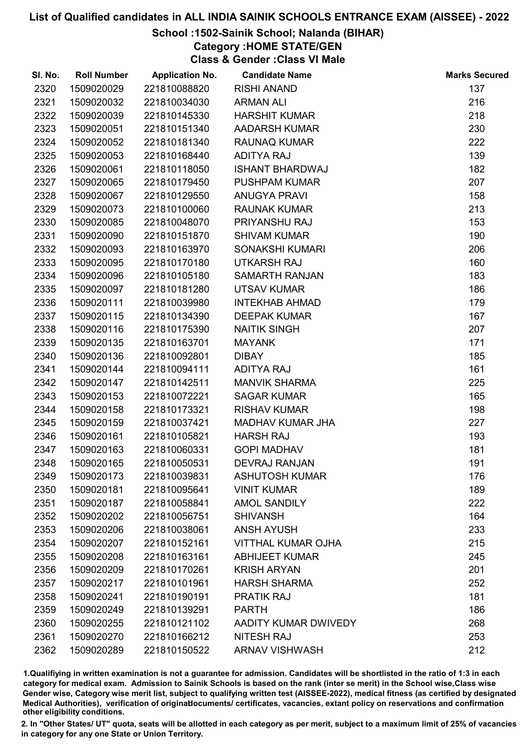## School :1502-Sainik School; Nalanda (BIHAR)

Category :HOME STATE/GEN

Class & Gender :Class VI Male

| SI. No. | <b>Roll Number</b> | <b>Application No.</b> | <b>Candidate Name</b>     | <b>Marks Secured</b> |
|---------|--------------------|------------------------|---------------------------|----------------------|
| 2320    | 1509020029         | 221810088820           | <b>RISHI ANAND</b>        | 137                  |
| 2321    | 1509020032         | 221810034030           | <b>ARMAN ALI</b>          | 216                  |
| 2322    | 1509020039         | 221810145330           | <b>HARSHIT KUMAR</b>      | 218                  |
| 2323    | 1509020051         | 221810151340           | <b>AADARSH KUMAR</b>      | 230                  |
| 2324    | 1509020052         | 221810181340           | <b>RAUNAQ KUMAR</b>       | 222                  |
| 2325    | 1509020053         | 221810168440           | <b>ADITYA RAJ</b>         | 139                  |
| 2326    | 1509020061         | 221810118050           | <b>ISHANT BHARDWAJ</b>    | 182                  |
| 2327    | 1509020065         | 221810179450           | <b>PUSHPAM KUMAR</b>      | 207                  |
| 2328    | 1509020067         | 221810129550           | <b>ANUGYA PRAVI</b>       | 158                  |
| 2329    | 1509020073         | 221810100060           | <b>RAUNAK KUMAR</b>       | 213                  |
| 2330    | 1509020085         | 221810048070           | PRIYANSHU RAJ             | 153                  |
| 2331    | 1509020090         | 221810151870           | <b>SHIVAM KUMAR</b>       | 190                  |
| 2332    | 1509020093         | 221810163970           | SONAKSHI KUMARI           | 206                  |
| 2333    | 1509020095         | 221810170180           | <b>UTKARSH RAJ</b>        | 160                  |
| 2334    | 1509020096         | 221810105180           | <b>SAMARTH RANJAN</b>     | 183                  |
| 2335    | 1509020097         | 221810181280           | <b>UTSAV KUMAR</b>        | 186                  |
| 2336    | 1509020111         | 221810039980           | <b>INTEKHAB AHMAD</b>     | 179                  |
| 2337    | 1509020115         | 221810134390           | <b>DEEPAK KUMAR</b>       | 167                  |
| 2338    | 1509020116         | 221810175390           | <b>NAITIK SINGH</b>       | 207                  |
| 2339    | 1509020135         | 221810163701           | <b>MAYANK</b>             | 171                  |
| 2340    | 1509020136         | 221810092801           | <b>DIBAY</b>              | 185                  |
| 2341    | 1509020144         | 221810094111           | <b>ADITYA RAJ</b>         | 161                  |
| 2342    | 1509020147         | 221810142511           | <b>MANVIK SHARMA</b>      | 225                  |
| 2343    | 1509020153         | 221810072221           | <b>SAGAR KUMAR</b>        | 165                  |
| 2344    | 1509020158         | 221810173321           | <b>RISHAV KUMAR</b>       | 198                  |
| 2345    | 1509020159         | 221810037421           | <b>MADHAV KUMAR JHA</b>   | 227                  |
| 2346    | 1509020161         | 221810105821           | <b>HARSH RAJ</b>          | 193                  |
| 2347    | 1509020163         | 221810060331           | <b>GOPI MADHAV</b>        | 181                  |
| 2348    | 1509020165         | 221810050531           | <b>DEVRAJ RANJAN</b>      | 191                  |
| 2349    | 1509020173         | 221810039831           | <b>ASHUTOSH KUMAR</b>     | 176                  |
| 2350    | 1509020181         | 221810095641           | <b>VINIT KUMAR</b>        | 189                  |
| 2351    | 1509020187         | 221810058841           | <b>AMOL SANDILY</b>       | 222                  |
| 2352    | 1509020202         | 221810056751           | <b>SHIVANSH</b>           | 164                  |
| 2353    | 1509020206         | 221810038061           | <b>ANSH AYUSH</b>         | 233                  |
| 2354    | 1509020207         | 221810152161           | <b>VITTHAL KUMAR OJHA</b> | 215                  |
| 2355    | 1509020208         | 221810163161           | <b>ABHIJEET KUMAR</b>     | 245                  |
| 2356    | 1509020209         | 221810170261           | <b>KRISH ARYAN</b>        | 201                  |
| 2357    | 1509020217         | 221810101961           | <b>HARSH SHARMA</b>       | 252                  |
| 2358    | 1509020241         | 221810190191           | <b>PRATIK RAJ</b>         | 181                  |
| 2359    | 1509020249         | 221810139291           | <b>PARTH</b>              | 186                  |
| 2360    | 1509020255         | 221810121102           | AADITY KUMAR DWIVEDY      | 268                  |
| 2361    | 1509020270         | 221810166212           | <b>NITESH RAJ</b>         | 253                  |
| 2362    | 1509020289         | 221810150522           | <b>ARNAV VISHWASH</b>     | 212                  |

1.Qualifiying in written examination is not a guarantee for admission. Candidates will be shortlisted in the ratio of 1:3 in each category for medical exam. Admission to Sainik Schools is based on the rank (inter se merit) in the School wise,Class wise Gender wise, Category wise merit list, subject to qualifying written test (AISSEE-2022), medical fitness (as certified by designated Medical Authorities), verification of originablocuments/ certificates, vacancies, extant policy on reservations and confirmation other eligibility conditions.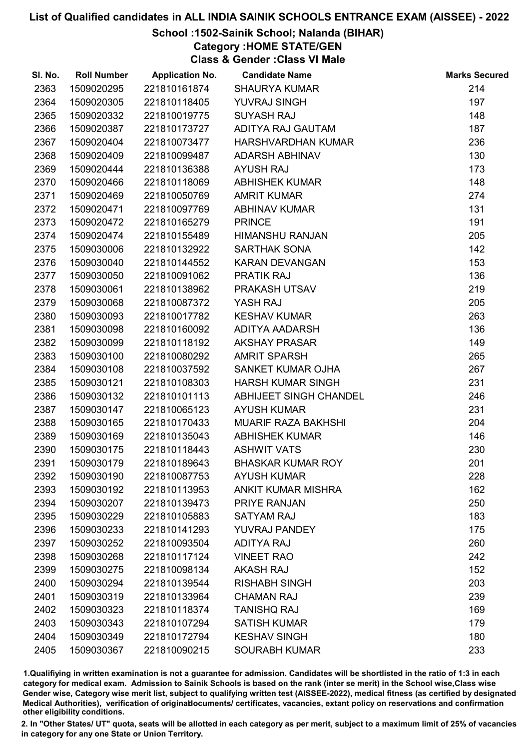## School :1502-Sainik School; Nalanda (BIHAR)

Category :HOME STATE/GEN

Class & Gender :Class VI Male

| SI. No. | <b>Roll Number</b> | <b>Application No.</b> | <b>Candidate Name</b>      | <b>Marks Secured</b> |
|---------|--------------------|------------------------|----------------------------|----------------------|
| 2363    | 1509020295         | 221810161874           | <b>SHAURYA KUMAR</b>       | 214                  |
| 2364    | 1509020305         | 221810118405           | YUVRAJ SINGH               | 197                  |
| 2365    | 1509020332         | 221810019775           | <b>SUYASH RAJ</b>          | 148                  |
| 2366    | 1509020387         | 221810173727           | ADITYA RAJ GAUTAM          | 187                  |
| 2367    | 1509020404         | 221810073477           | HARSHVARDHAN KUMAR         | 236                  |
| 2368    | 1509020409         | 221810099487           | <b>ADARSH ABHINAV</b>      | 130                  |
| 2369    | 1509020444         | 221810136388           | <b>AYUSH RAJ</b>           | 173                  |
| 2370    | 1509020466         | 221810118069           | <b>ABHISHEK KUMAR</b>      | 148                  |
| 2371    | 1509020469         | 221810050769           | <b>AMRIT KUMAR</b>         | 274                  |
| 2372    | 1509020471         | 221810097769           | <b>ABHINAV KUMAR</b>       | 131                  |
| 2373    | 1509020472         | 221810165279           | <b>PRINCE</b>              | 191                  |
| 2374    | 1509020474         | 221810155489           | <b>HIMANSHU RANJAN</b>     | 205                  |
| 2375    | 1509030006         | 221810132922           | SARTHAK SONA               | 142                  |
| 2376    | 1509030040         | 221810144552           | <b>KARAN DEVANGAN</b>      | 153                  |
| 2377    | 1509030050         | 221810091062           | <b>PRATIK RAJ</b>          | 136                  |
| 2378    | 1509030061         | 221810138962           | PRAKASH UTSAV              | 219                  |
| 2379    | 1509030068         | 221810087372           | YASH RAJ                   | 205                  |
| 2380    | 1509030093         | 221810017782           | <b>KESHAV KUMAR</b>        | 263                  |
| 2381    | 1509030098         | 221810160092           | ADITYA AADARSH             | 136                  |
| 2382    | 1509030099         | 221810118192           | <b>AKSHAY PRASAR</b>       | 149                  |
| 2383    | 1509030100         | 221810080292           | <b>AMRIT SPARSH</b>        | 265                  |
| 2384    | 1509030108         | 221810037592           | SANKET KUMAR OJHA          | 267                  |
| 2385    | 1509030121         | 221810108303           | <b>HARSH KUMAR SINGH</b>   | 231                  |
| 2386    | 1509030132         | 221810101113           | ABHIJEET SINGH CHANDEL     | 246                  |
| 2387    | 1509030147         | 221810065123           | <b>AYUSH KUMAR</b>         | 231                  |
| 2388    | 1509030165         | 221810170433           | <b>MUARIF RAZA BAKHSHI</b> | 204                  |
| 2389    | 1509030169         | 221810135043           | <b>ABHISHEK KUMAR</b>      | 146                  |
| 2390    | 1509030175         | 221810118443           | <b>ASHWIT VATS</b>         | 230                  |
| 2391    | 1509030179         | 221810189643           | <b>BHASKAR KUMAR ROY</b>   | 201                  |
| 2392    | 1509030190         | 221810087753           | <b>AYUSH KUMAR</b>         | 228                  |
| 2393    | 1509030192         | 221810113953           | <b>ANKIT KUMAR MISHRA</b>  | 162                  |
| 2394    | 1509030207         | 221810139473           | <b>PRIYE RANJAN</b>        | 250                  |
| 2395    | 1509030229         | 221810105883           | <b>SATYAM RAJ</b>          | 183                  |
| 2396    | 1509030233         | 221810141293           | YUVRAJ PANDEY              | 175                  |
| 2397    | 1509030252         | 221810093504           | <b>ADITYA RAJ</b>          | 260                  |
| 2398    | 1509030268         | 221810117124           | <b>VINEET RAO</b>          | 242                  |
| 2399    | 1509030275         | 221810098134           | <b>AKASH RAJ</b>           | 152                  |
| 2400    | 1509030294         | 221810139544           | <b>RISHABH SINGH</b>       | 203                  |
| 2401    | 1509030319         | 221810133964           | <b>CHAMAN RAJ</b>          | 239                  |
| 2402    | 1509030323         | 221810118374           | <b>TANISHQ RAJ</b>         | 169                  |
| 2403    | 1509030343         | 221810107294           | <b>SATISH KUMAR</b>        | 179                  |
| 2404    | 1509030349         | 221810172794           | <b>KESHAV SINGH</b>        | 180                  |
| 2405    | 1509030367         | 221810090215           | <b>SOURABH KUMAR</b>       | 233                  |

1.Qualifiying in written examination is not a guarantee for admission. Candidates will be shortlisted in the ratio of 1:3 in each category for medical exam. Admission to Sainik Schools is based on the rank (inter se merit) in the School wise,Class wise Gender wise, Category wise merit list, subject to qualifying written test (AISSEE-2022), medical fitness (as certified by designated Medical Authorities), verification of originablocuments/ certificates, vacancies, extant policy on reservations and confirmation other eligibility conditions.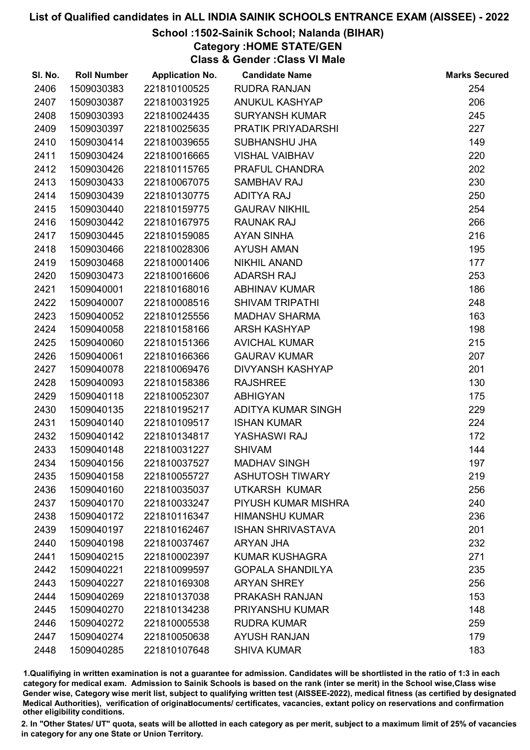## School :1502-Sainik School; Nalanda (BIHAR)

Category :HOME STATE/GEN

Class & Gender :Class VI Male

| 254<br>2406<br>1509030383<br>221810100525<br><b>RUDRA RANJAN</b><br>2407<br>1509030387<br><b>ANUKUL KASHYAP</b><br>206<br>221810031925<br>2408<br>1509030393<br>221810024435<br><b>SURYANSH KUMAR</b><br>245<br>2409<br>227<br>1509030397<br>221810025635<br>PRATIK PRIYADARSHI<br>149<br>2410<br>1509030414<br>221810039655<br><b>SUBHANSHU JHA</b><br>2411<br><b>VISHAL VAIBHAV</b><br>220<br>1509030424<br>221810016665<br>2412<br>PRAFUL CHANDRA<br>202<br>1509030426<br>221810115765<br>2413<br>230<br>1509030433<br>221810067075<br><b>SAMBHAV RAJ</b><br>2414<br>1509030439<br>250<br>221810130775<br><b>ADITYA RAJ</b><br>254<br>2415<br>1509030440<br>221810159775<br><b>GAURAV NIKHIL</b><br>2416<br>266<br>1509030442<br>221810167975<br><b>RAUNAK RAJ</b><br>216<br>2417<br>1509030445<br>221810159085<br><b>AYAN SINHA</b><br>195<br>2418<br>1509030466<br>221810028306<br><b>AYUSH AMAN</b><br>NIKHIL ANAND<br>177<br>2419<br>1509030468<br>221810001406<br><b>ADARSH RAJ</b><br>253<br>2420<br>1509030473<br>221810016606<br>186<br>2421<br>1509040001<br>221810168016<br><b>ABHINAV KUMAR</b><br>248<br>2422<br>1509040007<br><b>SHIVAM TRIPATHI</b><br>221810008516<br>2423<br>1509040052<br>221810125556<br>163<br><b>MADHAV SHARMA</b><br>2424<br>1509040058<br><b>ARSH KASHYAP</b><br>198<br>221810158166<br>2425<br><b>AVICHAL KUMAR</b><br>215<br>1509040060<br>221810151366<br>207<br>2426<br>1509040061<br>221810166366<br><b>GAURAV KUMAR</b><br>2427<br>1509040078<br><b>DIVYANSH KASHYAP</b><br>201<br>221810069476<br>2428<br>1509040093<br>130<br>221810158386<br><b>RAJSHREE</b><br>2429<br>175<br>1509040118<br>221810052307<br><b>ABHIGYAN</b><br>229<br>2430<br>1509040135<br>221810195217<br>ADITYA KUMAR SINGH<br><b>ISHAN KUMAR</b><br>224<br>2431<br>1509040140<br>221810109517<br>2432<br>YASHASWI RAJ<br>172<br>1509040142<br>221810134817<br>2433<br>144<br>1509040148<br>221810031227<br><b>SHIVAM</b><br>197<br>2434<br>1509040156<br>221810037527<br><b>MADHAV SINGH</b><br>2435<br><b>ASHUTOSH TIWARY</b><br>219<br>1509040158<br>221810055727<br>2436<br>256<br>1509040160<br>221810035037<br>UTKARSH KUMAR<br>240<br>2437<br>1509040170<br>221810033247<br>PIYUSH KUMAR MISHRA<br>236<br>2438<br>1509040172<br>221810116347<br><b>HIMANSHU KUMAR</b><br>201<br>2439<br>1509040197<br>221810162467<br><b>ISHAN SHRIVASTAVA</b><br>232<br>2440<br>1509040198<br>221810037467<br>ARYAN JHA<br>271<br>2441<br>1509040215<br>221810002397<br><b>KUMAR KUSHAGRA</b><br>235<br>2442<br>1509040221<br>221810099597<br><b>GOPALA SHANDILYA</b><br>2443<br>1509040227<br>221810169308<br><b>ARYAN SHREY</b><br>256<br>153<br>2444<br>1509040269<br>221810137038<br>PRAKASH RANJAN<br>2445<br>1509040270<br>221810134238<br>PRIYANSHU KUMAR<br>148<br>2446<br>1509040272<br>221810005538<br><b>RUDRA KUMAR</b><br>259<br>179<br>2447<br>1509040274<br>221810050638<br><b>AYUSH RANJAN</b><br>183<br>2448<br>1509040285<br>221810107648<br><b>SHIVA KUMAR</b> | SI. No. | <b>Roll Number</b> | <b>Application No.</b> | <b>Candidate Name</b> | <b>Marks Secured</b> |
|-------------------------------------------------------------------------------------------------------------------------------------------------------------------------------------------------------------------------------------------------------------------------------------------------------------------------------------------------------------------------------------------------------------------------------------------------------------------------------------------------------------------------------------------------------------------------------------------------------------------------------------------------------------------------------------------------------------------------------------------------------------------------------------------------------------------------------------------------------------------------------------------------------------------------------------------------------------------------------------------------------------------------------------------------------------------------------------------------------------------------------------------------------------------------------------------------------------------------------------------------------------------------------------------------------------------------------------------------------------------------------------------------------------------------------------------------------------------------------------------------------------------------------------------------------------------------------------------------------------------------------------------------------------------------------------------------------------------------------------------------------------------------------------------------------------------------------------------------------------------------------------------------------------------------------------------------------------------------------------------------------------------------------------------------------------------------------------------------------------------------------------------------------------------------------------------------------------------------------------------------------------------------------------------------------------------------------------------------------------------------------------------------------------------------------------------------------------------------------------------------------------------------------------------------------------------------------------------------------------------------------------------------------------------------------------------------------------------------------------------------------------------------------------------------------------------------------------------------------------------------------------------------------------------------------------------------------------------------------------------------|---------|--------------------|------------------------|-----------------------|----------------------|
|                                                                                                                                                                                                                                                                                                                                                                                                                                                                                                                                                                                                                                                                                                                                                                                                                                                                                                                                                                                                                                                                                                                                                                                                                                                                                                                                                                                                                                                                                                                                                                                                                                                                                                                                                                                                                                                                                                                                                                                                                                                                                                                                                                                                                                                                                                                                                                                                                                                                                                                                                                                                                                                                                                                                                                                                                                                                                                                                                                                                 |         |                    |                        |                       |                      |
|                                                                                                                                                                                                                                                                                                                                                                                                                                                                                                                                                                                                                                                                                                                                                                                                                                                                                                                                                                                                                                                                                                                                                                                                                                                                                                                                                                                                                                                                                                                                                                                                                                                                                                                                                                                                                                                                                                                                                                                                                                                                                                                                                                                                                                                                                                                                                                                                                                                                                                                                                                                                                                                                                                                                                                                                                                                                                                                                                                                                 |         |                    |                        |                       |                      |
|                                                                                                                                                                                                                                                                                                                                                                                                                                                                                                                                                                                                                                                                                                                                                                                                                                                                                                                                                                                                                                                                                                                                                                                                                                                                                                                                                                                                                                                                                                                                                                                                                                                                                                                                                                                                                                                                                                                                                                                                                                                                                                                                                                                                                                                                                                                                                                                                                                                                                                                                                                                                                                                                                                                                                                                                                                                                                                                                                                                                 |         |                    |                        |                       |                      |
|                                                                                                                                                                                                                                                                                                                                                                                                                                                                                                                                                                                                                                                                                                                                                                                                                                                                                                                                                                                                                                                                                                                                                                                                                                                                                                                                                                                                                                                                                                                                                                                                                                                                                                                                                                                                                                                                                                                                                                                                                                                                                                                                                                                                                                                                                                                                                                                                                                                                                                                                                                                                                                                                                                                                                                                                                                                                                                                                                                                                 |         |                    |                        |                       |                      |
|                                                                                                                                                                                                                                                                                                                                                                                                                                                                                                                                                                                                                                                                                                                                                                                                                                                                                                                                                                                                                                                                                                                                                                                                                                                                                                                                                                                                                                                                                                                                                                                                                                                                                                                                                                                                                                                                                                                                                                                                                                                                                                                                                                                                                                                                                                                                                                                                                                                                                                                                                                                                                                                                                                                                                                                                                                                                                                                                                                                                 |         |                    |                        |                       |                      |
|                                                                                                                                                                                                                                                                                                                                                                                                                                                                                                                                                                                                                                                                                                                                                                                                                                                                                                                                                                                                                                                                                                                                                                                                                                                                                                                                                                                                                                                                                                                                                                                                                                                                                                                                                                                                                                                                                                                                                                                                                                                                                                                                                                                                                                                                                                                                                                                                                                                                                                                                                                                                                                                                                                                                                                                                                                                                                                                                                                                                 |         |                    |                        |                       |                      |
|                                                                                                                                                                                                                                                                                                                                                                                                                                                                                                                                                                                                                                                                                                                                                                                                                                                                                                                                                                                                                                                                                                                                                                                                                                                                                                                                                                                                                                                                                                                                                                                                                                                                                                                                                                                                                                                                                                                                                                                                                                                                                                                                                                                                                                                                                                                                                                                                                                                                                                                                                                                                                                                                                                                                                                                                                                                                                                                                                                                                 |         |                    |                        |                       |                      |
|                                                                                                                                                                                                                                                                                                                                                                                                                                                                                                                                                                                                                                                                                                                                                                                                                                                                                                                                                                                                                                                                                                                                                                                                                                                                                                                                                                                                                                                                                                                                                                                                                                                                                                                                                                                                                                                                                                                                                                                                                                                                                                                                                                                                                                                                                                                                                                                                                                                                                                                                                                                                                                                                                                                                                                                                                                                                                                                                                                                                 |         |                    |                        |                       |                      |
|                                                                                                                                                                                                                                                                                                                                                                                                                                                                                                                                                                                                                                                                                                                                                                                                                                                                                                                                                                                                                                                                                                                                                                                                                                                                                                                                                                                                                                                                                                                                                                                                                                                                                                                                                                                                                                                                                                                                                                                                                                                                                                                                                                                                                                                                                                                                                                                                                                                                                                                                                                                                                                                                                                                                                                                                                                                                                                                                                                                                 |         |                    |                        |                       |                      |
|                                                                                                                                                                                                                                                                                                                                                                                                                                                                                                                                                                                                                                                                                                                                                                                                                                                                                                                                                                                                                                                                                                                                                                                                                                                                                                                                                                                                                                                                                                                                                                                                                                                                                                                                                                                                                                                                                                                                                                                                                                                                                                                                                                                                                                                                                                                                                                                                                                                                                                                                                                                                                                                                                                                                                                                                                                                                                                                                                                                                 |         |                    |                        |                       |                      |
|                                                                                                                                                                                                                                                                                                                                                                                                                                                                                                                                                                                                                                                                                                                                                                                                                                                                                                                                                                                                                                                                                                                                                                                                                                                                                                                                                                                                                                                                                                                                                                                                                                                                                                                                                                                                                                                                                                                                                                                                                                                                                                                                                                                                                                                                                                                                                                                                                                                                                                                                                                                                                                                                                                                                                                                                                                                                                                                                                                                                 |         |                    |                        |                       |                      |
|                                                                                                                                                                                                                                                                                                                                                                                                                                                                                                                                                                                                                                                                                                                                                                                                                                                                                                                                                                                                                                                                                                                                                                                                                                                                                                                                                                                                                                                                                                                                                                                                                                                                                                                                                                                                                                                                                                                                                                                                                                                                                                                                                                                                                                                                                                                                                                                                                                                                                                                                                                                                                                                                                                                                                                                                                                                                                                                                                                                                 |         |                    |                        |                       |                      |
|                                                                                                                                                                                                                                                                                                                                                                                                                                                                                                                                                                                                                                                                                                                                                                                                                                                                                                                                                                                                                                                                                                                                                                                                                                                                                                                                                                                                                                                                                                                                                                                                                                                                                                                                                                                                                                                                                                                                                                                                                                                                                                                                                                                                                                                                                                                                                                                                                                                                                                                                                                                                                                                                                                                                                                                                                                                                                                                                                                                                 |         |                    |                        |                       |                      |
|                                                                                                                                                                                                                                                                                                                                                                                                                                                                                                                                                                                                                                                                                                                                                                                                                                                                                                                                                                                                                                                                                                                                                                                                                                                                                                                                                                                                                                                                                                                                                                                                                                                                                                                                                                                                                                                                                                                                                                                                                                                                                                                                                                                                                                                                                                                                                                                                                                                                                                                                                                                                                                                                                                                                                                                                                                                                                                                                                                                                 |         |                    |                        |                       |                      |
|                                                                                                                                                                                                                                                                                                                                                                                                                                                                                                                                                                                                                                                                                                                                                                                                                                                                                                                                                                                                                                                                                                                                                                                                                                                                                                                                                                                                                                                                                                                                                                                                                                                                                                                                                                                                                                                                                                                                                                                                                                                                                                                                                                                                                                                                                                                                                                                                                                                                                                                                                                                                                                                                                                                                                                                                                                                                                                                                                                                                 |         |                    |                        |                       |                      |
|                                                                                                                                                                                                                                                                                                                                                                                                                                                                                                                                                                                                                                                                                                                                                                                                                                                                                                                                                                                                                                                                                                                                                                                                                                                                                                                                                                                                                                                                                                                                                                                                                                                                                                                                                                                                                                                                                                                                                                                                                                                                                                                                                                                                                                                                                                                                                                                                                                                                                                                                                                                                                                                                                                                                                                                                                                                                                                                                                                                                 |         |                    |                        |                       |                      |
|                                                                                                                                                                                                                                                                                                                                                                                                                                                                                                                                                                                                                                                                                                                                                                                                                                                                                                                                                                                                                                                                                                                                                                                                                                                                                                                                                                                                                                                                                                                                                                                                                                                                                                                                                                                                                                                                                                                                                                                                                                                                                                                                                                                                                                                                                                                                                                                                                                                                                                                                                                                                                                                                                                                                                                                                                                                                                                                                                                                                 |         |                    |                        |                       |                      |
|                                                                                                                                                                                                                                                                                                                                                                                                                                                                                                                                                                                                                                                                                                                                                                                                                                                                                                                                                                                                                                                                                                                                                                                                                                                                                                                                                                                                                                                                                                                                                                                                                                                                                                                                                                                                                                                                                                                                                                                                                                                                                                                                                                                                                                                                                                                                                                                                                                                                                                                                                                                                                                                                                                                                                                                                                                                                                                                                                                                                 |         |                    |                        |                       |                      |
|                                                                                                                                                                                                                                                                                                                                                                                                                                                                                                                                                                                                                                                                                                                                                                                                                                                                                                                                                                                                                                                                                                                                                                                                                                                                                                                                                                                                                                                                                                                                                                                                                                                                                                                                                                                                                                                                                                                                                                                                                                                                                                                                                                                                                                                                                                                                                                                                                                                                                                                                                                                                                                                                                                                                                                                                                                                                                                                                                                                                 |         |                    |                        |                       |                      |
|                                                                                                                                                                                                                                                                                                                                                                                                                                                                                                                                                                                                                                                                                                                                                                                                                                                                                                                                                                                                                                                                                                                                                                                                                                                                                                                                                                                                                                                                                                                                                                                                                                                                                                                                                                                                                                                                                                                                                                                                                                                                                                                                                                                                                                                                                                                                                                                                                                                                                                                                                                                                                                                                                                                                                                                                                                                                                                                                                                                                 |         |                    |                        |                       |                      |
|                                                                                                                                                                                                                                                                                                                                                                                                                                                                                                                                                                                                                                                                                                                                                                                                                                                                                                                                                                                                                                                                                                                                                                                                                                                                                                                                                                                                                                                                                                                                                                                                                                                                                                                                                                                                                                                                                                                                                                                                                                                                                                                                                                                                                                                                                                                                                                                                                                                                                                                                                                                                                                                                                                                                                                                                                                                                                                                                                                                                 |         |                    |                        |                       |                      |
|                                                                                                                                                                                                                                                                                                                                                                                                                                                                                                                                                                                                                                                                                                                                                                                                                                                                                                                                                                                                                                                                                                                                                                                                                                                                                                                                                                                                                                                                                                                                                                                                                                                                                                                                                                                                                                                                                                                                                                                                                                                                                                                                                                                                                                                                                                                                                                                                                                                                                                                                                                                                                                                                                                                                                                                                                                                                                                                                                                                                 |         |                    |                        |                       |                      |
|                                                                                                                                                                                                                                                                                                                                                                                                                                                                                                                                                                                                                                                                                                                                                                                                                                                                                                                                                                                                                                                                                                                                                                                                                                                                                                                                                                                                                                                                                                                                                                                                                                                                                                                                                                                                                                                                                                                                                                                                                                                                                                                                                                                                                                                                                                                                                                                                                                                                                                                                                                                                                                                                                                                                                                                                                                                                                                                                                                                                 |         |                    |                        |                       |                      |
|                                                                                                                                                                                                                                                                                                                                                                                                                                                                                                                                                                                                                                                                                                                                                                                                                                                                                                                                                                                                                                                                                                                                                                                                                                                                                                                                                                                                                                                                                                                                                                                                                                                                                                                                                                                                                                                                                                                                                                                                                                                                                                                                                                                                                                                                                                                                                                                                                                                                                                                                                                                                                                                                                                                                                                                                                                                                                                                                                                                                 |         |                    |                        |                       |                      |
|                                                                                                                                                                                                                                                                                                                                                                                                                                                                                                                                                                                                                                                                                                                                                                                                                                                                                                                                                                                                                                                                                                                                                                                                                                                                                                                                                                                                                                                                                                                                                                                                                                                                                                                                                                                                                                                                                                                                                                                                                                                                                                                                                                                                                                                                                                                                                                                                                                                                                                                                                                                                                                                                                                                                                                                                                                                                                                                                                                                                 |         |                    |                        |                       |                      |
|                                                                                                                                                                                                                                                                                                                                                                                                                                                                                                                                                                                                                                                                                                                                                                                                                                                                                                                                                                                                                                                                                                                                                                                                                                                                                                                                                                                                                                                                                                                                                                                                                                                                                                                                                                                                                                                                                                                                                                                                                                                                                                                                                                                                                                                                                                                                                                                                                                                                                                                                                                                                                                                                                                                                                                                                                                                                                                                                                                                                 |         |                    |                        |                       |                      |
|                                                                                                                                                                                                                                                                                                                                                                                                                                                                                                                                                                                                                                                                                                                                                                                                                                                                                                                                                                                                                                                                                                                                                                                                                                                                                                                                                                                                                                                                                                                                                                                                                                                                                                                                                                                                                                                                                                                                                                                                                                                                                                                                                                                                                                                                                                                                                                                                                                                                                                                                                                                                                                                                                                                                                                                                                                                                                                                                                                                                 |         |                    |                        |                       |                      |
|                                                                                                                                                                                                                                                                                                                                                                                                                                                                                                                                                                                                                                                                                                                                                                                                                                                                                                                                                                                                                                                                                                                                                                                                                                                                                                                                                                                                                                                                                                                                                                                                                                                                                                                                                                                                                                                                                                                                                                                                                                                                                                                                                                                                                                                                                                                                                                                                                                                                                                                                                                                                                                                                                                                                                                                                                                                                                                                                                                                                 |         |                    |                        |                       |                      |
|                                                                                                                                                                                                                                                                                                                                                                                                                                                                                                                                                                                                                                                                                                                                                                                                                                                                                                                                                                                                                                                                                                                                                                                                                                                                                                                                                                                                                                                                                                                                                                                                                                                                                                                                                                                                                                                                                                                                                                                                                                                                                                                                                                                                                                                                                                                                                                                                                                                                                                                                                                                                                                                                                                                                                                                                                                                                                                                                                                                                 |         |                    |                        |                       |                      |
|                                                                                                                                                                                                                                                                                                                                                                                                                                                                                                                                                                                                                                                                                                                                                                                                                                                                                                                                                                                                                                                                                                                                                                                                                                                                                                                                                                                                                                                                                                                                                                                                                                                                                                                                                                                                                                                                                                                                                                                                                                                                                                                                                                                                                                                                                                                                                                                                                                                                                                                                                                                                                                                                                                                                                                                                                                                                                                                                                                                                 |         |                    |                        |                       |                      |
|                                                                                                                                                                                                                                                                                                                                                                                                                                                                                                                                                                                                                                                                                                                                                                                                                                                                                                                                                                                                                                                                                                                                                                                                                                                                                                                                                                                                                                                                                                                                                                                                                                                                                                                                                                                                                                                                                                                                                                                                                                                                                                                                                                                                                                                                                                                                                                                                                                                                                                                                                                                                                                                                                                                                                                                                                                                                                                                                                                                                 |         |                    |                        |                       |                      |
|                                                                                                                                                                                                                                                                                                                                                                                                                                                                                                                                                                                                                                                                                                                                                                                                                                                                                                                                                                                                                                                                                                                                                                                                                                                                                                                                                                                                                                                                                                                                                                                                                                                                                                                                                                                                                                                                                                                                                                                                                                                                                                                                                                                                                                                                                                                                                                                                                                                                                                                                                                                                                                                                                                                                                                                                                                                                                                                                                                                                 |         |                    |                        |                       |                      |
|                                                                                                                                                                                                                                                                                                                                                                                                                                                                                                                                                                                                                                                                                                                                                                                                                                                                                                                                                                                                                                                                                                                                                                                                                                                                                                                                                                                                                                                                                                                                                                                                                                                                                                                                                                                                                                                                                                                                                                                                                                                                                                                                                                                                                                                                                                                                                                                                                                                                                                                                                                                                                                                                                                                                                                                                                                                                                                                                                                                                 |         |                    |                        |                       |                      |
|                                                                                                                                                                                                                                                                                                                                                                                                                                                                                                                                                                                                                                                                                                                                                                                                                                                                                                                                                                                                                                                                                                                                                                                                                                                                                                                                                                                                                                                                                                                                                                                                                                                                                                                                                                                                                                                                                                                                                                                                                                                                                                                                                                                                                                                                                                                                                                                                                                                                                                                                                                                                                                                                                                                                                                                                                                                                                                                                                                                                 |         |                    |                        |                       |                      |
|                                                                                                                                                                                                                                                                                                                                                                                                                                                                                                                                                                                                                                                                                                                                                                                                                                                                                                                                                                                                                                                                                                                                                                                                                                                                                                                                                                                                                                                                                                                                                                                                                                                                                                                                                                                                                                                                                                                                                                                                                                                                                                                                                                                                                                                                                                                                                                                                                                                                                                                                                                                                                                                                                                                                                                                                                                                                                                                                                                                                 |         |                    |                        |                       |                      |
|                                                                                                                                                                                                                                                                                                                                                                                                                                                                                                                                                                                                                                                                                                                                                                                                                                                                                                                                                                                                                                                                                                                                                                                                                                                                                                                                                                                                                                                                                                                                                                                                                                                                                                                                                                                                                                                                                                                                                                                                                                                                                                                                                                                                                                                                                                                                                                                                                                                                                                                                                                                                                                                                                                                                                                                                                                                                                                                                                                                                 |         |                    |                        |                       |                      |
|                                                                                                                                                                                                                                                                                                                                                                                                                                                                                                                                                                                                                                                                                                                                                                                                                                                                                                                                                                                                                                                                                                                                                                                                                                                                                                                                                                                                                                                                                                                                                                                                                                                                                                                                                                                                                                                                                                                                                                                                                                                                                                                                                                                                                                                                                                                                                                                                                                                                                                                                                                                                                                                                                                                                                                                                                                                                                                                                                                                                 |         |                    |                        |                       |                      |
|                                                                                                                                                                                                                                                                                                                                                                                                                                                                                                                                                                                                                                                                                                                                                                                                                                                                                                                                                                                                                                                                                                                                                                                                                                                                                                                                                                                                                                                                                                                                                                                                                                                                                                                                                                                                                                                                                                                                                                                                                                                                                                                                                                                                                                                                                                                                                                                                                                                                                                                                                                                                                                                                                                                                                                                                                                                                                                                                                                                                 |         |                    |                        |                       |                      |
|                                                                                                                                                                                                                                                                                                                                                                                                                                                                                                                                                                                                                                                                                                                                                                                                                                                                                                                                                                                                                                                                                                                                                                                                                                                                                                                                                                                                                                                                                                                                                                                                                                                                                                                                                                                                                                                                                                                                                                                                                                                                                                                                                                                                                                                                                                                                                                                                                                                                                                                                                                                                                                                                                                                                                                                                                                                                                                                                                                                                 |         |                    |                        |                       |                      |
|                                                                                                                                                                                                                                                                                                                                                                                                                                                                                                                                                                                                                                                                                                                                                                                                                                                                                                                                                                                                                                                                                                                                                                                                                                                                                                                                                                                                                                                                                                                                                                                                                                                                                                                                                                                                                                                                                                                                                                                                                                                                                                                                                                                                                                                                                                                                                                                                                                                                                                                                                                                                                                                                                                                                                                                                                                                                                                                                                                                                 |         |                    |                        |                       |                      |
|                                                                                                                                                                                                                                                                                                                                                                                                                                                                                                                                                                                                                                                                                                                                                                                                                                                                                                                                                                                                                                                                                                                                                                                                                                                                                                                                                                                                                                                                                                                                                                                                                                                                                                                                                                                                                                                                                                                                                                                                                                                                                                                                                                                                                                                                                                                                                                                                                                                                                                                                                                                                                                                                                                                                                                                                                                                                                                                                                                                                 |         |                    |                        |                       |                      |
|                                                                                                                                                                                                                                                                                                                                                                                                                                                                                                                                                                                                                                                                                                                                                                                                                                                                                                                                                                                                                                                                                                                                                                                                                                                                                                                                                                                                                                                                                                                                                                                                                                                                                                                                                                                                                                                                                                                                                                                                                                                                                                                                                                                                                                                                                                                                                                                                                                                                                                                                                                                                                                                                                                                                                                                                                                                                                                                                                                                                 |         |                    |                        |                       |                      |
|                                                                                                                                                                                                                                                                                                                                                                                                                                                                                                                                                                                                                                                                                                                                                                                                                                                                                                                                                                                                                                                                                                                                                                                                                                                                                                                                                                                                                                                                                                                                                                                                                                                                                                                                                                                                                                                                                                                                                                                                                                                                                                                                                                                                                                                                                                                                                                                                                                                                                                                                                                                                                                                                                                                                                                                                                                                                                                                                                                                                 |         |                    |                        |                       |                      |

1.Qualifiying in written examination is not a guarantee for admission. Candidates will be shortlisted in the ratio of 1:3 in each category for medical exam. Admission to Sainik Schools is based on the rank (inter se merit) in the School wise,Class wise Gender wise, Category wise merit list, subject to qualifying written test (AISSEE-2022), medical fitness (as certified by designated Medical Authorities), verification of originablocuments/ certificates, vacancies, extant policy on reservations and confirmation other eligibility conditions.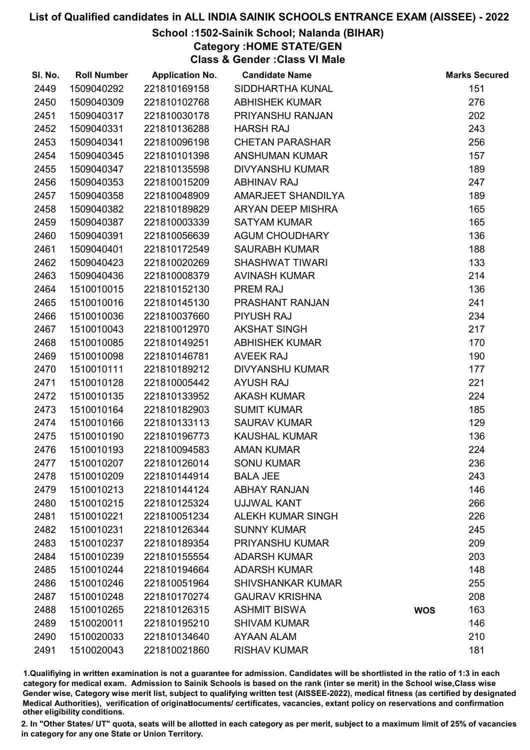## School :1502-Sainik School; Nalanda (BIHAR)

Category :HOME STATE/GEN

Class & Gender :Class VI Male

| SI. No. | <b>Roll Number</b> | <b>Application No.</b> | <b>Candidate Name</b>    |            | <b>Marks Secured</b> |
|---------|--------------------|------------------------|--------------------------|------------|----------------------|
| 2449    | 1509040292         | 221810169158           | SIDDHARTHA KUNAL         |            | 151                  |
| 2450    | 1509040309         | 221810102768           | <b>ABHISHEK KUMAR</b>    |            | 276                  |
| 2451    | 1509040317         | 221810030178           | PRIYANSHU RANJAN         |            | 202                  |
| 2452    | 1509040331         | 221810136288           | <b>HARSH RAJ</b>         |            | 243                  |
| 2453    | 1509040341         | 221810096198           | <b>CHETAN PARASHAR</b>   |            | 256                  |
| 2454    | 1509040345         | 221810101398           | <b>ANSHUMAN KUMAR</b>    |            | 157                  |
| 2455    | 1509040347         | 221810135598           | <b>DIVYANSHU KUMAR</b>   |            | 189                  |
| 2456    | 1509040353         | 221810015209           | <b>ABHINAV RAJ</b>       |            | 247                  |
| 2457    | 1509040358         | 221810048909           | AMARJEET SHANDILYA       |            | 189                  |
| 2458    | 1509040382         | 221810189829           | ARYAN DEEP MISHRA        |            | 165                  |
| 2459    | 1509040387         | 221810003339           | <b>SATYAM KUMAR</b>      |            | 165                  |
| 2460    | 1509040391         | 221810056639           | <b>AGUM CHOUDHARY</b>    |            | 136                  |
| 2461    | 1509040401         | 221810172549           | <b>SAURABH KUMAR</b>     |            | 188                  |
| 2462    | 1509040423         | 221810020269           | <b>SHASHWAT TIWARI</b>   |            | 133                  |
| 2463    | 1509040436         | 221810008379           | <b>AVINASH KUMAR</b>     |            | 214                  |
| 2464    | 1510010015         | 221810152130           | PREM RAJ                 |            | 136                  |
| 2465    | 1510010016         | 221810145130           | PRASHANT RANJAN          |            | 241                  |
| 2466    | 1510010036         | 221810037660           | <b>PIYUSH RAJ</b>        |            | 234                  |
| 2467    | 1510010043         | 221810012970           | <b>AKSHAT SINGH</b>      |            | 217                  |
| 2468    | 1510010085         | 221810149251           | <b>ABHISHEK KUMAR</b>    |            | 170                  |
| 2469    | 1510010098         | 221810146781           | <b>AVEEK RAJ</b>         |            | 190                  |
| 2470    | 1510010111         | 221810189212           | <b>DIVYANSHU KUMAR</b>   |            | 177                  |
| 2471    | 1510010128         | 221810005442           | <b>AYUSH RAJ</b>         |            | 221                  |
| 2472    | 1510010135         | 221810133952           | <b>AKASH KUMAR</b>       |            | 224                  |
| 2473    | 1510010164         | 221810182903           | <b>SUMIT KUMAR</b>       |            | 185                  |
| 2474    | 1510010166         | 221810133113           | <b>SAURAV KUMAR</b>      |            | 129                  |
| 2475    | 1510010190         | 221810196773           | <b>KAUSHAL KUMAR</b>     |            | 136                  |
| 2476    | 1510010193         | 221810094583           | <b>AMAN KUMAR</b>        |            | 224                  |
| 2477    | 1510010207         | 221810126014           | <b>SONU KUMAR</b>        |            | 236                  |
| 2478    | 1510010209         | 221810144914           | <b>BALA JEE</b>          |            | 243                  |
| 2479    | 1510010213         | 221810144124           | <b>ABHAY RANJAN</b>      |            | 146                  |
| 2480    | 1510010215         | 221810125324           | <b>UJJWAL KANT</b>       |            | 266                  |
| 2481    | 1510010221         | 221810051234           | <b>ALEKH KUMAR SINGH</b> |            | 226                  |
| 2482    | 1510010231         | 221810126344           | <b>SUNNY KUMAR</b>       |            | 245                  |
| 2483    | 1510010237         | 221810189354           | PRIYANSHU KUMAR          |            | 209                  |
| 2484    | 1510010239         | 221810155554           | <b>ADARSH KUMAR</b>      |            | 203                  |
| 2485    | 1510010244         | 221810194664           | <b>ADARSH KUMAR</b>      |            | 148                  |
| 2486    | 1510010246         | 221810051964           | <b>SHIVSHANKAR KUMAR</b> |            | 255                  |
| 2487    | 1510010248         | 221810170274           | <b>GAURAV KRISHNA</b>    |            | 208                  |
| 2488    | 1510010265         | 221810126315           | <b>ASHMIT BISWA</b>      | <b>WOS</b> | 163                  |
| 2489    | 1510020011         | 221810195210           | <b>SHIVAM KUMAR</b>      |            | 146                  |
| 2490    | 1510020033         | 221810134640           | <b>AYAAN ALAM</b>        |            | 210                  |
| 2491    | 1510020043         | 221810021860           | <b>RISHAV KUMAR</b>      |            | 181                  |

1.Qualifiying in written examination is not a guarantee for admission. Candidates will be shortlisted in the ratio of 1:3 in each category for medical exam. Admission to Sainik Schools is based on the rank (inter se merit) in the School wise,Class wise Gender wise, Category wise merit list, subject to qualifying written test (AISSEE-2022), medical fitness (as certified by designated Medical Authorities), verification of originablocuments/ certificates, vacancies, extant policy on reservations and confirmation other eligibility conditions.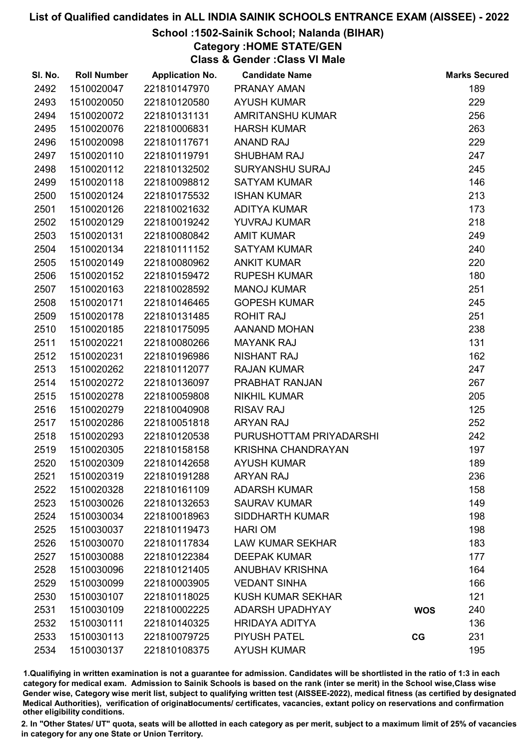## School :1502-Sainik School; Nalanda (BIHAR)

Category :HOME STATE/GEN

Class & Gender :Class VI Male

| SI. No. | <b>Roll Number</b> | <b>Application No.</b> | <b>Candidate Name</b>     |            | <b>Marks Secured</b> |
|---------|--------------------|------------------------|---------------------------|------------|----------------------|
| 2492    | 1510020047         | 221810147970           | <b>PRANAY AMAN</b>        |            | 189                  |
| 2493    | 1510020050         | 221810120580           | <b>AYUSH KUMAR</b>        |            | 229                  |
| 2494    | 1510020072         | 221810131131           | AMRITANSHU KUMAR          |            | 256                  |
| 2495    | 1510020076         | 221810006831           | <b>HARSH KUMAR</b>        |            | 263                  |
| 2496    | 1510020098         | 221810117671           | <b>ANAND RAJ</b>          |            | 229                  |
| 2497    | 1510020110         | 221810119791           | <b>SHUBHAM RAJ</b>        |            | 247                  |
| 2498    | 1510020112         | 221810132502           | <b>SURYANSHU SURAJ</b>    |            | 245                  |
| 2499    | 1510020118         | 221810098812           | <b>SATYAM KUMAR</b>       |            | 146                  |
| 2500    | 1510020124         | 221810175532           | <b>ISHAN KUMAR</b>        |            | 213                  |
| 2501    | 1510020126         | 221810021632           | <b>ADITYA KUMAR</b>       |            | 173                  |
| 2502    | 1510020129         | 221810019242           | YUVRAJ KUMAR              |            | 218                  |
| 2503    | 1510020131         | 221810080842           | <b>AMIT KUMAR</b>         |            | 249                  |
| 2504    | 1510020134         | 221810111152           | <b>SATYAM KUMAR</b>       |            | 240                  |
| 2505    | 1510020149         | 221810080962           | <b>ANKIT KUMAR</b>        |            | 220                  |
| 2506    | 1510020152         | 221810159472           | <b>RUPESH KUMAR</b>       |            | 180                  |
| 2507    | 1510020163         | 221810028592           | <b>MANOJ KUMAR</b>        |            | 251                  |
| 2508    | 1510020171         | 221810146465           | <b>GOPESH KUMAR</b>       |            | 245                  |
| 2509    | 1510020178         | 221810131485           | <b>ROHIT RAJ</b>          |            | 251                  |
| 2510    | 1510020185         | 221810175095           | AANAND MOHAN              |            | 238                  |
| 2511    | 1510020221         | 221810080266           | <b>MAYANK RAJ</b>         |            | 131                  |
| 2512    | 1510020231         | 221810196986           | <b>NISHANT RAJ</b>        |            | 162                  |
| 2513    | 1510020262         | 221810112077           | <b>RAJAN KUMAR</b>        |            | 247                  |
| 2514    | 1510020272         | 221810136097           | PRABHAT RANJAN            |            | 267                  |
| 2515    | 1510020278         | 221810059808           | <b>NIKHIL KUMAR</b>       |            | 205                  |
| 2516    | 1510020279         | 221810040908           | <b>RISAV RAJ</b>          |            | 125                  |
| 2517    | 1510020286         | 221810051818           | <b>ARYAN RAJ</b>          |            | 252                  |
| 2518    | 1510020293         | 221810120538           | PURUSHOTTAM PRIYADARSHI   |            | 242                  |
| 2519    | 1510020305         | 221810158158           | <b>KRISHNA CHANDRAYAN</b> |            | 197                  |
| 2520    | 1510020309         | 221810142658           | <b>AYUSH KUMAR</b>        |            | 189                  |
| 2521    | 1510020319         | 221810191288           | <b>ARYAN RAJ</b>          |            | 236                  |
| 2522    | 1510020328         | 221810161109           | <b>ADARSH KUMAR</b>       |            | 158                  |
| 2523    | 1510030026         | 221810132653           | <b>SAURAV KUMAR</b>       |            | 149                  |
| 2524    | 1510030034         | 221810018963           | <b>SIDDHARTH KUMAR</b>    |            | 198                  |
| 2525    | 1510030037         | 221810119473           | <b>HARI OM</b>            |            | 198                  |
| 2526    | 1510030070         | 221810117834           | <b>LAW KUMAR SEKHAR</b>   |            | 183                  |
| 2527    | 1510030088         | 221810122384           | <b>DEEPAK KUMAR</b>       |            | 177                  |
| 2528    | 1510030096         | 221810121405           | <b>ANUBHAV KRISHNA</b>    |            | 164                  |
| 2529    | 1510030099         | 221810003905           | <b>VEDANT SINHA</b>       |            | 166                  |
| 2530    | 1510030107         | 221810118025           | <b>KUSH KUMAR SEKHAR</b>  |            | 121                  |
| 2531    | 1510030109         | 221810002225           | <b>ADARSH UPADHYAY</b>    | <b>WOS</b> | 240                  |
| 2532    | 1510030111         | 221810140325           | <b>HRIDAYA ADITYA</b>     |            | 136                  |
| 2533    | 1510030113         | 221810079725           | <b>PIYUSH PATEL</b>       | CG         | 231                  |
| 2534    | 1510030137         | 221810108375           | <b>AYUSH KUMAR</b>        |            | 195                  |

1.Qualifiying in written examination is not a guarantee for admission. Candidates will be shortlisted in the ratio of 1:3 in each category for medical exam. Admission to Sainik Schools is based on the rank (inter se merit) in the School wise,Class wise Gender wise, Category wise merit list, subject to qualifying written test (AISSEE-2022), medical fitness (as certified by designated Medical Authorities), verification of originablocuments/ certificates, vacancies, extant policy on reservations and confirmation other eligibility conditions.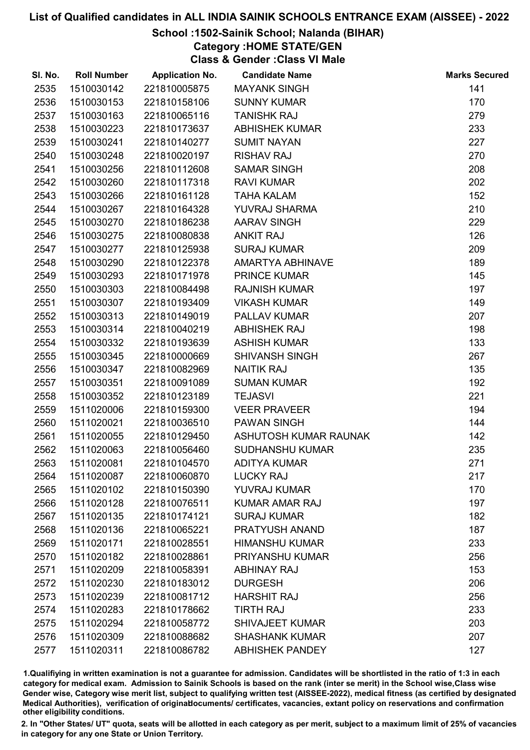## School :1502-Sainik School; Nalanda (BIHAR)

Category :HOME STATE/GEN

Class & Gender :Class VI Male

| SI. No. | <b>Roll Number</b> | <b>Application No.</b> | <b>Candidate Name</b>  | <b>Marks Secured</b> |
|---------|--------------------|------------------------|------------------------|----------------------|
| 2535    | 1510030142         | 221810005875           | <b>MAYANK SINGH</b>    | 141                  |
| 2536    | 1510030153         | 221810158106           | <b>SUNNY KUMAR</b>     | 170                  |
| 2537    | 1510030163         | 221810065116           | <b>TANISHK RAJ</b>     | 279                  |
| 2538    | 1510030223         | 221810173637           | <b>ABHISHEK KUMAR</b>  | 233                  |
| 2539    | 1510030241         | 221810140277           | <b>SUMIT NAYAN</b>     | 227                  |
| 2540    | 1510030248         | 221810020197           | <b>RISHAV RAJ</b>      | 270                  |
| 2541    | 1510030256         | 221810112608           | <b>SAMAR SINGH</b>     | 208                  |
| 2542    | 1510030260         | 221810117318           | <b>RAVI KUMAR</b>      | 202                  |
| 2543    | 1510030266         | 221810161128           | <b>TAHA KALAM</b>      | 152                  |
| 2544    | 1510030267         | 221810164328           | YUVRAJ SHARMA          | 210                  |
| 2545    | 1510030270         | 221810186238           | <b>AARAV SINGH</b>     | 229                  |
| 2546    | 1510030275         | 221810080838           | <b>ANKIT RAJ</b>       | 126                  |
| 2547    | 1510030277         | 221810125938           | <b>SURAJ KUMAR</b>     | 209                  |
| 2548    | 1510030290         | 221810122378           | AMARTYA ABHINAVE       | 189                  |
| 2549    | 1510030293         | 221810171978           | <b>PRINCE KUMAR</b>    | 145                  |
| 2550    | 1510030303         | 221810084498           | <b>RAJNISH KUMAR</b>   | 197                  |
| 2551    | 1510030307         | 221810193409           | <b>VIKASH KUMAR</b>    | 149                  |
| 2552    | 1510030313         | 221810149019           | PALLAV KUMAR           | 207                  |
| 2553    | 1510030314         | 221810040219           | <b>ABHISHEK RAJ</b>    | 198                  |
| 2554    | 1510030332         | 221810193639           | <b>ASHISH KUMAR</b>    | 133                  |
| 2555    | 1510030345         | 221810000669           | <b>SHIVANSH SINGH</b>  | 267                  |
| 2556    | 1510030347         | 221810082969           | <b>NAITIK RAJ</b>      | 135                  |
| 2557    | 1510030351         | 221810091089           | <b>SUMAN KUMAR</b>     | 192                  |
| 2558    | 1510030352         | 221810123189           | <b>TEJASVI</b>         | 221                  |
| 2559    | 1511020006         | 221810159300           | <b>VEER PRAVEER</b>    | 194                  |
| 2560    | 1511020021         | 221810036510           | <b>PAWAN SINGH</b>     | 144                  |
| 2561    | 1511020055         | 221810129450           | ASHUTOSH KUMAR RAUNAK  | 142                  |
| 2562    | 1511020063         | 221810056460           | <b>SUDHANSHU KUMAR</b> | 235                  |
| 2563    | 1511020081         | 221810104570           | <b>ADITYA KUMAR</b>    | 271                  |
| 2564    | 1511020087         | 221810060870           | <b>LUCKY RAJ</b>       | 217                  |
| 2565    | 1511020102         | 221810150390           | YUVRAJ KUMAR           | 170                  |
| 2566    | 1511020128         | 221810076511           | <b>KUMAR AMAR RAJ</b>  | 197                  |
| 2567    | 1511020135         | 221810174121           | <b>SURAJ KUMAR</b>     | 182                  |
| 2568    | 1511020136         | 221810065221           | PRATYUSH ANAND         | 187                  |
| 2569    | 1511020171         | 221810028551           | <b>HIMANSHU KUMAR</b>  | 233                  |
| 2570    | 1511020182         | 221810028861           | <b>PRIYANSHU KUMAR</b> | 256                  |
| 2571    | 1511020209         | 221810058391           | <b>ABHINAY RAJ</b>     | 153                  |
| 2572    | 1511020230         | 221810183012           | <b>DURGESH</b>         | 206                  |
| 2573    | 1511020239         | 221810081712           | <b>HARSHIT RAJ</b>     | 256                  |
| 2574    | 1511020283         | 221810178662           | <b>TIRTH RAJ</b>       | 233                  |
| 2575    | 1511020294         | 221810058772           | <b>SHIVAJEET KUMAR</b> | 203                  |
| 2576    | 1511020309         | 221810088682           | <b>SHASHANK KUMAR</b>  | 207                  |
| 2577    | 1511020311         | 221810086782           | <b>ABHISHEK PANDEY</b> | 127                  |

1.Qualifiying in written examination is not a guarantee for admission. Candidates will be shortlisted in the ratio of 1:3 in each category for medical exam. Admission to Sainik Schools is based on the rank (inter se merit) in the School wise,Class wise Gender wise, Category wise merit list, subject to qualifying written test (AISSEE-2022), medical fitness (as certified by designated Medical Authorities), verification of originablocuments/ certificates, vacancies, extant policy on reservations and confirmation other eligibility conditions.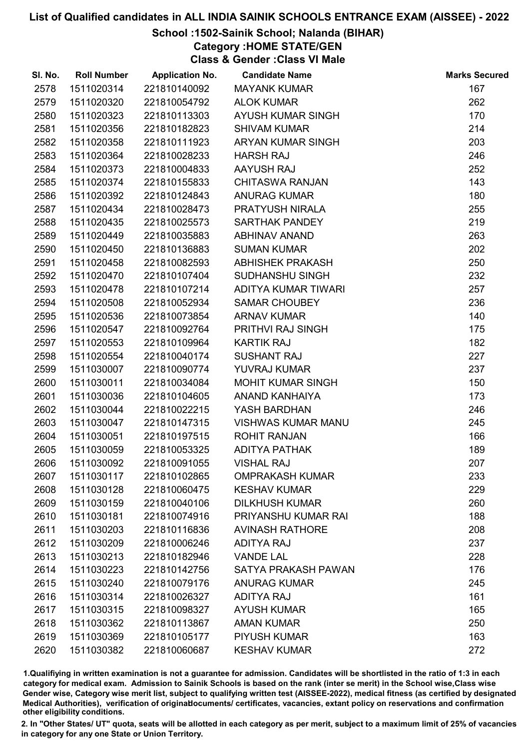## School :1502-Sainik School; Nalanda (BIHAR)

Category :HOME STATE/GEN

Class & Gender :Class VI Male

| SI. No. | <b>Roll Number</b> | <b>Application No.</b> | <b>Candidate Name</b>     | <b>Marks Secured</b> |
|---------|--------------------|------------------------|---------------------------|----------------------|
| 2578    | 1511020314         | 221810140092           | <b>MAYANK KUMAR</b>       | 167                  |
| 2579    | 1511020320         | 221810054792           | <b>ALOK KUMAR</b>         | 262                  |
| 2580    | 1511020323         | 221810113303           | AYUSH KUMAR SINGH         | 170                  |
| 2581    | 1511020356         | 221810182823           | <b>SHIVAM KUMAR</b>       | 214                  |
| 2582    | 1511020358         | 221810111923           | ARYAN KUMAR SINGH         | 203                  |
| 2583    | 1511020364         | 221810028233           | <b>HARSH RAJ</b>          | 246                  |
| 2584    | 1511020373         | 221810004833           | AAYUSH RAJ                | 252                  |
| 2585    | 1511020374         | 221810155833           | <b>CHITASWA RANJAN</b>    | 143                  |
| 2586    | 1511020392         | 221810124843           | <b>ANURAG KUMAR</b>       | 180                  |
| 2587    | 1511020434         | 221810028473           | PRATYUSH NIRALA           | 255                  |
| 2588    | 1511020435         | 221810025573           | <b>SARTHAK PANDEY</b>     | 219                  |
| 2589    | 1511020449         | 221810035883           | <b>ABHINAV ANAND</b>      | 263                  |
| 2590    | 1511020450         | 221810136883           | <b>SUMAN KUMAR</b>        | 202                  |
| 2591    | 1511020458         | 221810082593           | <b>ABHISHEK PRAKASH</b>   | 250                  |
| 2592    | 1511020470         | 221810107404           | SUDHANSHU SINGH           | 232                  |
| 2593    | 1511020478         | 221810107214           | ADITYA KUMAR TIWARI       | 257                  |
| 2594    | 1511020508         | 221810052934           | <b>SAMAR CHOUBEY</b>      | 236                  |
| 2595    | 1511020536         | 221810073854           | <b>ARNAV KUMAR</b>        | 140                  |
| 2596    | 1511020547         | 221810092764           | PRITHVI RAJ SINGH         | 175                  |
| 2597    | 1511020553         | 221810109964           | <b>KARTIK RAJ</b>         | 182                  |
| 2598    | 1511020554         | 221810040174           | <b>SUSHANT RAJ</b>        | 227                  |
| 2599    | 1511030007         | 221810090774           | YUVRAJ KUMAR              | 237                  |
| 2600    | 1511030011         | 221810034084           | <b>MOHIT KUMAR SINGH</b>  | 150                  |
| 2601    | 1511030036         | 221810104605           | <b>ANAND KANHAIYA</b>     | 173                  |
| 2602    | 1511030044         | 221810022215           | YASH BARDHAN              | 246                  |
| 2603    | 1511030047         | 221810147315           | <b>VISHWAS KUMAR MANU</b> | 245                  |
| 2604    | 1511030051         | 221810197515           | <b>ROHIT RANJAN</b>       | 166                  |
| 2605    | 1511030059         | 221810053325           | <b>ADITYA PATHAK</b>      | 189                  |
| 2606    | 1511030092         | 221810091055           | <b>VISHAL RAJ</b>         | 207                  |
| 2607    | 1511030117         | 221810102865           | <b>OMPRAKASH KUMAR</b>    | 233                  |
| 2608    | 1511030128         | 221810060475           | <b>KESHAV KUMAR</b>       | 229                  |
| 2609    | 1511030159         | 221810040106           | <b>DILKHUSH KUMAR</b>     | 260                  |
| 2610    | 1511030181         | 221810074916           | PRIYANSHU KUMAR RAI       | 188                  |
| 2611    | 1511030203         | 221810116836           | <b>AVINASH RATHORE</b>    | 208                  |
| 2612    | 1511030209         | 221810006246           | <b>ADITYA RAJ</b>         | 237                  |
| 2613    | 1511030213         | 221810182946           | <b>VANDE LAL</b>          | 228                  |
| 2614    | 1511030223         | 221810142756           | SATYA PRAKASH PAWAN       | 176                  |
| 2615    | 1511030240         | 221810079176           | <b>ANURAG KUMAR</b>       | 245                  |
| 2616    | 1511030314         | 221810026327           | <b>ADITYA RAJ</b>         | 161                  |
| 2617    | 1511030315         | 221810098327           | <b>AYUSH KUMAR</b>        | 165                  |
| 2618    | 1511030362         | 221810113867           | <b>AMAN KUMAR</b>         | 250                  |
| 2619    | 1511030369         | 221810105177           | <b>PIYUSH KUMAR</b>       | 163                  |
| 2620    | 1511030382         | 221810060687           | <b>KESHAV KUMAR</b>       | 272                  |

1.Qualifiying in written examination is not a guarantee for admission. Candidates will be shortlisted in the ratio of 1:3 in each category for medical exam. Admission to Sainik Schools is based on the rank (inter se merit) in the School wise,Class wise Gender wise, Category wise merit list, subject to qualifying written test (AISSEE-2022), medical fitness (as certified by designated Medical Authorities), verification of originablocuments/ certificates, vacancies, extant policy on reservations and confirmation other eligibility conditions.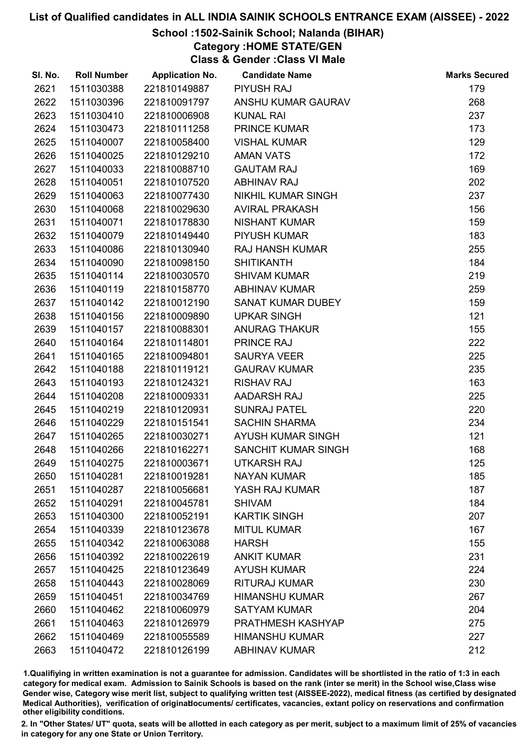## School :1502-Sainik School; Nalanda (BIHAR)

Category :HOME STATE/GEN

Class & Gender :Class VI Male

| SI. No. | <b>Roll Number</b> | <b>Application No.</b> | <b>Candidate Name</b>  | <b>Marks Secured</b> |
|---------|--------------------|------------------------|------------------------|----------------------|
| 2621    | 1511030388         | 221810149887           | <b>PIYUSH RAJ</b>      | 179                  |
| 2622    | 1511030396         | 221810091797           | ANSHU KUMAR GAURAV     | 268                  |
| 2623    | 1511030410         | 221810006908           | <b>KUNAL RAI</b>       | 237                  |
| 2624    | 1511030473         | 221810111258           | <b>PRINCE KUMAR</b>    | 173                  |
| 2625    | 1511040007         | 221810058400           | <b>VISHAL KUMAR</b>    | 129                  |
| 2626    | 1511040025         | 221810129210           | <b>AMAN VATS</b>       | 172                  |
| 2627    | 1511040033         | 221810088710           | <b>GAUTAM RAJ</b>      | 169                  |
| 2628    | 1511040051         | 221810107520           | <b>ABHINAV RAJ</b>     | 202                  |
| 2629    | 1511040063         | 221810077430           | NIKHIL KUMAR SINGH     | 237                  |
| 2630    | 1511040068         | 221810029630           | <b>AVIRAL PRAKASH</b>  | 156                  |
| 2631    | 1511040071         | 221810178830           | <b>NISHANT KUMAR</b>   | 159                  |
| 2632    | 1511040079         | 221810149440           | <b>PIYUSH KUMAR</b>    | 183                  |
| 2633    | 1511040086         | 221810130940           | <b>RAJ HANSH KUMAR</b> | 255                  |
| 2634    | 1511040090         | 221810098150           | <b>SHITIKANTH</b>      | 184                  |
| 2635    | 1511040114         | 221810030570           | <b>SHIVAM KUMAR</b>    | 219                  |
| 2636    | 1511040119         | 221810158770           | <b>ABHINAV KUMAR</b>   | 259                  |
| 2637    | 1511040142         | 221810012190           | SANAT KUMAR DUBEY      | 159                  |
| 2638    | 1511040156         | 221810009890           | <b>UPKAR SINGH</b>     | 121                  |
| 2639    | 1511040157         | 221810088301           | <b>ANURAG THAKUR</b>   | 155                  |
| 2640    | 1511040164         | 221810114801           | <b>PRINCE RAJ</b>      | 222                  |
| 2641    | 1511040165         | 221810094801           | <b>SAURYA VEER</b>     | 225                  |
| 2642    | 1511040188         | 221810119121           | <b>GAURAV KUMAR</b>    | 235                  |
| 2643    | 1511040193         | 221810124321           | <b>RISHAV RAJ</b>      | 163                  |
| 2644    | 1511040208         | 221810009331           | AADARSH RAJ            | 225                  |
| 2645    | 1511040219         | 221810120931           | <b>SUNRAJ PATEL</b>    | 220                  |
| 2646    | 1511040229         | 221810151541           | <b>SACHIN SHARMA</b>   | 234                  |
| 2647    | 1511040265         | 221810030271           | AYUSH KUMAR SINGH      | 121                  |
| 2648    | 1511040266         | 221810162271           | SANCHIT KUMAR SINGH    | 168                  |
| 2649    | 1511040275         | 221810003671           | <b>UTKARSH RAJ</b>     | 125                  |
| 2650    | 1511040281         | 221810019281           | <b>NAYAN KUMAR</b>     | 185                  |
| 2651    | 1511040287         | 221810056681           | YASH RAJ KUMAR         | 187                  |
| 2652    | 1511040291         | 221810045781           | <b>SHIVAM</b>          | 184                  |
| 2653    | 1511040300         | 221810052191           | <b>KARTIK SINGH</b>    | 207                  |
| 2654    | 1511040339         | 221810123678           | <b>MITUL KUMAR</b>     | 167                  |
| 2655    | 1511040342         | 221810063088           | <b>HARSH</b>           | 155                  |
| 2656    | 1511040392         | 221810022619           | <b>ANKIT KUMAR</b>     | 231                  |
| 2657    | 1511040425         | 221810123649           | <b>AYUSH KUMAR</b>     | 224                  |
| 2658    | 1511040443         | 221810028069           | <b>RITURAJ KUMAR</b>   | 230                  |
| 2659    | 1511040451         | 221810034769           | <b>HIMANSHU KUMAR</b>  | 267                  |
| 2660    | 1511040462         | 221810060979           | <b>SATYAM KUMAR</b>    | 204                  |
| 2661    | 1511040463         | 221810126979           | PRATHMESH KASHYAP      | 275                  |
| 2662    | 1511040469         | 221810055589           | <b>HIMANSHU KUMAR</b>  | 227                  |
| 2663    | 1511040472         | 221810126199           | <b>ABHINAV KUMAR</b>   | 212                  |

1.Qualifiying in written examination is not a guarantee for admission. Candidates will be shortlisted in the ratio of 1:3 in each category for medical exam. Admission to Sainik Schools is based on the rank (inter se merit) in the School wise,Class wise Gender wise, Category wise merit list, subject to qualifying written test (AISSEE-2022), medical fitness (as certified by designated Medical Authorities), verification of originablocuments/ certificates, vacancies, extant policy on reservations and confirmation other eligibility conditions.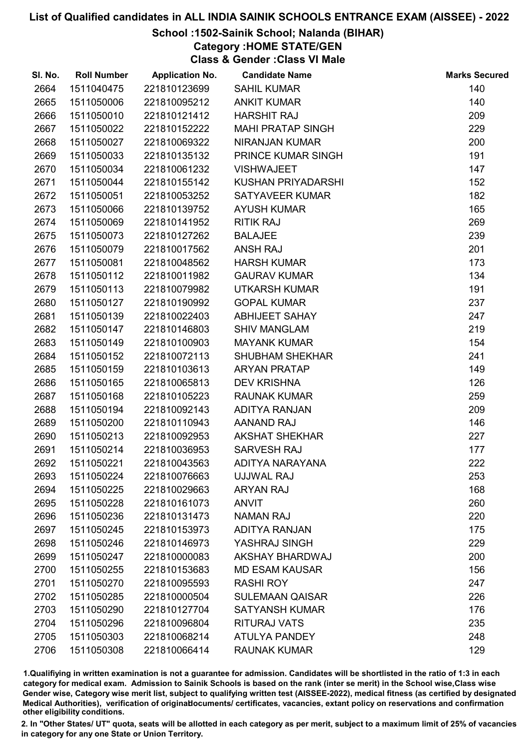## School :1502-Sainik School; Nalanda (BIHAR)

Category :HOME STATE/GEN

Class & Gender :Class VI Male

| SI. No. | <b>Roll Number</b> | <b>Application No.</b> | <b>Candidate Name</b>    | <b>Marks Secured</b> |
|---------|--------------------|------------------------|--------------------------|----------------------|
| 2664    | 1511040475         | 221810123699           | <b>SAHIL KUMAR</b>       | 140                  |
| 2665    | 1511050006         | 221810095212           | <b>ANKIT KUMAR</b>       | 140                  |
| 2666    | 1511050010         | 221810121412           | <b>HARSHIT RAJ</b>       | 209                  |
| 2667    | 1511050022         | 221810152222           | <b>MAHI PRATAP SINGH</b> | 229                  |
| 2668    | 1511050027         | 221810069322           | NIRANJAN KUMAR           | 200                  |
| 2669    | 1511050033         | 221810135132           | PRINCE KUMAR SINGH       | 191                  |
| 2670    | 1511050034         | 221810061232           | <b>VISHWAJEET</b>        | 147                  |
| 2671    | 1511050044         | 221810155142           | KUSHAN PRIYADARSHI       | 152                  |
| 2672    | 1511050051         | 221810053252           | <b>SATYAVEER KUMAR</b>   | 182                  |
| 2673    | 1511050066         | 221810139752           | <b>AYUSH KUMAR</b>       | 165                  |
| 2674    | 1511050069         | 221810141952           | <b>RITIK RAJ</b>         | 269                  |
| 2675    | 1511050073         | 221810127262           | <b>BALAJEE</b>           | 239                  |
| 2676    | 1511050079         | 221810017562           | <b>ANSH RAJ</b>          | 201                  |
| 2677    | 1511050081         | 221810048562           | <b>HARSH KUMAR</b>       | 173                  |
| 2678    | 1511050112         | 221810011982           | <b>GAURAV KUMAR</b>      | 134                  |
| 2679    | 1511050113         | 221810079982           | <b>UTKARSH KUMAR</b>     | 191                  |
| 2680    | 1511050127         | 221810190992           | <b>GOPAL KUMAR</b>       | 237                  |
| 2681    | 1511050139         | 221810022403           | <b>ABHIJEET SAHAY</b>    | 247                  |
| 2682    | 1511050147         | 221810146803           | <b>SHIV MANGLAM</b>      | 219                  |
| 2683    | 1511050149         | 221810100903           | <b>MAYANK KUMAR</b>      | 154                  |
| 2684    | 1511050152         | 221810072113           | <b>SHUBHAM SHEKHAR</b>   | 241                  |
| 2685    | 1511050159         | 221810103613           | <b>ARYAN PRATAP</b>      | 149                  |
| 2686    | 1511050165         | 221810065813           | <b>DEV KRISHNA</b>       | 126                  |
| 2687    | 1511050168         | 221810105223           | <b>RAUNAK KUMAR</b>      | 259                  |
| 2688    | 1511050194         | 221810092143           | ADITYA RANJAN            | 209                  |
| 2689    | 1511050200         | 221810110943           | <b>AANAND RAJ</b>        | 146                  |
| 2690    | 1511050213         | 221810092953           | <b>AKSHAT SHEKHAR</b>    | 227                  |
| 2691    | 1511050214         | 221810036953           | SARVESH RAJ              | 177                  |
| 2692    | 1511050221         | 221810043563           | ADITYA NARAYANA          | 222                  |
| 2693    | 1511050224         | 221810076663           | <b>UJJWAL RAJ</b>        | 253                  |
| 2694    | 1511050225         | 221810029663           | <b>ARYAN RAJ</b>         | 168                  |
| 2695    | 1511050228         | 221810161073           | <b>ANVIT</b>             | 260                  |
| 2696    | 1511050236         | 221810131473           | <b>NAMAN RAJ</b>         | 220                  |
| 2697    | 1511050245         | 221810153973           | <b>ADITYA RANJAN</b>     | 175                  |
| 2698    | 1511050246         | 221810146973           | YASHRAJ SINGH            | 229                  |
| 2699    | 1511050247         | 221810000083           | <b>AKSHAY BHARDWAJ</b>   | 200                  |
| 2700    | 1511050255         | 221810153683           | <b>MD ESAM KAUSAR</b>    | 156                  |
| 2701    | 1511050270         | 221810095593           | <b>RASHI ROY</b>         | 247                  |
| 2702    | 1511050285         | 221810000504           | <b>SULEMAAN QAISAR</b>   | 226                  |
| 2703    | 1511050290         | 221810127704           | <b>SATYANSH KUMAR</b>    | 176                  |
| 2704    | 1511050296         | 221810096804           | <b>RITURAJ VATS</b>      | 235                  |
| 2705    | 1511050303         | 221810068214           | <b>ATULYA PANDEY</b>     | 248                  |
| 2706    | 1511050308         | 221810066414           | <b>RAUNAK KUMAR</b>      | 129                  |

1.Qualifiying in written examination is not a guarantee for admission. Candidates will be shortlisted in the ratio of 1:3 in each category for medical exam. Admission to Sainik Schools is based on the rank (inter se merit) in the School wise,Class wise Gender wise, Category wise merit list, subject to qualifying written test (AISSEE-2022), medical fitness (as certified by designated Medical Authorities), verification of originablocuments/ certificates, vacancies, extant policy on reservations and confirmation other eligibility conditions.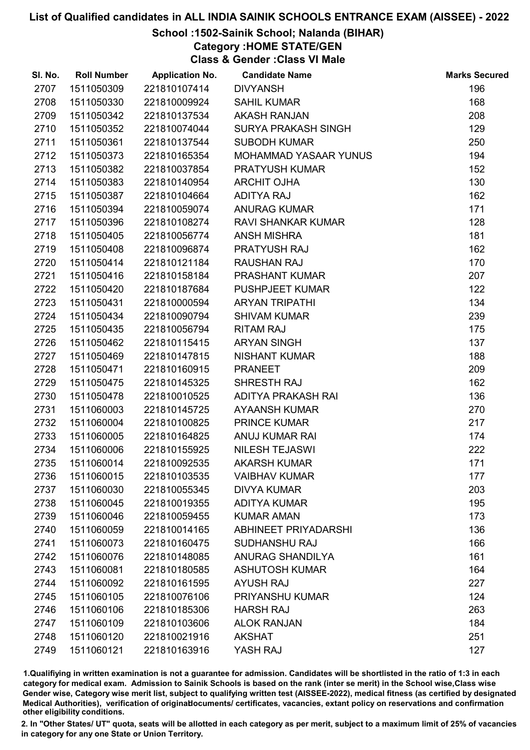### School :1502-Sainik School; Nalanda (BIHAR)

Category :HOME STATE/GEN

Class & Gender :Class VI Male

| SI. No. | <b>Roll Number</b> | <b>Application No.</b> | <b>Candidate Name</b>        | <b>Marks Secured</b> |
|---------|--------------------|------------------------|------------------------------|----------------------|
| 2707    | 1511050309         | 221810107414           | <b>DIVYANSH</b>              | 196                  |
| 2708    | 1511050330         | 221810009924           | <b>SAHIL KUMAR</b>           | 168                  |
| 2709    | 1511050342         | 221810137534           | <b>AKASH RANJAN</b>          | 208                  |
| 2710    | 1511050352         | 221810074044           | <b>SURYA PRAKASH SINGH</b>   | 129                  |
| 2711    | 1511050361         | 221810137544           | <b>SUBODH KUMAR</b>          | 250                  |
| 2712    | 1511050373         | 221810165354           | <b>MOHAMMAD YASAAR YUNUS</b> | 194                  |
| 2713    | 1511050382         | 221810037854           | PRATYUSH KUMAR               | 152                  |
| 2714    | 1511050383         | 221810140954           | <b>ARCHIT OJHA</b>           | 130                  |
| 2715    | 1511050387         | 221810104664           | <b>ADITYA RAJ</b>            | 162                  |
| 2716    | 1511050394         | 221810059074           | <b>ANURAG KUMAR</b>          | 171                  |
| 2717    | 1511050396         | 221810108274           | RAVI SHANKAR KUMAR           | 128                  |
| 2718    | 1511050405         | 221810056774           | <b>ANSH MISHRA</b>           | 181                  |
| 2719    | 1511050408         | 221810096874           | PRATYUSH RAJ                 | 162                  |
| 2720    | 1511050414         | 221810121184           | <b>RAUSHAN RAJ</b>           | 170                  |
| 2721    | 1511050416         | 221810158184           | <b>PRASHANT KUMAR</b>        | 207                  |
| 2722    | 1511050420         | 221810187684           | <b>PUSHPJEET KUMAR</b>       | 122                  |
| 2723    | 1511050431         | 221810000594           | <b>ARYAN TRIPATHI</b>        | 134                  |
| 2724    | 1511050434         | 221810090794           | <b>SHIVAM KUMAR</b>          | 239                  |
| 2725    | 1511050435         | 221810056794           | <b>RITAM RAJ</b>             | 175                  |
| 2726    | 1511050462         | 221810115415           | <b>ARYAN SINGH</b>           | 137                  |
| 2727    | 1511050469         | 221810147815           | <b>NISHANT KUMAR</b>         | 188                  |
| 2728    | 1511050471         | 221810160915           | <b>PRANEET</b>               | 209                  |
| 2729    | 1511050475         | 221810145325           | SHRESTH RAJ                  | 162                  |
| 2730    | 1511050478         | 221810010525           | ADITYA PRAKASH RAI           | 136                  |
| 2731    | 1511060003         | 221810145725           | <b>AYAANSH KUMAR</b>         | 270                  |
| 2732    | 1511060004         | 221810100825           | <b>PRINCE KUMAR</b>          | 217                  |
| 2733    | 1511060005         | 221810164825           | ANUJ KUMAR RAI               | 174                  |
| 2734    | 1511060006         | 221810155925           | <b>NILESH TEJASWI</b>        | 222                  |
| 2735    | 1511060014         | 221810092535           | <b>AKARSH KUMAR</b>          | 171                  |
| 2736    | 1511060015         | 221810103535           | <b>VAIBHAV KUMAR</b>         | 177                  |
| 2737    | 1511060030         | 221810055345           | <b>DIVYA KUMAR</b>           | 203                  |
| 2738    | 1511060045         | 221810019355           | <b>ADITYA KUMAR</b>          | 195                  |
| 2739    | 1511060046         | 221810059455           | <b>KUMAR AMAN</b>            | 173                  |
| 2740    | 1511060059         | 221810014165           | ABHINEET PRIYADARSHI         | 136                  |
| 2741    | 1511060073         | 221810160475           | SUDHANSHU RAJ                | 166                  |
| 2742    | 1511060076         | 221810148085           | <b>ANURAG SHANDILYA</b>      | 161                  |
| 2743    | 1511060081         | 221810180585           | <b>ASHUTOSH KUMAR</b>        | 164                  |
| 2744    | 1511060092         | 221810161595           | <b>AYUSH RAJ</b>             | 227                  |
| 2745    | 1511060105         | 221810076106           | PRIYANSHU KUMAR              | 124                  |
| 2746    | 1511060106         | 221810185306           | <b>HARSH RAJ</b>             | 263                  |
| 2747    | 1511060109         | 221810103606           | <b>ALOK RANJAN</b>           | 184                  |
| 2748    | 1511060120         | 221810021916           | <b>AKSHAT</b>                | 251                  |
| 2749    | 1511060121         | 221810163916           | YASH RAJ                     | 127                  |

1.Qualifiying in written examination is not a guarantee for admission. Candidates will be shortlisted in the ratio of 1:3 in each category for medical exam. Admission to Sainik Schools is based on the rank (inter se merit) in the School wise,Class wise Gender wise, Category wise merit list, subject to qualifying written test (AISSEE-2022), medical fitness (as certified by designated Medical Authorities), verification of originablocuments/ certificates, vacancies, extant policy on reservations and confirmation other eligibility conditions.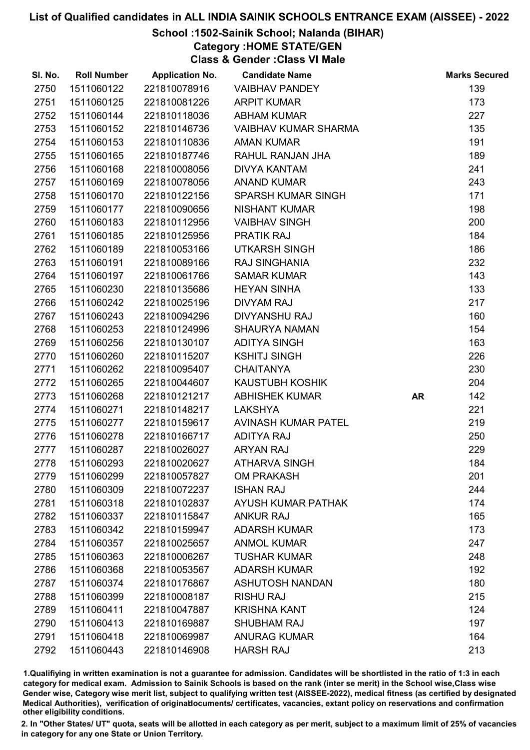## School :1502-Sainik School; Nalanda (BIHAR)

Category :HOME STATE/GEN

Class & Gender :Class VI Male

| SI. No. | <b>Roll Number</b> | <b>Application No.</b> | <b>Candidate Name</b>       |           | <b>Marks Secured</b> |
|---------|--------------------|------------------------|-----------------------------|-----------|----------------------|
| 2750    | 1511060122         | 221810078916           | <b>VAIBHAV PANDEY</b>       |           | 139                  |
| 2751    | 1511060125         | 221810081226           | <b>ARPIT KUMAR</b>          |           | 173                  |
| 2752    | 1511060144         | 221810118036           | <b>ABHAM KUMAR</b>          |           | 227                  |
| 2753    | 1511060152         | 221810146736           | <b>VAIBHAV KUMAR SHARMA</b> |           | 135                  |
| 2754    | 1511060153         | 221810110836           | <b>AMAN KUMAR</b>           |           | 191                  |
| 2755    | 1511060165         | 221810187746           | RAHUL RANJAN JHA            |           | 189                  |
| 2756    | 1511060168         | 221810008056           | <b>DIVYA KANTAM</b>         |           | 241                  |
| 2757    | 1511060169         | 221810078056           | <b>ANAND KUMAR</b>          |           | 243                  |
| 2758    | 1511060170         | 221810122156           | <b>SPARSH KUMAR SINGH</b>   |           | 171                  |
| 2759    | 1511060177         | 221810090656           | <b>NISHANT KUMAR</b>        |           | 198                  |
| 2760    | 1511060183         | 221810112956           | <b>VAIBHAV SINGH</b>        |           | 200                  |
| 2761    | 1511060185         | 221810125956           | <b>PRATIK RAJ</b>           |           | 184                  |
| 2762    | 1511060189         | 221810053166           | <b>UTKARSH SINGH</b>        |           | 186                  |
| 2763    | 1511060191         | 221810089166           | <b>RAJ SINGHANIA</b>        |           | 232                  |
| 2764    | 1511060197         | 221810061766           | <b>SAMAR KUMAR</b>          |           | 143                  |
| 2765    | 1511060230         | 221810135686           | <b>HEYAN SINHA</b>          |           | 133                  |
| 2766    | 1511060242         | 221810025196           | <b>DIVYAM RAJ</b>           |           | 217                  |
| 2767    | 1511060243         | 221810094296           | <b>DIVYANSHU RAJ</b>        |           | 160                  |
| 2768    | 1511060253         | 221810124996           | <b>SHAURYA NAMAN</b>        |           | 154                  |
| 2769    | 1511060256         | 221810130107           | <b>ADITYA SINGH</b>         |           | 163                  |
| 2770    | 1511060260         | 221810115207           | <b>KSHITJ SINGH</b>         |           | 226                  |
| 2771    | 1511060262         | 221810095407           | <b>CHAITANYA</b>            |           | 230                  |
| 2772    | 1511060265         | 221810044607           | KAUSTUBH KOSHIK             |           | 204                  |
| 2773    | 1511060268         | 221810121217           | <b>ABHISHEK KUMAR</b>       | <b>AR</b> | 142                  |
| 2774    | 1511060271         | 221810148217           | <b>LAKSHYA</b>              |           | 221                  |
| 2775    | 1511060277         | 221810159617           | <b>AVINASH KUMAR PATEL</b>  |           | 219                  |
| 2776    | 1511060278         | 221810166717           | <b>ADITYA RAJ</b>           |           | 250                  |
| 2777    | 1511060287         | 221810026027           | <b>ARYAN RAJ</b>            |           | 229                  |
| 2778    | 1511060293         | 221810020627           | <b>ATHARVA SINGH</b>        |           | 184                  |
| 2779    | 1511060299         | 221810057827           | <b>OM PRAKASH</b>           |           | 201                  |
| 2780    | 1511060309         | 221810072237           | <b>ISHAN RAJ</b>            |           | 244                  |
| 2781    | 1511060318         | 221810102837           | <b>AYUSH KUMAR PATHAK</b>   |           | 174                  |
| 2782    | 1511060337         | 221810115847           | <b>ANKUR RAJ</b>            |           | 165                  |
| 2783    | 1511060342         | 221810159947           | <b>ADARSH KUMAR</b>         |           | 173                  |
| 2784    | 1511060357         | 221810025657           | <b>ANMOL KUMAR</b>          |           | 247                  |
| 2785    | 1511060363         | 221810006267           | <b>TUSHAR KUMAR</b>         |           | 248                  |
| 2786    | 1511060368         | 221810053567           | <b>ADARSH KUMAR</b>         |           | 192                  |
| 2787    | 1511060374         | 221810176867           | <b>ASHUTOSH NANDAN</b>      |           | 180                  |
| 2788    | 1511060399         | 221810008187           | <b>RISHU RAJ</b>            |           | 215                  |
| 2789    | 1511060411         | 221810047887           | <b>KRISHNA KANT</b>         |           | 124                  |
| 2790    | 1511060413         | 221810169887           | <b>SHUBHAM RAJ</b>          |           | 197                  |
| 2791    | 1511060418         | 221810069987           | <b>ANURAG KUMAR</b>         |           | 164                  |
| 2792    | 1511060443         | 221810146908           | <b>HARSH RAJ</b>            |           | 213                  |

1.Qualifiying in written examination is not a guarantee for admission. Candidates will be shortlisted in the ratio of 1:3 in each category for medical exam. Admission to Sainik Schools is based on the rank (inter se merit) in the School wise,Class wise Gender wise, Category wise merit list, subject to qualifying written test (AISSEE-2022), medical fitness (as certified by designated Medical Authorities), verification of originablocuments/ certificates, vacancies, extant policy on reservations and confirmation other eligibility conditions.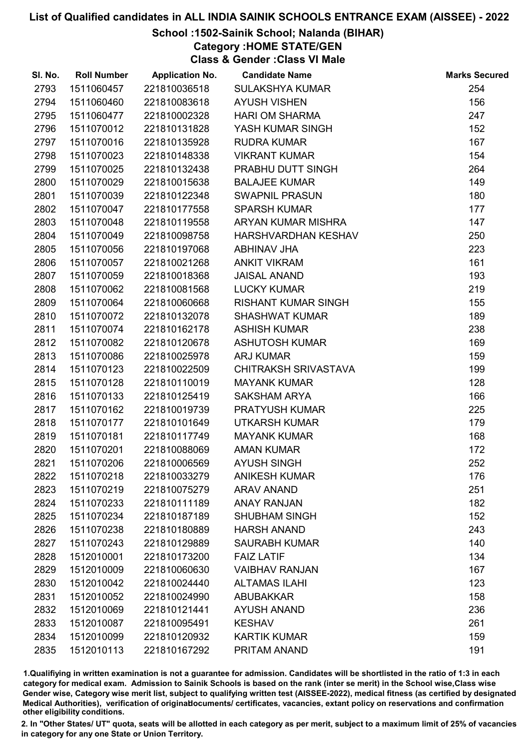## School :1502-Sainik School; Nalanda (BIHAR)

Category :HOME STATE/GEN

Class & Gender :Class VI Male

| SI. No. | <b>Roll Number</b> | <b>Application No.</b> | <b>Candidate Name</b>       | <b>Marks Secured</b> |
|---------|--------------------|------------------------|-----------------------------|----------------------|
| 2793    | 1511060457         | 221810036518           | <b>SULAKSHYA KUMAR</b>      | 254                  |
| 2794    | 1511060460         | 221810083618           | <b>AYUSH VISHEN</b>         | 156                  |
| 2795    | 1511060477         | 221810002328           | <b>HARI OM SHARMA</b>       | 247                  |
| 2796    | 1511070012         | 221810131828           | YASH KUMAR SINGH            | 152                  |
| 2797    | 1511070016         | 221810135928           | <b>RUDRA KUMAR</b>          | 167                  |
| 2798    | 1511070023         | 221810148338           | <b>VIKRANT KUMAR</b>        | 154                  |
| 2799    | 1511070025         | 221810132438           | PRABHU DUTT SINGH           | 264                  |
| 2800    | 1511070029         | 221810015638           | <b>BALAJEE KUMAR</b>        | 149                  |
| 2801    | 1511070039         | 221810122348           | <b>SWAPNIL PRASUN</b>       | 180                  |
| 2802    | 1511070047         | 221810177558           | <b>SPARSH KUMAR</b>         | 177                  |
| 2803    | 1511070048         | 221810119558           | ARYAN KUMAR MISHRA          | 147                  |
| 2804    | 1511070049         | 221810098758           | HARSHVARDHAN KESHAV         | 250                  |
| 2805    | 1511070056         | 221810197068           | ABHINAV JHA                 | 223                  |
| 2806    | 1511070057         | 221810021268           | <b>ANKIT VIKRAM</b>         | 161                  |
| 2807    | 1511070059         | 221810018368           | <b>JAISAL ANAND</b>         | 193                  |
| 2808    | 1511070062         | 221810081568           | <b>LUCKY KUMAR</b>          | 219                  |
| 2809    | 1511070064         | 221810060668           | <b>RISHANT KUMAR SINGH</b>  | 155                  |
| 2810    | 1511070072         | 221810132078           | <b>SHASHWAT KUMAR</b>       | 189                  |
| 2811    | 1511070074         | 221810162178           | <b>ASHISH KUMAR</b>         | 238                  |
| 2812    | 1511070082         | 221810120678           | <b>ASHUTOSH KUMAR</b>       | 169                  |
| 2813    | 1511070086         | 221810025978           | <b>ARJ KUMAR</b>            | 159                  |
| 2814    | 1511070123         | 221810022509           | <b>CHITRAKSH SRIVASTAVA</b> | 199                  |
| 2815    | 1511070128         | 221810110019           | <b>MAYANK KUMAR</b>         | 128                  |
| 2816    | 1511070133         | 221810125419           | <b>SAKSHAM ARYA</b>         | 166                  |
| 2817    | 1511070162         | 221810019739           | PRATYUSH KUMAR              | 225                  |
| 2818    | 1511070177         | 221810101649           | <b>UTKARSH KUMAR</b>        | 179                  |
| 2819    | 1511070181         | 221810117749           | <b>MAYANK KUMAR</b>         | 168                  |
| 2820    | 1511070201         | 221810088069           | <b>AMAN KUMAR</b>           | 172                  |
| 2821    | 1511070206         | 221810006569           | <b>AYUSH SINGH</b>          | 252                  |
| 2822    | 1511070218         | 221810033279           | <b>ANIKESH KUMAR</b>        | 176                  |
| 2823    | 1511070219         | 221810075279           | <b>ARAV ANAND</b>           | 251                  |
| 2824    | 1511070233         | 221810111189           | <b>ANAY RANJAN</b>          | 182                  |
| 2825    | 1511070234         | 221810187189           | <b>SHUBHAM SINGH</b>        | 152                  |
| 2826    | 1511070238         | 221810180889           | <b>HARSH ANAND</b>          | 243                  |
| 2827    | 1511070243         | 221810129889           | <b>SAURABH KUMAR</b>        | 140                  |
| 2828    | 1512010001         | 221810173200           | <b>FAIZ LATIF</b>           | 134                  |
| 2829    | 1512010009         | 221810060630           | <b>VAIBHAV RANJAN</b>       | 167                  |
| 2830    | 1512010042         | 221810024440           | <b>ALTAMAS ILAHI</b>        | 123                  |
| 2831    | 1512010052         | 221810024990           | <b>ABUBAKKAR</b>            | 158                  |
| 2832    | 1512010069         | 221810121441           | <b>AYUSH ANAND</b>          | 236                  |
| 2833    | 1512010087         | 221810095491           | <b>KESHAV</b>               | 261                  |
| 2834    | 1512010099         | 221810120932           | <b>KARTIK KUMAR</b>         | 159                  |
| 2835    | 1512010113         | 221810167292           | PRITAM ANAND                | 191                  |

1.Qualifiying in written examination is not a guarantee for admission. Candidates will be shortlisted in the ratio of 1:3 in each category for medical exam. Admission to Sainik Schools is based on the rank (inter se merit) in the School wise,Class wise Gender wise, Category wise merit list, subject to qualifying written test (AISSEE-2022), medical fitness (as certified by designated Medical Authorities), verification of originablocuments/ certificates, vacancies, extant policy on reservations and confirmation other eligibility conditions.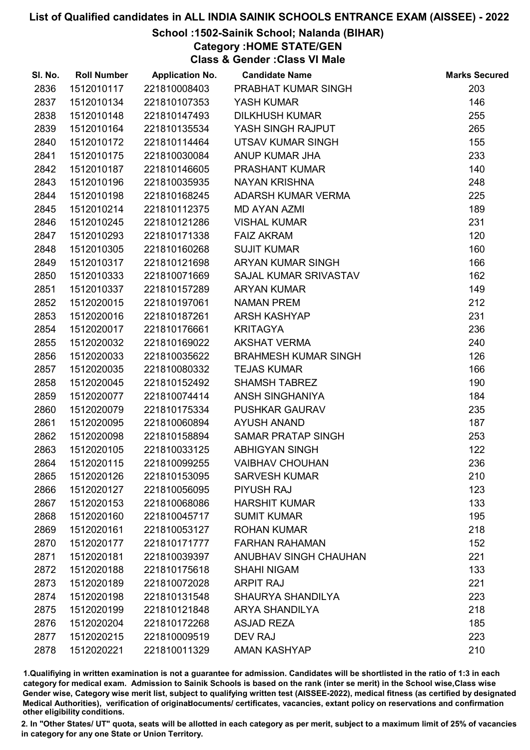## School :1502-Sainik School; Nalanda (BIHAR)

Category :HOME STATE/GEN

Class & Gender :Class VI Male

| SI. No. | <b>Roll Number</b> | <b>Application No.</b> | <b>Candidate Name</b>       | <b>Marks Secured</b> |
|---------|--------------------|------------------------|-----------------------------|----------------------|
| 2836    | 1512010117         | 221810008403           | PRABHAT KUMAR SINGH         | 203                  |
| 2837    | 1512010134         | 221810107353           | YASH KUMAR                  | 146                  |
| 2838    | 1512010148         | 221810147493           | <b>DILKHUSH KUMAR</b>       | 255                  |
| 2839    | 1512010164         | 221810135534           | YASH SINGH RAJPUT           | 265                  |
| 2840    | 1512010172         | 221810114464           | UTSAV KUMAR SINGH           | 155                  |
| 2841    | 1512010175         | 221810030084           | ANUP KUMAR JHA              | 233                  |
| 2842    | 1512010187         | 221810146605           | PRASHANT KUMAR              | 140                  |
| 2843    | 1512010196         | 221810035935           | <b>NAYAN KRISHNA</b>        | 248                  |
| 2844    | 1512010198         | 221810168245           | ADARSH KUMAR VERMA          | 225                  |
| 2845    | 1512010214         | 221810112375           | <b>MD AYAN AZMI</b>         | 189                  |
| 2846    | 1512010245         | 221810121286           | <b>VISHAL KUMAR</b>         | 231                  |
| 2847    | 1512010293         | 221810171338           | <b>FAIZ AKRAM</b>           | 120                  |
| 2848    | 1512010305         | 221810160268           | <b>SUJIT KUMAR</b>          | 160                  |
| 2849    | 1512010317         | 221810121698           | ARYAN KUMAR SINGH           | 166                  |
| 2850    | 1512010333         | 221810071669           | SAJAL KUMAR SRIVASTAV       | 162                  |
| 2851    | 1512010337         | 221810157289           | <b>ARYAN KUMAR</b>          | 149                  |
| 2852    | 1512020015         | 221810197061           | <b>NAMAN PREM</b>           | 212                  |
| 2853    | 1512020016         | 221810187261           | <b>ARSH KASHYAP</b>         | 231                  |
| 2854    | 1512020017         | 221810176661           | <b>KRITAGYA</b>             | 236                  |
| 2855    | 1512020032         | 221810169022           | <b>AKSHAT VERMA</b>         | 240                  |
| 2856    | 1512020033         | 221810035622           | <b>BRAHMESH KUMAR SINGH</b> | 126                  |
| 2857    | 1512020035         | 221810080332           | <b>TEJAS KUMAR</b>          | 166                  |
| 2858    | 1512020045         | 221810152492           | <b>SHAMSH TABREZ</b>        | 190                  |
| 2859    | 1512020077         | 221810074414           | ANSH SINGHANIYA             | 184                  |
| 2860    | 1512020079         | 221810175334           | PUSHKAR GAURAV              | 235                  |
| 2861    | 1512020095         | 221810060894           | <b>AYUSH ANAND</b>          | 187                  |
| 2862    | 1512020098         | 221810158894           | <b>SAMAR PRATAP SINGH</b>   | 253                  |
| 2863    | 1512020105         | 221810033125           | <b>ABHIGYAN SINGH</b>       | 122                  |
| 2864    | 1512020115         | 221810099255           | <b>VAIBHAV CHOUHAN</b>      | 236                  |
| 2865    | 1512020126         | 221810153095           | <b>SARVESH KUMAR</b>        | 210                  |
| 2866    | 1512020127         | 221810056095           | <b>PIYUSH RAJ</b>           | 123                  |
| 2867    | 1512020153         | 221810068086           | <b>HARSHIT KUMAR</b>        | 133                  |
| 2868    | 1512020160         | 221810045717           | <b>SUMIT KUMAR</b>          | 195                  |
| 2869    | 1512020161         | 221810053127           | <b>ROHAN KUMAR</b>          | 218                  |
| 2870    | 1512020177         | 221810171777           | <b>FARHAN RAHAMAN</b>       | 152                  |
| 2871    | 1512020181         | 221810039397           | ANUBHAV SINGH CHAUHAN       | 221                  |
| 2872    | 1512020188         | 221810175618           | <b>SHAHI NIGAM</b>          | 133                  |
| 2873    | 1512020189         | 221810072028           | <b>ARPIT RAJ</b>            | 221                  |
| 2874    | 1512020198         | 221810131548           | <b>SHAURYA SHANDILYA</b>    | 223                  |
| 2875    | 1512020199         | 221810121848           | <b>ARYA SHANDILYA</b>       | 218                  |
| 2876    | 1512020204         | 221810172268           | <b>ASJAD REZA</b>           | 185                  |
| 2877    | 1512020215         | 221810009519           | <b>DEV RAJ</b>              | 223                  |
| 2878    | 1512020221         | 221810011329           | <b>AMAN KASHYAP</b>         | 210                  |

1.Qualifiying in written examination is not a guarantee for admission. Candidates will be shortlisted in the ratio of 1:3 in each category for medical exam. Admission to Sainik Schools is based on the rank (inter se merit) in the School wise,Class wise Gender wise, Category wise merit list, subject to qualifying written test (AISSEE-2022), medical fitness (as certified by designated Medical Authorities), verification of originablocuments/ certificates, vacancies, extant policy on reservations and confirmation other eligibility conditions.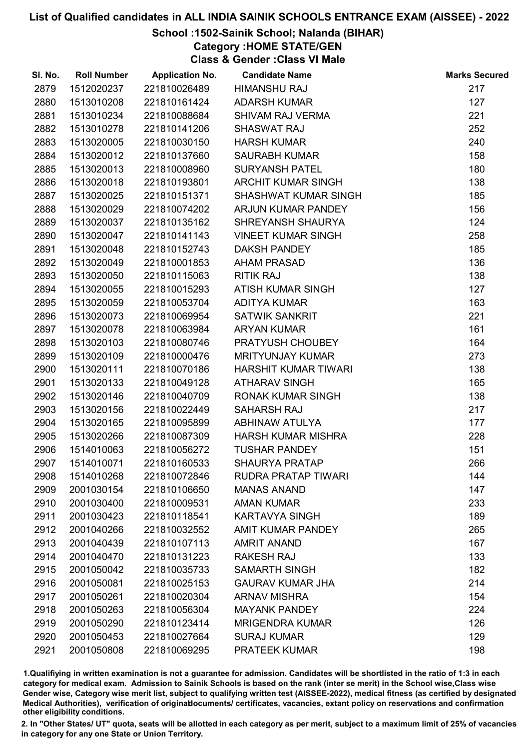# School :1502-Sainik School; Nalanda (BIHAR)

Category :HOME STATE/GEN

Class & Gender :Class VI Male

| SI. No. | <b>Roll Number</b> | <b>Application No.</b> | <b>Candidate Name</b>       | <b>Marks Secured</b> |
|---------|--------------------|------------------------|-----------------------------|----------------------|
| 2879    | 1512020237         | 221810026489           | <b>HIMANSHU RAJ</b>         | 217                  |
| 2880    | 1513010208         | 221810161424           | <b>ADARSH KUMAR</b>         | 127                  |
| 2881    | 1513010234         | 221810088684           | <b>SHIVAM RAJ VERMA</b>     | 221                  |
| 2882    | 1513010278         | 221810141206           | <b>SHASWAT RAJ</b>          | 252                  |
| 2883    | 1513020005         | 221810030150           | <b>HARSH KUMAR</b>          | 240                  |
| 2884    | 1513020012         | 221810137660           | <b>SAURABH KUMAR</b>        | 158                  |
| 2885    | 1513020013         | 221810008960           | <b>SURYANSH PATEL</b>       | 180                  |
| 2886    | 1513020018         | 221810193801           | <b>ARCHIT KUMAR SINGH</b>   | 138                  |
| 2887    | 1513020025         | 221810151371           | SHASHWAT KUMAR SINGH        | 185                  |
| 2888    | 1513020029         | 221810074202           | ARJUN KUMAR PANDEY          | 156                  |
| 2889    | 1513020037         | 221810135162           | SHREYANSH SHAURYA           | 124                  |
| 2890    | 1513020047         | 221810141143           | <b>VINEET KUMAR SINGH</b>   | 258                  |
| 2891    | 1513020048         | 221810152743           | <b>DAKSH PANDEY</b>         | 185                  |
| 2892    | 1513020049         | 221810001853           | <b>AHAM PRASAD</b>          | 136                  |
| 2893    | 1513020050         | 221810115063           | <b>RITIK RAJ</b>            | 138                  |
| 2894    | 1513020055         | 221810015293           | ATISH KUMAR SINGH           | 127                  |
| 2895    | 1513020059         | 221810053704           | <b>ADITYA KUMAR</b>         | 163                  |
| 2896    | 1513020073         | 221810069954           | <b>SATWIK SANKRIT</b>       | 221                  |
| 2897    | 1513020078         | 221810063984           | <b>ARYAN KUMAR</b>          | 161                  |
| 2898    | 1513020103         | 221810080746           | PRATYUSH CHOUBEY            | 164                  |
| 2899    | 1513020109         | 221810000476           | <b>MRITYUNJAY KUMAR</b>     | 273                  |
| 2900    | 1513020111         | 221810070186           | <b>HARSHIT KUMAR TIWARI</b> | 138                  |
| 2901    | 1513020133         | 221810049128           | <b>ATHARAV SINGH</b>        | 165                  |
| 2902    | 1513020146         | 221810040709           | <b>RONAK KUMAR SINGH</b>    | 138                  |
| 2903    | 1513020156         | 221810022449           | <b>SAHARSH RAJ</b>          | 217                  |
| 2904    | 1513020165         | 221810095899           | <b>ABHINAW ATULYA</b>       | 177                  |
| 2905    | 1513020266         | 221810087309           | <b>HARSH KUMAR MISHRA</b>   | 228                  |
| 2906    | 1514010063         | 221810056272           | <b>TUSHAR PANDEY</b>        | 151                  |
| 2907    | 1514010071         | 221810160533           | <b>SHAURYA PRATAP</b>       | 266                  |
| 2908    | 1514010268         | 221810072846           | <b>RUDRA PRATAP TIWARI</b>  | 144                  |
| 2909    | 2001030154         | 221810106650           | <b>MANAS ANAND</b>          | 147                  |
| 2910    | 2001030400         | 221810009531           | <b>AMAN KUMAR</b>           | 233                  |
| 2911    | 2001030423         | 221810118541           | <b>KARTAVYA SINGH</b>       | 189                  |
| 2912    | 2001040266         | 221810032552           | <b>AMIT KUMAR PANDEY</b>    | 265                  |
| 2913    | 2001040439         | 221810107113           | <b>AMRIT ANAND</b>          | 167                  |
| 2914    | 2001040470         | 221810131223           | <b>RAKESH RAJ</b>           | 133                  |
| 2915    | 2001050042         | 221810035733           | <b>SAMARTH SINGH</b>        | 182                  |
| 2916    | 2001050081         | 221810025153           | <b>GAURAV KUMAR JHA</b>     | 214                  |
| 2917    | 2001050261         | 221810020304           | <b>ARNAV MISHRA</b>         | 154                  |
| 2918    | 2001050263         | 221810056304           | <b>MAYANK PANDEY</b>        | 224                  |
| 2919    | 2001050290         | 221810123414           | <b>MRIGENDRA KUMAR</b>      | 126                  |
| 2920    | 2001050453         | 221810027664           | <b>SURAJ KUMAR</b>          | 129                  |
| 2921    | 2001050808         | 221810069295           | <b>PRATEEK KUMAR</b>        | 198                  |

1.Qualifiying in written examination is not a guarantee for admission. Candidates will be shortlisted in the ratio of 1:3 in each category for medical exam. Admission to Sainik Schools is based on the rank (inter se merit) in the School wise,Class wise Gender wise, Category wise merit list, subject to qualifying written test (AISSEE-2022), medical fitness (as certified by designated Medical Authorities), verification of originablocuments/ certificates, vacancies, extant policy on reservations and confirmation other eligibility conditions.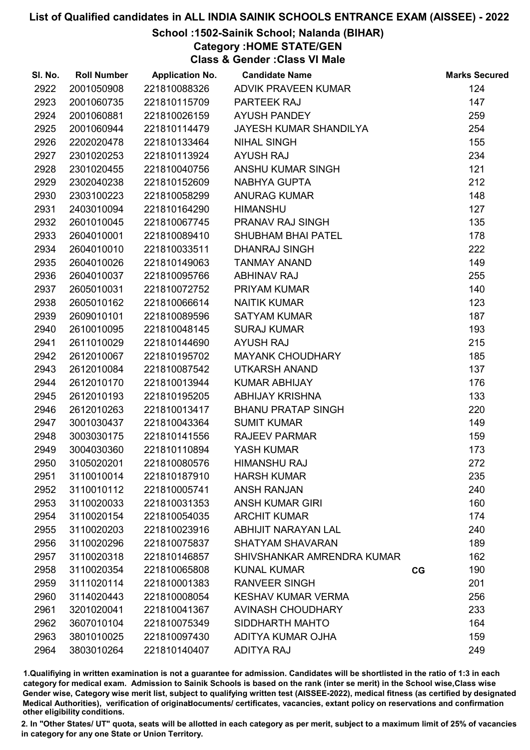## School :1502-Sainik School; Nalanda (BIHAR)

Category :HOME STATE/GEN

Class & Gender :Class VI Male

| SI. No. | <b>Roll Number</b> | <b>Application No.</b> | <b>Candidate Name</b>      |    | <b>Marks Secured</b> |
|---------|--------------------|------------------------|----------------------------|----|----------------------|
| 2922    | 2001050908         | 221810088326           | ADVIK PRAVEEN KUMAR        |    | 124                  |
| 2923    | 2001060735         | 221810115709           | PARTEEK RAJ                |    | 147                  |
| 2924    | 2001060881         | 221810026159           | <b>AYUSH PANDEY</b>        |    | 259                  |
| 2925    | 2001060944         | 221810114479           | JAYESH KUMAR SHANDILYA     |    | 254                  |
| 2926    | 2202020478         | 221810133464           | <b>NIHAL SINGH</b>         |    | 155                  |
| 2927    | 2301020253         | 221810113924           | <b>AYUSH RAJ</b>           |    | 234                  |
| 2928    | 2301020455         | 221810040756           | ANSHU KUMAR SINGH          |    | 121                  |
| 2929    | 2302040238         | 221810152609           | NABHYA GUPTA               |    | 212                  |
| 2930    | 2303100223         | 221810058299           | <b>ANURAG KUMAR</b>        |    | 148                  |
| 2931    | 2403010094         | 221810164290           | <b>HIMANSHU</b>            |    | 127                  |
| 2932    | 2601010045         | 221810067745           | PRANAV RAJ SINGH           |    | 135                  |
| 2933    | 2604010001         | 221810089410           | <b>SHUBHAM BHAI PATEL</b>  |    | 178                  |
| 2934    | 2604010010         | 221810033511           | DHANRAJ SINGH              |    | 222                  |
| 2935    | 2604010026         | 221810149063           | <b>TANMAY ANAND</b>        |    | 149                  |
| 2936    | 2604010037         | 221810095766           | <b>ABHINAV RAJ</b>         |    | 255                  |
| 2937    | 2605010031         | 221810072752           | PRIYAM KUMAR               |    | 140                  |
| 2938    | 2605010162         | 221810066614           | <b>NAITIK KUMAR</b>        |    | 123                  |
| 2939    | 2609010101         | 221810089596           | <b>SATYAM KUMAR</b>        |    | 187                  |
| 2940    | 2610010095         | 221810048145           | <b>SURAJ KUMAR</b>         |    | 193                  |
| 2941    | 2611010029         | 221810144690           | <b>AYUSH RAJ</b>           |    | 215                  |
| 2942    | 2612010067         | 221810195702           | <b>MAYANK CHOUDHARY</b>    |    | 185                  |
| 2943    | 2612010084         | 221810087542           | <b>UTKARSH ANAND</b>       |    | 137                  |
| 2944    | 2612010170         | 221810013944           | <b>KUMAR ABHIJAY</b>       |    | 176                  |
| 2945    | 2612010193         | 221810195205           | <b>ABHIJAY KRISHNA</b>     |    | 133                  |
| 2946    | 2612010263         | 221810013417           | <b>BHANU PRATAP SINGH</b>  |    | 220                  |
| 2947    | 3001030437         | 221810043364           | <b>SUMIT KUMAR</b>         |    | 149                  |
| 2948    | 3003030175         | 221810141556           | <b>RAJEEV PARMAR</b>       |    | 159                  |
| 2949    | 3004030360         | 221810110894           | YASH KUMAR                 |    | 173                  |
| 2950    | 3105020201         | 221810080576           | <b>HIMANSHU RAJ</b>        |    | 272                  |
| 2951    | 3110010014         | 221810187910           | <b>HARSH KUMAR</b>         |    | 235                  |
| 2952    | 3110010112         | 221810005741           | <b>ANSH RANJAN</b>         |    | 240                  |
| 2953    | 3110020033         | 221810031353           | <b>ANSH KUMAR GIRI</b>     |    | 160                  |
| 2954    | 3110020154         | 221810054035           | <b>ARCHIT KUMAR</b>        |    | 174                  |
| 2955    | 3110020203         | 221810023916           | <b>ABHIJIT NARAYAN LAL</b> |    | 240                  |
| 2956    | 3110020296         | 221810075837           | <b>SHATYAM SHAVARAN</b>    |    | 189                  |
| 2957    | 3110020318         | 221810146857           | SHIVSHANKAR AMRENDRA KUMAR |    | 162                  |
| 2958    | 3110020354         | 221810065808           | <b>KUNAL KUMAR</b>         | CG | 190                  |
| 2959    | 3111020114         | 221810001383           | <b>RANVEER SINGH</b>       |    | 201                  |
| 2960    | 3114020443         | 221810008054           | <b>KESHAV KUMAR VERMA</b>  |    | 256                  |
| 2961    | 3201020041         | 221810041367           | <b>AVINASH CHOUDHARY</b>   |    | 233                  |
| 2962    | 3607010104         | 221810075349           | SIDDHARTH MAHTO            |    | 164                  |
| 2963    | 3801010025         | 221810097430           | ADITYA KUMAR OJHA          |    | 159                  |
| 2964    | 3803010264         | 221810140407           | <b>ADITYA RAJ</b>          |    | 249                  |

1.Qualifiying in written examination is not a guarantee for admission. Candidates will be shortlisted in the ratio of 1:3 in each category for medical exam. Admission to Sainik Schools is based on the rank (inter se merit) in the School wise,Class wise Gender wise, Category wise merit list, subject to qualifying written test (AISSEE-2022), medical fitness (as certified by designated Medical Authorities), verification of originablocuments/ certificates, vacancies, extant policy on reservations and confirmation other eligibility conditions.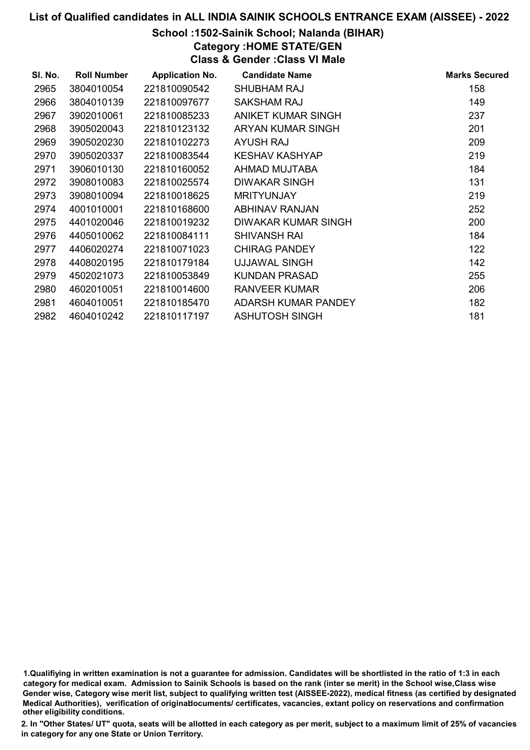# School :1502-Sainik School; Nalanda (BIHAR)

Category :HOME STATE/GEN

Class & Gender :Class VI Male

| SI. No. | <b>Roll Number</b> | <b>Application No.</b> | <b>Candidate Name</b> | <b>Marks Secured</b> |
|---------|--------------------|------------------------|-----------------------|----------------------|
| 2965    | 3804010054         | 221810090542           | SHUBHAM RAJ           | 158                  |
| 2966    | 3804010139         | 221810097677           | SAKSHAM RAJ           | 149                  |
| 2967    | 3902010061         | 221810085233           | ANIKET KUMAR SINGH    | 237                  |
| 2968    | 3905020043         | 221810123132           | ARYAN KUMAR SINGH     | 201                  |
| 2969    | 3905020230         | 221810102273           | AYUSH RAJ             | 209                  |
| 2970    | 3905020337         | 221810083544           | KESHAV KASHYAP        | 219                  |
| 2971    | 3906010130         | 221810160052           | AHMAD MUJTABA         | 184                  |
| 2972    | 3908010083         | 221810025574           | DIWAKAR SINGH         | 131                  |
| 2973    | 3908010094         | 221810018625           | <b>MRITYUNJAY</b>     | 219                  |
| 2974    | 4001010001         | 221810168600           | <b>ABHINAV RANJAN</b> | 252                  |
| 2975    | 4401020046         | 221810019232           | DIWAKAR KUMAR SINGH   | 200                  |
| 2976    | 4405010062         | 221810084111           | <b>SHIVANSH RAI</b>   | 184                  |
| 2977    | 4406020274         | 221810071023           | <b>CHIRAG PANDEY</b>  | 122                  |
| 2978    | 4408020195         | 221810179184           | UJJAWAL SINGH         | 142                  |
| 2979    | 4502021073         | 221810053849           | <b>KUNDAN PRASAD</b>  | 255                  |
| 2980    | 4602010051         | 221810014600           | <b>RANVEER KUMAR</b>  | 206                  |
| 2981    | 4604010051         | 221810185470           | ADARSH KUMAR PANDEY   | 182                  |
| 2982    | 4604010242         | 221810117197           | <b>ASHUTOSH SINGH</b> | 181                  |

1.Qualifiying in written examination is not a guarantee for admission. Candidates will be shortlisted in the ratio of 1:3 in each category for medical exam. Admission to Sainik Schools is based on the rank (inter se merit) in the School wise,Class wise Gender wise, Category wise merit list, subject to qualifying written test (AISSEE-2022), medical fitness (as certified by designated Medical Authorities), verification of originablocuments/ certificates, vacancies, extant policy on reservations and confirmation other eligibility conditions.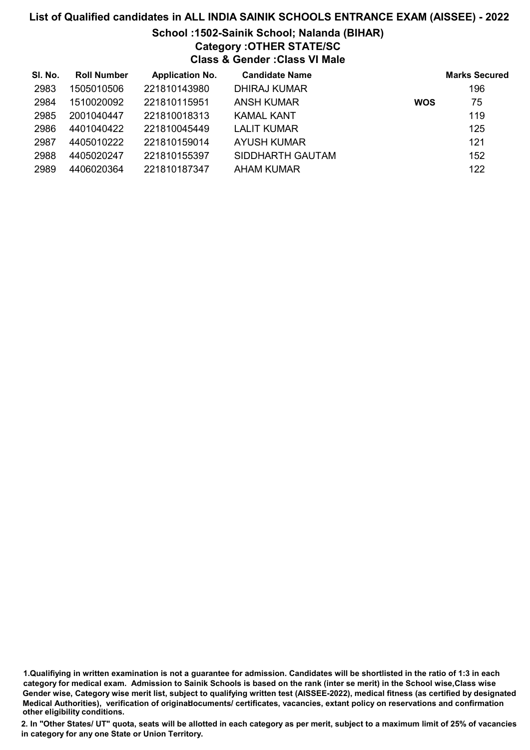# School :1502-Sainik School; Nalanda (BIHAR) Category :OTHER STATE/SC

Class & Gender :Class VI Male

| SI. No. | <b>Roll Number</b> | <b>Application No.</b> | <b>Candidate Name</b> |            | <b>Marks Secured</b> |
|---------|--------------------|------------------------|-----------------------|------------|----------------------|
| 2983    | 1505010506         | 221810143980           | DHIRAJ KUMAR          |            | 196                  |
| 2984    | 1510020092         | 221810115951           | <b>ANSH KUMAR</b>     | <b>WOS</b> | 75                   |
| 2985    | 2001040447         | 221810018313           | KAMAL KANT            |            | 119                  |
| 2986    | 4401040422         | 221810045449           | <b>LALIT KUMAR</b>    |            | 125                  |
| 2987    | 4405010222         | 221810159014           | <b>AYUSH KUMAR</b>    |            | 121                  |
| 2988    | 4405020247         | 221810155397           | SIDDHARTH GAUTAM      |            | 152                  |
| 2989    | 4406020364         | 221810187347           | AHAM KUMAR            |            | 122                  |

1.Qualifiying in written examination is not a guarantee for admission. Candidates will be shortlisted in the ratio of 1:3 in each category for medical exam. Admission to Sainik Schools is based on the rank (inter se merit) in the School wise,Class wise Gender wise, Category wise merit list, subject to qualifying written test (AISSEE-2022), medical fitness (as certified by designated Medical Authorities), verification of originablocuments/ certificates, vacancies, extant policy on reservations and confirmation other eligibility conditions.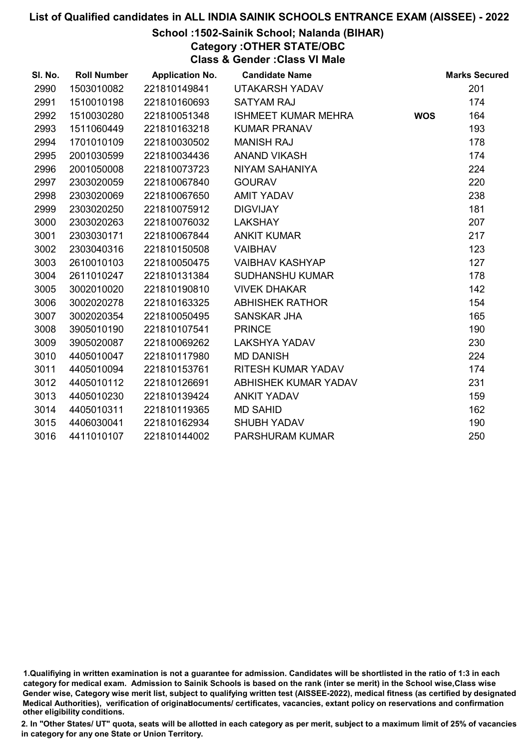# School :1502-Sainik School; Nalanda (BIHAR)

Category :OTHER STATE/OBC

Class & Gender :Class VI Male

| SI. No. | <b>Roll Number</b> | <b>Application No.</b> | <b>Candidate Name</b>      |            | <b>Marks Secured</b> |
|---------|--------------------|------------------------|----------------------------|------------|----------------------|
| 2990    | 1503010082         | 221810149841           | UTAKARSH YADAV             |            | 201                  |
| 2991    | 1510010198         | 221810160693           | <b>SATYAM RAJ</b>          |            | 174                  |
| 2992    | 1510030280         | 221810051348           | <b>ISHMEET KUMAR MEHRA</b> | <b>WOS</b> | 164                  |
| 2993    | 1511060449         | 221810163218           | <b>KUMAR PRANAV</b>        |            | 193                  |
| 2994    | 1701010109         | 221810030502           | <b>MANISH RAJ</b>          |            | 178                  |
| 2995    | 2001030599         | 221810034436           | ANAND VIKASH               |            | 174                  |
| 2996    | 2001050008         | 221810073723           | NIYAM SAHANIYA             |            | 224                  |
| 2997    | 2303020059         | 221810067840           | <b>GOURAV</b>              |            | 220                  |
| 2998    | 2303020069         | 221810067650           | <b>AMIT YADAV</b>          |            | 238                  |
| 2999    | 2303020250         | 221810075912           | <b>DIGVIJAY</b>            |            | 181                  |
| 3000    | 2303020263         | 221810076032           | <b>LAKSHAY</b>             |            | 207                  |
| 3001    | 2303030171         | 221810067844           | <b>ANKIT KUMAR</b>         |            | 217                  |
| 3002    | 2303040316         | 221810150508           | <b>VAIBHAV</b>             |            | 123                  |
| 3003    | 2610010103         | 221810050475           | <b>VAIBHAV KASHYAP</b>     |            | 127                  |
| 3004    | 2611010247         | 221810131384           | <b>SUDHANSHU KUMAR</b>     |            | 178                  |
| 3005    | 3002010020         | 221810190810           | <b>VIVEK DHAKAR</b>        |            | 142                  |
| 3006    | 3002020278         | 221810163325           | <b>ABHISHEK RATHOR</b>     |            | 154                  |
| 3007    | 3002020354         | 221810050495           | <b>SANSKAR JHA</b>         |            | 165                  |
| 3008    | 3905010190         | 221810107541           | <b>PRINCE</b>              |            | 190                  |
| 3009    | 3905020087         | 221810069262           | <b>LAKSHYA YADAV</b>       |            | 230                  |
| 3010    | 4405010047         | 221810117980           | <b>MD DANISH</b>           |            | 224                  |
| 3011    | 4405010094         | 221810153761           | RITESH KUMAR YADAV         |            | 174                  |
| 3012    | 4405010112         | 221810126691           | ABHISHEK KUMAR YADAV       |            | 231                  |
| 3013    | 4405010230         | 221810139424           | <b>ANKIT YADAV</b>         |            | 159                  |
| 3014    | 4405010311         | 221810119365           | <b>MD SAHID</b>            |            | 162                  |
| 3015    | 4406030041         | 221810162934           | <b>SHUBH YADAV</b>         |            | 190                  |
| 3016    | 4411010107         | 221810144002           | PARSHURAM KUMAR            |            | 250                  |

<sup>1.</sup>Qualifiying in written examination is not a guarantee for admission. Candidates will be shortlisted in the ratio of 1:3 in each category for medical exam. Admission to Sainik Schools is based on the rank (inter se merit) in the School wise,Class wise Gender wise, Category wise merit list, subject to qualifying written test (AISSEE-2022), medical fitness (as certified by designated Medical Authorities), verification of originablocuments/ certificates, vacancies, extant policy on reservations and confirmation other eligibility conditions.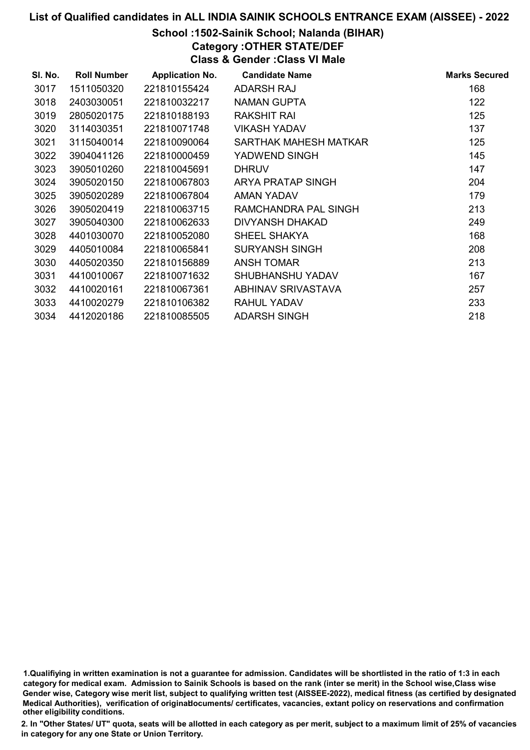# School :1502-Sainik School; Nalanda (BIHAR)

Category :OTHER STATE/DEF Class & Gender :Class VI Male

| SI. No. | <b>Roll Number</b> | <b>Application No.</b> | <b>Candidate Name</b>   | <b>Marks Secured</b> |
|---------|--------------------|------------------------|-------------------------|----------------------|
| 3017    | 1511050320         | 221810155424           | ADARSH RAJ              | 168                  |
| 3018    | 2403030051         | 221810032217           | NAMAN GUPTA             | 122                  |
| 3019    | 2805020175         | 221810188193           | RAKSHIT RAI             | 125                  |
| 3020    | 3114030351         | 221810071748           | VIKASH YADAV            | 137                  |
| 3021    | 3115040014         | 221810090064           | SARTHAK MAHESH MATKAR   | 125                  |
| 3022    | 3904041126         | 221810000459           | YADWEND SINGH           | 145                  |
| 3023    | 3905010260         | 221810045691           | <b>DHRUV</b>            | 147                  |
| 3024    | 3905020150         | 221810067803           | ARYA PRATAP SINGH       | 204                  |
| 3025    | 3905020289         | 221810067804           | AMAN YADAV              | 179                  |
| 3026    | 3905020419         | 221810063715           | RAMCHANDRA PAL SINGH    | 213                  |
| 3027    | 3905040300         | 221810062633           | DIVYANSH DHAKAD         | 249                  |
| 3028    | 4401030070         | 221810052080           | SHEEL SHAKYA            | 168                  |
| 3029    | 4405010084         | 221810065841           | <b>SURYANSH SINGH</b>   | 208                  |
| 3030    | 4405020350         | 221810156889           | <b>ANSH TOMAR</b>       | 213                  |
| 3031    | 4410010067         | 221810071632           | <b>SHUBHANSHU YADAV</b> | 167                  |
| 3032    | 4410020161         | 221810067361           | ABHINAV SRIVASTAVA      | 257                  |
| 3033    | 4410020279         | 221810106382           | <b>RAHUL YADAV</b>      | 233                  |
| 3034    | 4412020186         | 221810085505           | <b>ADARSH SINGH</b>     | 218                  |

1.Qualifiying in written examination is not a guarantee for admission. Candidates will be shortlisted in the ratio of 1:3 in each category for medical exam. Admission to Sainik Schools is based on the rank (inter se merit) in the School wise,Class wise Gender wise, Category wise merit list, subject to qualifying written test (AISSEE-2022), medical fitness (as certified by designated Medical Authorities), verification of originablocuments/ certificates, vacancies, extant policy on reservations and confirmation other eligibility conditions.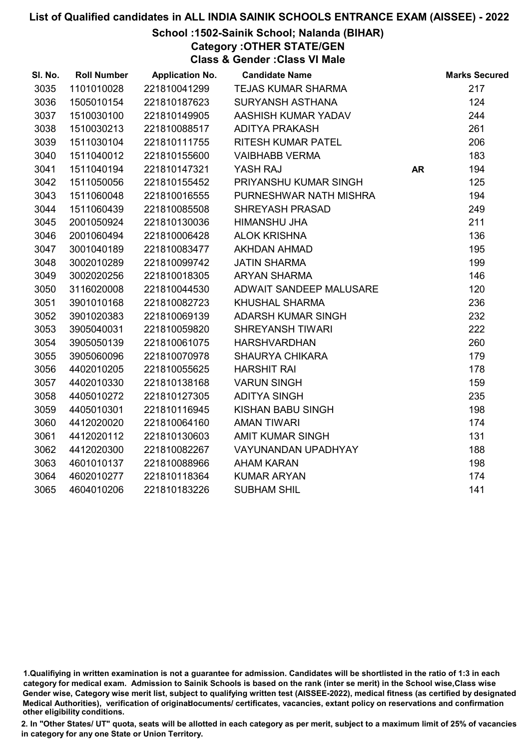# School :1502-Sainik School; Nalanda (BIHAR)

Category :OTHER STATE/GEN

Class & Gender :Class VI Male

| SI. No. | <b>Roll Number</b> | <b>Application No.</b> | <b>Candidate Name</b>      |           | <b>Marks Secured</b> |
|---------|--------------------|------------------------|----------------------------|-----------|----------------------|
| 3035    | 1101010028         | 221810041299           | <b>TEJAS KUMAR SHARMA</b>  |           | 217                  |
| 3036    | 1505010154         | 221810187623           | <b>SURYANSH ASTHANA</b>    |           | 124                  |
| 3037    | 1510030100         | 221810149905           | AASHISH KUMAR YADAV        |           | 244                  |
| 3038    | 1510030213         | 221810088517           | <b>ADITYA PRAKASH</b>      |           | 261                  |
| 3039    | 1511030104         | 221810111755           | <b>RITESH KUMAR PATEL</b>  |           | 206                  |
| 3040    | 1511040012         | 221810155600           | <b>VAIBHABB VERMA</b>      |           | 183                  |
| 3041    | 1511040194         | 221810147321           | YASH RAJ                   | <b>AR</b> | 194                  |
| 3042    | 1511050056         | 221810155452           | PRIYANSHU KUMAR SINGH      |           | 125                  |
| 3043    | 1511060048         | 221810016555           | PURNESHWAR NATH MISHRA     |           | 194                  |
| 3044    | 1511060439         | 221810085508           | <b>SHREYASH PRASAD</b>     |           | 249                  |
| 3045    | 2001050924         | 221810130036           | HIMANSHU JHA               |           | 211                  |
| 3046    | 2001060494         | 221810006428           | <b>ALOK KRISHNA</b>        |           | 136                  |
| 3047    | 3001040189         | 221810083477           | AKHDAN AHMAD               |           | 195                  |
| 3048    | 3002010289         | 221810099742           | <b>JATIN SHARMA</b>        |           | 199                  |
| 3049    | 3002020256         | 221810018305           | <b>ARYAN SHARMA</b>        |           | 146                  |
| 3050    | 3116020008         | 221810044530           | ADWAIT SANDEEP MALUSARE    |           | 120                  |
| 3051    | 3901010168         | 221810082723           | <b>KHUSHAL SHARMA</b>      |           | 236                  |
| 3052    | 3901020383         | 221810069139           | <b>ADARSH KUMAR SINGH</b>  |           | 232                  |
| 3053    | 3905040031         | 221810059820           | <b>SHREYANSH TIWARI</b>    |           | 222                  |
| 3054    | 3905050139         | 221810061075           | <b>HARSHVARDHAN</b>        |           | 260                  |
| 3055    | 3905060096         | 221810070978           | <b>SHAURYA CHIKARA</b>     |           | 179                  |
| 3056    | 4402010205         | 221810055625           | <b>HARSHIT RAI</b>         |           | 178                  |
| 3057    | 4402010330         | 221810138168           | <b>VARUN SINGH</b>         |           | 159                  |
| 3058    | 4405010272         | 221810127305           | <b>ADITYA SINGH</b>        |           | 235                  |
| 3059    | 4405010301         | 221810116945           | KISHAN BABU SINGH          |           | 198                  |
| 3060    | 4412020020         | 221810064160           | <b>AMAN TIWARI</b>         |           | 174                  |
| 3061    | 4412020112         | 221810130603           | <b>AMIT KUMAR SINGH</b>    |           | 131                  |
| 3062    | 4412020300         | 221810082267           | <b>VAYUNANDAN UPADHYAY</b> |           | 188                  |
| 3063    | 4601010137         | 221810088966           | <b>AHAM KARAN</b>          |           | 198                  |
| 3064    | 4602010277         | 221810118364           | <b>KUMAR ARYAN</b>         |           | 174                  |
| 3065    | 4604010206         | 221810183226           | <b>SUBHAM SHIL</b>         |           | 141                  |

<sup>1.</sup>Qualifiying in written examination is not a guarantee for admission. Candidates will be shortlisted in the ratio of 1:3 in each category for medical exam. Admission to Sainik Schools is based on the rank (inter se merit) in the School wise,Class wise Gender wise, Category wise merit list, subject to qualifying written test (AISSEE-2022), medical fitness (as certified by designated Medical Authorities), verification of originablocuments/ certificates, vacancies, extant policy on reservations and confirmation other eligibility conditions.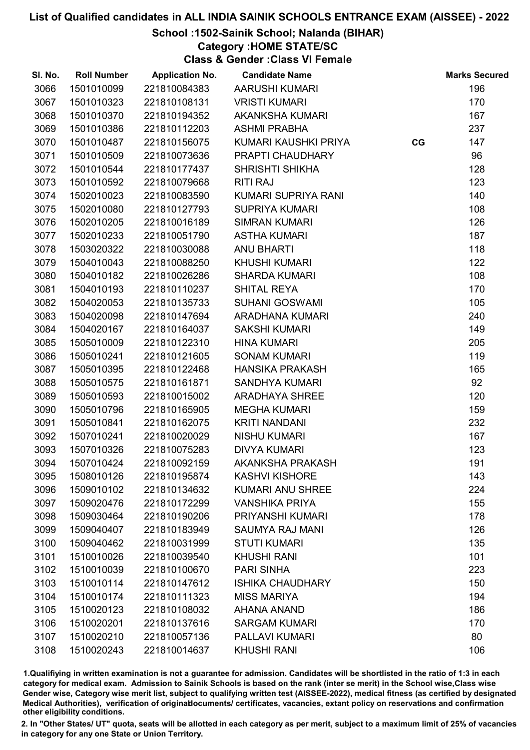## School :1502-Sainik School; Nalanda (BIHAR)

Category :HOME STATE/SC

Class & Gender :Class VI Female

| SI. No. | <b>Roll Number</b> | <b>Application No.</b> | <b>Candidate Name</b>   |    | <b>Marks Secured</b> |
|---------|--------------------|------------------------|-------------------------|----|----------------------|
| 3066    | 1501010099         | 221810084383           | AARUSHI KUMARI          |    | 196                  |
| 3067    | 1501010323         | 221810108131           | <b>VRISTI KUMARI</b>    |    | 170                  |
| 3068    | 1501010370         | 221810194352           | <b>AKANKSHA KUMARI</b>  |    | 167                  |
| 3069    | 1501010386         | 221810112203           | <b>ASHMI PRABHA</b>     |    | 237                  |
| 3070    | 1501010487         | 221810156075           | KUMARI KAUSHKI PRIYA    | CG | 147                  |
| 3071    | 1501010509         | 221810073636           | PRAPTI CHAUDHARY        |    | 96                   |
| 3072    | 1501010544         | 221810177437           | <b>SHRISHTI SHIKHA</b>  |    | 128                  |
| 3073    | 1501010592         | 221810079668           | <b>RITI RAJ</b>         |    | 123                  |
| 3074    | 1502010023         | 221810083590           | KUMARI SUPRIYA RANI     |    | 140                  |
| 3075    | 1502010080         | 221810127793           | <b>SUPRIYA KUMARI</b>   |    | 108                  |
| 3076    | 1502010205         | 221810016189           | <b>SIMRAN KUMARI</b>    |    | 126                  |
| 3077    | 1502010233         | 221810051790           | <b>ASTHA KUMARI</b>     |    | 187                  |
| 3078    | 1503020322         | 221810030088           | <b>ANU BHARTI</b>       |    | 118                  |
| 3079    | 1504010043         | 221810088250           | <b>KHUSHI KUMARI</b>    |    | 122                  |
| 3080    | 1504010182         | 221810026286           | <b>SHARDA KUMARI</b>    |    | 108                  |
| 3081    | 1504010193         | 221810110237           | <b>SHITAL REYA</b>      |    | 170                  |
| 3082    | 1504020053         | 221810135733           | <b>SUHANI GOSWAMI</b>   |    | 105                  |
| 3083    | 1504020098         | 221810147694           | <b>ARADHANA KUMARI</b>  |    | 240                  |
| 3084    | 1504020167         | 221810164037           | <b>SAKSHI KUMARI</b>    |    | 149                  |
| 3085    | 1505010009         | 221810122310           | <b>HINA KUMARI</b>      |    | 205                  |
| 3086    | 1505010241         | 221810121605           | <b>SONAM KUMARI</b>     |    | 119                  |
| 3087    | 1505010395         | 221810122468           | <b>HANSIKA PRAKASH</b>  |    | 165                  |
| 3088    | 1505010575         | 221810161871           | <b>SANDHYA KUMARI</b>   |    | 92                   |
| 3089    | 1505010593         | 221810015002           | <b>ARADHAYA SHREE</b>   |    | 120                  |
| 3090    | 1505010796         | 221810165905           | <b>MEGHA KUMARI</b>     |    | 159                  |
| 3091    | 1505010841         | 221810162075           | <b>KRITI NANDANI</b>    |    | 232                  |
| 3092    | 1507010241         | 221810020029           | <b>NISHU KUMARI</b>     |    | 167                  |
| 3093    | 1507010326         | 221810075283           | <b>DIVYA KUMARI</b>     |    | 123                  |
| 3094    | 1507010424         | 221810092159           | AKANKSHA PRAKASH        |    | 191                  |
| 3095    | 1508010126         | 221810195874           | <b>KASHVI KISHORE</b>   |    | 143                  |
| 3096    | 1509010102         | 221810134632           | <b>KUMARI ANU SHREE</b> |    | 224                  |
| 3097    | 1509020476         | 221810172299           | <b>VANSHIKA PRIYA</b>   |    | 155                  |
| 3098    | 1509030464         | 221810190206           | PRIYANSHI KUMARI        |    | 178                  |
| 3099    | 1509040407         | 221810183949           | <b>SAUMYA RAJ MANI</b>  |    | 126                  |
| 3100    | 1509040462         | 221810031999           | <b>STUTI KUMARI</b>     |    | 135                  |
| 3101    | 1510010026         | 221810039540           | <b>KHUSHI RANI</b>      |    | 101                  |
| 3102    | 1510010039         | 221810100670           | <b>PARI SINHA</b>       |    | 223                  |
| 3103    | 1510010114         | 221810147612           | <b>ISHIKA CHAUDHARY</b> |    | 150                  |
| 3104    | 1510010174         | 221810111323           | <b>MISS MARIYA</b>      |    | 194                  |
| 3105    | 1510020123         | 221810108032           | <b>AHANA ANAND</b>      |    | 186                  |
| 3106    | 1510020201         | 221810137616           | <b>SARGAM KUMARI</b>    |    | 170                  |
| 3107    | 1510020210         | 221810057136           | PALLAVI KUMARI          |    | 80                   |
| 3108    | 1510020243         | 221810014637           | <b>KHUSHI RANI</b>      |    | 106                  |

1.Qualifiying in written examination is not a guarantee for admission. Candidates will be shortlisted in the ratio of 1:3 in each category for medical exam. Admission to Sainik Schools is based on the rank (inter se merit) in the School wise,Class wise Gender wise, Category wise merit list, subject to qualifying written test (AISSEE-2022), medical fitness (as certified by designated Medical Authorities), verification of originablocuments/ certificates, vacancies, extant policy on reservations and confirmation other eligibility conditions.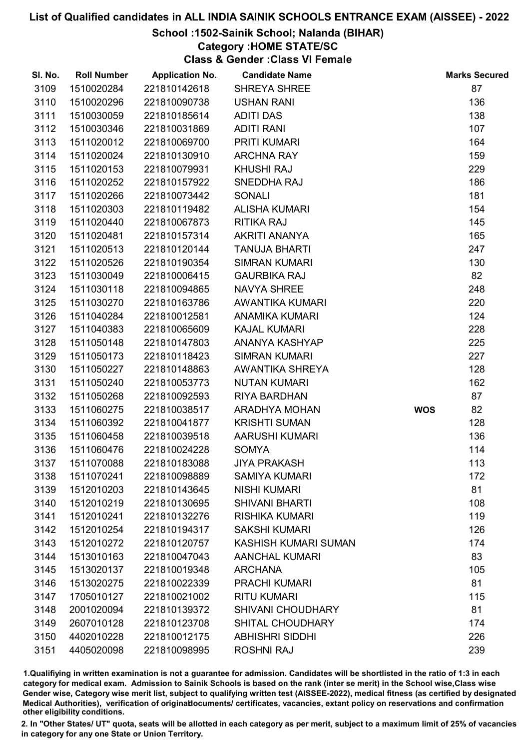### School :1502-Sainik School; Nalanda (BIHAR)

# Category :HOME STATE/SC

Class & Gender :Class VI Female

| SI. No. | <b>Roll Number</b> | <b>Application No.</b> | <b>Candidate Name</b>    |            | <b>Marks Secured</b> |
|---------|--------------------|------------------------|--------------------------|------------|----------------------|
| 3109    | 1510020284         | 221810142618           | <b>SHREYA SHREE</b>      |            | 87                   |
| 3110    | 1510020296         | 221810090738           | <b>USHAN RANI</b>        |            | 136                  |
| 3111    | 1510030059         | 221810185614           | <b>ADITI DAS</b>         |            | 138                  |
| 3112    | 1510030346         | 221810031869           | <b>ADITI RANI</b>        |            | 107                  |
| 3113    | 1511020012         | 221810069700           | PRITI KUMARI             |            | 164                  |
| 3114    | 1511020024         | 221810130910           | <b>ARCHNA RAY</b>        |            | 159                  |
| 3115    | 1511020153         | 221810079931           | <b>KHUSHI RAJ</b>        |            | 229                  |
| 3116    | 1511020252         | 221810157922           | SNEDDHA RAJ              |            | 186                  |
| 3117    | 1511020266         | 221810073442           | <b>SONALI</b>            |            | 181                  |
| 3118    | 1511020303         | 221810119482           | <b>ALISHA KUMARI</b>     |            | 154                  |
| 3119    | 1511020440         | 221810067873           | <b>RITIKA RAJ</b>        |            | 145                  |
| 3120    | 1511020481         | 221810157314           | AKRITI ANANYA            |            | 165                  |
| 3121    | 1511020513         | 221810120144           | <b>TANUJA BHARTI</b>     |            | 247                  |
| 3122    | 1511020526         | 221810190354           | <b>SIMRAN KUMARI</b>     |            | 130                  |
| 3123    | 1511030049         | 221810006415           | <b>GAURBIKA RAJ</b>      |            | 82                   |
| 3124    | 1511030118         | 221810094865           | <b>NAVYA SHREE</b>       |            | 248                  |
| 3125    | 1511030270         | 221810163786           | AWANTIKA KUMARI          |            | 220                  |
| 3126    | 1511040284         | 221810012581           | <b>ANAMIKA KUMARI</b>    |            | 124                  |
| 3127    | 1511040383         | 221810065609           | <b>KAJAL KUMARI</b>      |            | 228                  |
| 3128    | 1511050148         | 221810147803           | ANANYA KASHYAP           |            | 225                  |
| 3129    | 1511050173         | 221810118423           | <b>SIMRAN KUMARI</b>     |            | 227                  |
| 3130    | 1511050227         | 221810148863           | AWANTIKA SHREYA          |            | 128                  |
| 3131    | 1511050240         | 221810053773           | <b>NUTAN KUMARI</b>      |            | 162                  |
| 3132    | 1511050268         | 221810092593           | <b>RIYA BARDHAN</b>      |            | 87                   |
| 3133    | 1511060275         | 221810038517           | ARADHYA MOHAN            | <b>WOS</b> | 82                   |
| 3134    | 1511060392         | 221810041877           | <b>KRISHTI SUMAN</b>     |            | 128                  |
| 3135    | 1511060458         | 221810039518           | <b>AARUSHI KUMARI</b>    |            | 136                  |
| 3136    | 1511060476         | 221810024228           | <b>SOMYA</b>             |            | 114                  |
| 3137    | 1511070088         | 221810183088           | <b>JIYA PRAKASH</b>      |            | 113                  |
| 3138    | 1511070241         | 221810098889           | <b>SAMIYA KUMARI</b>     |            | 172                  |
| 3139    | 1512010203         | 221810143645           | <b>NISHI KUMARI</b>      |            | 81                   |
| 3140    | 1512010219         | 221810130695           | <b>SHIVANI BHARTI</b>    |            | 108                  |
| 3141    | 1512010241         | 221810132276           | <b>RISHIKA KUMARI</b>    |            | 119                  |
| 3142    | 1512010254         | 221810194317           | <b>SAKSHI KUMARI</b>     |            | 126                  |
| 3143    | 1512010272         | 221810120757           | KASHISH KUMARI SUMAN     |            | 174                  |
| 3144    | 1513010163         | 221810047043           | <b>AANCHAL KUMARI</b>    |            | 83                   |
| 3145    | 1513020137         | 221810019348           | <b>ARCHANA</b>           |            | 105                  |
| 3146    | 1513020275         | 221810022339           | <b>PRACHI KUMARI</b>     |            | 81                   |
| 3147    | 1705010127         | 221810021002           | <b>RITU KUMARI</b>       |            | 115                  |
| 3148    | 2001020094         | 221810139372           | <b>SHIVANI CHOUDHARY</b> |            | 81                   |
| 3149    | 2607010128         | 221810123708           | <b>SHITAL CHOUDHARY</b>  |            | 174                  |
| 3150    | 4402010228         | 221810012175           | <b>ABHISHRI SIDDHI</b>   |            | 226                  |
| 3151    | 4405020098         | 221810098995           | <b>ROSHNI RAJ</b>        |            | 239                  |

1.Qualifiying in written examination is not a guarantee for admission. Candidates will be shortlisted in the ratio of 1:3 in each category for medical exam. Admission to Sainik Schools is based on the rank (inter se merit) in the School wise,Class wise Gender wise, Category wise merit list, subject to qualifying written test (AISSEE-2022), medical fitness (as certified by designated Medical Authorities), verification of originablocuments/ certificates, vacancies, extant policy on reservations and confirmation other eligibility conditions.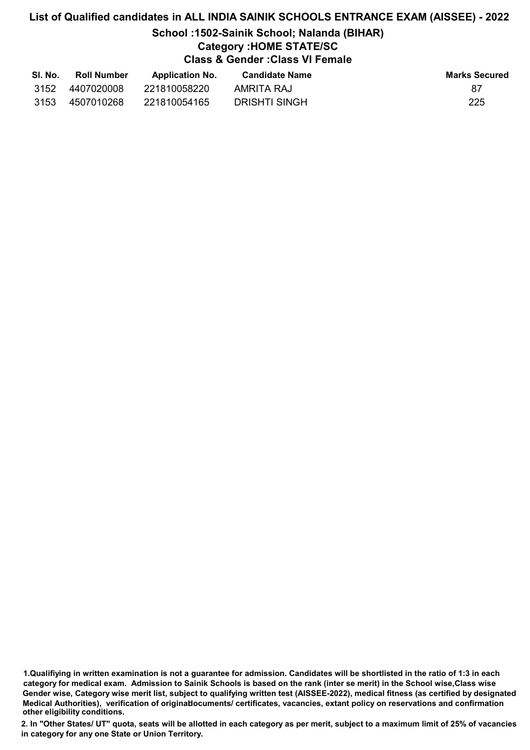# School :1502-Sainik School; Nalanda (BIHAR)

# Category :HOME STATE/SC

Class & Gender :Class VI Female

| SI. No. | <b>Roll Number</b> | <b>Application No.</b> | <b>Candidate Name</b> | <b>Marks Secured</b> |
|---------|--------------------|------------------------|-----------------------|----------------------|
| 3152    | 4407020008         | 221810058220           | AMRITA RAJ            | 87                   |
| 3153    | 4507010268         | 221810054165           | DRISHTI SINGH         | 225                  |

<sup>1.</sup>Qualifiying in written examination is not a guarantee for admission. Candidates will be shortlisted in the ratio of 1:3 in each category for medical exam. Admission to Sainik Schools is based on the rank (inter se merit) in the School wise,Class wise Gender wise, Category wise merit list, subject to qualifying written test (AISSEE-2022), medical fitness (as certified by designated Medical Authorities), verification of originablocuments/ certificates, vacancies, extant policy on reservations and confirmation other eligibility conditions.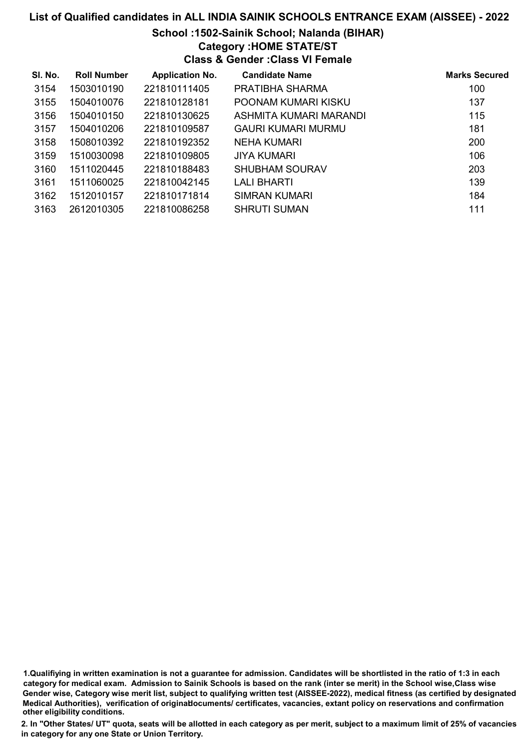# School :1502-Sainik School; Nalanda (BIHAR)

Category :HOME STATE/ST

Class & Gender :Class VI Female

| SI. No. | <b>Roll Number</b> | <b>Application No.</b> | <b>Candidate Name</b>  | <b>Marks Secured</b> |
|---------|--------------------|------------------------|------------------------|----------------------|
| 3154    | 1503010190         | 221810111405           | PRATIBHA SHARMA        | 100                  |
| 3155    | 1504010076         | 221810128181           | POONAM KUMARI KISKU    | 137                  |
| 3156    | 1504010150         | 221810130625           | ASHMITA KUMARI MARANDI | 115                  |
| 3157    | 1504010206         | 221810109587           | GAURI KUMARI MURMU     | 181                  |
| 3158    | 1508010392         | 221810192352           | NEHA KUMARI            | 200                  |
| 3159    | 1510030098         | 221810109805           | <b>JIYA KUMARI</b>     | 106                  |
| 3160    | 1511020445         | 221810188483           | <b>SHUBHAM SOURAV</b>  | 203                  |
| 3161    | 1511060025         | 221810042145           | LALI BHARTI            | 139                  |
| 3162    | 1512010157         | 221810171814           | SIMRAN KUMARI          | 184                  |
| 3163    | 2612010305         | 221810086258           | <b>SHRUTI SUMAN</b>    | 111                  |

1.Qualifiying in written examination is not a guarantee for admission. Candidates will be shortlisted in the ratio of 1:3 in each category for medical exam. Admission to Sainik Schools is based on the rank (inter se merit) in the School wise,Class wise Gender wise, Category wise merit list, subject to qualifying written test (AISSEE-2022), medical fitness (as certified by designated Medical Authorities), verification of originablocuments/ certificates, vacancies, extant policy on reservations and confirmation other eligibility conditions.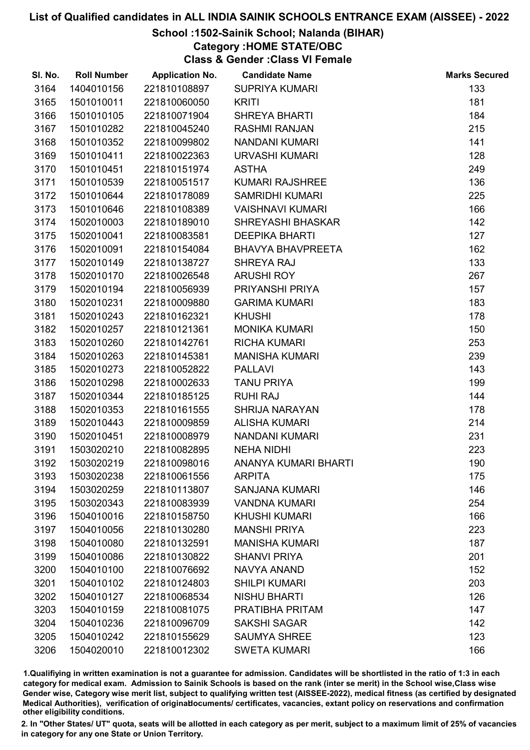# School :1502-Sainik School; Nalanda (BIHAR)

Category :HOME STATE/OBC

Class & Gender :Class VI Female

| SI. No. | <b>Roll Number</b> | <b>Application No.</b> | <b>Candidate Name</b>    | <b>Marks Secured</b> |
|---------|--------------------|------------------------|--------------------------|----------------------|
| 3164    | 1404010156         | 221810108897           | <b>SUPRIYA KUMARI</b>    | 133                  |
| 3165    | 1501010011         | 221810060050           | <b>KRITI</b>             | 181                  |
| 3166    | 1501010105         | 221810071904           | <b>SHREYA BHARTI</b>     | 184                  |
| 3167    | 1501010282         | 221810045240           | <b>RASHMI RANJAN</b>     | 215                  |
| 3168    | 1501010352         | 221810099802           | NANDANI KUMARI           | 141                  |
| 3169    | 1501010411         | 221810022363           | <b>URVASHI KUMARI</b>    | 128                  |
| 3170    | 1501010451         | 221810151974           | <b>ASTHA</b>             | 249                  |
| 3171    | 1501010539         | 221810051517           | <b>KUMARI RAJSHREE</b>   | 136                  |
| 3172    | 1501010644         | 221810178089           | <b>SAMRIDHI KUMARI</b>   | 225                  |
| 3173    | 1501010646         | 221810108389           | <b>VAISHNAVI KUMARI</b>  | 166                  |
| 3174    | 1502010003         | 221810189010           | <b>SHREYASHI BHASKAR</b> | 142                  |
| 3175    | 1502010041         | 221810083581           | <b>DEEPIKA BHARTI</b>    | 127                  |
| 3176    | 1502010091         | 221810154084           | <b>BHAVYA BHAVPREETA</b> | 162                  |
| 3177    | 1502010149         | 221810138727           | SHREYA RAJ               | 133                  |
| 3178    | 1502010170         | 221810026548           | <b>ARUSHI ROY</b>        | 267                  |
| 3179    | 1502010194         | 221810056939           | PRIYANSHI PRIYA          | 157                  |
| 3180    | 1502010231         | 221810009880           | <b>GARIMA KUMARI</b>     | 183                  |
| 3181    | 1502010243         | 221810162321           | <b>KHUSHI</b>            | 178                  |
| 3182    | 1502010257         | 221810121361           | <b>MONIKA KUMARI</b>     | 150                  |
| 3183    | 1502010260         | 221810142761           | <b>RICHA KUMARI</b>      | 253                  |
| 3184    | 1502010263         | 221810145381           | <b>MANISHA KUMARI</b>    | 239                  |
| 3185    | 1502010273         | 221810052822           | <b>PALLAVI</b>           | 143                  |
| 3186    | 1502010298         | 221810002633           | <b>TANU PRIYA</b>        | 199                  |
| 3187    | 1502010344         | 221810185125           | <b>RUHI RAJ</b>          | 144                  |
| 3188    | 1502010353         | 221810161555           | <b>SHRIJA NARAYAN</b>    | 178                  |
| 3189    | 1502010443         | 221810009859           | <b>ALISHA KUMARI</b>     | 214                  |
| 3190    | 1502010451         | 221810008979           | <b>NANDANI KUMARI</b>    | 231                  |
| 3191    | 1503020210         | 221810082895           | <b>NEHA NIDHI</b>        | 223                  |
| 3192    | 1503020219         | 221810098016           | ANANYA KUMARI BHARTI     | 190                  |
| 3193    | 1503020238         | 221810061556           | <b>ARPITA</b>            | 175                  |
| 3194    | 1503020259         | 221810113807           | <b>SANJANA KUMARI</b>    | 146                  |
| 3195    | 1503020343         | 221810083939           | <b>VANDNA KUMARI</b>     | 254                  |
| 3196    | 1504010016         | 221810158750           | <b>KHUSHI KUMARI</b>     | 166                  |
| 3197    | 1504010056         | 221810130280           | <b>MANSHI PRIYA</b>      | 223                  |
| 3198    | 1504010080         | 221810132591           | <b>MANISHA KUMARI</b>    | 187                  |
| 3199    | 1504010086         | 221810130822           | <b>SHANVI PRIYA</b>      | 201                  |
| 3200    | 1504010100         | 221810076692           | NAVYA ANAND              | 152                  |
| 3201    | 1504010102         | 221810124803           | <b>SHILPI KUMARI</b>     | 203                  |
| 3202    | 1504010127         | 221810068534           | <b>NISHU BHARTI</b>      | 126                  |
| 3203    | 1504010159         | 221810081075           | PRATIBHA PRITAM          | 147                  |
| 3204    | 1504010236         | 221810096709           | <b>SAKSHI SAGAR</b>      | 142                  |
| 3205    | 1504010242         | 221810155629           | <b>SAUMYA SHREE</b>      | 123                  |
| 3206    | 1504020010         | 221810012302           | <b>SWETA KUMARI</b>      | 166                  |

1.Qualifiying in written examination is not a guarantee for admission. Candidates will be shortlisted in the ratio of 1:3 in each category for medical exam. Admission to Sainik Schools is based on the rank (inter se merit) in the School wise,Class wise Gender wise, Category wise merit list, subject to qualifying written test (AISSEE-2022), medical fitness (as certified by designated Medical Authorities), verification of originablocuments/ certificates, vacancies, extant policy on reservations and confirmation other eligibility conditions.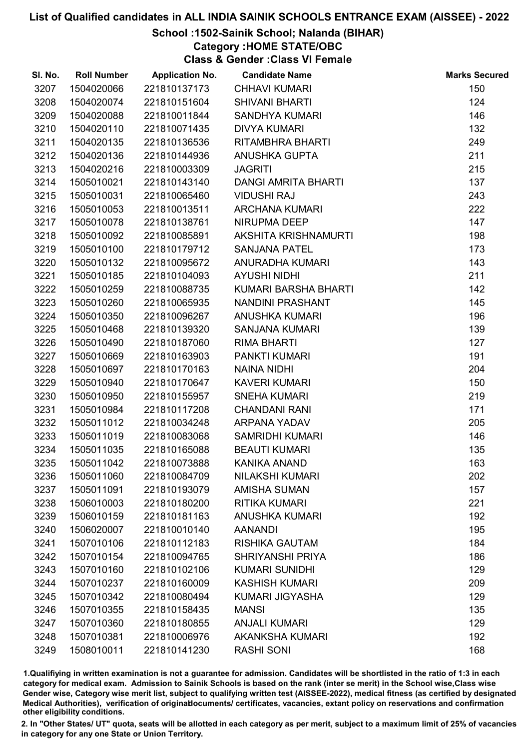# School :1502-Sainik School; Nalanda (BIHAR)

Category :HOME STATE/OBC

Class & Gender :Class VI Female

| SI. No. | <b>Roll Number</b> | <b>Application No.</b> | <b>Candidate Name</b>      | <b>Marks Secured</b> |
|---------|--------------------|------------------------|----------------------------|----------------------|
| 3207    | 1504020066         | 221810137173           | <b>CHHAVI KUMARI</b>       | 150                  |
| 3208    | 1504020074         | 221810151604           | <b>SHIVANI BHARTI</b>      | 124                  |
| 3209    | 1504020088         | 221810011844           | <b>SANDHYA KUMARI</b>      | 146                  |
| 3210    | 1504020110         | 221810071435           | <b>DIVYA KUMARI</b>        | 132                  |
| 3211    | 1504020135         | 221810136536           | RITAMBHRA BHARTI           | 249                  |
| 3212    | 1504020136         | 221810144936           | ANUSHKA GUPTA              | 211                  |
| 3213    | 1504020216         | 221810003309           | <b>JAGRITI</b>             | 215                  |
| 3214    | 1505010021         | 221810143140           | <b>DANGI AMRITA BHARTI</b> | 137                  |
| 3215    | 1505010031         | 221810065460           | <b>VIDUSHI RAJ</b>         | 243                  |
| 3216    | 1505010053         | 221810013511           | <b>ARCHANA KUMARI</b>      | 222                  |
| 3217    | 1505010078         | 221810138761           | NIRUPMA DEEP               | 147                  |
| 3218    | 1505010092         | 221810085891           | AKSHITA KRISHNAMURTI       | 198                  |
| 3219    | 1505010100         | 221810179712           | <b>SANJANA PATEL</b>       | 173                  |
| 3220    | 1505010132         | 221810095672           | ANURADHA KUMARI            | 143                  |
| 3221    | 1505010185         | 221810104093           | <b>AYUSHI NIDHI</b>        | 211                  |
| 3222    | 1505010259         | 221810088735           | KUMARI BARSHA BHARTI       | 142                  |
| 3223    | 1505010260         | 221810065935           | <b>NANDINI PRASHANT</b>    | 145                  |
| 3224    | 1505010350         | 221810096267           | <b>ANUSHKA KUMARI</b>      | 196                  |
| 3225    | 1505010468         | 221810139320           | <b>SANJANA KUMARI</b>      | 139                  |
| 3226    | 1505010490         | 221810187060           | <b>RIMA BHARTI</b>         | 127                  |
| 3227    | 1505010669         | 221810163903           | <b>PANKTI KUMARI</b>       | 191                  |
| 3228    | 1505010697         | 221810170163           | <b>NAINA NIDHI</b>         | 204                  |
| 3229    | 1505010940         | 221810170647           | <b>KAVERI KUMARI</b>       | 150                  |
| 3230    | 1505010950         | 221810155957           | <b>SNEHA KUMARI</b>        | 219                  |
| 3231    | 1505010984         | 221810117208           | <b>CHANDANI RANI</b>       | 171                  |
| 3232    | 1505011012         | 221810034248           | <b>ARPANA YADAV</b>        | 205                  |
| 3233    | 1505011019         | 221810083068           | <b>SAMRIDHI KUMARI</b>     | 146                  |
| 3234    | 1505011035         | 221810165088           | <b>BEAUTI KUMARI</b>       | 135                  |
| 3235    | 1505011042         | 221810073888           | <b>KANIKA ANAND</b>        | 163                  |
| 3236    | 1505011060         | 221810084709           | <b>NILAKSHI KUMARI</b>     | 202                  |
| 3237    | 1505011091         | 221810193079           | <b>AMISHA SUMAN</b>        | 157                  |
| 3238    | 1506010003         | 221810180200           | <b>RITIKA KUMARI</b>       | 221                  |
| 3239    | 1506010159         | 221810181163           | <b>ANUSHKA KUMARI</b>      | 192                  |
| 3240    | 1506020007         | 221810010140           | <b>AANANDI</b>             | 195                  |
| 3241    | 1507010106         | 221810112183           | <b>RISHIKA GAUTAM</b>      | 184                  |
| 3242    | 1507010154         | 221810094765           | <b>SHRIYANSHI PRIYA</b>    | 186                  |
| 3243    | 1507010160         | 221810102106           | <b>KUMARI SUNIDHI</b>      | 129                  |
| 3244    | 1507010237         | 221810160009           | <b>KASHISH KUMARI</b>      | 209                  |
| 3245    | 1507010342         | 221810080494           | <b>KUMARI JIGYASHA</b>     | 129                  |
| 3246    | 1507010355         | 221810158435           | <b>MANSI</b>               | 135                  |
| 3247    | 1507010360         | 221810180855           | <b>ANJALI KUMARI</b>       | 129                  |
| 3248    | 1507010381         | 221810006976           | <b>AKANKSHA KUMARI</b>     | 192                  |
| 3249    | 1508010011         | 221810141230           | <b>RASHI SONI</b>          | 168                  |

1.Qualifiying in written examination is not a guarantee for admission. Candidates will be shortlisted in the ratio of 1:3 in each category for medical exam. Admission to Sainik Schools is based on the rank (inter se merit) in the School wise,Class wise Gender wise, Category wise merit list, subject to qualifying written test (AISSEE-2022), medical fitness (as certified by designated Medical Authorities), verification of originablocuments/ certificates, vacancies, extant policy on reservations and confirmation other eligibility conditions.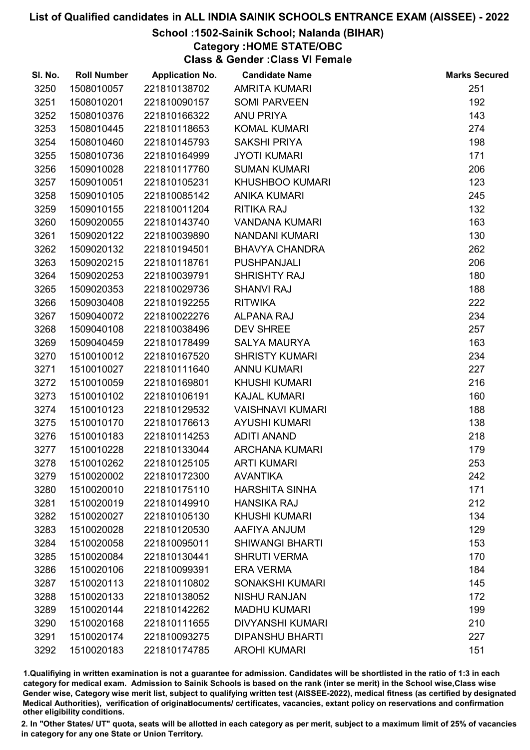# School :1502-Sainik School; Nalanda (BIHAR)

Category :HOME STATE/OBC

Class & Gender :Class VI Female

| SI. No. | <b>Roll Number</b> | <b>Application No.</b> | <b>Candidate Name</b>   | <b>Marks Secured</b> |
|---------|--------------------|------------------------|-------------------------|----------------------|
| 3250    | 1508010057         | 221810138702           | <b>AMRITA KUMARI</b>    | 251                  |
| 3251    | 1508010201         | 221810090157           | <b>SOMI PARVEEN</b>     | 192                  |
| 3252    | 1508010376         | 221810166322           | ANU PRIYA               | 143                  |
| 3253    | 1508010445         | 221810118653           | <b>KOMAL KUMARI</b>     | 274                  |
| 3254    | 1508010460         | 221810145793           | <b>SAKSHI PRIYA</b>     | 198                  |
| 3255    | 1508010736         | 221810164999           | <b>JYOTI KUMARI</b>     | 171                  |
| 3256    | 1509010028         | 221810117760           | <b>SUMAN KUMARI</b>     | 206                  |
| 3257    | 1509010051         | 221810105231           | <b>KHUSHBOO KUMARI</b>  | 123                  |
| 3258    | 1509010105         | 221810085142           | <b>ANIKA KUMARI</b>     | 245                  |
| 3259    | 1509010155         | 221810011204           | <b>RITIKA RAJ</b>       | 132                  |
| 3260    | 1509020055         | 221810143740           | <b>VANDANA KUMARI</b>   | 163                  |
| 3261    | 1509020122         | 221810039890           | <b>NANDANI KUMARI</b>   | 130                  |
| 3262    | 1509020132         | 221810194501           | <b>BHAVYA CHANDRA</b>   | 262                  |
| 3263    | 1509020215         | 221810118761           | <b>PUSHPANJALI</b>      | 206                  |
| 3264    | 1509020253         | 221810039791           | <b>SHRISHTY RAJ</b>     | 180                  |
| 3265    | 1509020353         | 221810029736           | <b>SHANVI RAJ</b>       | 188                  |
| 3266    | 1509030408         | 221810192255           | <b>RITWIKA</b>          | 222                  |
| 3267    | 1509040072         | 221810022276           | <b>ALPANA RAJ</b>       | 234                  |
| 3268    | 1509040108         | 221810038496           | <b>DEV SHREE</b>        | 257                  |
| 3269    | 1509040459         | 221810178499           | <b>SALYA MAURYA</b>     | 163                  |
| 3270    | 1510010012         | 221810167520           | <b>SHRISTY KUMARI</b>   | 234                  |
| 3271    | 1510010027         | 221810111640           | <b>ANNU KUMARI</b>      | 227                  |
| 3272    | 1510010059         | 221810169801           | <b>KHUSHI KUMARI</b>    | 216                  |
| 3273    | 1510010102         | 221810106191           | <b>KAJAL KUMARI</b>     | 160                  |
| 3274    | 1510010123         | 221810129532           | <b>VAISHNAVI KUMARI</b> | 188                  |
| 3275    | 1510010170         | 221810176613           | <b>AYUSHI KUMARI</b>    | 138                  |
| 3276    | 1510010183         | 221810114253           | <b>ADITI ANAND</b>      | 218                  |
| 3277    | 1510010228         | 221810133044           | <b>ARCHANA KUMARI</b>   | 179                  |
| 3278    | 1510010262         | 221810125105           | <b>ARTI KUMARI</b>      | 253                  |
| 3279    | 1510020002         | 221810172300           | <b>AVANTIKA</b>         | 242                  |
| 3280    | 1510020010         | 221810175110           | <b>HARSHITA SINHA</b>   | 171                  |
| 3281    | 1510020019         | 221810149910           | <b>HANSIKA RAJ</b>      | 212                  |
| 3282    | 1510020027         | 221810105130           | <b>KHUSHI KUMARI</b>    | 134                  |
| 3283    | 1510020028         | 221810120530           | AAFIYA ANJUM            | 129                  |
| 3284    | 1510020058         | 221810095011           | <b>SHIWANGI BHARTI</b>  | 153                  |
| 3285    | 1510020084         | 221810130441           | <b>SHRUTI VERMA</b>     | 170                  |
| 3286    | 1510020106         | 221810099391           | <b>ERA VERMA</b>        | 184                  |
| 3287    | 1510020113         | 221810110802           | <b>SONAKSHI KUMARI</b>  | 145                  |
| 3288    | 1510020133         | 221810138052           | <b>NISHU RANJAN</b>     | 172                  |
| 3289    | 1510020144         | 221810142262           | <b>MADHU KUMARI</b>     | 199                  |
| 3290    | 1510020168         | 221810111655           | <b>DIVYANSHI KUMARI</b> | 210                  |
| 3291    | 1510020174         | 221810093275           | <b>DIPANSHU BHARTI</b>  | 227                  |
| 3292    | 1510020183         | 221810174785           | <b>AROHI KUMARI</b>     | 151                  |

1.Qualifiying in written examination is not a guarantee for admission. Candidates will be shortlisted in the ratio of 1:3 in each category for medical exam. Admission to Sainik Schools is based on the rank (inter se merit) in the School wise,Class wise Gender wise, Category wise merit list, subject to qualifying written test (AISSEE-2022), medical fitness (as certified by designated Medical Authorities), verification of originablocuments/ certificates, vacancies, extant policy on reservations and confirmation other eligibility conditions.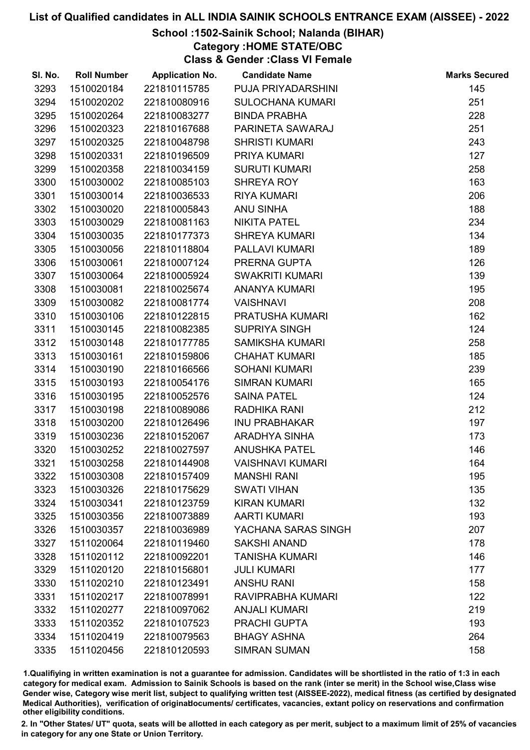# School :1502-Sainik School; Nalanda (BIHAR)

Category :HOME STATE/OBC

Class & Gender :Class VI Female

| SI. No. | <b>Roll Number</b> | <b>Application No.</b> | <b>Candidate Name</b>   | <b>Marks Secured</b> |
|---------|--------------------|------------------------|-------------------------|----------------------|
| 3293    | 1510020184         | 221810115785           | PUJA PRIYADARSHINI      | 145                  |
| 3294    | 1510020202         | 221810080916           | <b>SULOCHANA KUMARI</b> | 251                  |
| 3295    | 1510020264         | 221810083277           | <b>BINDA PRABHA</b>     | 228                  |
| 3296    | 1510020323         | 221810167688           | PARINETA SAWARAJ        | 251                  |
| 3297    | 1510020325         | 221810048798           | <b>SHRISTI KUMARI</b>   | 243                  |
| 3298    | 1510020331         | 221810196509           | PRIYA KUMARI            | 127                  |
| 3299    | 1510020358         | 221810034159           | <b>SURUTI KUMARI</b>    | 258                  |
| 3300    | 1510030002         | 221810085103           | SHREYA ROY              | 163                  |
| 3301    | 1510030014         | 221810036533           | <b>RIYA KUMARI</b>      | 206                  |
| 3302    | 1510030020         | 221810005843           | <b>ANU SINHA</b>        | 188                  |
| 3303    | 1510030029         | 221810081163           | <b>NIKITA PATEL</b>     | 234                  |
| 3304    | 1510030035         | 221810177373           | <b>SHREYA KUMARI</b>    | 134                  |
| 3305    | 1510030056         | 221810118804           | PALLAVI KUMARI          | 189                  |
| 3306    | 1510030061         | 221810007124           | PRERNA GUPTA            | 126                  |
| 3307    | 1510030064         | 221810005924           | <b>SWAKRITI KUMARI</b>  | 139                  |
| 3308    | 1510030081         | 221810025674           | <b>ANANYA KUMARI</b>    | 195                  |
| 3309    | 1510030082         | 221810081774           | <b>VAISHNAVI</b>        | 208                  |
| 3310    | 1510030106         | 221810122815           | PRATUSHA KUMARI         | 162                  |
| 3311    | 1510030145         | 221810082385           | <b>SUPRIYA SINGH</b>    | 124                  |
| 3312    | 1510030148         | 221810177785           | <b>SAMIKSHA KUMARI</b>  | 258                  |
| 3313    | 1510030161         | 221810159806           | <b>CHAHAT KUMARI</b>    | 185                  |
| 3314    | 1510030190         | 221810166566           | <b>SOHANI KUMARI</b>    | 239                  |
| 3315    | 1510030193         | 221810054176           | <b>SIMRAN KUMARI</b>    | 165                  |
| 3316    | 1510030195         | 221810052576           | <b>SAINA PATEL</b>      | 124                  |
| 3317    | 1510030198         | 221810089086           | RADHIKA RANI            | 212                  |
| 3318    | 1510030200         | 221810126496           | <b>INU PRABHAKAR</b>    | 197                  |
| 3319    | 1510030236         | 221810152067           | ARADHYA SINHA           | 173                  |
| 3320    | 1510030252         | 221810027597           | <b>ANUSHKA PATEL</b>    | 146                  |
| 3321    | 1510030258         | 221810144908           | <b>VAISHNAVI KUMARI</b> | 164                  |
| 3322    | 1510030308         | 221810157409           | <b>MANSHI RANI</b>      | 195                  |
| 3323    | 1510030326         | 221810175629           | <b>SWATI VIHAN</b>      | 135                  |
| 3324    | 1510030341         | 221810123759           | <b>KIRAN KUMARI</b>     | 132                  |
| 3325    | 1510030356         | 221810073889           | <b>AARTI KUMARI</b>     | 193                  |
| 3326    | 1510030357         | 221810036989           | YACHANA SARAS SINGH     | 207                  |
| 3327    | 1511020064         | 221810119460           | <b>SAKSHI ANAND</b>     | 178                  |
| 3328    | 1511020112         | 221810092201           | <b>TANISHA KUMARI</b>   | 146                  |
| 3329    | 1511020120         | 221810156801           | <b>JULI KUMARI</b>      | 177                  |
| 3330    | 1511020210         | 221810123491           | <b>ANSHU RANI</b>       | 158                  |
| 3331    | 1511020217         | 221810078991           | RAVIPRABHA KUMARI       | 122                  |
| 3332    | 1511020277         | 221810097062           | <b>ANJALI KUMARI</b>    | 219                  |
| 3333    | 1511020352         | 221810107523           | <b>PRACHI GUPTA</b>     | 193                  |
| 3334    | 1511020419         | 221810079563           | <b>BHAGY ASHNA</b>      | 264                  |
| 3335    | 1511020456         | 221810120593           | <b>SIMRAN SUMAN</b>     | 158                  |

1.Qualifiying in written examination is not a guarantee for admission. Candidates will be shortlisted in the ratio of 1:3 in each category for medical exam. Admission to Sainik Schools is based on the rank (inter se merit) in the School wise,Class wise Gender wise, Category wise merit list, subject to qualifying written test (AISSEE-2022), medical fitness (as certified by designated Medical Authorities), verification of originablocuments/ certificates, vacancies, extant policy on reservations and confirmation other eligibility conditions.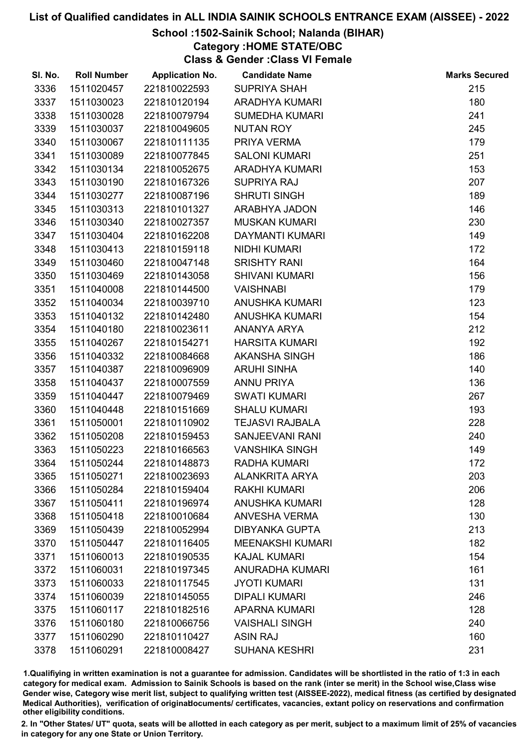# School :1502-Sainik School; Nalanda (BIHAR)

Category :HOME STATE/OBC

Class & Gender :Class VI Female

| SI. No. | <b>Roll Number</b> | <b>Application No.</b> | <b>Candidate Name</b>   | <b>Marks Secured</b> |
|---------|--------------------|------------------------|-------------------------|----------------------|
| 3336    | 1511020457         | 221810022593           | <b>SUPRIYA SHAH</b>     | 215                  |
| 3337    | 1511030023         | 221810120194           | <b>ARADHYA KUMARI</b>   | 180                  |
| 3338    | 1511030028         | 221810079794           | <b>SUMEDHA KUMARI</b>   | 241                  |
| 3339    | 1511030037         | 221810049605           | <b>NUTAN ROY</b>        | 245                  |
| 3340    | 1511030067         | 221810111135           | PRIYA VERMA             | 179                  |
| 3341    | 1511030089         | 221810077845           | <b>SALONI KUMARI</b>    | 251                  |
| 3342    | 1511030134         | 221810052675           | <b>ARADHYA KUMARI</b>   | 153                  |
| 3343    | 1511030190         | 221810167326           | <b>SUPRIYA RAJ</b>      | 207                  |
| 3344    | 1511030277         | 221810087196           | <b>SHRUTI SINGH</b>     | 189                  |
| 3345    | 1511030313         | 221810101327           | ARABHYA JADON           | 146                  |
| 3346    | 1511030340         | 221810027357           | <b>MUSKAN KUMARI</b>    | 230                  |
| 3347    | 1511030404         | 221810162208           | DAYMANTI KUMARI         | 149                  |
| 3348    | 1511030413         | 221810159118           | <b>NIDHI KUMARI</b>     | 172                  |
| 3349    | 1511030460         | 221810047148           | <b>SRISHTY RANI</b>     | 164                  |
| 3350    | 1511030469         | 221810143058           | <b>SHIVANI KUMARI</b>   | 156                  |
| 3351    | 1511040008         | 221810144500           | <b>VAISHNABI</b>        | 179                  |
| 3352    | 1511040034         | 221810039710           | <b>ANUSHKA KUMARI</b>   | 123                  |
| 3353    | 1511040132         | 221810142480           | <b>ANUSHKA KUMARI</b>   | 154                  |
| 3354    | 1511040180         | 221810023611           | ANANYA ARYA             | 212                  |
| 3355    | 1511040267         | 221810154271           | <b>HARSITA KUMARI</b>   | 192                  |
| 3356    | 1511040332         | 221810084668           | AKANSHA SINGH           | 186                  |
| 3357    | 1511040387         | 221810096909           | <b>ARUHI SINHA</b>      | 140                  |
| 3358    | 1511040437         | 221810007559           | <b>ANNU PRIYA</b>       | 136                  |
| 3359    | 1511040447         | 221810079469           | <b>SWATI KUMARI</b>     | 267                  |
| 3360    | 1511040448         | 221810151669           | <b>SHALU KUMARI</b>     | 193                  |
| 3361    | 1511050001         | 221810110902           | <b>TEJASVI RAJBALA</b>  | 228                  |
| 3362    | 1511050208         | 221810159453           | SANJEEVANI RANI         | 240                  |
| 3363    | 1511050223         | 221810166563           | <b>VANSHIKA SINGH</b>   | 149                  |
| 3364    | 1511050244         | 221810148873           | <b>RADHA KUMARI</b>     | 172                  |
| 3365    | 1511050271         | 221810023693           | <b>ALANKRITA ARYA</b>   | 203                  |
| 3366    | 1511050284         | 221810159404           | <b>RAKHI KUMARI</b>     | 206                  |
| 3367    | 1511050411         | 221810196974           | <b>ANUSHKA KUMARI</b>   | 128                  |
| 3368    | 1511050418         | 221810010684           | <b>ANVESHA VERMA</b>    | 130                  |
| 3369    | 1511050439         | 221810052994           | <b>DIBYANKA GUPTA</b>   | 213                  |
| 3370    | 1511050447         | 221810116405           | <b>MEENAKSHI KUMARI</b> | 182                  |
| 3371    | 1511060013         | 221810190535           | <b>KAJAL KUMARI</b>     | 154                  |
| 3372    | 1511060031         | 221810197345           | <b>ANURADHA KUMARI</b>  | 161                  |
| 3373    | 1511060033         | 221810117545           | <b>JYOTI KUMARI</b>     | 131                  |
| 3374    | 1511060039         | 221810145055           | <b>DIPALI KUMARI</b>    | 246                  |
| 3375    | 1511060117         | 221810182516           | <b>APARNA KUMARI</b>    | 128                  |
| 3376    | 1511060180         | 221810066756           | <b>VAISHALI SINGH</b>   | 240                  |
| 3377    | 1511060290         | 221810110427           | <b>ASIN RAJ</b>         | 160                  |
| 3378    | 1511060291         | 221810008427           | <b>SUHANA KESHRI</b>    | 231                  |

1.Qualifiying in written examination is not a guarantee for admission. Candidates will be shortlisted in the ratio of 1:3 in each category for medical exam. Admission to Sainik Schools is based on the rank (inter se merit) in the School wise,Class wise Gender wise, Category wise merit list, subject to qualifying written test (AISSEE-2022), medical fitness (as certified by designated Medical Authorities), verification of originablocuments/ certificates, vacancies, extant policy on reservations and confirmation other eligibility conditions.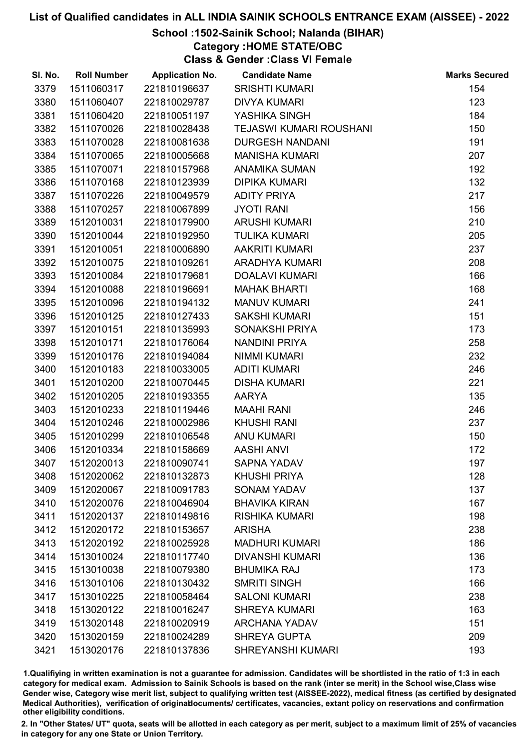# School :1502-Sainik School; Nalanda (BIHAR)

Category :HOME STATE/OBC Class & Gender :Class VI Female

| SI. No. | <b>Roll Number</b> | <b>Application No.</b> | <b>Candidate Name</b>    | <b>Marks Secured</b> |
|---------|--------------------|------------------------|--------------------------|----------------------|
| 3379    | 1511060317         | 221810196637           | <b>SRISHTI KUMARI</b>    | 154                  |
| 3380    | 1511060407         | 221810029787           | <b>DIVYA KUMARI</b>      | 123                  |
| 3381    | 1511060420         | 221810051197           | YASHIKA SINGH            | 184                  |
| 3382    | 1511070026         | 221810028438           | TEJASWI KUMARI ROUSHANI  | 150                  |
| 3383    | 1511070028         | 221810081638           | <b>DURGESH NANDANI</b>   | 191                  |
| 3384    | 1511070065         | 221810005668           | <b>MANISHA KUMARI</b>    | 207                  |
| 3385    | 1511070071         | 221810157968           | <b>ANAMIKA SUMAN</b>     | 192                  |
| 3386    | 1511070168         | 221810123939           | <b>DIPIKA KUMARI</b>     | 132                  |
| 3387    | 1511070226         | 221810049579           | <b>ADITY PRIYA</b>       | 217                  |
| 3388    | 1511070257         | 221810067899           | <b>JYOTI RANI</b>        | 156                  |
| 3389    | 1512010031         | 221810179900           | <b>ARUSHI KUMARI</b>     | 210                  |
| 3390    | 1512010044         | 221810192950           | <b>TULIKA KUMARI</b>     | 205                  |
| 3391    | 1512010051         | 221810006890           | <b>AAKRITI KUMARI</b>    | 237                  |
| 3392    | 1512010075         | 221810109261           | <b>ARADHYA KUMARI</b>    | 208                  |
| 3393    | 1512010084         | 221810179681           | <b>DOALAVI KUMARI</b>    | 166                  |
| 3394    | 1512010088         | 221810196691           | <b>MAHAK BHARTI</b>      | 168                  |
| 3395    | 1512010096         | 221810194132           | <b>MANUV KUMARI</b>      | 241                  |
| 3396    | 1512010125         | 221810127433           | <b>SAKSHI KUMARI</b>     | 151                  |
| 3397    | 1512010151         | 221810135993           | SONAKSHI PRIYA           | 173                  |
| 3398    | 1512010171         | 221810176064           | NANDINI PRIYA            | 258                  |
| 3399    | 1512010176         | 221810194084           | <b>NIMMI KUMARI</b>      | 232                  |
| 3400    | 1512010183         | 221810033005           | <b>ADITI KUMARI</b>      | 246                  |
| 3401    | 1512010200         | 221810070445           | <b>DISHA KUMARI</b>      | 221                  |
| 3402    | 1512010205         | 221810193355           | <b>AARYA</b>             | 135                  |
| 3403    | 1512010233         | 221810119446           | <b>MAAHI RANI</b>        | 246                  |
| 3404    | 1512010246         | 221810002986           | <b>KHUSHI RANI</b>       | 237                  |
| 3405    | 1512010299         | 221810106548           | <b>ANU KUMARI</b>        | 150                  |
| 3406    | 1512010334         | 221810158669           | <b>AASHI ANVI</b>        | 172                  |
| 3407    | 1512020013         | 221810090741           | <b>SAPNA YADAV</b>       | 197                  |
| 3408    | 1512020062         | 221810132873           | <b>KHUSHI PRIYA</b>      | 128                  |
| 3409    | 1512020067         | 221810091783           | <b>SONAM YADAV</b>       | 137                  |
| 3410    | 1512020076         | 221810046904           | <b>BHAVIKA KIRAN</b>     | 167                  |
| 3411    | 1512020137         | 221810149816           | <b>RISHIKA KUMARI</b>    | 198                  |
| 3412    | 1512020172         | 221810153657           | <b>ARISHA</b>            | 238                  |
| 3413    | 1512020192         | 221810025928           | <b>MADHURI KUMARI</b>    | 186                  |
| 3414    | 1513010024         | 221810117740           | <b>DIVANSHI KUMARI</b>   | 136                  |
| 3415    | 1513010038         | 221810079380           | <b>BHUMIKA RAJ</b>       | 173                  |
| 3416    | 1513010106         | 221810130432           | <b>SMRITI SINGH</b>      | 166                  |
| 3417    | 1513010225         | 221810058464           | <b>SALONI KUMARI</b>     | 238                  |
| 3418    | 1513020122         | 221810016247           | <b>SHREYA KUMARI</b>     | 163                  |
| 3419    | 1513020148         | 221810020919           | <b>ARCHANA YADAV</b>     | 151                  |
| 3420    | 1513020159         | 221810024289           | <b>SHREYA GUPTA</b>      | 209                  |
| 3421    | 1513020176         | 221810137836           | <b>SHREYANSHI KUMARI</b> | 193                  |

1.Qualifiying in written examination is not a guarantee for admission. Candidates will be shortlisted in the ratio of 1:3 in each category for medical exam. Admission to Sainik Schools is based on the rank (inter se merit) in the School wise,Class wise Gender wise, Category wise merit list, subject to qualifying written test (AISSEE-2022), medical fitness (as certified by designated Medical Authorities), verification of originablocuments/ certificates, vacancies, extant policy on reservations and confirmation other eligibility conditions.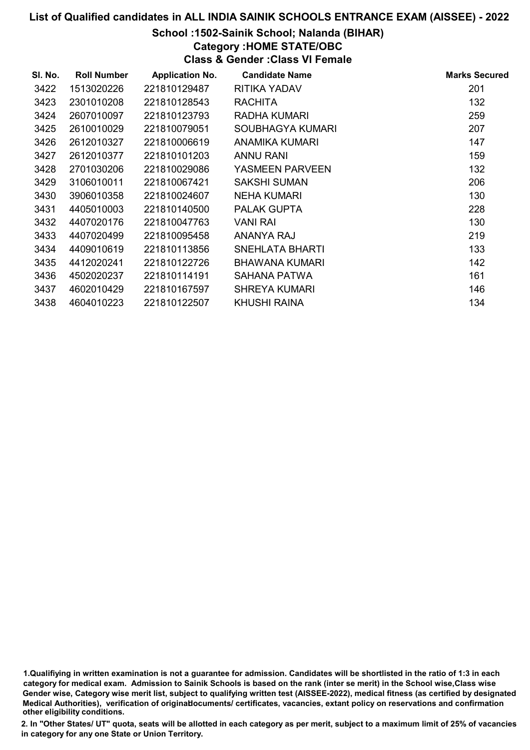# School :1502-Sainik School; Nalanda (BIHAR)

Category :HOME STATE/OBC Class & Gender :Class VI Female

| SI. No. | <b>Roll Number</b> | <b>Application No.</b> | <b>Candidate Name</b> | <b>Marks Secured</b> |
|---------|--------------------|------------------------|-----------------------|----------------------|
| 3422    | 1513020226         | 221810129487           | RITIKA YADAV          | 201                  |
| 3423    | 2301010208         | 221810128543           | <b>RACHITA</b>        | 132                  |
| 3424    | 2607010097         | 221810123793           | RADHA KUMARI          | 259                  |
| 3425    | 2610010029         | 221810079051           | SOUBHAGYA KUMARI      | 207                  |
| 3426    | 2612010327         | 221810006619           | <b>ANAMIKA KUMARI</b> | 147                  |
| 3427    | 2612010377         | 221810101203           | ANNU RANI             | 159                  |
| 3428    | 2701030206         | 221810029086           | YASMEEN PARVEEN       | 132                  |
| 3429    | 3106010011         | 221810067421           | SAKSHI SUMAN          | 206                  |
| 3430    | 3906010358         | 221810024607           | <b>NEHA KUMARI</b>    | 130                  |
| 3431    | 4405010003         | 221810140500           | <b>PALAK GUPTA</b>    | 228                  |
| 3432    | 4407020176         | 221810047763           | VANI RAI              | 130                  |
| 3433    | 4407020499         | 221810095458           | ANANYA RAJ            | 219                  |
| 3434    | 4409010619         | 221810113856           | SNEHLATA BHARTI       | 133                  |
| 3435    | 4412020241         | 221810122726           | BHAWANA KUMARI        | 142                  |
| 3436    | 4502020237         | 221810114191           | SAHANA PATWA          | 161                  |
| 3437    | 4602010429         | 221810167597           | <b>SHREYA KUMARI</b>  | 146                  |
| 3438    | 4604010223         | 221810122507           | <b>KHUSHI RAINA</b>   | 134                  |

1.Qualifiying in written examination is not a guarantee for admission. Candidates will be shortlisted in the ratio of 1:3 in each category for medical exam. Admission to Sainik Schools is based on the rank (inter se merit) in the School wise,Class wise Gender wise, Category wise merit list, subject to qualifying written test (AISSEE-2022), medical fitness (as certified by designated Medical Authorities), verification of originablocuments/ certificates, vacancies, extant policy on reservations and confirmation other eligibility conditions.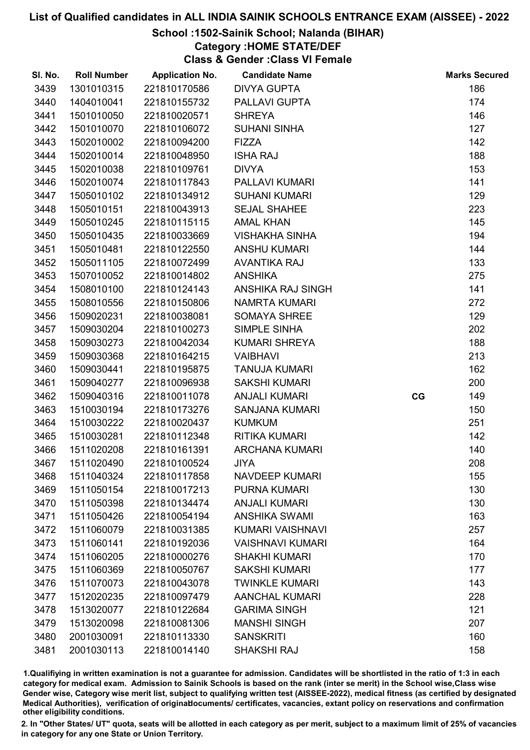# School :1502-Sainik School; Nalanda (BIHAR)

Category :HOME STATE/DEF

Class & Gender :Class VI Female

| SI. No. | <b>Roll Number</b> | <b>Application No.</b> | <b>Candidate Name</b>   |    | <b>Marks Secured</b> |
|---------|--------------------|------------------------|-------------------------|----|----------------------|
| 3439    | 1301010315         | 221810170586           | <b>DIVYA GUPTA</b>      |    | 186                  |
| 3440    | 1404010041         | 221810155732           | PALLAVI GUPTA           |    | 174                  |
| 3441    | 1501010050         | 221810020571           | <b>SHREYA</b>           |    | 146                  |
| 3442    | 1501010070         | 221810106072           | <b>SUHANI SINHA</b>     |    | 127                  |
| 3443    | 1502010002         | 221810094200           | <b>FIZZA</b>            |    | 142                  |
| 3444    | 1502010014         | 221810048950           | <b>ISHA RAJ</b>         |    | 188                  |
| 3445    | 1502010038         | 221810109761           | <b>DIVYA</b>            |    | 153                  |
| 3446    | 1502010074         | 221810117843           | PALLAVI KUMARI          |    | 141                  |
| 3447    | 1505010102         | 221810134912           | <b>SUHANI KUMARI</b>    |    | 129                  |
| 3448    | 1505010151         | 221810043913           | <b>SEJAL SHAHEE</b>     |    | 223                  |
| 3449    | 1505010245         | 221810115115           | <b>AMAL KHAN</b>        |    | 145                  |
| 3450    | 1505010435         | 221810033669           | <b>VISHAKHA SINHA</b>   |    | 194                  |
| 3451    | 1505010481         | 221810122550           | <b>ANSHU KUMARI</b>     |    | 144                  |
| 3452    | 1505011105         | 221810072499           | <b>AVANTIKA RAJ</b>     |    | 133                  |
| 3453    | 1507010052         | 221810014802           | <b>ANSHIKA</b>          |    | 275                  |
| 3454    | 1508010100         | 221810124143           | ANSHIKA RAJ SINGH       |    | 141                  |
| 3455    | 1508010556         | 221810150806           | <b>NAMRTA KUMARI</b>    |    | 272                  |
| 3456    | 1509020231         | 221810038081           | <b>SOMAYA SHREE</b>     |    | 129                  |
| 3457    | 1509030204         | 221810100273           | SIMPLE SINHA            |    | 202                  |
| 3458    | 1509030273         | 221810042034           | <b>KUMARI SHREYA</b>    |    | 188                  |
| 3459    | 1509030368         | 221810164215           | <b>VAIBHAVI</b>         |    | 213                  |
| 3460    | 1509030441         | 221810195875           | <b>TANUJA KUMARI</b>    |    | 162                  |
| 3461    | 1509040277         | 221810096938           | <b>SAKSHI KUMARI</b>    |    | 200                  |
| 3462    | 1509040316         | 221810011078           | <b>ANJALI KUMARI</b>    | CG | 149                  |
| 3463    | 1510030194         | 221810173276           | <b>SANJANA KUMARI</b>   |    | 150                  |
| 3464    | 1510030222         | 221810020437           | <b>KUMKUM</b>           |    | 251                  |
| 3465    | 1510030281         | 221810112348           | <b>RITIKA KUMARI</b>    |    | 142                  |
| 3466    | 1511020208         | 221810161391           | <b>ARCHANA KUMARI</b>   |    | 140                  |
| 3467    | 1511020490         | 221810100524           | <b>JIYA</b>             |    | 208                  |
| 3468    | 1511040324         | 221810117858           | <b>NAVDEEP KUMARI</b>   |    | 155                  |
| 3469    | 1511050154         | 221810017213           | <b>PURNA KUMARI</b>     |    | 130                  |
| 3470    | 1511050398         | 221810134474           | <b>ANJALI KUMARI</b>    |    | 130                  |
| 3471    | 1511050426         | 221810054194           | <b>ANSHIKA SWAMI</b>    |    | 163                  |
| 3472    | 1511060079         | 221810031385           | KUMARI VAISHNAVI        |    | 257                  |
| 3473    | 1511060141         | 221810192036           | <b>VAISHNAVI KUMARI</b> |    | 164                  |
| 3474    | 1511060205         | 221810000276           | <b>SHAKHI KUMARI</b>    |    | 170                  |
| 3475    | 1511060369         | 221810050767           | <b>SAKSHI KUMARI</b>    |    | 177                  |
| 3476    | 1511070073         | 221810043078           | <b>TWINKLE KUMARI</b>   |    | 143                  |
| 3477    | 1512020235         | 221810097479           | <b>AANCHAL KUMARI</b>   |    | 228                  |
| 3478    | 1513020077         | 221810122684           | <b>GARIMA SINGH</b>     |    | 121                  |
| 3479    | 1513020098         | 221810081306           | <b>MANSHI SINGH</b>     |    | 207                  |
| 3480    | 2001030091         | 221810113330           | <b>SANSKRITI</b>        |    | 160                  |
| 3481    | 2001030113         | 221810014140           | <b>SHAKSHI RAJ</b>      |    | 158                  |

1.Qualifiying in written examination is not a guarantee for admission. Candidates will be shortlisted in the ratio of 1:3 in each category for medical exam. Admission to Sainik Schools is based on the rank (inter se merit) in the School wise,Class wise Gender wise, Category wise merit list, subject to qualifying written test (AISSEE-2022), medical fitness (as certified by designated Medical Authorities), verification of originablocuments/ certificates, vacancies, extant policy on reservations and confirmation other eligibility conditions.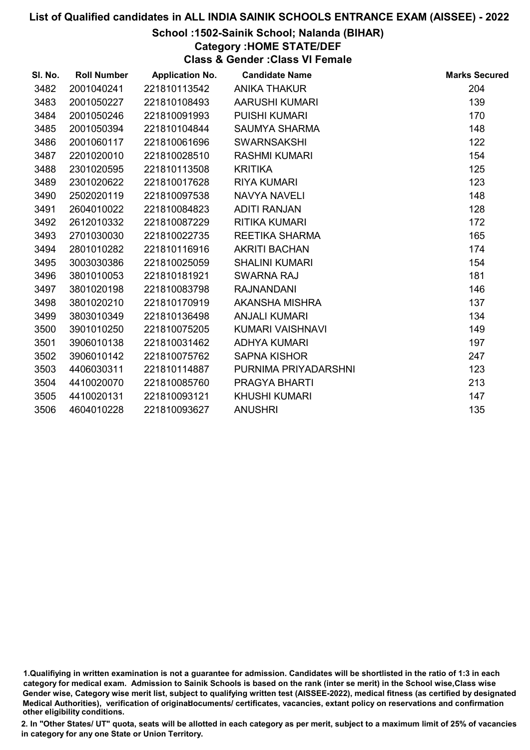# School :1502-Sainik School; Nalanda (BIHAR)

# Category :HOME STATE/DEF

Class & Gender :Class VI Female

| SI. No. | <b>Roll Number</b> | <b>Application No.</b> | <b>Candidate Name</b> | <b>Marks Secured</b> |
|---------|--------------------|------------------------|-----------------------|----------------------|
| 3482    | 2001040241         | 221810113542           | <b>ANIKA THAKUR</b>   | 204                  |
| 3483    | 2001050227         | 221810108493           | <b>AARUSHI KUMARI</b> | 139                  |
| 3484    | 2001050246         | 221810091993           | <b>PUISHI KUMARI</b>  | 170                  |
| 3485    | 2001050394         | 221810104844           | <b>SAUMYA SHARMA</b>  | 148                  |
| 3486    | 2001060117         | 221810061696           | <b>SWARNSAKSHI</b>    | 122                  |
| 3487    | 2201020010         | 221810028510           | <b>RASHMI KUMARI</b>  | 154                  |
| 3488    | 2301020595         | 221810113508           | <b>KRITIKA</b>        | 125                  |
| 3489    | 2301020622         | 221810017628           | <b>RIYA KUMARI</b>    | 123                  |
| 3490    | 2502020119         | 221810097538           | <b>NAVYA NAVELI</b>   | 148                  |
| 3491    | 2604010022         | 221810084823           | <b>ADITI RANJAN</b>   | 128                  |
| 3492    | 2612010332         | 221810087229           | <b>RITIKA KUMARI</b>  | 172                  |
| 3493    | 2701030030         | 221810022735           | REETIKA SHARMA        | 165                  |
| 3494    | 2801010282         | 221810116916           | <b>AKRITI BACHAN</b>  | 174                  |
| 3495    | 3003030386         | 221810025059           | <b>SHALINI KUMARI</b> | 154                  |
| 3496    | 3801010053         | 221810181921           | <b>SWARNA RAJ</b>     | 181                  |
| 3497    | 3801020198         | 221810083798           | <b>RAJNANDANI</b>     | 146                  |
| 3498    | 3801020210         | 221810170919           | AKANSHA MISHRA        | 137                  |
| 3499    | 3803010349         | 221810136498           | <b>ANJALI KUMARI</b>  | 134                  |
| 3500    | 3901010250         | 221810075205           | KUMARI VAISHNAVI      | 149                  |
| 3501    | 3906010138         | 221810031462           | <b>ADHYA KUMARI</b>   | 197                  |
| 3502    | 3906010142         | 221810075762           | <b>SAPNA KISHOR</b>   | 247                  |
| 3503    | 4406030311         | 221810114887           | PURNIMA PRIYADARSHNI  | 123                  |
| 3504    | 4410020070         | 221810085760           | PRAGYA BHARTI         | 213                  |
| 3505    | 4410020131         | 221810093121           | <b>KHUSHI KUMARI</b>  | 147                  |
| 3506    | 4604010228         | 221810093627           | <b>ANUSHRI</b>        | 135                  |

<sup>1.</sup>Qualifiying in written examination is not a guarantee for admission. Candidates will be shortlisted in the ratio of 1:3 in each category for medical exam. Admission to Sainik Schools is based on the rank (inter se merit) in the School wise,Class wise Gender wise, Category wise merit list, subject to qualifying written test (AISSEE-2022), medical fitness (as certified by designated Medical Authorities), verification of originablocuments/ certificates, vacancies, extant policy on reservations and confirmation other eligibility conditions.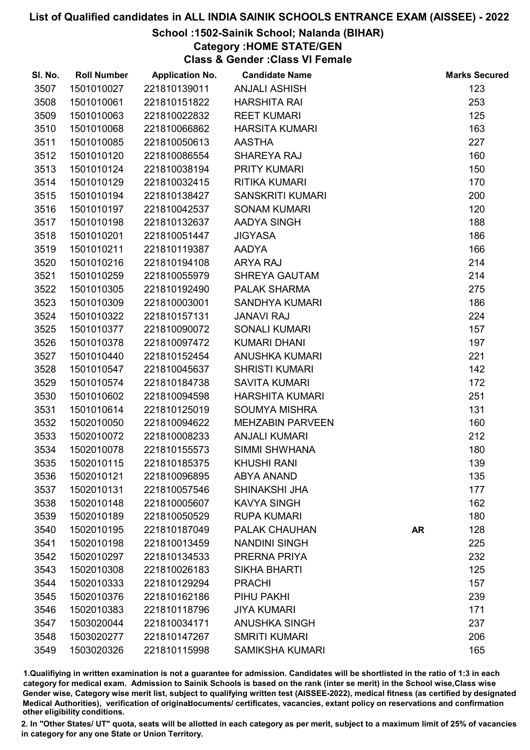# School :1502-Sainik School; Nalanda (BIHAR)

Category :HOME STATE/GEN

Class & Gender :Class VI Female

| SI. No. | <b>Roll Number</b> | <b>Application No.</b> | <b>Candidate Name</b>   |           | <b>Marks Secured</b> |
|---------|--------------------|------------------------|-------------------------|-----------|----------------------|
| 3507    | 1501010027         | 221810139011           | <b>ANJALI ASHISH</b>    |           | 123                  |
| 3508    | 1501010061         | 221810151822           | <b>HARSHITA RAI</b>     |           | 253                  |
| 3509    | 1501010063         | 221810022832           | <b>REET KUMARI</b>      |           | 125                  |
| 3510    | 1501010068         | 221810066862           | <b>HARSITA KUMARI</b>   |           | 163                  |
| 3511    | 1501010085         | 221810050613           | <b>AASTHA</b>           |           | 227                  |
| 3512    | 1501010120         | 221810086554           | SHAREYA RAJ             |           | 160                  |
| 3513    | 1501010124         | 221810038194           | PRITY KUMARI            |           | 150                  |
| 3514    | 1501010129         | 221810032415           | <b>RITIKA KUMARI</b>    |           | 170                  |
| 3515    | 1501010194         | 221810138427           | <b>SANSKRITI KUMARI</b> |           | 200                  |
| 3516    | 1501010197         | 221810042537           | <b>SONAM KUMARI</b>     |           | 120                  |
| 3517    | 1501010198         | 221810132637           | AADYA SINGH             |           | 188                  |
| 3518    | 1501010201         | 221810051447           | <b>JIGYASA</b>          |           | 186                  |
| 3519    | 1501010211         | 221810119387           | <b>AADYA</b>            |           | 166                  |
| 3520    | 1501010216         | 221810194108           | <b>ARYA RAJ</b>         |           | 214                  |
| 3521    | 1501010259         | 221810055979           | <b>SHREYA GAUTAM</b>    |           | 214                  |
| 3522    | 1501010305         | 221810192490           | <b>PALAK SHARMA</b>     |           | 275                  |
| 3523    | 1501010309         | 221810003001           | <b>SANDHYA KUMARI</b>   |           | 186                  |
| 3524    | 1501010322         | 221810157131           | <b>JANAVI RAJ</b>       |           | 224                  |
| 3525    | 1501010377         | 221810090072           | <b>SONALI KUMARI</b>    |           | 157                  |
| 3526    | 1501010378         | 221810097472           | <b>KUMARI DHANI</b>     |           | 197                  |
| 3527    | 1501010440         | 221810152454           | <b>ANUSHKA KUMARI</b>   |           | 221                  |
| 3528    | 1501010547         | 221810045637           | <b>SHRISTI KUMARI</b>   |           | 142                  |
| 3529    | 1501010574         | 221810184738           | <b>SAVITA KUMARI</b>    |           | 172                  |
| 3530    | 1501010602         | 221810094598           | <b>HARSHITA KUMARI</b>  |           | 251                  |
| 3531    | 1501010614         | 221810125019           | <b>SOUMYA MISHRA</b>    |           | 131                  |
| 3532    | 1502010050         | 221810094622           | <b>MEHZABIN PARVEEN</b> |           | 160                  |
| 3533    | 1502010072         | 221810008233           | <b>ANJALI KUMARI</b>    |           | 212                  |
| 3534    | 1502010078         | 221810155573           | SIMMI SHWHANA           |           | 180                  |
| 3535    | 1502010115         | 221810185375           | <b>KHUSHI RANI</b>      |           | 139                  |
| 3536    | 1502010121         | 221810096895           | <b>ABYA ANAND</b>       |           | 135                  |
| 3537    | 1502010131         | 221810057546           | SHINAKSHI JHA           |           | 177                  |
| 3538    | 1502010148         | 221810005607           | <b>KAVYA SINGH</b>      |           | 162                  |
| 3539    | 1502010189         | 221810050529           | <b>RUPA KUMARI</b>      |           | 180                  |
| 3540    | 1502010195         | 221810187049           | <b>PALAK CHAUHAN</b>    | <b>AR</b> | 128                  |
| 3541    | 1502010198         | 221810013459           | <b>NANDINI SINGH</b>    |           | 225                  |
| 3542    | 1502010297         | 221810134533           | PRERNA PRIYA            |           | 232                  |
| 3543    | 1502010308         | 221810026183           | <b>SIKHA BHARTI</b>     |           | 125                  |
| 3544    | 1502010333         | 221810129294           | <b>PRACHI</b>           |           | 157                  |
| 3545    | 1502010376         | 221810162186           | PIHU PAKHI              |           | 239                  |
| 3546    | 1502010383         | 221810118796           | <b>JIYA KUMARI</b>      |           | 171                  |
| 3547    | 1503020044         | 221810034171           | <b>ANUSHKA SINGH</b>    |           | 237                  |
| 3548    | 1503020277         | 221810147267           | <b>SMRITI KUMARI</b>    |           | 206                  |
| 3549    | 1503020326         | 221810115998           | <b>SAMIKSHA KUMARI</b>  |           | 165                  |

1.Qualifiying in written examination is not a guarantee for admission. Candidates will be shortlisted in the ratio of 1:3 in each category for medical exam. Admission to Sainik Schools is based on the rank (inter se merit) in the School wise,Class wise Gender wise, Category wise merit list, subject to qualifying written test (AISSEE-2022), medical fitness (as certified by designated Medical Authorities), verification of originablocuments/ certificates, vacancies, extant policy on reservations and confirmation other eligibility conditions.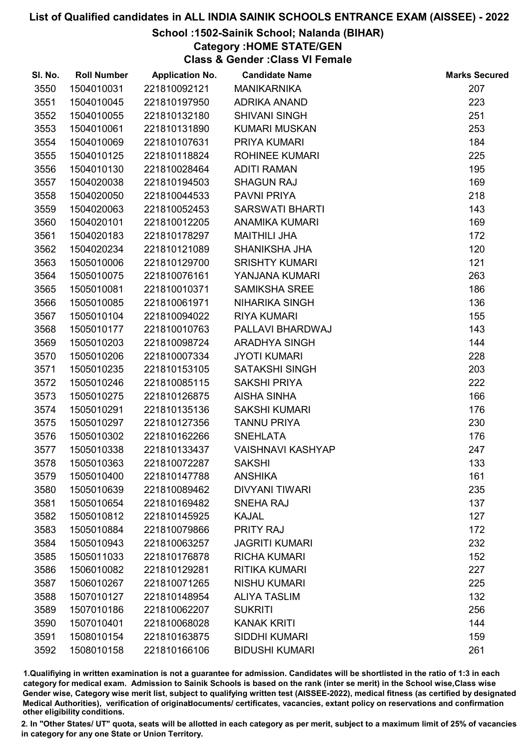# School :1502-Sainik School; Nalanda (BIHAR)

Category :HOME STATE/GEN

Class & Gender :Class VI Female

| SI. No. | <b>Roll Number</b> | <b>Application No.</b> | <b>Candidate Name</b>    | <b>Marks Secured</b> |
|---------|--------------------|------------------------|--------------------------|----------------------|
| 3550    | 1504010031         | 221810092121           | <b>MANIKARNIKA</b>       | 207                  |
| 3551    | 1504010045         | 221810197950           | <b>ADRIKA ANAND</b>      | 223                  |
| 3552    | 1504010055         | 221810132180           | <b>SHIVANI SINGH</b>     | 251                  |
| 3553    | 1504010061         | 221810131890           | <b>KUMARI MUSKAN</b>     | 253                  |
| 3554    | 1504010069         | 221810107631           | PRIYA KUMARI             | 184                  |
| 3555    | 1504010125         | 221810118824           | ROHINEE KUMARI           | 225                  |
| 3556    | 1504010130         | 221810028464           | <b>ADITI RAMAN</b>       | 195                  |
| 3557    | 1504020038         | 221810194503           | <b>SHAGUN RAJ</b>        | 169                  |
| 3558    | 1504020050         | 221810044533           | <b>PAVNI PRIYA</b>       | 218                  |
| 3559    | 1504020063         | 221810052453           | <b>SARSWATI BHARTI</b>   | 143                  |
| 3560    | 1504020101         | 221810012205           | <b>ANAMIKA KUMARI</b>    | 169                  |
| 3561    | 1504020183         | 221810178297           | <b>MAITHILI JHA</b>      | 172                  |
| 3562    | 1504020234         | 221810121089           | SHANIKSHA JHA            | 120                  |
| 3563    | 1505010006         | 221810129700           | <b>SRISHTY KUMARI</b>    | 121                  |
| 3564    | 1505010075         | 221810076161           | YANJANA KUMARI           | 263                  |
| 3565    | 1505010081         | 221810010371           | <b>SAMIKSHA SREE</b>     | 186                  |
| 3566    | 1505010085         | 221810061971           | <b>NIHARIKA SINGH</b>    | 136                  |
| 3567    | 1505010104         | 221810094022           | <b>RIYA KUMARI</b>       | 155                  |
| 3568    | 1505010177         | 221810010763           | PALLAVI BHARDWAJ         | 143                  |
| 3569    | 1505010203         | 221810098724           | <b>ARADHYA SINGH</b>     | 144                  |
| 3570    | 1505010206         | 221810007334           | <b>JYOTI KUMARI</b>      | 228                  |
| 3571    | 1505010235         | 221810153105           | <b>SATAKSHI SINGH</b>    | 203                  |
| 3572    | 1505010246         | 221810085115           | <b>SAKSHI PRIYA</b>      | 222                  |
| 3573    | 1505010275         | 221810126875           | <b>AISHA SINHA</b>       | 166                  |
| 3574    | 1505010291         | 221810135136           | <b>SAKSHI KUMARI</b>     | 176                  |
| 3575    | 1505010297         | 221810127356           | <b>TANNU PRIYA</b>       | 230                  |
| 3576    | 1505010302         | 221810162266           | <b>SNEHLATA</b>          | 176                  |
| 3577    | 1505010338         | 221810133437           | <b>VAISHNAVI KASHYAP</b> | 247                  |
| 3578    | 1505010363         | 221810072287           | <b>SAKSHI</b>            | 133                  |
| 3579    | 1505010400         | 221810147788           | <b>ANSHIKA</b>           | 161                  |
| 3580    | 1505010639         | 221810089462           | <b>DIVYANI TIWARI</b>    | 235                  |
| 3581    | 1505010654         | 221810169482           | <b>SNEHA RAJ</b>         | 137                  |
| 3582    | 1505010812         | 221810145925           | <b>KAJAL</b>             | 127                  |
| 3583    | 1505010884         | 221810079866           | <b>PRITY RAJ</b>         | 172                  |
| 3584    | 1505010943         | 221810063257           | <b>JAGRITI KUMARI</b>    | 232                  |
| 3585    | 1505011033         | 221810176878           | <b>RICHA KUMARI</b>      | 152                  |
| 3586    | 1506010082         | 221810129281           | <b>RITIKA KUMARI</b>     | 227                  |
| 3587    | 1506010267         | 221810071265           | <b>NISHU KUMARI</b>      | 225                  |
| 3588    | 1507010127         | 221810148954           | <b>ALIYA TASLIM</b>      | 132                  |
| 3589    | 1507010186         | 221810062207           | <b>SUKRITI</b>           | 256                  |
| 3590    | 1507010401         | 221810068028           | <b>KANAK KRITI</b>       | 144                  |
| 3591    | 1508010154         | 221810163875           | <b>SIDDHI KUMARI</b>     | 159                  |
| 3592    | 1508010158         | 221810166106           | <b>BIDUSHI KUMARI</b>    | 261                  |

1.Qualifiying in written examination is not a guarantee for admission. Candidates will be shortlisted in the ratio of 1:3 in each category for medical exam. Admission to Sainik Schools is based on the rank (inter se merit) in the School wise,Class wise Gender wise, Category wise merit list, subject to qualifying written test (AISSEE-2022), medical fitness (as certified by designated Medical Authorities), verification of originablocuments/ certificates, vacancies, extant policy on reservations and confirmation other eligibility conditions.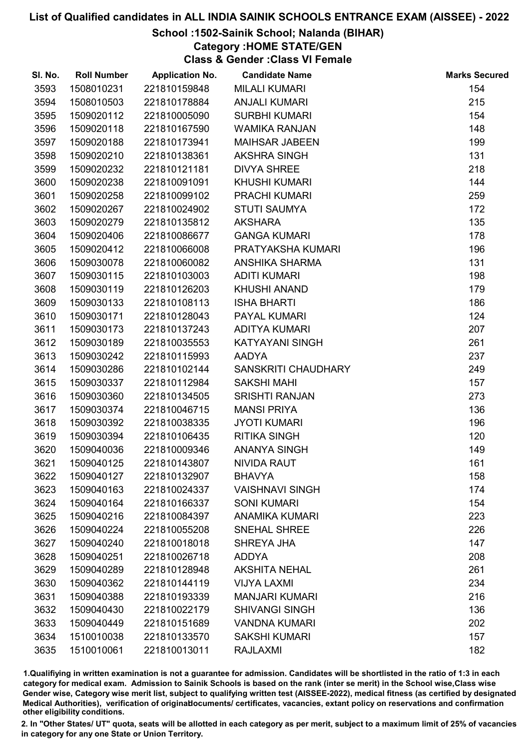# School :1502-Sainik School; Nalanda (BIHAR)

Category :HOME STATE/GEN

Class & Gender :Class VI Female

| SI. No. | <b>Roll Number</b> | <b>Application No.</b> | <b>Candidate Name</b>  | <b>Marks Secured</b> |
|---------|--------------------|------------------------|------------------------|----------------------|
| 3593    | 1508010231         | 221810159848           | <b>MILALI KUMARI</b>   | 154                  |
| 3594    | 1508010503         | 221810178884           | <b>ANJALI KUMARI</b>   | 215                  |
| 3595    | 1509020112         | 221810005090           | <b>SURBHI KUMARI</b>   | 154                  |
| 3596    | 1509020118         | 221810167590           | <b>WAMIKA RANJAN</b>   | 148                  |
| 3597    | 1509020188         | 221810173941           | <b>MAIHSAR JABEEN</b>  | 199                  |
| 3598    | 1509020210         | 221810138361           | <b>AKSHRA SINGH</b>    | 131                  |
| 3599    | 1509020232         | 221810121181           | <b>DIVYA SHREE</b>     | 218                  |
| 3600    | 1509020238         | 221810091091           | <b>KHUSHI KUMARI</b>   | 144                  |
| 3601    | 1509020258         | 221810099102           | <b>PRACHI KUMARI</b>   | 259                  |
| 3602    | 1509020267         | 221810024902           | <b>STUTI SAUMYA</b>    | 172                  |
| 3603    | 1509020279         | 221810135812           | <b>AKSHARA</b>         | 135                  |
| 3604    | 1509020406         | 221810086677           | <b>GANGA KUMARI</b>    | 178                  |
| 3605    | 1509020412         | 221810066008           | PRATYAKSHA KUMARI      | 196                  |
| 3606    | 1509030078         | 221810060082           | <b>ANSHIKA SHARMA</b>  | 131                  |
| 3607    | 1509030115         | 221810103003           | <b>ADITI KUMARI</b>    | 198                  |
| 3608    | 1509030119         | 221810126203           | <b>KHUSHI ANAND</b>    | 179                  |
| 3609    | 1509030133         | 221810108113           | <b>ISHA BHARTI</b>     | 186                  |
| 3610    | 1509030171         | 221810128043           | PAYAL KUMARI           | 124                  |
| 3611    | 1509030173         | 221810137243           | <b>ADITYA KUMARI</b>   | 207                  |
| 3612    | 1509030189         | 221810035553           | KATYAYANI SINGH        | 261                  |
| 3613    | 1509030242         | 221810115993           | <b>AADYA</b>           | 237                  |
| 3614    | 1509030286         | 221810102144           | SANSKRITI CHAUDHARY    | 249                  |
| 3615    | 1509030337         | 221810112984           | <b>SAKSHI MAHI</b>     | 157                  |
| 3616    | 1509030360         | 221810134505           | <b>SRISHTI RANJAN</b>  | 273                  |
| 3617    | 1509030374         | 221810046715           | <b>MANSI PRIYA</b>     | 136                  |
| 3618    | 1509030392         | 221810038335           | <b>JYOTI KUMARI</b>    | 196                  |
| 3619    | 1509030394         | 221810106435           | <b>RITIKA SINGH</b>    | 120                  |
| 3620    | 1509040036         | 221810009346           | <b>ANANYA SINGH</b>    | 149                  |
| 3621    | 1509040125         | 221810143807           | <b>NIVIDA RAUT</b>     | 161                  |
| 3622    | 1509040127         | 221810132907           | <b>BHAVYA</b>          | 158                  |
| 3623    | 1509040163         | 221810024337           | <b>VAISHNAVI SINGH</b> | 174                  |
| 3624    | 1509040164         | 221810166337           | <b>SONI KUMARI</b>     | 154                  |
| 3625    | 1509040216         | 221810084397           | <b>ANAMIKA KUMARI</b>  | 223                  |
| 3626    | 1509040224         | 221810055208           | <b>SNEHAL SHREE</b>    | 226                  |
| 3627    | 1509040240         | 221810018018           | SHREYA JHA             | 147                  |
| 3628    | 1509040251         | 221810026718           | <b>ADDYA</b>           | 208                  |
| 3629    | 1509040289         | 221810128948           | <b>AKSHITA NEHAL</b>   | 261                  |
| 3630    | 1509040362         | 221810144119           | <b>VIJYA LAXMI</b>     | 234                  |
| 3631    | 1509040388         | 221810193339           | <b>MANJARI KUMARI</b>  | 216                  |
| 3632    | 1509040430         | 221810022179           | <b>SHIVANGI SINGH</b>  | 136                  |
| 3633    | 1509040449         | 221810151689           | <b>VANDNA KUMARI</b>   | 202                  |
| 3634    | 1510010038         | 221810133570           | <b>SAKSHI KUMARI</b>   | 157                  |
| 3635    | 1510010061         | 221810013011           | <b>RAJLAXMI</b>        | 182                  |

1.Qualifiying in written examination is not a guarantee for admission. Candidates will be shortlisted in the ratio of 1:3 in each category for medical exam. Admission to Sainik Schools is based on the rank (inter se merit) in the School wise,Class wise Gender wise, Category wise merit list, subject to qualifying written test (AISSEE-2022), medical fitness (as certified by designated Medical Authorities), verification of originablocuments/ certificates, vacancies, extant policy on reservations and confirmation other eligibility conditions.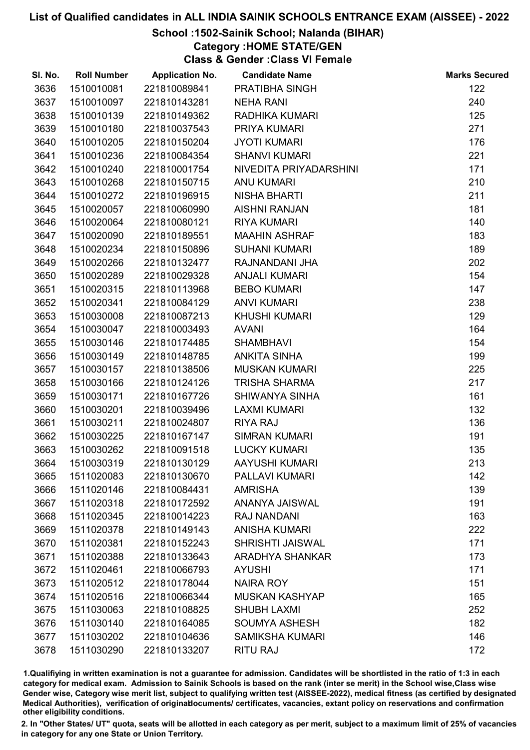# School :1502-Sainik School; Nalanda (BIHAR)

# Category :HOME STATE/GEN

Class & Gender :Class VI Female

| SI. No. | <b>Roll Number</b> | <b>Application No.</b> | <b>Candidate Name</b>   | <b>Marks Secured</b> |
|---------|--------------------|------------------------|-------------------------|----------------------|
| 3636    | 1510010081         | 221810089841           | PRATIBHA SINGH          | 122                  |
| 3637    | 1510010097         | 221810143281           | <b>NEHA RANI</b>        | 240                  |
| 3638    | 1510010139         | 221810149362           | RADHIKA KUMARI          | 125                  |
| 3639    | 1510010180         | 221810037543           | PRIYA KUMARI            | 271                  |
| 3640    | 1510010205         | 221810150204           | <b>JYOTI KUMARI</b>     | 176                  |
| 3641    | 1510010236         | 221810084354           | <b>SHANVI KUMARI</b>    | 221                  |
| 3642    | 1510010240         | 221810001754           | NIVEDITA PRIYADARSHINI  | 171                  |
| 3643    | 1510010268         | 221810150715           | <b>ANU KUMARI</b>       | 210                  |
| 3644    | 1510010272         | 221810196915           | <b>NISHA BHARTI</b>     | 211                  |
| 3645    | 1510020057         | 221810060990           | <b>AISHNI RANJAN</b>    | 181                  |
| 3646    | 1510020064         | 221810080121           | <b>RIYA KUMARI</b>      | 140                  |
| 3647    | 1510020090         | 221810189551           | <b>MAAHIN ASHRAF</b>    | 183                  |
| 3648    | 1510020234         | 221810150896           | <b>SUHANI KUMARI</b>    | 189                  |
| 3649    | 1510020266         | 221810132477           | RAJNANDANI JHA          | 202                  |
| 3650    | 1510020289         | 221810029328           | <b>ANJALI KUMARI</b>    | 154                  |
| 3651    | 1510020315         | 221810113968           | <b>BEBO KUMARI</b>      | 147                  |
| 3652    | 1510020341         | 221810084129           | <b>ANVI KUMARI</b>      | 238                  |
| 3653    | 1510030008         | 221810087213           | <b>KHUSHI KUMARI</b>    | 129                  |
| 3654    | 1510030047         | 221810003493           | <b>AVANI</b>            | 164                  |
| 3655    | 1510030146         | 221810174485           | <b>SHAMBHAVI</b>        | 154                  |
| 3656    | 1510030149         | 221810148785           | <b>ANKITA SINHA</b>     | 199                  |
| 3657    | 1510030157         | 221810138506           | <b>MUSKAN KUMARI</b>    | 225                  |
| 3658    | 1510030166         | 221810124126           | <b>TRISHA SHARMA</b>    | 217                  |
| 3659    | 1510030171         | 221810167726           | SHIWANYA SINHA          | 161                  |
| 3660    | 1510030201         | 221810039496           | <b>LAXMI KUMARI</b>     | 132                  |
| 3661    | 1510030211         | 221810024807           | <b>RIYA RAJ</b>         | 136                  |
| 3662    | 1510030225         | 221810167147           | <b>SIMRAN KUMARI</b>    | 191                  |
| 3663    | 1510030262         | 221810091518           | <b>LUCKY KUMARI</b>     | 135                  |
| 3664    | 1510030319         | 221810130129           | <b>AAYUSHI KUMARI</b>   | 213                  |
| 3665    | 1511020083         | 221810130670           | PALLAVI KUMARI          | 142                  |
| 3666    | 1511020146         | 221810084431           | <b>AMRISHA</b>          | 139                  |
| 3667    | 1511020318         | 221810172592           | ANANYA JAISWAL          | 191                  |
| 3668    | 1511020345         | 221810014223           | RAJ NANDANI             | 163                  |
| 3669    | 1511020378         | 221810149143           | <b>ANISHA KUMARI</b>    | 222                  |
| 3670    | 1511020381         | 221810152243           | <b>SHRISHTI JAISWAL</b> | 171                  |
| 3671    | 1511020388         | 221810133643           | <b>ARADHYA SHANKAR</b>  | 173                  |
| 3672    | 1511020461         | 221810066793           | <b>AYUSHI</b>           | 171                  |
| 3673    | 1511020512         | 221810178044           | <b>NAIRA ROY</b>        | 151                  |
| 3674    | 1511020516         | 221810066344           | <b>MUSKAN KASHYAP</b>   | 165                  |
| 3675    | 1511030063         | 221810108825           | <b>SHUBH LAXMI</b>      | 252                  |
| 3676    | 1511030140         | 221810164085           | <b>SOUMYA ASHESH</b>    | 182                  |
| 3677    | 1511030202         | 221810104636           | <b>SAMIKSHA KUMARI</b>  | 146                  |
| 3678    | 1511030290         | 221810133207           | RITU RAJ                | 172                  |

1.Qualifiying in written examination is not a guarantee for admission. Candidates will be shortlisted in the ratio of 1:3 in each category for medical exam. Admission to Sainik Schools is based on the rank (inter se merit) in the School wise,Class wise Gender wise, Category wise merit list, subject to qualifying written test (AISSEE-2022), medical fitness (as certified by designated Medical Authorities), verification of originablocuments/ certificates, vacancies, extant policy on reservations and confirmation other eligibility conditions.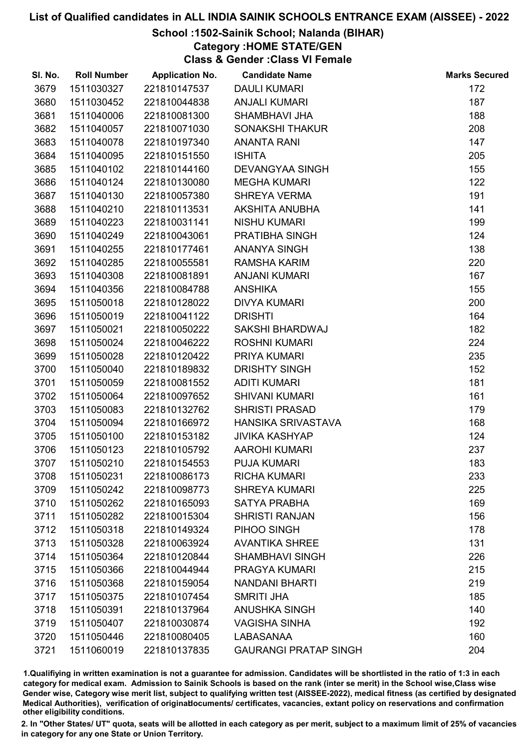# School :1502-Sainik School; Nalanda (BIHAR)

Category :HOME STATE/GEN

Class & Gender :Class VI Female

| SI. No. | <b>Roll Number</b> | <b>Application No.</b> | <b>Candidate Name</b>        | <b>Marks Secured</b> |
|---------|--------------------|------------------------|------------------------------|----------------------|
| 3679    | 1511030327         | 221810147537           | <b>DAULI KUMARI</b>          | 172                  |
| 3680    | 1511030452         | 221810044838           | <b>ANJALI KUMARI</b>         | 187                  |
| 3681    | 1511040006         | 221810081300           | SHAMBHAVI JHA                | 188                  |
| 3682    | 1511040057         | 221810071030           | <b>SONAKSHI THAKUR</b>       | 208                  |
| 3683    | 1511040078         | 221810197340           | <b>ANANTA RANI</b>           | 147                  |
| 3684    | 1511040095         | 221810151550           | <b>ISHITA</b>                | 205                  |
| 3685    | 1511040102         | 221810144160           | <b>DEVANGYAA SINGH</b>       | 155                  |
| 3686    | 1511040124         | 221810130080           | <b>MEGHA KUMARI</b>          | 122                  |
| 3687    | 1511040130         | 221810057380           | <b>SHREYA VERMA</b>          | 191                  |
| 3688    | 1511040210         | 221810113531           | <b>AKSHITA ANUBHA</b>        | 141                  |
| 3689    | 1511040223         | 221810031141           | <b>NISHU KUMARI</b>          | 199                  |
| 3690    | 1511040249         | 221810043061           | PRATIBHA SINGH               | 124                  |
| 3691    | 1511040255         | 221810177461           | <b>ANANYA SINGH</b>          | 138                  |
| 3692    | 1511040285         | 221810055581           | <b>RAMSHA KARIM</b>          | 220                  |
| 3693    | 1511040308         | 221810081891           | <b>ANJANI KUMARI</b>         | 167                  |
| 3694    | 1511040356         | 221810084788           | <b>ANSHIKA</b>               | 155                  |
| 3695    | 1511050018         | 221810128022           | <b>DIVYA KUMARI</b>          | 200                  |
| 3696    | 1511050019         | 221810041122           | <b>DRISHTI</b>               | 164                  |
| 3697    | 1511050021         | 221810050222           | <b>SAKSHI BHARDWAJ</b>       | 182                  |
| 3698    | 1511050024         | 221810046222           | <b>ROSHNI KUMARI</b>         | 224                  |
| 3699    | 1511050028         | 221810120422           | PRIYA KUMARI                 | 235                  |
| 3700    | 1511050040         | 221810189832           | <b>DRISHTY SINGH</b>         | 152                  |
| 3701    | 1511050059         | 221810081552           | <b>ADITI KUMARI</b>          | 181                  |
| 3702    | 1511050064         | 221810097652           | <b>SHIVANI KUMARI</b>        | 161                  |
| 3703    | 1511050083         | 221810132762           | <b>SHRISTI PRASAD</b>        | 179                  |
| 3704    | 1511050094         | 221810166972           | HANSIKA SRIVASTAVA           | 168                  |
| 3705    | 1511050100         | 221810153182           | <b>JIVIKA KASHYAP</b>        | 124                  |
| 3706    | 1511050123         | 221810105792           | <b>AAROHI KUMARI</b>         | 237                  |
| 3707    | 1511050210         | 221810154553           | <b>PUJA KUMARI</b>           | 183                  |
| 3708    | 1511050231         | 221810086173           | <b>RICHA KUMARI</b>          | 233                  |
| 3709    | 1511050242         | 221810098773           | <b>SHREYA KUMARI</b>         | 225                  |
| 3710    | 1511050262         | 221810165093           | <b>SATYA PRABHA</b>          | 169                  |
| 3711    | 1511050282         | 221810015304           | <b>SHRISTI RANJAN</b>        | 156                  |
| 3712    | 1511050318         | 221810149324           | PIHOO SINGH                  | 178                  |
| 3713    | 1511050328         | 221810063924           | <b>AVANTIKA SHREE</b>        | 131                  |
| 3714    | 1511050364         | 221810120844           | <b>SHAMBHAVI SINGH</b>       | 226                  |
| 3715    | 1511050366         | 221810044944           | PRAGYA KUMARI                | 215                  |
| 3716    | 1511050368         | 221810159054           | <b>NANDANI BHARTI</b>        | 219                  |
| 3717    | 1511050375         | 221810107454           | <b>SMRITI JHA</b>            | 185                  |
| 3718    | 1511050391         | 221810137964           | <b>ANUSHKA SINGH</b>         | 140                  |
| 3719    | 1511050407         | 221810030874           | <b>VAGISHA SINHA</b>         | 192                  |
| 3720    | 1511050446         | 221810080405           | LABASANAA                    | 160                  |
| 3721    | 1511060019         | 221810137835           | <b>GAURANGI PRATAP SINGH</b> | 204                  |

1.Qualifiying in written examination is not a guarantee for admission. Candidates will be shortlisted in the ratio of 1:3 in each category for medical exam. Admission to Sainik Schools is based on the rank (inter se merit) in the School wise,Class wise Gender wise, Category wise merit list, subject to qualifying written test (AISSEE-2022), medical fitness (as certified by designated Medical Authorities), verification of originablocuments/ certificates, vacancies, extant policy on reservations and confirmation other eligibility conditions.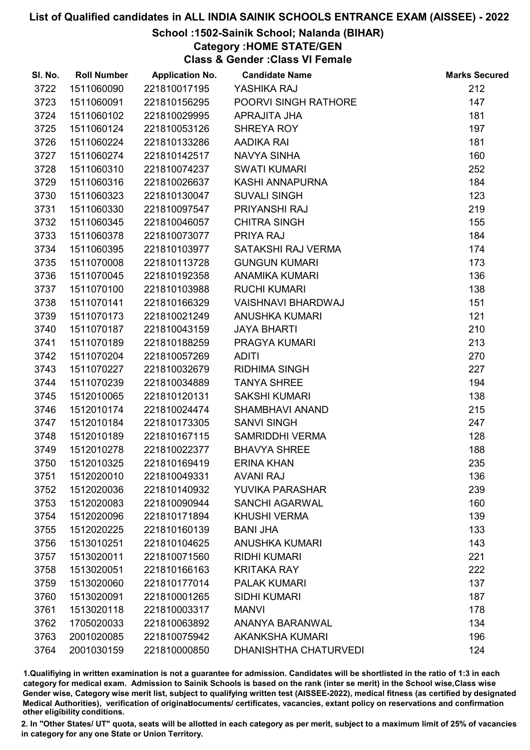# School :1502-Sainik School; Nalanda (BIHAR)

Category :HOME STATE/GEN

Class & Gender :Class VI Female

| SI. No. | <b>Roll Number</b> | <b>Application No.</b> | <b>Candidate Name</b>        | <b>Marks Secured</b> |
|---------|--------------------|------------------------|------------------------------|----------------------|
| 3722    | 1511060090         | 221810017195           | YASHIKA RAJ                  | 212                  |
| 3723    | 1511060091         | 221810156295           | <b>POORVI SINGH RATHORE</b>  | 147                  |
| 3724    | 1511060102         | 221810029995           | APRAJITA JHA                 | 181                  |
| 3725    | 1511060124         | 221810053126           | SHREYA ROY                   | 197                  |
| 3726    | 1511060224         | 221810133286           | AADIKA RAI                   | 181                  |
| 3727    | 1511060274         | 221810142517           | NAVYA SINHA                  | 160                  |
| 3728    | 1511060310         | 221810074237           | <b>SWATI KUMARI</b>          | 252                  |
| 3729    | 1511060316         | 221810026637           | KASHI ANNAPURNA              | 184                  |
| 3730    | 1511060323         | 221810130047           | <b>SUVALI SINGH</b>          | 123                  |
| 3731    | 1511060330         | 221810097547           | PRIYANSHI RAJ                | 219                  |
| 3732    | 1511060345         | 221810046057           | <b>CHITRA SINGH</b>          | 155                  |
| 3733    | 1511060378         | 221810073077           | PRIYA RAJ                    | 184                  |
| 3734    | 1511060395         | 221810103977           | SATAKSHI RAJ VERMA           | 174                  |
| 3735    | 1511070008         | 221810113728           | <b>GUNGUN KUMARI</b>         | 173                  |
| 3736    | 1511070045         | 221810192358           | <b>ANAMIKA KUMARI</b>        | 136                  |
| 3737    | 1511070100         | 221810103988           | <b>RUCHI KUMARI</b>          | 138                  |
| 3738    | 1511070141         | 221810166329           | <b>VAISHNAVI BHARDWAJ</b>    | 151                  |
| 3739    | 1511070173         | 221810021249           | <b>ANUSHKA KUMARI</b>        | 121                  |
| 3740    | 1511070187         | 221810043159           | <b>JAYA BHARTI</b>           | 210                  |
| 3741    | 1511070189         | 221810188259           | PRAGYA KUMARI                | 213                  |
| 3742    | 1511070204         | 221810057269           | <b>ADITI</b>                 | 270                  |
| 3743    | 1511070227         | 221810032679           | <b>RIDHIMA SINGH</b>         | 227                  |
| 3744    | 1511070239         | 221810034889           | <b>TANYA SHREE</b>           | 194                  |
| 3745    | 1512010065         | 221810120131           | <b>SAKSHI KUMARI</b>         | 138                  |
| 3746    | 1512010174         | 221810024474           | SHAMBHAVI ANAND              | 215                  |
| 3747    | 1512010184         | 221810173305           | <b>SANVI SINGH</b>           | 247                  |
| 3748    | 1512010189         | 221810167115           | SAMRIDDHI VERMA              | 128                  |
| 3749    | 1512010278         | 221810022377           | <b>BHAVYA SHREE</b>          | 188                  |
| 3750    | 1512010325         | 221810169419           | <b>ERINA KHAN</b>            | 235                  |
| 3751    | 1512020010         | 221810049331           | <b>AVANI RAJ</b>             | 136                  |
| 3752    | 1512020036         | 221810140932           | YUVIKA PARASHAR              | 239                  |
| 3753    | 1512020083         | 221810090944           | <b>SANCHI AGARWAL</b>        | 160                  |
| 3754    | 1512020096         | 221810171894           | <b>KHUSHI VERMA</b>          | 139                  |
| 3755    | 1512020225         | 221810160139           | <b>BANI JHA</b>              | 133                  |
| 3756    | 1513010251         | 221810104625           | <b>ANUSHKA KUMARI</b>        | 143                  |
| 3757    | 1513020011         | 221810071560           | <b>RIDHI KUMARI</b>          | 221                  |
| 3758    | 1513020051         | 221810166163           | <b>KRITAKA RAY</b>           | 222                  |
| 3759    | 1513020060         | 221810177014           | <b>PALAK KUMARI</b>          | 137                  |
| 3760    | 1513020091         | 221810001265           | <b>SIDHI KUMARI</b>          | 187                  |
| 3761    | 1513020118         | 221810003317           | <b>MANVI</b>                 | 178                  |
| 3762    | 1705020033         | 221810063892           | ANANYA BARANWAL              | 134                  |
| 3763    | 2001020085         | 221810075942           | <b>AKANKSHA KUMARI</b>       | 196                  |
| 3764    | 2001030159         | 221810000850           | <b>DHANISHTHA CHATURVEDI</b> | 124                  |

1.Qualifiying in written examination is not a guarantee for admission. Candidates will be shortlisted in the ratio of 1:3 in each category for medical exam. Admission to Sainik Schools is based on the rank (inter se merit) in the School wise,Class wise Gender wise, Category wise merit list, subject to qualifying written test (AISSEE-2022), medical fitness (as certified by designated Medical Authorities), verification of originablocuments/ certificates, vacancies, extant policy on reservations and confirmation other eligibility conditions.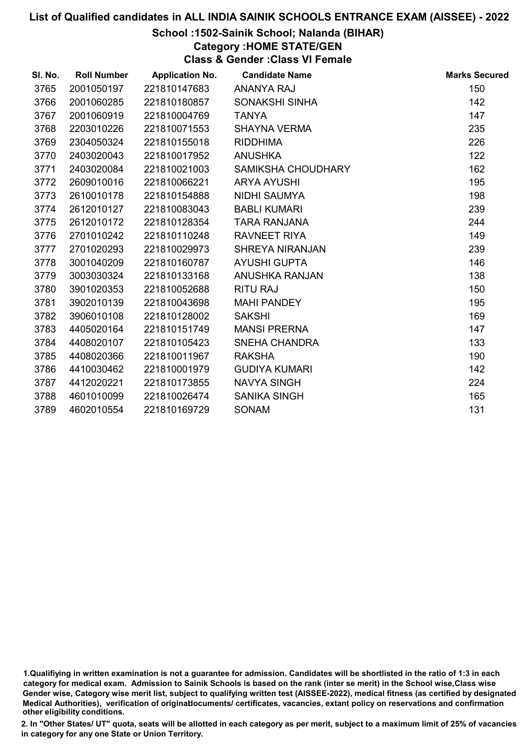# School :1502-Sainik School; Nalanda (BIHAR)

Category :HOME STATE/GEN

Class & Gender :Class VI Female

| SI. No. | <b>Roll Number</b> | <b>Application No.</b> | <b>Candidate Name</b>  | <b>Marks Secured</b> |
|---------|--------------------|------------------------|------------------------|----------------------|
| 3765    | 2001050197         | 221810147683           | <b>ANANYA RAJ</b>      | 150                  |
| 3766    | 2001060285         | 221810180857           | SONAKSHI SINHA         | 142                  |
| 3767    | 2001060919         | 221810004769           | <b>TANYA</b>           | 147                  |
| 3768    | 2203010226         | 221810071553           | <b>SHAYNA VERMA</b>    | 235                  |
| 3769    | 2304050324         | 221810155018           | <b>RIDDHIMA</b>        | 226                  |
| 3770    | 2403020043         | 221810017952           | <b>ANUSHKA</b>         | 122                  |
| 3771    | 2403020084         | 221810021003           | SAMIKSHA CHOUDHARY     | 162                  |
| 3772    | 2609010016         | 221810066221           | <b>ARYA AYUSHI</b>     | 195                  |
| 3773    | 2610010178         | 221810154888           | <b>NIDHI SAUMYA</b>    | 198                  |
| 3774    | 2612010127         | 221810083043           | <b>BABLI KUMARI</b>    | 239                  |
| 3775    | 2612010172         | 221810128354           | <b>TARA RANJANA</b>    | 244                  |
| 3776    | 2701010242         | 221810110248           | RAVNEET RIYA           | 149                  |
| 3777    | 2701020293         | 221810029973           | <b>SHREYA NIRANJAN</b> | 239                  |
| 3778    | 3001040209         | 221810160787           | <b>AYUSHI GUPTA</b>    | 146                  |
| 3779    | 3003030324         | 221810133168           | ANUSHKA RANJAN         | 138                  |
| 3780    | 3901020353         | 221810052688           | <b>RITU RAJ</b>        | 150                  |
| 3781    | 3902010139         | 221810043698           | <b>MAHI PANDEY</b>     | 195                  |
| 3782    | 3906010108         | 221810128002           | <b>SAKSHI</b>          | 169                  |
| 3783    | 4405020164         | 221810151749           | <b>MANSI PRERNA</b>    | 147                  |
| 3784    | 4408020107         | 221810105423           | <b>SNEHA CHANDRA</b>   | 133                  |
| 3785    | 4408020366         | 221810011967           | <b>RAKSHA</b>          | 190                  |
| 3786    | 4410030462         | 221810001979           | <b>GUDIYA KUMARI</b>   | 142                  |
| 3787    | 4412020221         | 221810173855           | <b>NAVYA SINGH</b>     | 224                  |
| 3788    | 4601010099         | 221810026474           | <b>SANIKA SINGH</b>    | 165                  |
| 3789    | 4602010554         | 221810169729           | <b>SONAM</b>           | 131                  |

<sup>1.</sup>Qualifiying in written examination is not a guarantee for admission. Candidates will be shortlisted in the ratio of 1:3 in each category for medical exam. Admission to Sainik Schools is based on the rank (inter se merit) in the School wise,Class wise Gender wise, Category wise merit list, subject to qualifying written test (AISSEE-2022), medical fitness (as certified by designated Medical Authorities), verification of originablocuments/ certificates, vacancies, extant policy on reservations and confirmation other eligibility conditions.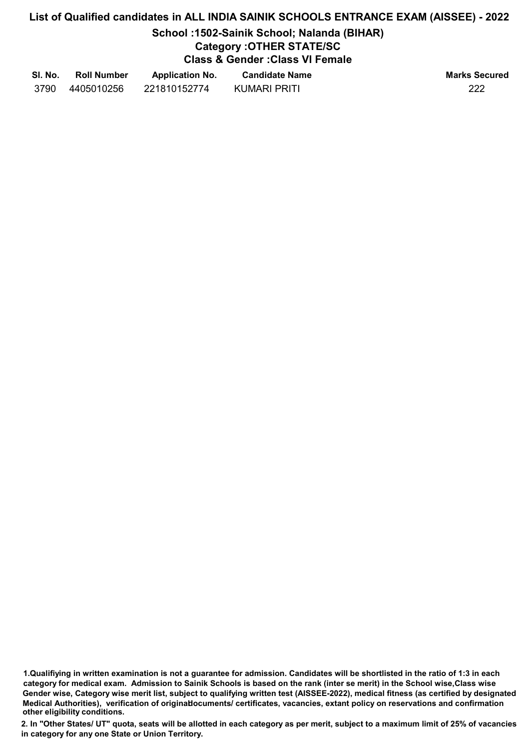# School :1502-Sainik School; Nalanda (BIHAR)

# Category :OTHER STATE/SC

Class & Gender :Class VI Female

| SI. No. | <b>Roll Number</b> | <b>Application No.</b> | <b>Candidate Name</b> | <b>Marks Secured</b> |
|---------|--------------------|------------------------|-----------------------|----------------------|
| 3790    | 4405010256         | 221810152774           | KUMARI PRITI          | 222                  |

1.Qualifiying in written examination is not a guarantee for admission. Candidates will be shortlisted in the ratio of 1:3 in each category for medical exam. Admission to Sainik Schools is based on the rank (inter se merit) in the School wise,Class wise Gender wise, Category wise merit list, subject to qualifying written test (AISSEE-2022), medical fitness (as certified by designated Medical Authorities), verification of originablocuments/ certificates, vacancies, extant policy on reservations and confirmation other eligibility conditions.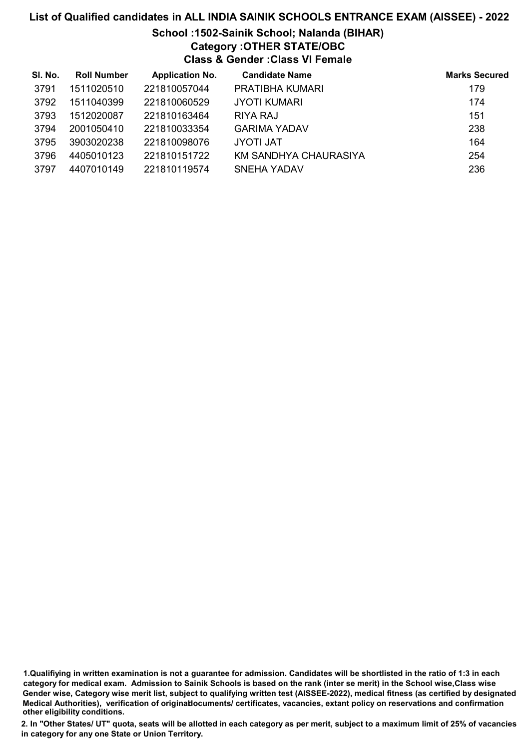# School :1502-Sainik School; Nalanda (BIHAR) Category :OTHER STATE/OBC Class & Gender :Class VI Female

| SI. No. | <b>Roll Number</b> | <b>Application No.</b> | <b>Candidate Name</b>  | <b>Marks Secured</b> |
|---------|--------------------|------------------------|------------------------|----------------------|
| 3791    | 1511020510         | 221810057044           | <b>PRATIBHA KUMARI</b> | 179                  |
| 3792    | 1511040399         | 221810060529           | <b>JYOTI KUMARI</b>    | 174                  |
| 3793    | 1512020087         | 221810163464           | RIYA RAJ               | 151                  |
| 3794    | 2001050410         | 221810033354           | <b>GARIMA YADAV</b>    | 238                  |
| 3795    | 3903020238         | 221810098076           | <b>JYOTI JAT</b>       | 164                  |
| 3796    | 4405010123         | 221810151722           | KM SANDHYA CHAURASIYA  | 254                  |
| 3797    | 4407010149         | 221810119574           | <b>SNEHA YADAV</b>     | 236                  |

<sup>1.</sup>Qualifiying in written examination is not a guarantee for admission. Candidates will be shortlisted in the ratio of 1:3 in each category for medical exam. Admission to Sainik Schools is based on the rank (inter se merit) in the School wise,Class wise Gender wise, Category wise merit list, subject to qualifying written test (AISSEE-2022), medical fitness (as certified by designated Medical Authorities), verification of originablocuments/ certificates, vacancies, extant policy on reservations and confirmation other eligibility conditions.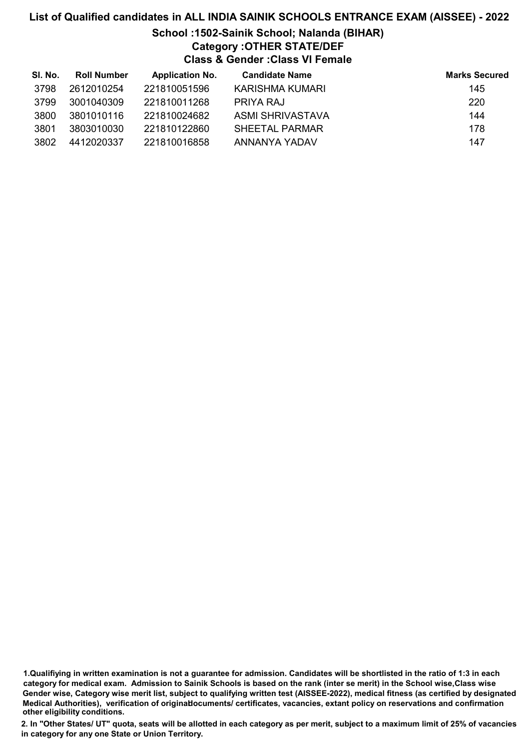# School :1502-Sainik School; Nalanda (BIHAR) Category :OTHER STATE/DEF Class & Gender :Class VI Female

| SI. No. | <b>Roll Number</b> | <b>Application No.</b> | <b>Candidate Name</b> | <b>Marks Secured</b> |
|---------|--------------------|------------------------|-----------------------|----------------------|
| 3798    | 2612010254         | 221810051596           | KARISHMA KUMARI       | 145                  |
| 3799    | 3001040309         | 221810011268           | PRIYA RAJ             | 220                  |
| 3800    | 3801010116         | 221810024682           | ASMI SHRIVASTAVA      | 144                  |
| 3801    | 3803010030         | 221810122860           | SHEETAL PARMAR        | 178                  |
| 3802    | 4412020337         | 221810016858           | ANNANYA YADAV         | 147                  |

1.Qualifiying in written examination is not a guarantee for admission. Candidates will be shortlisted in the ratio of 1:3 in each category for medical exam. Admission to Sainik Schools is based on the rank (inter se merit) in the School wise,Class wise Gender wise, Category wise merit list, subject to qualifying written test (AISSEE-2022), medical fitness (as certified by designated Medical Authorities), verification of originablocuments/ certificates, vacancies, extant policy on reservations and confirmation other eligibility conditions.